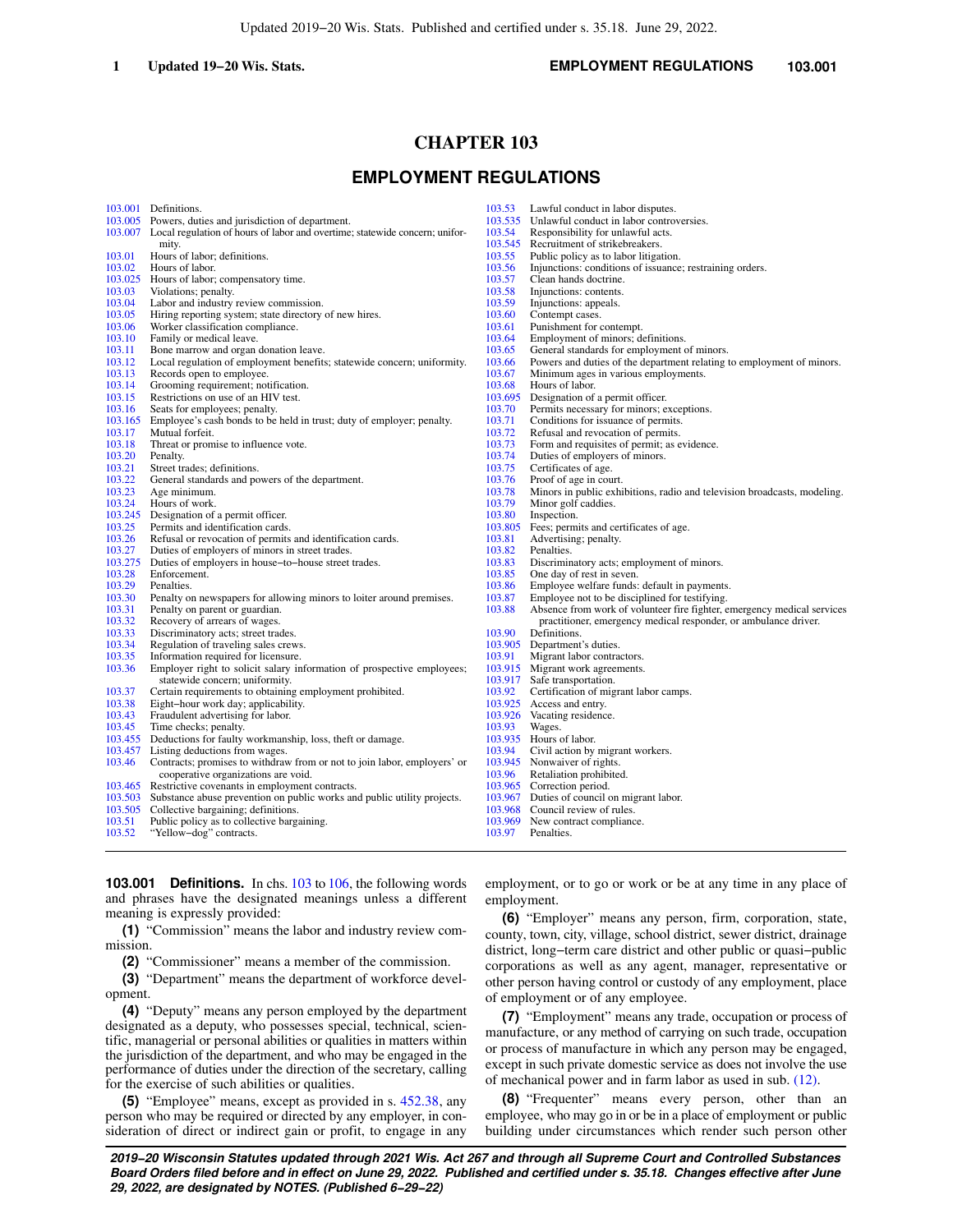# **CHAPTER 103**

# **EMPLOYMENT REGULATIONS**

|         | 103,001 Definitions.                                                                                       | 103.53  | Lawful conduct in labor disputes.                                        |
|---------|------------------------------------------------------------------------------------------------------------|---------|--------------------------------------------------------------------------|
|         | 103.005 Powers, duties and jurisdiction of department.                                                     | 103.535 | Unlawful conduct in labor controversies.                                 |
|         | 103.007 Local regulation of hours of labor and overtime; statewide concern; unifor-                        | 103.54  | Responsibility for unlawful acts.                                        |
|         | mity.                                                                                                      | 103.545 | Recruitment of strikebreakers.                                           |
| 103.01  | Hours of labor; definitions.                                                                               | 103.55  | Public policy as to labor litigation.                                    |
| 103.02  | Hours of labor.                                                                                            | 103.56  | Injunctions: conditions of issuance; restraining orders.                 |
| 103.025 | Hours of labor; compensatory time.                                                                         | 103.57  | Clean hands doctrine.                                                    |
| 103.03  | Violations; penalty.                                                                                       | 103.58  | Injunctions: contents.                                                   |
| 103.04  | Labor and industry review commission.                                                                      | 103.59  | Injunctions: appeals.                                                    |
| 103.05  | Hiring reporting system; state directory of new hires.                                                     | 103.60  | Contempt cases.                                                          |
| 103.06  | Worker classification compliance.                                                                          | 103.61  | Punishment for contempt.                                                 |
| 103.10  | Family or medical leave.                                                                                   | 103.64  | Employment of minors; definitions.                                       |
| 103.11  | Bone marrow and organ donation leave.                                                                      | 103.65  | General standards for employment of minors.                              |
| 103.12  | Local regulation of employment benefits; statewide concern; uniformity.                                    | 103.66  | Powers and duties of the department relating to employment of minors.    |
| 103.13  | Records open to employee.                                                                                  | 103.67  | Minimum ages in various employments.                                     |
| 103.14  | Grooming requirement; notification.                                                                        | 103.68  | Hours of labor.                                                          |
| 103.15  | Restrictions on use of an HIV test.                                                                        | 103.695 | Designation of a permit officer.                                         |
| 103.16  | Seats for employees; penalty.                                                                              | 103.70  | Permits necessary for minors; exceptions.                                |
| 103.165 | Employee's cash bonds to be held in trust; duty of employer; penalty.                                      | 103.71  | Conditions for issuance of permits.                                      |
| 103.17  | Mutual forfeit.                                                                                            | 103.72  | Refusal and revocation of permits.                                       |
| 103.18  | Threat or promise to influence vote.                                                                       | 103.73  | Form and requisites of permit; as evidence.                              |
| 103.20  | Penalty.                                                                                                   | 103.74  | Duties of employers of minors.                                           |
| 103.21  | Street trades; definitions.                                                                                | 103.75  | Certificates of age.                                                     |
| 103.22  | General standards and powers of the department.                                                            | 103.76  | Proof of age in court.                                                   |
| 103.23  | Age minimum.                                                                                               | 103.78  | Minors in public exhibitions, radio and television broadcasts, modeling. |
| 103.24  | Hours of work.                                                                                             | 103.79  | Minor golf caddies.                                                      |
| 103.245 | Designation of a permit officer.                                                                           | 103.80  | Inspection.                                                              |
| 103.25  | Permits and identification cards.                                                                          | 103.805 | Fees; permits and certificates of age.                                   |
| 103.26  | Refusal or revocation of permits and identification cards.                                                 | 103.81  | Advertising; penalty.                                                    |
| 103.27  | Duties of employers of minors in street trades.                                                            | 103.82  | Penalties.                                                               |
| 103.275 | Duties of employers in house-to-house street trades.                                                       | 103.83  | Discriminatory acts; employment of minors.                               |
| 103.28  | Enforcement.                                                                                               | 103.85  | One day of rest in seven.                                                |
| 103.29  | Penalties.                                                                                                 | 103.86  | Employee welfare funds: default in payments.                             |
| 103.30  | Penalty on newspapers for allowing minors to loiter around premises.                                       | 103.87  | Employee not to be disciplined for testifying.                           |
| 103.31  | Penalty on parent or guardian.                                                                             | 103.88  | Absence from work of volunteer fire fighter, emergency medical services  |
| 103.32  | Recovery of arrears of wages.                                                                              |         | practitioner, emergency medical responder, or ambulance driver.          |
| 103.33  | Discriminatory acts; street trades.                                                                        | 103.90  | Definitions.                                                             |
| 103.34  | Regulation of traveling sales crews.                                                                       | 103.905 | Department's duties.                                                     |
| 103.35  | Information required for licensure.                                                                        | 103.91  | Migrant labor contractors.                                               |
| 103.36  | Employer right to solicit salary information of prospective employees;                                     | 103.915 | Migrant work agreements.                                                 |
|         | statewide concern; uniformity.                                                                             | 103.917 | Safe transportation.                                                     |
| 103.37  | Certain requirements to obtaining employment prohibited.                                                   | 103.92  | Certification of migrant labor camps.                                    |
| 103.38  | Eight-hour work day; applicability.                                                                        | 103.925 | Access and entry.                                                        |
| 103.43  | Fraudulent advertising for labor.                                                                          | 103.926 | Vacating residence.                                                      |
| 103.45  |                                                                                                            | 103.93  | Wages.                                                                   |
|         | Time checks; penalty.<br>103.455 Deductions for faulty workmanship, loss, theft or damage.                 |         | 103.935 Hours of labor.                                                  |
| 103.457 |                                                                                                            | 103.94  |                                                                          |
|         | Listing deductions from wages.<br>Contracts; promises to withdraw from or not to join labor, employers' or | 103.945 | Civil action by migrant workers.                                         |
| 103.46  |                                                                                                            | 103.96  | Nonwaiver of rights.                                                     |
|         | cooperative organizations are void.                                                                        |         | Retaliation prohibited.                                                  |
|         | 103.465 Restrictive covenants in employment contracts.                                                     |         | 103.965 Correction period.                                               |
|         | 103.503 Substance abuse prevention on public works and public utility projects.                            | 103.967 | Duties of council on migrant labor.                                      |
|         | 103.505 Collective bargaining; definitions.                                                                |         | 103.968 Council review of rules.                                         |
| 103.51  | Public policy as to collective bargaining.                                                                 |         | 103.969 New contract compliance.                                         |
| 103.52  | "Yellow-dog" contracts.                                                                                    | 103.97  | Penalties.                                                               |

meaning is expressly provided:

for the exercise of such abilities or qualities.

mission.

opment.

**103.001 Definitions.** In chs. [103](https://docs.legis.wisconsin.gov/document/statutes/ch.%20103) to [106,](https://docs.legis.wisconsin.gov/document/statutes/ch.%20106) the following words and phrases have the designated meanings unless a different

**(1)** "Commission" means the labor and industry review com-

**(4)** "Deputy" means any person employed by the department designated as a deputy, who possesses special, technical, scientific, managerial or personal abilities or qualities in matters within the jurisdiction of the department, and who may be engaged in the performance of duties under the direction of the secretary, calling

**(5)** "Employee" means, except as provided in s. [452.38](https://docs.legis.wisconsin.gov/document/statutes/452.38), any person who may be required or directed by any employer, in consideration of direct or indirect gain or profit, to engage in any

**(2)** "Commissioner" means a member of the commission. **(3)** "Department" means the department of workforce develemployment, or to go or work or be at any time in any place of employment.

**(6)** "Employer" means any person, firm, corporation, state, county, town, city, village, school district, sewer district, drainage district, long−term care district and other public or quasi−public corporations as well as any agent, manager, representative or other person having control or custody of any employment, place of employment or of any employee.

**(7)** "Employment" means any trade, occupation or process of manufacture, or any method of carrying on such trade, occupation or process of manufacture in which any person may be engaged, except in such private domestic service as does not involve the use of mechanical power and in farm labor as used in sub. [\(12\)](https://docs.legis.wisconsin.gov/document/statutes/103.001(12)).

**(8)** "Frequenter" means every person, other than an employee, who may go in or be in a place of employment or public building under circumstances which render such person other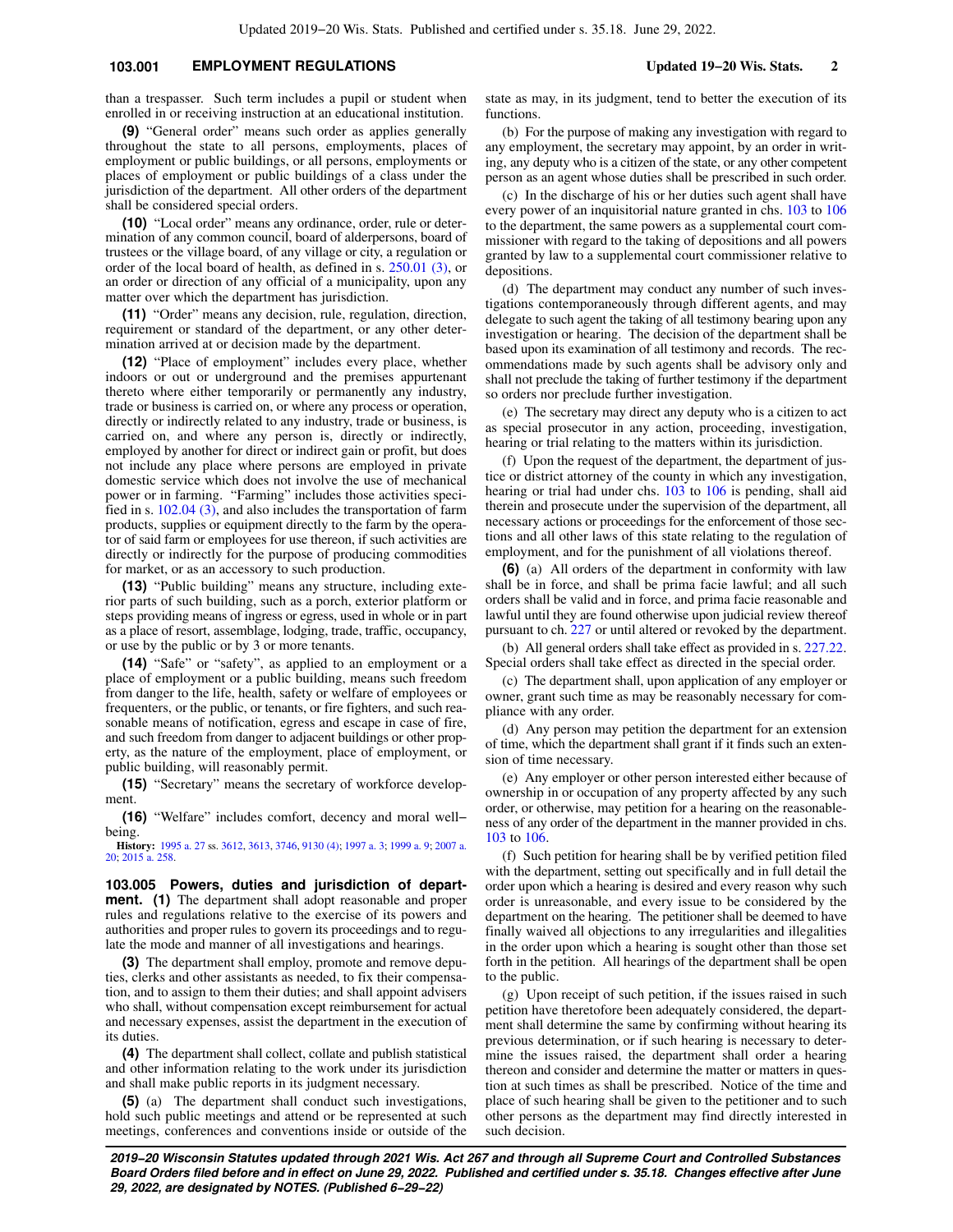# **103.001 EMPLOYMENT REGULATIONS Updated 19−20 Wis. Stats. 2**

than a trespasser. Such term includes a pupil or student when enrolled in or receiving instruction at an educational institution.

**(9)** "General order" means such order as applies generally throughout the state to all persons, employments, places of employment or public buildings, or all persons, employments or places of employment or public buildings of a class under the jurisdiction of the department. All other orders of the department shall be considered special orders.

**(10)** "Local order" means any ordinance, order, rule or determination of any common council, board of alderpersons, board of trustees or the village board, of any village or city, a regulation or order of the local board of health, as defined in s. [250.01 \(3\),](https://docs.legis.wisconsin.gov/document/statutes/250.01(3)) or an order or direction of any official of a municipality, upon any matter over which the department has jurisdiction.

**(11)** "Order" means any decision, rule, regulation, direction, requirement or standard of the department, or any other determination arrived at or decision made by the department.

**(12)** "Place of employment" includes every place, whether indoors or out or underground and the premises appurtenant thereto where either temporarily or permanently any industry, trade or business is carried on, or where any process or operation, directly or indirectly related to any industry, trade or business, is carried on, and where any person is, directly or indirectly, employed by another for direct or indirect gain or profit, but does not include any place where persons are employed in private domestic service which does not involve the use of mechanical power or in farming. "Farming" includes those activities specified in s. [102.04 \(3\),](https://docs.legis.wisconsin.gov/document/statutes/102.04(3)) and also includes the transportation of farm products, supplies or equipment directly to the farm by the operator of said farm or employees for use thereon, if such activities are directly or indirectly for the purpose of producing commodities for market, or as an accessory to such production.

**(13)** "Public building" means any structure, including exterior parts of such building, such as a porch, exterior platform or steps providing means of ingress or egress, used in whole or in part as a place of resort, assemblage, lodging, trade, traffic, occupancy, or use by the public or by 3 or more tenants.

**(14)** "Safe" or "safety", as applied to an employment or a place of employment or a public building, means such freedom from danger to the life, health, safety or welfare of employees or frequenters, or the public, or tenants, or fire fighters, and such reasonable means of notification, egress and escape in case of fire, and such freedom from danger to adjacent buildings or other property, as the nature of the employment, place of employment, or public building, will reasonably permit.

**(15)** "Secretary" means the secretary of workforce development.

**(16)** "Welfare" includes comfort, decency and moral well− being.

**History:** [1995 a. 27](https://docs.legis.wisconsin.gov/document/acts/1995/27) ss. [3612](https://docs.legis.wisconsin.gov/document/acts/1995/27,%20s.%203612), [3613,](https://docs.legis.wisconsin.gov/document/acts/1995/27,%20s.%203613) [3746,](https://docs.legis.wisconsin.gov/document/acts/1995/27,%20s.%203746) [9130 \(4\);](https://docs.legis.wisconsin.gov/document/acts/1995/27,%20s.%209130) [1997 a. 3](https://docs.legis.wisconsin.gov/document/acts/1997/3); [1999 a. 9](https://docs.legis.wisconsin.gov/document/acts/1999/9); [2007 a.](https://docs.legis.wisconsin.gov/document/acts/2007/20) [20;](https://docs.legis.wisconsin.gov/document/acts/2007/20) [2015 a. 258](https://docs.legis.wisconsin.gov/document/acts/2015/258).

**103.005 Powers, duties and jurisdiction of department. (1)** The department shall adopt reasonable and proper rules and regulations relative to the exercise of its powers and authorities and proper rules to govern its proceedings and to regulate the mode and manner of all investigations and hearings.

**(3)** The department shall employ, promote and remove deputies, clerks and other assistants as needed, to fix their compensation, and to assign to them their duties; and shall appoint advisers who shall, without compensation except reimbursement for actual and necessary expenses, assist the department in the execution of its duties.

**(4)** The department shall collect, collate and publish statistical and other information relating to the work under its jurisdiction and shall make public reports in its judgment necessary.

**(5)** (a) The department shall conduct such investigations, hold such public meetings and attend or be represented at such meetings, conferences and conventions inside or outside of the state as may, in its judgment, tend to better the execution of its functions.

(b) For the purpose of making any investigation with regard to any employment, the secretary may appoint, by an order in writing, any deputy who is a citizen of the state, or any other competent person as an agent whose duties shall be prescribed in such order.

(c) In the discharge of his or her duties such agent shall have every power of an inquisitorial nature granted in chs. [103](https://docs.legis.wisconsin.gov/document/statutes/ch.%20103) to [106](https://docs.legis.wisconsin.gov/document/statutes/ch.%20106) to the department, the same powers as a supplemental court commissioner with regard to the taking of depositions and all powers granted by law to a supplemental court commissioner relative to depositions.

(d) The department may conduct any number of such investigations contemporaneously through different agents, and may delegate to such agent the taking of all testimony bearing upon any investigation or hearing. The decision of the department shall be based upon its examination of all testimony and records. The recommendations made by such agents shall be advisory only and shall not preclude the taking of further testimony if the department so orders nor preclude further investigation.

(e) The secretary may direct any deputy who is a citizen to act as special prosecutor in any action, proceeding, investigation, hearing or trial relating to the matters within its jurisdiction.

(f) Upon the request of the department, the department of justice or district attorney of the county in which any investigation, hearing or trial had under chs. [103](https://docs.legis.wisconsin.gov/document/statutes/ch.%20103) to [106](https://docs.legis.wisconsin.gov/document/statutes/ch.%20106) is pending, shall aid therein and prosecute under the supervision of the department, all necessary actions or proceedings for the enforcement of those sections and all other laws of this state relating to the regulation of employment, and for the punishment of all violations thereof.

**(6)** (a) All orders of the department in conformity with law shall be in force, and shall be prima facie lawful; and all such orders shall be valid and in force, and prima facie reasonable and lawful until they are found otherwise upon judicial review thereof pursuant to ch. [227](https://docs.legis.wisconsin.gov/document/statutes/ch.%20227) or until altered or revoked by the department.

(b) All general orders shall take effect as provided in s. [227.22.](https://docs.legis.wisconsin.gov/document/statutes/227.22) Special orders shall take effect as directed in the special order.

(c) The department shall, upon application of any employer or owner, grant such time as may be reasonably necessary for compliance with any order.

(d) Any person may petition the department for an extension of time, which the department shall grant if it finds such an extension of time necessary.

(e) Any employer or other person interested either because of ownership in or occupation of any property affected by any such order, or otherwise, may petition for a hearing on the reasonableness of any order of the department in the manner provided in chs. [103](https://docs.legis.wisconsin.gov/document/statutes/ch.%20103) to [106.](https://docs.legis.wisconsin.gov/document/statutes/ch.%20106)

(f) Such petition for hearing shall be by verified petition filed with the department, setting out specifically and in full detail the order upon which a hearing is desired and every reason why such order is unreasonable, and every issue to be considered by the department on the hearing. The petitioner shall be deemed to have finally waived all objections to any irregularities and illegalities in the order upon which a hearing is sought other than those set forth in the petition. All hearings of the department shall be open to the public.

(g) Upon receipt of such petition, if the issues raised in such petition have theretofore been adequately considered, the department shall determine the same by confirming without hearing its previous determination, or if such hearing is necessary to determine the issues raised, the department shall order a hearing thereon and consider and determine the matter or matters in question at such times as shall be prescribed. Notice of the time and place of such hearing shall be given to the petitioner and to such other persons as the department may find directly interested in such decision.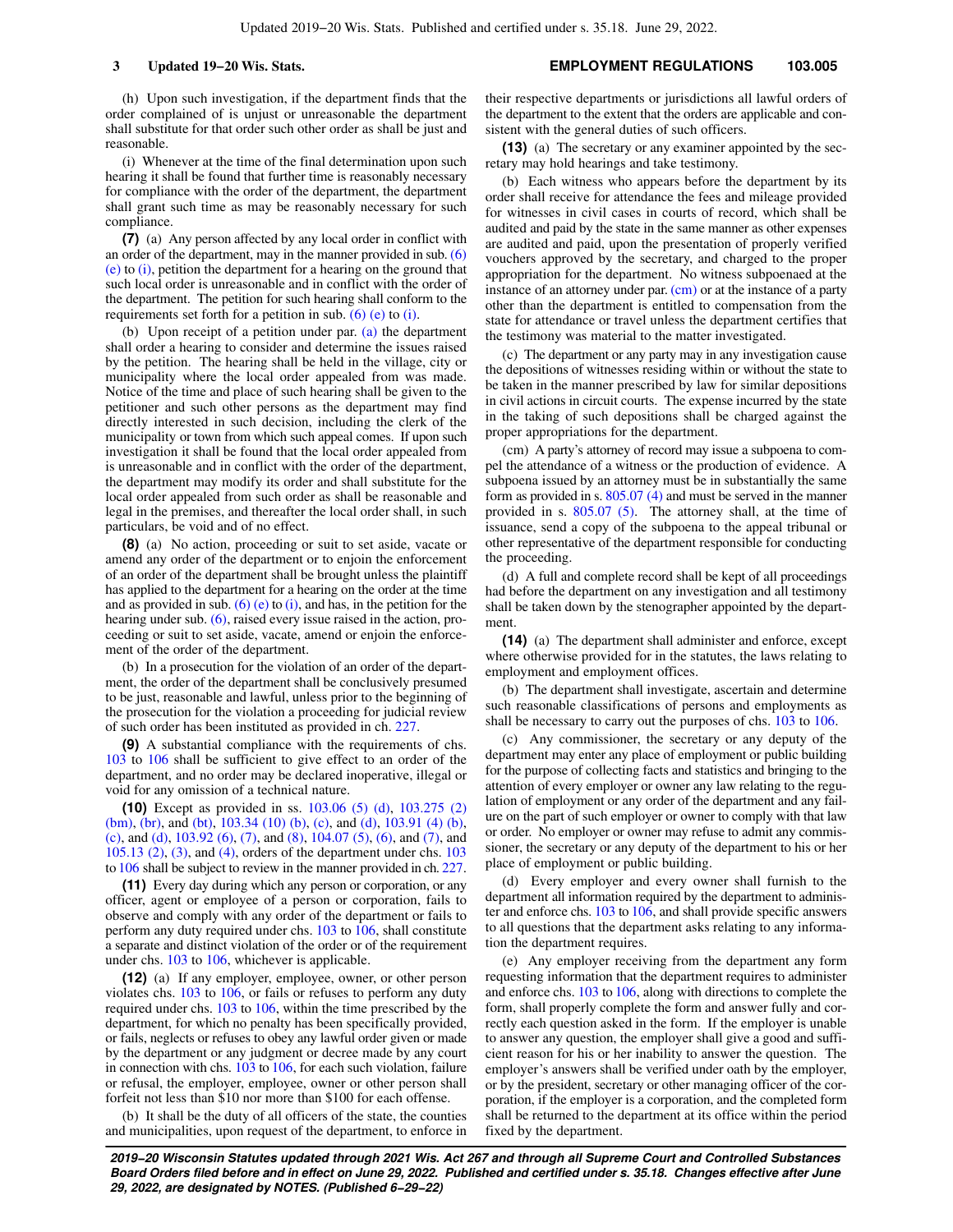(h) Upon such investigation, if the department finds that the order complained of is unjust or unreasonable the department shall substitute for that order such other order as shall be just and reasonable.

(i) Whenever at the time of the final determination upon such hearing it shall be found that further time is reasonably necessary for compliance with the order of the department, the department shall grant such time as may be reasonably necessary for such compliance.

**(7)** (a) Any person affected by any local order in conflict with an order of the department, may in the manner provided in sub.  $(6)$ [\(e\)](https://docs.legis.wisconsin.gov/document/statutes/103.005(6)(e)) to [\(i\)](https://docs.legis.wisconsin.gov/document/statutes/103.005(6)(i)), petition the department for a hearing on the ground that such local order is unreasonable and in conflict with the order of the department. The petition for such hearing shall conform to the requirements set forth for a petition in sub.  $(6)$  (e) to [\(i\).](https://docs.legis.wisconsin.gov/document/statutes/103.005(6)(i))

(b) Upon receipt of a petition under par. [\(a\)](https://docs.legis.wisconsin.gov/document/statutes/103.005(7)(a)) the department shall order a hearing to consider and determine the issues raised by the petition. The hearing shall be held in the village, city or municipality where the local order appealed from was made. Notice of the time and place of such hearing shall be given to the petitioner and such other persons as the department may find directly interested in such decision, including the clerk of the municipality or town from which such appeal comes. If upon such investigation it shall be found that the local order appealed from is unreasonable and in conflict with the order of the department, the department may modify its order and shall substitute for the local order appealed from such order as shall be reasonable and legal in the premises, and thereafter the local order shall, in such particulars, be void and of no effect.

**(8)** (a) No action, proceeding or suit to set aside, vacate or amend any order of the department or to enjoin the enforcement of an order of the department shall be brought unless the plaintiff has applied to the department for a hearing on the order at the time and as provided in sub. [\(6\) \(e\)](https://docs.legis.wisconsin.gov/document/statutes/103.005(6)(e)) to [\(i\),](https://docs.legis.wisconsin.gov/document/statutes/103.005(6)(i)) and has, in the petition for the hearing under sub. [\(6\),](https://docs.legis.wisconsin.gov/document/statutes/103.005(6)) raised every issue raised in the action, proceeding or suit to set aside, vacate, amend or enjoin the enforcement of the order of the department.

(b) In a prosecution for the violation of an order of the department, the order of the department shall be conclusively presumed to be just, reasonable and lawful, unless prior to the beginning of the prosecution for the violation a proceeding for judicial review of such order has been instituted as provided in ch. [227.](https://docs.legis.wisconsin.gov/document/statutes/ch.%20227)

**(9)** A substantial compliance with the requirements of chs. [103](https://docs.legis.wisconsin.gov/document/statutes/ch.%20103) to [106](https://docs.legis.wisconsin.gov/document/statutes/ch.%20106) shall be sufficient to give effect to an order of the department, and no order may be declared inoperative, illegal or void for any omission of a technical nature.

**(10)** Except as provided in ss. [103.06 \(5\) \(d\),](https://docs.legis.wisconsin.gov/document/statutes/103.06(5)(d)) [103.275 \(2\)](https://docs.legis.wisconsin.gov/document/statutes/103.275(2)(bm)) [\(bm\)](https://docs.legis.wisconsin.gov/document/statutes/103.275(2)(bm)), [\(br\),](https://docs.legis.wisconsin.gov/document/statutes/103.275(2)(br)) and [\(bt\),](https://docs.legis.wisconsin.gov/document/statutes/103.275(2)(bt)) [103.34 \(10\) \(b\),](https://docs.legis.wisconsin.gov/document/statutes/103.34(10)(b)) [\(c\),](https://docs.legis.wisconsin.gov/document/statutes/103.34(10)(c)) and [\(d\)](https://docs.legis.wisconsin.gov/document/statutes/103.34(10)(d)), [103.91 \(4\) \(b\),](https://docs.legis.wisconsin.gov/document/statutes/103.91(4)(b)) [\(c\),](https://docs.legis.wisconsin.gov/document/statutes/103.91(4)(c)) and [\(d\)](https://docs.legis.wisconsin.gov/document/statutes/103.91(4)(d)), [103.92 \(6\)](https://docs.legis.wisconsin.gov/document/statutes/103.92(6)), [\(7\)](https://docs.legis.wisconsin.gov/document/statutes/103.92(7)), and [\(8\)](https://docs.legis.wisconsin.gov/document/statutes/103.92(8)), [104.07 \(5\)](https://docs.legis.wisconsin.gov/document/statutes/104.07(5)), [\(6\)](https://docs.legis.wisconsin.gov/document/statutes/104.07(6)), and [\(7\),](https://docs.legis.wisconsin.gov/document/statutes/104.07(7)) and [105.13 \(2\),](https://docs.legis.wisconsin.gov/document/statutes/105.13(2)) [\(3\),](https://docs.legis.wisconsin.gov/document/statutes/105.13(3)) and [\(4\)](https://docs.legis.wisconsin.gov/document/statutes/105.13(4)), orders of the department under chs. [103](https://docs.legis.wisconsin.gov/document/statutes/ch.%20103) to [106](https://docs.legis.wisconsin.gov/document/statutes/ch.%20106) shall be subject to review in the manner provided in ch. [227.](https://docs.legis.wisconsin.gov/document/statutes/ch.%20227)

**(11)** Every day during which any person or corporation, or any officer, agent or employee of a person or corporation, fails to observe and comply with any order of the department or fails to perform any duty required under chs. [103](https://docs.legis.wisconsin.gov/document/statutes/ch.%20103) to [106,](https://docs.legis.wisconsin.gov/document/statutes/ch.%20106) shall constitute a separate and distinct violation of the order or of the requirement under chs. [103](https://docs.legis.wisconsin.gov/document/statutes/ch.%20103) to [106](https://docs.legis.wisconsin.gov/document/statutes/ch.%20106), whichever is applicable.

**(12)** (a) If any employer, employee, owner, or other person violates chs. [103](https://docs.legis.wisconsin.gov/document/statutes/ch.%20103) to [106](https://docs.legis.wisconsin.gov/document/statutes/ch.%20106), or fails or refuses to perform any duty required under chs. [103](https://docs.legis.wisconsin.gov/document/statutes/ch.%20103) to [106](https://docs.legis.wisconsin.gov/document/statutes/ch.%20106), within the time prescribed by the department, for which no penalty has been specifically provided, or fails, neglects or refuses to obey any lawful order given or made by the department or any judgment or decree made by any court in connection with chs. [103](https://docs.legis.wisconsin.gov/document/statutes/ch.%20103) to [106](https://docs.legis.wisconsin.gov/document/statutes/ch.%20106), for each such violation, failure or refusal, the employer, employee, owner or other person shall forfeit not less than \$10 nor more than \$100 for each offense.

(b) It shall be the duty of all officers of the state, the counties and municipalities, upon request of the department, to enforce in their respective departments or jurisdictions all lawful orders of the department to the extent that the orders are applicable and consistent with the general duties of such officers.

**(13)** (a) The secretary or any examiner appointed by the secretary may hold hearings and take testimony.

(b) Each witness who appears before the department by its order shall receive for attendance the fees and mileage provided for witnesses in civil cases in courts of record, which shall be audited and paid by the state in the same manner as other expenses are audited and paid, upon the presentation of properly verified vouchers approved by the secretary, and charged to the proper appropriation for the department. No witness subpoenaed at the instance of an attorney under par. [\(cm\)](https://docs.legis.wisconsin.gov/document/statutes/103.005(13)(cm)) or at the instance of a party other than the department is entitled to compensation from the state for attendance or travel unless the department certifies that the testimony was material to the matter investigated.

(c) The department or any party may in any investigation cause the depositions of witnesses residing within or without the state to be taken in the manner prescribed by law for similar depositions in civil actions in circuit courts. The expense incurred by the state in the taking of such depositions shall be charged against the proper appropriations for the department.

(cm) A party's attorney of record may issue a subpoena to compel the attendance of a witness or the production of evidence. A subpoena issued by an attorney must be in substantially the same form as provided in s. [805.07 \(4\)](https://docs.legis.wisconsin.gov/document/statutes/805.07(4)) and must be served in the manner provided in s. [805.07 \(5\).](https://docs.legis.wisconsin.gov/document/statutes/805.07(5)) The attorney shall, at the time of issuance, send a copy of the subpoena to the appeal tribunal or other representative of the department responsible for conducting the proceeding.

(d) A full and complete record shall be kept of all proceedings had before the department on any investigation and all testimony shall be taken down by the stenographer appointed by the department

**(14)** (a) The department shall administer and enforce, except where otherwise provided for in the statutes, the laws relating to employment and employment offices.

(b) The department shall investigate, ascertain and determine such reasonable classifications of persons and employments as shall be necessary to carry out the purposes of chs. [103](https://docs.legis.wisconsin.gov/document/statutes/ch.%20103) to [106.](https://docs.legis.wisconsin.gov/document/statutes/ch.%20106)

(c) Any commissioner, the secretary or any deputy of the department may enter any place of employment or public building for the purpose of collecting facts and statistics and bringing to the attention of every employer or owner any law relating to the regulation of employment or any order of the department and any failure on the part of such employer or owner to comply with that law or order. No employer or owner may refuse to admit any commissioner, the secretary or any deputy of the department to his or her place of employment or public building.

(d) Every employer and every owner shall furnish to the department all information required by the department to administer and enforce chs. [103](https://docs.legis.wisconsin.gov/document/statutes/ch.%20103) to [106](https://docs.legis.wisconsin.gov/document/statutes/ch.%20106), and shall provide specific answers to all questions that the department asks relating to any information the department requires.

(e) Any employer receiving from the department any form requesting information that the department requires to administer and enforce chs. [103](https://docs.legis.wisconsin.gov/document/statutes/ch.%20103) to [106](https://docs.legis.wisconsin.gov/document/statutes/ch.%20106), along with directions to complete the form, shall properly complete the form and answer fully and correctly each question asked in the form. If the employer is unable to answer any question, the employer shall give a good and sufficient reason for his or her inability to answer the question. The employer's answers shall be verified under oath by the employer, or by the president, secretary or other managing officer of the corporation, if the employer is a corporation, and the completed form shall be returned to the department at its office within the period fixed by the department.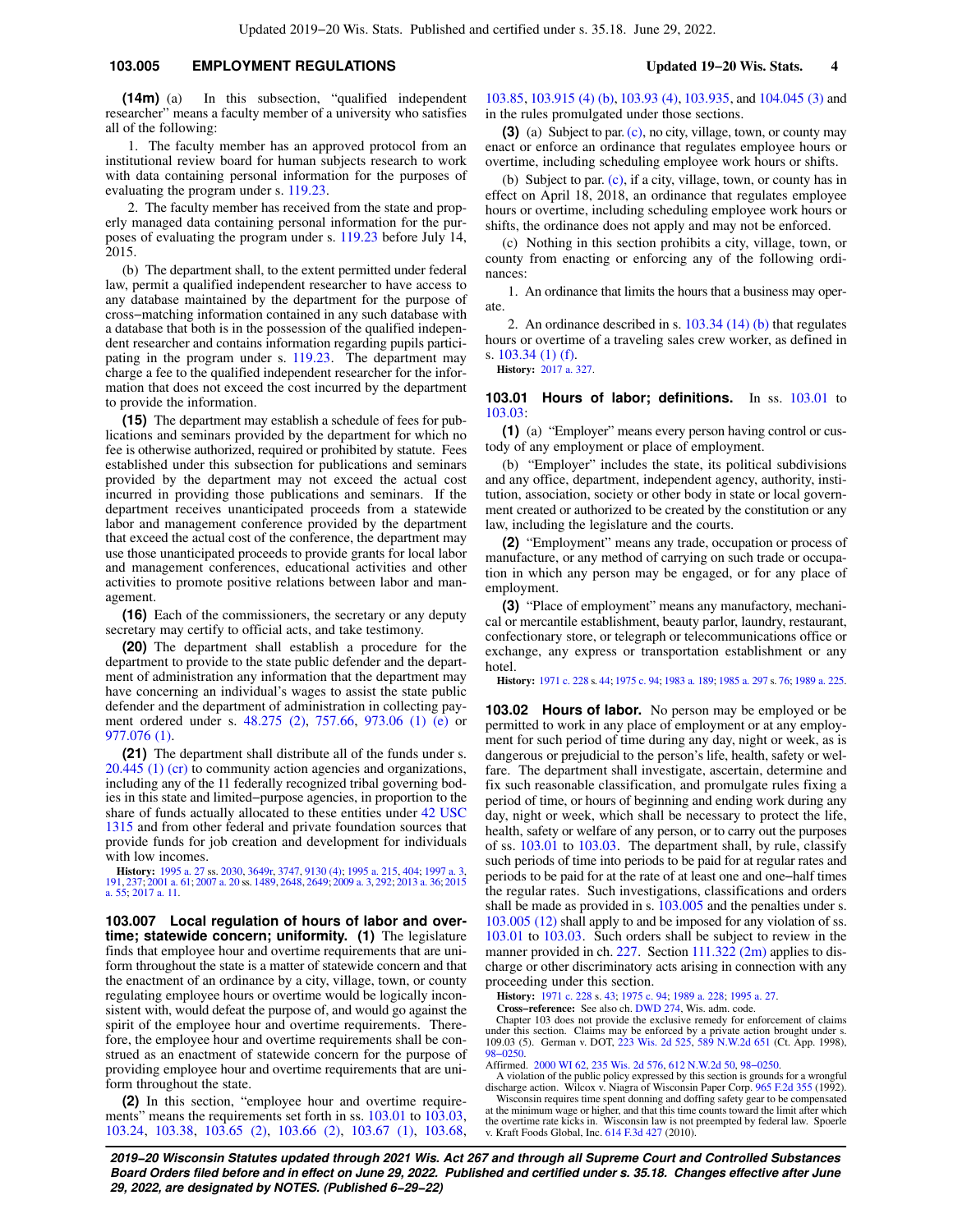### **103.005 EMPLOYMENT REGULATIONS Updated 19−20 Wis. Stats. 4**

**(14m)** (a) In this subsection, "qualified independent researcher" means a faculty member of a university who satisfies all of the following:

1. The faculty member has an approved protocol from an institutional review board for human subjects research to work with data containing personal information for the purposes of evaluating the program under s. [119.23.](https://docs.legis.wisconsin.gov/document/statutes/119.23)

2. The faculty member has received from the state and properly managed data containing personal information for the purposes of evaluating the program under s. [119.23](https://docs.legis.wisconsin.gov/document/statutes/119.23) before July 14, 2015.

(b) The department shall, to the extent permitted under federal law, permit a qualified independent researcher to have access to any database maintained by the department for the purpose of cross−matching information contained in any such database with a database that both is in the possession of the qualified independent researcher and contains information regarding pupils participating in the program under s. [119.23.](https://docs.legis.wisconsin.gov/document/statutes/119.23) The department may charge a fee to the qualified independent researcher for the information that does not exceed the cost incurred by the department to provide the information.

**(15)** The department may establish a schedule of fees for publications and seminars provided by the department for which no fee is otherwise authorized, required or prohibited by statute. Fees established under this subsection for publications and seminars provided by the department may not exceed the actual cost incurred in providing those publications and seminars. If the department receives unanticipated proceeds from a statewide labor and management conference provided by the department that exceed the actual cost of the conference, the department may use those unanticipated proceeds to provide grants for local labor and management conferences, educational activities and other activities to promote positive relations between labor and management.

**(16)** Each of the commissioners, the secretary or any deputy secretary may certify to official acts, and take testimony.

**(20)** The department shall establish a procedure for the department to provide to the state public defender and the department of administration any information that the department may have concerning an individual's wages to assist the state public defender and the department of administration in collecting payment ordered under s. [48.275 \(2\)](https://docs.legis.wisconsin.gov/document/statutes/48.275(2)), [757.66,](https://docs.legis.wisconsin.gov/document/statutes/757.66) [973.06 \(1\) \(e\)](https://docs.legis.wisconsin.gov/document/statutes/973.06(1)(e)) or [977.076 \(1\)](https://docs.legis.wisconsin.gov/document/statutes/977.076(1)).

**(21)** The department shall distribute all of the funds under s. [20.445 \(1\) \(cr\)](https://docs.legis.wisconsin.gov/document/statutes/20.445(1)(cr)) to community action agencies and organizations, including any of the 11 federally recognized tribal governing bodies in this state and limited−purpose agencies, in proportion to the share of funds actually allocated to these entities under [42 USC](https://docs.legis.wisconsin.gov/document/usc/42%20USC%201315) [1315](https://docs.legis.wisconsin.gov/document/usc/42%20USC%201315) and from other federal and private foundation sources that provide funds for job creation and development for individuals with low incomes.

**History:** [1995 a. 27](https://docs.legis.wisconsin.gov/document/acts/1995/27) ss. [2030](https://docs.legis.wisconsin.gov/document/acts/1995/27,%20s.%202030), [3649r,](https://docs.legis.wisconsin.gov/document/acts/1995/27,%20s.%203649r) [3747,](https://docs.legis.wisconsin.gov/document/acts/1995/27,%20s.%203747) [9130 \(4\);](https://docs.legis.wisconsin.gov/document/acts/1995/27,%20s.%209130) [1995 a. 215,](https://docs.legis.wisconsin.gov/document/acts/1995/215) [404](https://docs.legis.wisconsin.gov/document/acts/1995/404); [1997 a. 3](https://docs.legis.wisconsin.gov/document/acts/1997/3), [191](https://docs.legis.wisconsin.gov/document/acts/1997/191), [237;](https://docs.legis.wisconsin.gov/document/acts/1997/237) [2001 a. 61;](https://docs.legis.wisconsin.gov/document/acts/2001/61) [2007 a. 20](https://docs.legis.wisconsin.gov/document/acts/2007/20) ss. [1489](https://docs.legis.wisconsin.gov/document/acts/2007/20,%20s.%201489), [2648](https://docs.legis.wisconsin.gov/document/acts/2007/20,%20s.%202648), [2649](https://docs.legis.wisconsin.gov/document/acts/2007/20,%20s.%202649); [2009 a. 3,](https://docs.legis.wisconsin.gov/document/acts/2009/3) [292;](https://docs.legis.wisconsin.gov/document/acts/2009/292) [2013 a. 36](https://docs.legis.wisconsin.gov/document/acts/2013/36); [2015](https://docs.legis.wisconsin.gov/document/acts/2015/55) [a. 55](https://docs.legis.wisconsin.gov/document/acts/2015/55); [2017 a. 11](https://docs.legis.wisconsin.gov/document/acts/2017/11).

**103.007 Local regulation of hours of labor and overtime; statewide concern; uniformity. (1)** The legislature finds that employee hour and overtime requirements that are uniform throughout the state is a matter of statewide concern and that the enactment of an ordinance by a city, village, town, or county regulating employee hours or overtime would be logically inconsistent with, would defeat the purpose of, and would go against the spirit of the employee hour and overtime requirements. Therefore, the employee hour and overtime requirements shall be construed as an enactment of statewide concern for the purpose of providing employee hour and overtime requirements that are uniform throughout the state.

**(2)** In this section, "employee hour and overtime require-ments" means the requirements set forth in ss. [103.01](https://docs.legis.wisconsin.gov/document/statutes/103.01) to [103.03,](https://docs.legis.wisconsin.gov/document/statutes/103.03) [103.24,](https://docs.legis.wisconsin.gov/document/statutes/103.24) [103.38,](https://docs.legis.wisconsin.gov/document/statutes/103.38) [103.65 \(2\),](https://docs.legis.wisconsin.gov/document/statutes/103.65(2)) [103.66 \(2\),](https://docs.legis.wisconsin.gov/document/statutes/103.66(2)) [103.67 \(1\),](https://docs.legis.wisconsin.gov/document/statutes/103.67(1)) [103.68,](https://docs.legis.wisconsin.gov/document/statutes/103.68)

[103.85,](https://docs.legis.wisconsin.gov/document/statutes/103.85) [103.915 \(4\) \(b\),](https://docs.legis.wisconsin.gov/document/statutes/103.915(4)(b)) [103.93 \(4\),](https://docs.legis.wisconsin.gov/document/statutes/103.93(4)) [103.935](https://docs.legis.wisconsin.gov/document/statutes/103.935), and [104.045 \(3\)](https://docs.legis.wisconsin.gov/document/statutes/104.045(3)) and in the rules promulgated under those sections.

**(3)** (a) Subject to par. [\(c\),](https://docs.legis.wisconsin.gov/document/statutes/103.007(3)(c)) no city, village, town, or county may enact or enforce an ordinance that regulates employee hours or overtime, including scheduling employee work hours or shifts.

(b) Subject to par. [\(c\),](https://docs.legis.wisconsin.gov/document/statutes/103.007(3)(c)) if a city, village, town, or county has in effect on April 18, 2018, an ordinance that regulates employee hours or overtime, including scheduling employee work hours or shifts, the ordinance does not apply and may not be enforced.

(c) Nothing in this section prohibits a city, village, town, or county from enacting or enforcing any of the following ordinances:

1. An ordinance that limits the hours that a business may operate.

2. An ordinance described in s. [103.34 \(14\) \(b\)](https://docs.legis.wisconsin.gov/document/statutes/103.34(14)(b)) that regulates hours or overtime of a traveling sales crew worker, as defined in s. [103.34 \(1\) \(f\)](https://docs.legis.wisconsin.gov/document/statutes/103.34(1)(f)).

**History:** [2017 a. 327.](https://docs.legis.wisconsin.gov/document/acts/2017/327)

### **103.01 Hours of labor; definitions.** In ss. [103.01](https://docs.legis.wisconsin.gov/document/statutes/103.01) to [103.03:](https://docs.legis.wisconsin.gov/document/statutes/103.03)

**(1)** (a) "Employer" means every person having control or custody of any employment or place of employment.

(b) "Employer" includes the state, its political subdivisions and any office, department, independent agency, authority, institution, association, society or other body in state or local government created or authorized to be created by the constitution or any law, including the legislature and the courts.

**(2)** "Employment" means any trade, occupation or process of manufacture, or any method of carrying on such trade or occupation in which any person may be engaged, or for any place of employment.

**(3)** "Place of employment" means any manufactory, mechanical or mercantile establishment, beauty parlor, laundry, restaurant, confectionary store, or telegraph or telecommunications office or exchange, any express or transportation establishment or any hotel.

**History:** [1971 c. 228](https://docs.legis.wisconsin.gov/document/acts/1971/228) s. [44](https://docs.legis.wisconsin.gov/document/acts/1971/228,%20s.%2044); [1975 c. 94;](https://docs.legis.wisconsin.gov/document/acts/1975/94) [1983 a. 189;](https://docs.legis.wisconsin.gov/document/acts/1983/189) [1985 a. 297](https://docs.legis.wisconsin.gov/document/acts/1985/297) s. [76;](https://docs.legis.wisconsin.gov/document/acts/1985/297,%20s.%2076) [1989 a. 225](https://docs.legis.wisconsin.gov/document/acts/1989/225).

**103.02 Hours of labor.** No person may be employed or be permitted to work in any place of employment or at any employment for such period of time during any day, night or week, as is dangerous or prejudicial to the person's life, health, safety or welfare. The department shall investigate, ascertain, determine and fix such reasonable classification, and promulgate rules fixing a period of time, or hours of beginning and ending work during any day, night or week, which shall be necessary to protect the life, health, safety or welfare of any person, or to carry out the purposes of ss. [103.01](https://docs.legis.wisconsin.gov/document/statutes/103.01) to [103.03](https://docs.legis.wisconsin.gov/document/statutes/103.03). The department shall, by rule, classify such periods of time into periods to be paid for at regular rates and periods to be paid for at the rate of at least one and one−half times the regular rates. Such investigations, classifications and orders shall be made as provided in s. [103.005](https://docs.legis.wisconsin.gov/document/statutes/103.005) and the penalties under s. [103.005 \(12\)](https://docs.legis.wisconsin.gov/document/statutes/103.005(12)) shall apply to and be imposed for any violation of ss. [103.01](https://docs.legis.wisconsin.gov/document/statutes/103.01) to [103.03](https://docs.legis.wisconsin.gov/document/statutes/103.03). Such orders shall be subject to review in the manner provided in ch. [227.](https://docs.legis.wisconsin.gov/document/statutes/ch.%20227) Section [111.322 \(2m\)](https://docs.legis.wisconsin.gov/document/statutes/111.322(2m)) applies to discharge or other discriminatory acts arising in connection with any proceeding under this section.

**History:** [1971 c. 228](https://docs.legis.wisconsin.gov/document/acts/1971/228) s. [43;](https://docs.legis.wisconsin.gov/document/acts/1971/228,%20s.%2043) [1975 c. 94;](https://docs.legis.wisconsin.gov/document/acts/1975/94) [1989 a. 228](https://docs.legis.wisconsin.gov/document/acts/1989/228); [1995 a. 27.](https://docs.legis.wisconsin.gov/document/acts/1995/27)

**Cross−reference:** See also ch. [DWD 274](https://docs.legis.wisconsin.gov/document/administrativecode/ch.%20DWD%20274), Wis. adm. code. Chapter 103 does not provide the exclusive remedy for enforcement of claims under this section. Claims may be enforced by a private action brought under s. 109.03 (5). German v. DOT, [223 Wis. 2d 525](https://docs.legis.wisconsin.gov/document/courts/223%20Wis.%202d%20525), [589 N.W.2d 651](https://docs.legis.wisconsin.gov/document/courts/589%20N.W.2d%20651) (Ct. App. 1998), [98−0250.](https://docs.legis.wisconsin.gov/document/wicourtofappeals/98-0250)

Affirmed. [2000 WI 62,](https://docs.legis.wisconsin.gov/document/courts/2000%20WI%2062) [235 Wis. 2d 576](https://docs.legis.wisconsin.gov/document/courts/235%20Wis.%202d%20576), [612 N.W.2d 50](https://docs.legis.wisconsin.gov/document/courts/612%20N.W.2d%2050), [98−0250.](https://docs.legis.wisconsin.gov/document/wisupremecourt/98-0250)

A violation of the public policy expressed by this section is grounds for a wrongful discharge action. Wilcox v. Niagra of Wisconsin Paper Corp. [965 F.2d 355](https://docs.legis.wisconsin.gov/document/courts/965%20F.2d%20355) (1992).

Wisconsin requires time spent donning and doffing safety gear to be compensated at the minimum wage or higher, and that this time counts toward the limit after which the overtime rate kicks in. Wisconsin law is not preempted by federal law. Spoerle v. Kraft Foods Global, Inc. [614 F.3d 427](https://docs.legis.wisconsin.gov/document/courts/614%20F.3d%20427) (2010).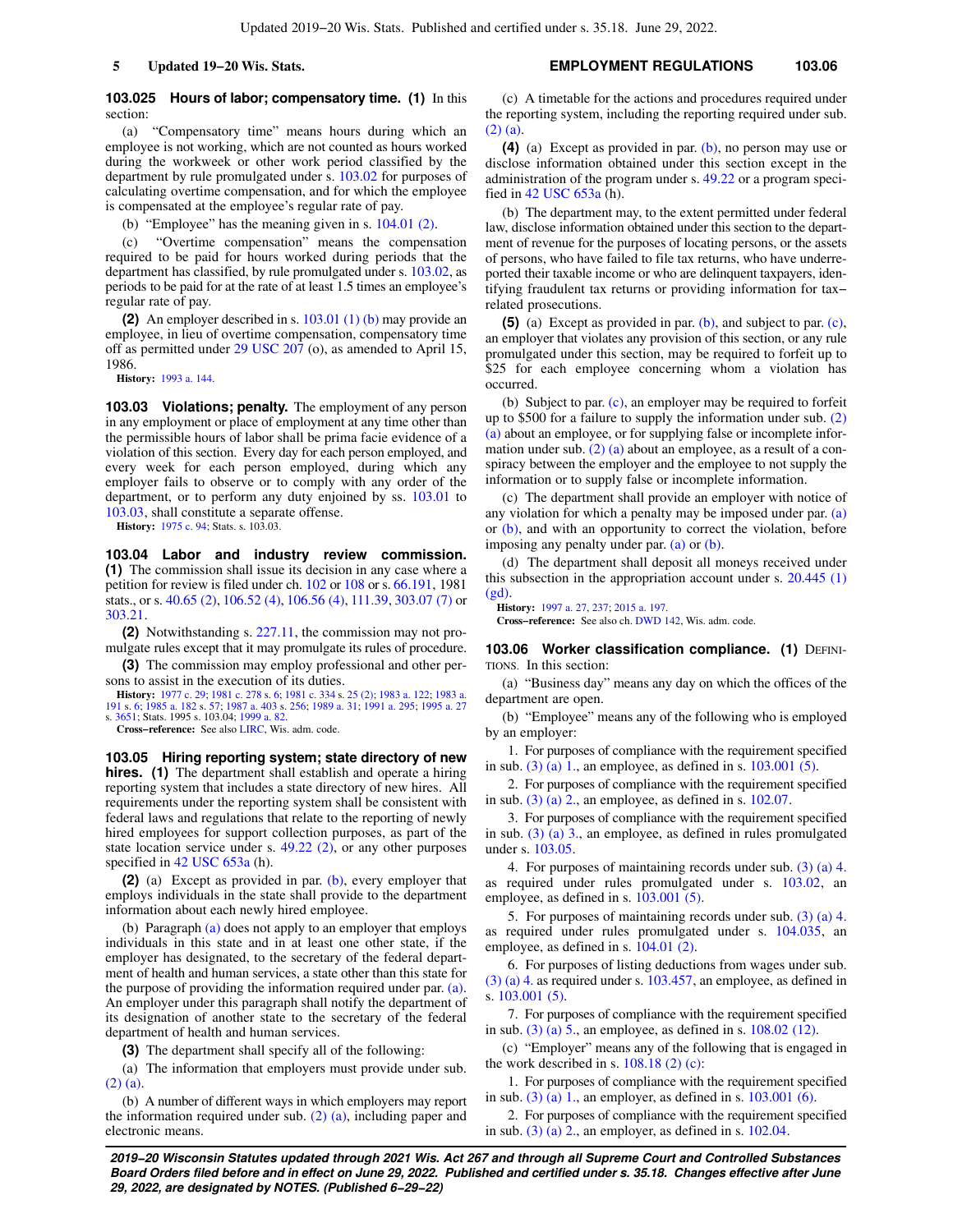### **103.025 Hours of labor; compensatory time. (1)** In this section:

(a) "Compensatory time" means hours during which an employee is not working, which are not counted as hours worked during the workweek or other work period classified by the department by rule promulgated under s. [103.02](https://docs.legis.wisconsin.gov/document/statutes/103.02) for purposes of calculating overtime compensation, and for which the employee is compensated at the employee's regular rate of pay.

(b) "Employee" has the meaning given in s. [104.01 \(2\)](https://docs.legis.wisconsin.gov/document/statutes/104.01(2)).

(c) "Overtime compensation" means the compensation required to be paid for hours worked during periods that the department has classified, by rule promulgated under s. [103.02,](https://docs.legis.wisconsin.gov/document/statutes/103.02) as periods to be paid for at the rate of at least 1.5 times an employee's regular rate of pay.

**(2)** An employer described in s. [103.01 \(1\) \(b\)](https://docs.legis.wisconsin.gov/document/statutes/103.01(1)(b)) may provide an employee, in lieu of overtime compensation, compensatory time off as permitted under [29 USC 207](https://docs.legis.wisconsin.gov/document/usc/29%20USC%20207) (o), as amended to April 15, 1986.

**History:** [1993 a. 144](https://docs.legis.wisconsin.gov/document/acts/1993/144).

**103.03 Violations; penalty.** The employment of any person in any employment or place of employment at any time other than the permissible hours of labor shall be prima facie evidence of a violation of this section. Every day for each person employed, and every week for each person employed, during which any employer fails to observe or to comply with any order of the department, or to perform any duty enjoined by ss. [103.01](https://docs.legis.wisconsin.gov/document/statutes/103.01) to [103.03,](https://docs.legis.wisconsin.gov/document/statutes/103.03) shall constitute a separate offense.

**History:** [1975 c. 94;](https://docs.legis.wisconsin.gov/document/acts/1975/94) Stats. s. 103.03.

**103.04 Labor and industry review commission. (1)** The commission shall issue its decision in any case where a petition for review is filed under ch. [102](https://docs.legis.wisconsin.gov/document/statutes/ch.%20102) or [108](https://docs.legis.wisconsin.gov/document/statutes/ch.%20108) or s. [66.191,](https://docs.legis.wisconsin.gov/document/statutes/1981/66.191) 1981 stats., or s. [40.65 \(2\)](https://docs.legis.wisconsin.gov/document/statutes/40.65(2)), [106.52 \(4\)](https://docs.legis.wisconsin.gov/document/statutes/106.52(4)), [106.56 \(4\)](https://docs.legis.wisconsin.gov/document/statutes/106.56(4)), [111.39,](https://docs.legis.wisconsin.gov/document/statutes/111.39) [303.07 \(7\)](https://docs.legis.wisconsin.gov/document/statutes/303.07(7)) or [303.21.](https://docs.legis.wisconsin.gov/document/statutes/303.21)

**(2)** Notwithstanding s. [227.11](https://docs.legis.wisconsin.gov/document/statutes/227.11), the commission may not promulgate rules except that it may promulgate its rules of procedure.

**(3)** The commission may employ professional and other persons to assist in the execution of its duties.

**History:** [1977 c. 29](https://docs.legis.wisconsin.gov/document/acts/1977/29); [1981 c. 278](https://docs.legis.wisconsin.gov/document/acts/1981/278) s. [6](https://docs.legis.wisconsin.gov/document/acts/1981/278,%20s.%206); [1981 c. 334](https://docs.legis.wisconsin.gov/document/acts/1981/334) s. [25 \(2\);](https://docs.legis.wisconsin.gov/document/acts/1981/334,%20s.%2025) [1983 a. 122](https://docs.legis.wisconsin.gov/document/acts/1983/122); [1983 a.](https://docs.legis.wisconsin.gov/document/acts/1983/191) [191](https://docs.legis.wisconsin.gov/document/acts/1983/191) s. [6;](https://docs.legis.wisconsin.gov/document/acts/1983/191,%20s.%206) [1985 a. 182](https://docs.legis.wisconsin.gov/document/acts/1985/182) s. [57;](https://docs.legis.wisconsin.gov/document/acts/1985/182,%20s.%2057) [1987 a. 403](https://docs.legis.wisconsin.gov/document/acts/1987/403) s. [256;](https://docs.legis.wisconsin.gov/document/acts/1987/403,%20s.%20256) [1989 a. 31](https://docs.legis.wisconsin.gov/document/acts/1989/31); [1991 a. 295;](https://docs.legis.wisconsin.gov/document/acts/1991/295) [1995 a. 27](https://docs.legis.wisconsin.gov/document/acts/1995/27) s. [3651](https://docs.legis.wisconsin.gov/document/acts/1995/27,%20s.%203651); Stats. 1995 s. 103.04; [1999 a. 82](https://docs.legis.wisconsin.gov/document/acts/1999/82).

**Cross−reference:** See also [LIRC,](https://docs.legis.wisconsin.gov/document/administrativecode/LIRC) Wis. adm. code.

**103.05 Hiring reporting system; state directory of new hires. (1)** The department shall establish and operate a hiring reporting system that includes a state directory of new hires. All requirements under the reporting system shall be consistent with federal laws and regulations that relate to the reporting of newly hired employees for support collection purposes, as part of the state location service under s. [49.22 \(2\)](https://docs.legis.wisconsin.gov/document/statutes/49.22(2)), or any other purposes specified in [42 USC 653a](https://docs.legis.wisconsin.gov/document/usc/42%20USC%20653a) (h).

**(2)** (a) Except as provided in par. [\(b\),](https://docs.legis.wisconsin.gov/document/statutes/103.05(2)(b)) every employer that employs individuals in the state shall provide to the department information about each newly hired employee.

(b) Paragraph [\(a\)](https://docs.legis.wisconsin.gov/document/statutes/103.05(2)(a)) does not apply to an employer that employs individuals in this state and in at least one other state, if the employer has designated, to the secretary of the federal department of health and human services, a state other than this state for the purpose of providing the information required under par. [\(a\).](https://docs.legis.wisconsin.gov/document/statutes/103.05(2)(a)) An employer under this paragraph shall notify the department of its designation of another state to the secretary of the federal department of health and human services.

**(3)** The department shall specify all of the following:

(a) The information that employers must provide under sub. [\(2\) \(a\).](https://docs.legis.wisconsin.gov/document/statutes/103.05(2)(a))

(b) A number of different ways in which employers may report the information required under sub.  $(2)$   $(a)$ , including paper and electronic means.

(c) A timetable for the actions and procedures required under the reporting system, including the reporting required under sub. [\(2\) \(a\).](https://docs.legis.wisconsin.gov/document/statutes/103.05(2)(a))

**(4)** (a) Except as provided in par. [\(b\)](https://docs.legis.wisconsin.gov/document/statutes/103.05(4)(b)), no person may use or disclose information obtained under this section except in the administration of the program under s. [49.22](https://docs.legis.wisconsin.gov/document/statutes/49.22) or a program specified in [42 USC 653a](https://docs.legis.wisconsin.gov/document/usc/42%20USC%20653a) (h).

(b) The department may, to the extent permitted under federal law, disclose information obtained under this section to the department of revenue for the purposes of locating persons, or the assets of persons, who have failed to file tax returns, who have underreported their taxable income or who are delinquent taxpayers, identifying fraudulent tax returns or providing information for tax− related prosecutions.

**(5)** (a) Except as provided in par. [\(b\),](https://docs.legis.wisconsin.gov/document/statutes/103.05(5)(b)) and subject to par. [\(c\),](https://docs.legis.wisconsin.gov/document/statutes/103.05(5)(c)) an employer that violates any provision of this section, or any rule promulgated under this section, may be required to forfeit up to \$25 for each employee concerning whom a violation has occurred.

(b) Subject to par. [\(c\)](https://docs.legis.wisconsin.gov/document/statutes/103.05(5)(c)), an employer may be required to forfeit up to \$500 for a failure to supply the information under sub. [\(2\)](https://docs.legis.wisconsin.gov/document/statutes/103.05(2)(a)) [\(a\)](https://docs.legis.wisconsin.gov/document/statutes/103.05(2)(a)) about an employee, or for supplying false or incomplete information under sub. [\(2\) \(a\)](https://docs.legis.wisconsin.gov/document/statutes/103.05(2)(a)) about an employee, as a result of a conspiracy between the employer and the employee to not supply the information or to supply false or incomplete information.

(c) The department shall provide an employer with notice of any violation for which a penalty may be imposed under par. [\(a\)](https://docs.legis.wisconsin.gov/document/statutes/103.05(5)(a)) or [\(b\)](https://docs.legis.wisconsin.gov/document/statutes/103.05(5)(b)), and with an opportunity to correct the violation, before imposing any penalty under par. [\(a\)](https://docs.legis.wisconsin.gov/document/statutes/103.05(5)(a)) or [\(b\)](https://docs.legis.wisconsin.gov/document/statutes/103.05(5)(b)).

(d) The department shall deposit all moneys received under this subsection in the appropriation account under s. [20.445 \(1\)](https://docs.legis.wisconsin.gov/document/statutes/20.445(1)(gd)) [\(gd\)](https://docs.legis.wisconsin.gov/document/statutes/20.445(1)(gd)).

**History:** [1997 a. 27](https://docs.legis.wisconsin.gov/document/acts/1997/27), [237](https://docs.legis.wisconsin.gov/document/acts/1997/237); [2015 a. 197.](https://docs.legis.wisconsin.gov/document/acts/2015/197)

**Cross−reference:** See also ch. [DWD 142](https://docs.legis.wisconsin.gov/document/administrativecode/ch.%20DWD%20142), Wis. adm. code.

**103.06 Worker classification compliance. (1) DEFINI-**TIONS. In this section:

(a) "Business day" means any day on which the offices of the department are open.

(b) "Employee" means any of the following who is employed by an employer:

1. For purposes of compliance with the requirement specified in sub. [\(3\) \(a\) 1.](https://docs.legis.wisconsin.gov/document/statutes/103.06(3)(a)1.), an employee, as defined in s. [103.001 \(5\)](https://docs.legis.wisconsin.gov/document/statutes/103.001(5)).

2. For purposes of compliance with the requirement specified in sub. [\(3\) \(a\) 2.](https://docs.legis.wisconsin.gov/document/statutes/103.06(3)(a)2.), an employee, as defined in s.  $102.07$ .

3. For purposes of compliance with the requirement specified in sub. [\(3\) \(a\) 3.](https://docs.legis.wisconsin.gov/document/statutes/103.06(3)(a)3.), an employee, as defined in rules promulgated under s. [103.05.](https://docs.legis.wisconsin.gov/document/statutes/103.05)

4. For purposes of maintaining records under sub. [\(3\) \(a\) 4.](https://docs.legis.wisconsin.gov/document/statutes/103.06(3)(a)4.) as required under rules promulgated under s. [103.02](https://docs.legis.wisconsin.gov/document/statutes/103.02), an employee, as defined in s. [103.001 \(5\).](https://docs.legis.wisconsin.gov/document/statutes/103.001(5))

5. For purposes of maintaining records under sub. [\(3\) \(a\) 4.](https://docs.legis.wisconsin.gov/document/statutes/103.06(3)(a)4.) as required under rules promulgated under s. [104.035,](https://docs.legis.wisconsin.gov/document/statutes/104.035) an employee, as defined in s. [104.01 \(2\)](https://docs.legis.wisconsin.gov/document/statutes/104.01(2)).

6. For purposes of listing deductions from wages under sub. [\(3\) \(a\) 4.](https://docs.legis.wisconsin.gov/document/statutes/103.06(3)(a)4.) as required under s. [103.457](https://docs.legis.wisconsin.gov/document/statutes/103.457), an employee, as defined in s. [103.001 \(5\)](https://docs.legis.wisconsin.gov/document/statutes/103.001(5)).

7. For purposes of compliance with the requirement specified in sub. (3) (a)  $5$ , an employee, as defined in s.  $108.02$  (12).

(c) "Employer" means any of the following that is engaged in the work described in s.  $108.18$  (2) (c):

1. For purposes of compliance with the requirement specified in sub. [\(3\) \(a\) 1.](https://docs.legis.wisconsin.gov/document/statutes/103.06(3)(a)1.), an employer, as defined in s. [103.001 \(6\).](https://docs.legis.wisconsin.gov/document/statutes/103.001(6))

2. For purposes of compliance with the requirement specified in sub.  $(3)$  (a) 2., an employer, as defined in s.  $102.04$ .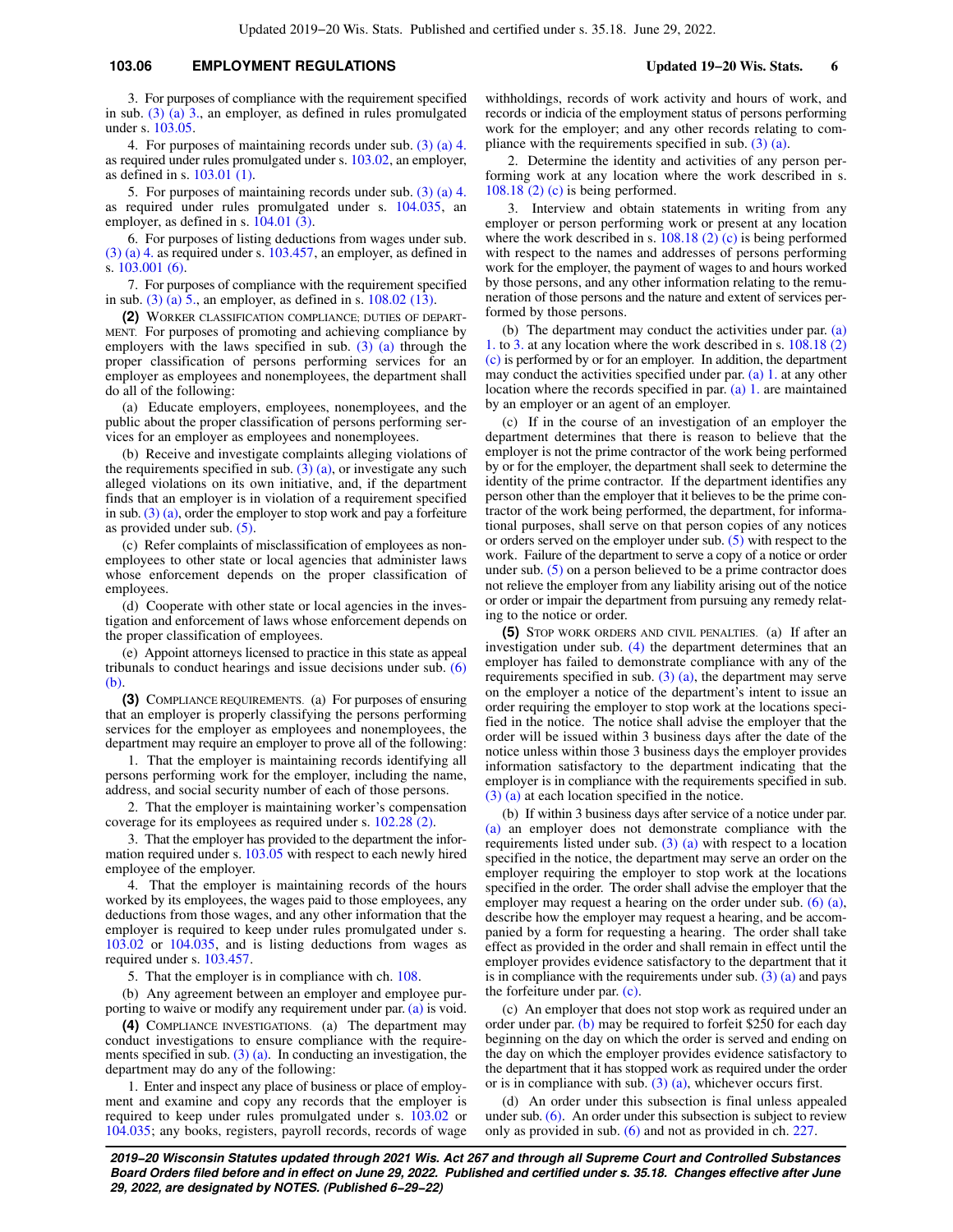### **103.06 EMPLOYMENT REGULATIONS Updated 19−20 Wis. Stats. 6**

3. For purposes of compliance with the requirement specified in sub. [\(3\) \(a\) 3.](https://docs.legis.wisconsin.gov/document/statutes/103.06(3)(a)3.), an employer, as defined in rules promulgated under s. [103.05.](https://docs.legis.wisconsin.gov/document/statutes/103.05)

4. For purposes of maintaining records under sub. [\(3\) \(a\) 4.](https://docs.legis.wisconsin.gov/document/statutes/103.06(3)(a)4.) as required under rules promulgated under s. [103.02](https://docs.legis.wisconsin.gov/document/statutes/103.02), an employer, as defined in s. [103.01 \(1\)](https://docs.legis.wisconsin.gov/document/statutes/103.01(1)).

5. For purposes of maintaining records under sub. [\(3\) \(a\) 4.](https://docs.legis.wisconsin.gov/document/statutes/103.06(3)(a)4.) as required under rules promulgated under s. [104.035,](https://docs.legis.wisconsin.gov/document/statutes/104.035) an employer, as defined in s. [104.01 \(3\)](https://docs.legis.wisconsin.gov/document/statutes/104.01(3)).

6. For purposes of listing deductions from wages under sub. [\(3\) \(a\) 4.](https://docs.legis.wisconsin.gov/document/statutes/103.06(3)(a)4.) as required under s. [103.457,](https://docs.legis.wisconsin.gov/document/statutes/103.457) an employer, as defined in s. [103.001 \(6\)](https://docs.legis.wisconsin.gov/document/statutes/103.001(6)).

7. For purposes of compliance with the requirement specified in sub. (3) (a)  $\overline{5}$ , an employer, as defined in s. [108.02 \(13\).](https://docs.legis.wisconsin.gov/document/statutes/108.02(13))

**(2)** WORKER CLASSIFICATION COMPLIANCE; DUTIES OF DEPART-MENT. For purposes of promoting and achieving compliance by employers with the laws specified in sub.  $(3)$  (a) through the proper classification of persons performing services for an employer as employees and nonemployees, the department shall do all of the following:

(a) Educate employers, employees, nonemployees, and the public about the proper classification of persons performing services for an employer as employees and nonemployees.

(b) Receive and investigate complaints alleging violations of the requirements specified in sub.  $(3)$  (a), or investigate any such alleged violations on its own initiative, and, if the department finds that an employer is in violation of a requirement specified in sub.  $(3)$  (a), order the employer to stop work and pay a forfeiture as provided under sub. [\(5\).](https://docs.legis.wisconsin.gov/document/statutes/103.06(5))

(c) Refer complaints of misclassification of employees as nonemployees to other state or local agencies that administer laws whose enforcement depends on the proper classification of employees.

(d) Cooperate with other state or local agencies in the investigation and enforcement of laws whose enforcement depends on the proper classification of employees.

(e) Appoint attorneys licensed to practice in this state as appeal tribunals to conduct hearings and issue decisions under sub. [\(6\)](https://docs.legis.wisconsin.gov/document/statutes/103.06(6)(b)) [\(b\)](https://docs.legis.wisconsin.gov/document/statutes/103.06(6)(b)).

**(3)** COMPLIANCE REQUIREMENTS. (a) For purposes of ensuring that an employer is properly classifying the persons performing services for the employer as employees and nonemployees, the department may require an employer to prove all of the following:

1. That the employer is maintaining records identifying all persons performing work for the employer, including the name, address, and social security number of each of those persons.

2. That the employer is maintaining worker's compensation coverage for its employees as required under s. [102.28 \(2\)](https://docs.legis.wisconsin.gov/document/statutes/102.28(2)).

3. That the employer has provided to the department the information required under s. [103.05](https://docs.legis.wisconsin.gov/document/statutes/103.05) with respect to each newly hired employee of the employer.

4. That the employer is maintaining records of the hours worked by its employees, the wages paid to those employees, any deductions from those wages, and any other information that the employer is required to keep under rules promulgated under s. [103.02](https://docs.legis.wisconsin.gov/document/statutes/103.02) or [104.035](https://docs.legis.wisconsin.gov/document/statutes/104.035), and is listing deductions from wages as required under s. [103.457.](https://docs.legis.wisconsin.gov/document/statutes/103.457)

5. That the employer is in compliance with ch. [108.](https://docs.legis.wisconsin.gov/document/statutes/ch.%20108)

(b) Any agreement between an employer and employee purporting to waive or modify any requirement under par. [\(a\)](https://docs.legis.wisconsin.gov/document/statutes/103.06(3)(a)) is void.

**(4)** COMPLIANCE INVESTIGATIONS. (a) The department may conduct investigations to ensure compliance with the requirements specified in sub. [\(3\) \(a\)](https://docs.legis.wisconsin.gov/document/statutes/103.06(3)(a)). In conducting an investigation, the department may do any of the following:

1. Enter and inspect any place of business or place of employment and examine and copy any records that the employer is required to keep under rules promulgated under s. [103.02](https://docs.legis.wisconsin.gov/document/statutes/103.02) or [104.035](https://docs.legis.wisconsin.gov/document/statutes/104.035); any books, registers, payroll records, records of wage withholdings, records of work activity and hours of work, and records or indicia of the employment status of persons performing work for the employer; and any other records relating to compliance with the requirements specified in sub. [\(3\) \(a\).](https://docs.legis.wisconsin.gov/document/statutes/103.06(3)(a))

2. Determine the identity and activities of any person performing work at any location where the work described in s. [108.18 \(2\) \(c\)](https://docs.legis.wisconsin.gov/document/statutes/108.18(2)(c)) is being performed.

3. Interview and obtain statements in writing from any employer or person performing work or present at any location where the work described in s.  $108.18$  (2) (c) is being performed with respect to the names and addresses of persons performing work for the employer, the payment of wages to and hours worked by those persons, and any other information relating to the remuneration of those persons and the nature and extent of services performed by those persons.

(b) The department may conduct the activities under par. [\(a\)](https://docs.legis.wisconsin.gov/document/statutes/103.06(4)(a)1.) [1.](https://docs.legis.wisconsin.gov/document/statutes/103.06(4)(a)1.) to [3.](https://docs.legis.wisconsin.gov/document/statutes/103.06(4)(a)3.) at any location where the work described in s. [108.18 \(2\)](https://docs.legis.wisconsin.gov/document/statutes/108.18(2)(c)) [\(c\)](https://docs.legis.wisconsin.gov/document/statutes/108.18(2)(c)) is performed by or for an employer. In addition, the department may conduct the activities specified under par. [\(a\) 1.](https://docs.legis.wisconsin.gov/document/statutes/103.06(4)(a)1.) at any other location where the records specified in par. [\(a\) 1.](https://docs.legis.wisconsin.gov/document/statutes/103.06(4)(a)1.) are maintained by an employer or an agent of an employer.

(c) If in the course of an investigation of an employer the department determines that there is reason to believe that the employer is not the prime contractor of the work being performed by or for the employer, the department shall seek to determine the identity of the prime contractor. If the department identifies any person other than the employer that it believes to be the prime contractor of the work being performed, the department, for informational purposes, shall serve on that person copies of any notices or orders served on the employer under sub. [\(5\)](https://docs.legis.wisconsin.gov/document/statutes/103.06(5)) with respect to the work. Failure of the department to serve a copy of a notice or order under sub. [\(5\)](https://docs.legis.wisconsin.gov/document/statutes/103.06(5)) on a person believed to be a prime contractor does not relieve the employer from any liability arising out of the notice or order or impair the department from pursuing any remedy relating to the notice or order.

**(5)** STOP WORK ORDERS AND CIVIL PENALTIES. (a) If after an investigation under sub. [\(4\)](https://docs.legis.wisconsin.gov/document/statutes/103.06(4)) the department determines that an employer has failed to demonstrate compliance with any of the requirements specified in sub.  $(3)$  (a), the department may serve on the employer a notice of the department's intent to issue an order requiring the employer to stop work at the locations specified in the notice. The notice shall advise the employer that the order will be issued within 3 business days after the date of the notice unless within those 3 business days the employer provides information satisfactory to the department indicating that the employer is in compliance with the requirements specified in sub. [\(3\) \(a\)](https://docs.legis.wisconsin.gov/document/statutes/103.06(3)(a)) at each location specified in the notice.

(b) If within 3 business days after service of a notice under par. [\(a\)](https://docs.legis.wisconsin.gov/document/statutes/103.06(5)(a)) an employer does not demonstrate compliance with the requirements listed under sub. [\(3\) \(a\)](https://docs.legis.wisconsin.gov/document/statutes/103.06(3)(a)) with respect to a location specified in the notice, the department may serve an order on the employer requiring the employer to stop work at the locations specified in the order. The order shall advise the employer that the employer may request a hearing on the order under sub.  $(6)$   $(a)$ , describe how the employer may request a hearing, and be accompanied by a form for requesting a hearing. The order shall take effect as provided in the order and shall remain in effect until the employer provides evidence satisfactory to the department that it is in compliance with the requirements under sub.  $(3)$  (a) and pays the forfeiture under par. [\(c\)](https://docs.legis.wisconsin.gov/document/statutes/103.06(5)(c)).

(c) An employer that does not stop work as required under an order under par. [\(b\)](https://docs.legis.wisconsin.gov/document/statutes/103.06(5)(b)) may be required to forfeit \$250 for each day beginning on the day on which the order is served and ending on the day on which the employer provides evidence satisfactory to the department that it has stopped work as required under the order or is in compliance with sub.  $(3)$  (a), whichever occurs first.

(d) An order under this subsection is final unless appealed under sub. [\(6\)](https://docs.legis.wisconsin.gov/document/statutes/103.06(6)). An order under this subsection is subject to review only as provided in sub. [\(6\)](https://docs.legis.wisconsin.gov/document/statutes/103.06(6)) and not as provided in ch. [227](https://docs.legis.wisconsin.gov/document/statutes/ch.%20227).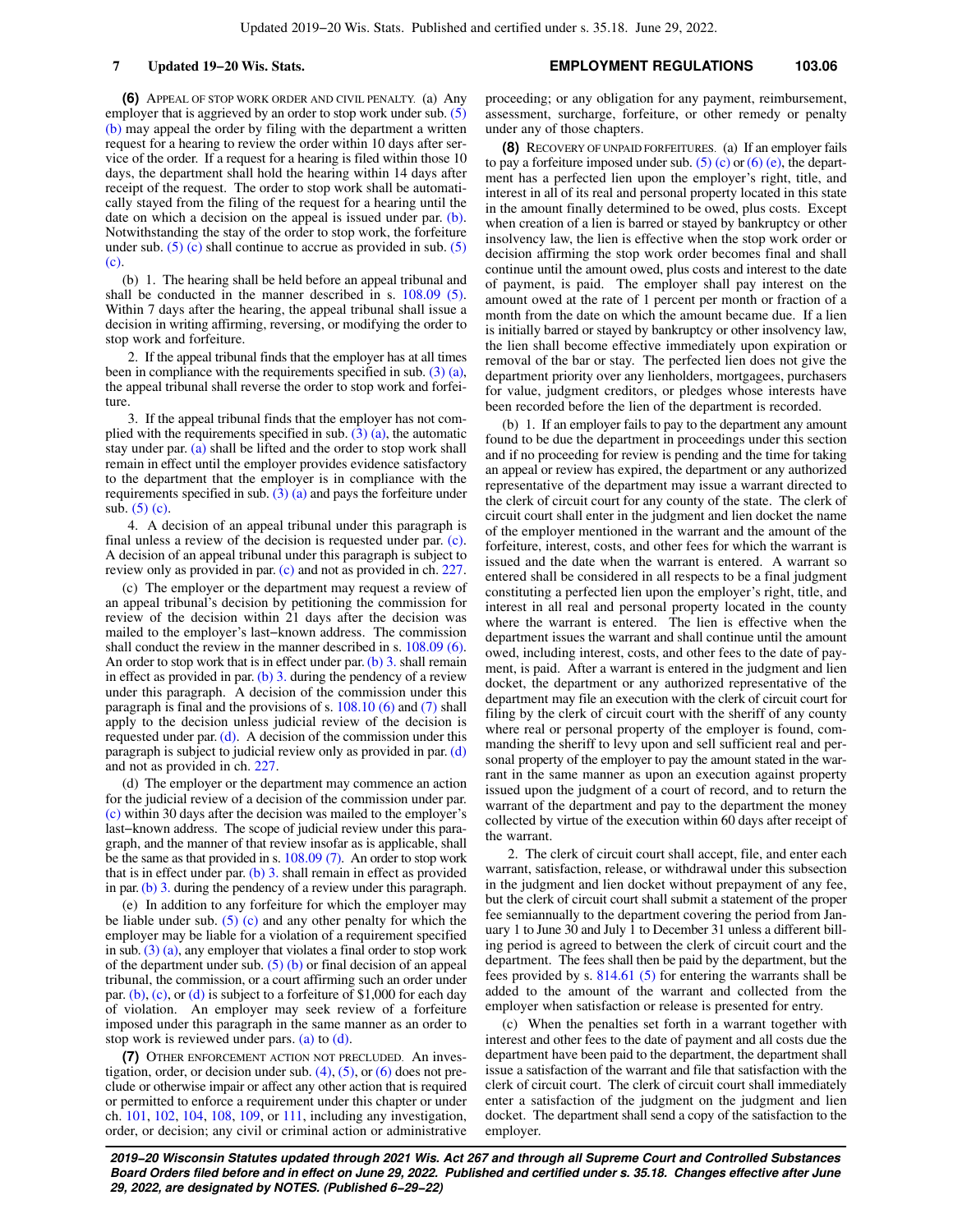**(6)** APPEAL OF STOP WORK ORDER AND CIVIL PENALTY. (a) Any employer that is aggrieved by an order to stop work under sub. [\(5\)](https://docs.legis.wisconsin.gov/document/statutes/103.06(5)(b)) [\(b\)](https://docs.legis.wisconsin.gov/document/statutes/103.06(5)(b)) may appeal the order by filing with the department a written request for a hearing to review the order within 10 days after service of the order. If a request for a hearing is filed within those 10 days, the department shall hold the hearing within 14 days after receipt of the request. The order to stop work shall be automatically stayed from the filing of the request for a hearing until the date on which a decision on the appeal is issued under par. [\(b\).](https://docs.legis.wisconsin.gov/document/statutes/103.06(6)(b)) Notwithstanding the stay of the order to stop work, the forfeiture under sub.  $(5)$  (c) shall continue to accrue as provided in sub.  $(5)$ [\(c\).](https://docs.legis.wisconsin.gov/document/statutes/103.06(5)(c))

(b) 1. The hearing shall be held before an appeal tribunal and shall be conducted in the manner described in s. [108.09 \(5\).](https://docs.legis.wisconsin.gov/document/statutes/108.09(5)) Within 7 days after the hearing, the appeal tribunal shall issue a decision in writing affirming, reversing, or modifying the order to stop work and forfeiture.

2. If the appeal tribunal finds that the employer has at all times been in compliance with the requirements specified in sub.  $(3)$  (a), the appeal tribunal shall reverse the order to stop work and forfeiture.

3. If the appeal tribunal finds that the employer has not complied with the requirements specified in sub.  $(3)$  (a), the automatic stay under par. [\(a\)](https://docs.legis.wisconsin.gov/document/statutes/103.06(6)(a)) shall be lifted and the order to stop work shall remain in effect until the employer provides evidence satisfactory to the department that the employer is in compliance with the requirements specified in sub.  $(3)$  (a) and pays the forfeiture under sub.  $(5)$  (c).

4. A decision of an appeal tribunal under this paragraph is final unless a review of the decision is requested under par. [\(c\).](https://docs.legis.wisconsin.gov/document/statutes/103.06(6)(c)) A decision of an appeal tribunal under this paragraph is subject to review only as provided in par. [\(c\)](https://docs.legis.wisconsin.gov/document/statutes/103.06(6)(c)) and not as provided in ch. [227.](https://docs.legis.wisconsin.gov/document/statutes/ch.%20227)

(c) The employer or the department may request a review of an appeal tribunal's decision by petitioning the commission for review of the decision within 21 days after the decision was mailed to the employer's last−known address. The commission shall conduct the review in the manner described in s. [108.09 \(6\).](https://docs.legis.wisconsin.gov/document/statutes/108.09(6)) An order to stop work that is in effect under par. [\(b\) 3.](https://docs.legis.wisconsin.gov/document/statutes/103.06(6)(b)3.) shall remain in effect as provided in par.  $(b)$  3. during the pendency of a review under this paragraph. A decision of the commission under this paragraph is final and the provisions of s. [108.10 \(6\)](https://docs.legis.wisconsin.gov/document/statutes/108.10(6)) and [\(7\)](https://docs.legis.wisconsin.gov/document/statutes/108.10(7)) shall apply to the decision unless judicial review of the decision is requested under par.  $(d)$ . A decision of the commission under this paragraph is subject to judicial review only as provided in par. [\(d\)](https://docs.legis.wisconsin.gov/document/statutes/103.06(6)(d)) and not as provided in ch. [227](https://docs.legis.wisconsin.gov/document/statutes/ch.%20227).

(d) The employer or the department may commence an action for the judicial review of a decision of the commission under par. [\(c\)](https://docs.legis.wisconsin.gov/document/statutes/103.06(6)(c)) within 30 days after the decision was mailed to the employer's last−known address. The scope of judicial review under this paragraph, and the manner of that review insofar as is applicable, shall be the same as that provided in s. [108.09 \(7\)](https://docs.legis.wisconsin.gov/document/statutes/108.09(7)). An order to stop work that is in effect under par. [\(b\) 3.](https://docs.legis.wisconsin.gov/document/statutes/103.06(6)(b)3.) shall remain in effect as provided in par. [\(b\) 3.](https://docs.legis.wisconsin.gov/document/statutes/103.06(6)(b)3.) during the pendency of a review under this paragraph.

(e) In addition to any forfeiture for which the employer may be liable under sub.  $(5)$  (c) and any other penalty for which the employer may be liable for a violation of a requirement specified in sub.  $(3)$   $(a)$ , any employer that violates a final order to stop work of the department under sub.  $(5)$  (b) or final decision of an appeal tribunal, the commission, or a court affirming such an order under par.  $(b)$ ,  $(c)$ , or  $(d)$  is subject to a forfeiture of \$1,000 for each day of violation. An employer may seek review of a forfeiture imposed under this paragraph in the same manner as an order to stop work is reviewed under pars. [\(a\)](https://docs.legis.wisconsin.gov/document/statutes/103.06(6)(a)) to [\(d\)](https://docs.legis.wisconsin.gov/document/statutes/103.06(6)(d)).

**(7)** OTHER ENFORCEMENT ACTION NOT PRECLUDED. An investigation, order, or decision under sub.  $(4)$ ,  $(5)$ , or  $(6)$  does not preclude or otherwise impair or affect any other action that is required or permitted to enforce a requirement under this chapter or under ch. [101,](https://docs.legis.wisconsin.gov/document/statutes/ch.%20101) [102,](https://docs.legis.wisconsin.gov/document/statutes/ch.%20102) [104,](https://docs.legis.wisconsin.gov/document/statutes/ch.%20104) [108](https://docs.legis.wisconsin.gov/document/statutes/ch.%20108), [109](https://docs.legis.wisconsin.gov/document/statutes/ch.%20109), or [111,](https://docs.legis.wisconsin.gov/document/statutes/ch.%20111) including any investigation, order, or decision; any civil or criminal action or administrative

proceeding; or any obligation for any payment, reimbursement, assessment, surcharge, forfeiture, or other remedy or penalty under any of those chapters.

**(8)** RECOVERY OF UNPAID FORFEITURES. (a) If an employer fails to pay a forfeiture imposed under sub.  $(5)$  (c) or  $(6)$  (e), the department has a perfected lien upon the employer's right, title, and interest in all of its real and personal property located in this state in the amount finally determined to be owed, plus costs. Except when creation of a lien is barred or stayed by bankruptcy or other insolvency law, the lien is effective when the stop work order or decision affirming the stop work order becomes final and shall continue until the amount owed, plus costs and interest to the date of payment, is paid. The employer shall pay interest on the amount owed at the rate of 1 percent per month or fraction of a month from the date on which the amount became due. If a lien is initially barred or stayed by bankruptcy or other insolvency law, the lien shall become effective immediately upon expiration or removal of the bar or stay. The perfected lien does not give the department priority over any lienholders, mortgagees, purchasers for value, judgment creditors, or pledges whose interests have been recorded before the lien of the department is recorded.

(b) 1. If an employer fails to pay to the department any amount found to be due the department in proceedings under this section and if no proceeding for review is pending and the time for taking an appeal or review has expired, the department or any authorized representative of the department may issue a warrant directed to the clerk of circuit court for any county of the state. The clerk of circuit court shall enter in the judgment and lien docket the name of the employer mentioned in the warrant and the amount of the forfeiture, interest, costs, and other fees for which the warrant is issued and the date when the warrant is entered. A warrant so entered shall be considered in all respects to be a final judgment constituting a perfected lien upon the employer's right, title, and interest in all real and personal property located in the county where the warrant is entered. The lien is effective when the department issues the warrant and shall continue until the amount owed, including interest, costs, and other fees to the date of payment, is paid. After a warrant is entered in the judgment and lien docket, the department or any authorized representative of the department may file an execution with the clerk of circuit court for filing by the clerk of circuit court with the sheriff of any county where real or personal property of the employer is found, commanding the sheriff to levy upon and sell sufficient real and personal property of the employer to pay the amount stated in the warrant in the same manner as upon an execution against property issued upon the judgment of a court of record, and to return the warrant of the department and pay to the department the money collected by virtue of the execution within 60 days after receipt of the warrant.

2. The clerk of circuit court shall accept, file, and enter each warrant, satisfaction, release, or withdrawal under this subsection in the judgment and lien docket without prepayment of any fee, but the clerk of circuit court shall submit a statement of the proper fee semiannually to the department covering the period from January 1 to June 30 and July 1 to December 31 unless a different billing period is agreed to between the clerk of circuit court and the department. The fees shall then be paid by the department, but the fees provided by s. [814.61 \(5\)](https://docs.legis.wisconsin.gov/document/statutes/814.61(5)) for entering the warrants shall be added to the amount of the warrant and collected from the employer when satisfaction or release is presented for entry.

(c) When the penalties set forth in a warrant together with interest and other fees to the date of payment and all costs due the department have been paid to the department, the department shall issue a satisfaction of the warrant and file that satisfaction with the clerk of circuit court. The clerk of circuit court shall immediately enter a satisfaction of the judgment on the judgment and lien docket. The department shall send a copy of the satisfaction to the employer.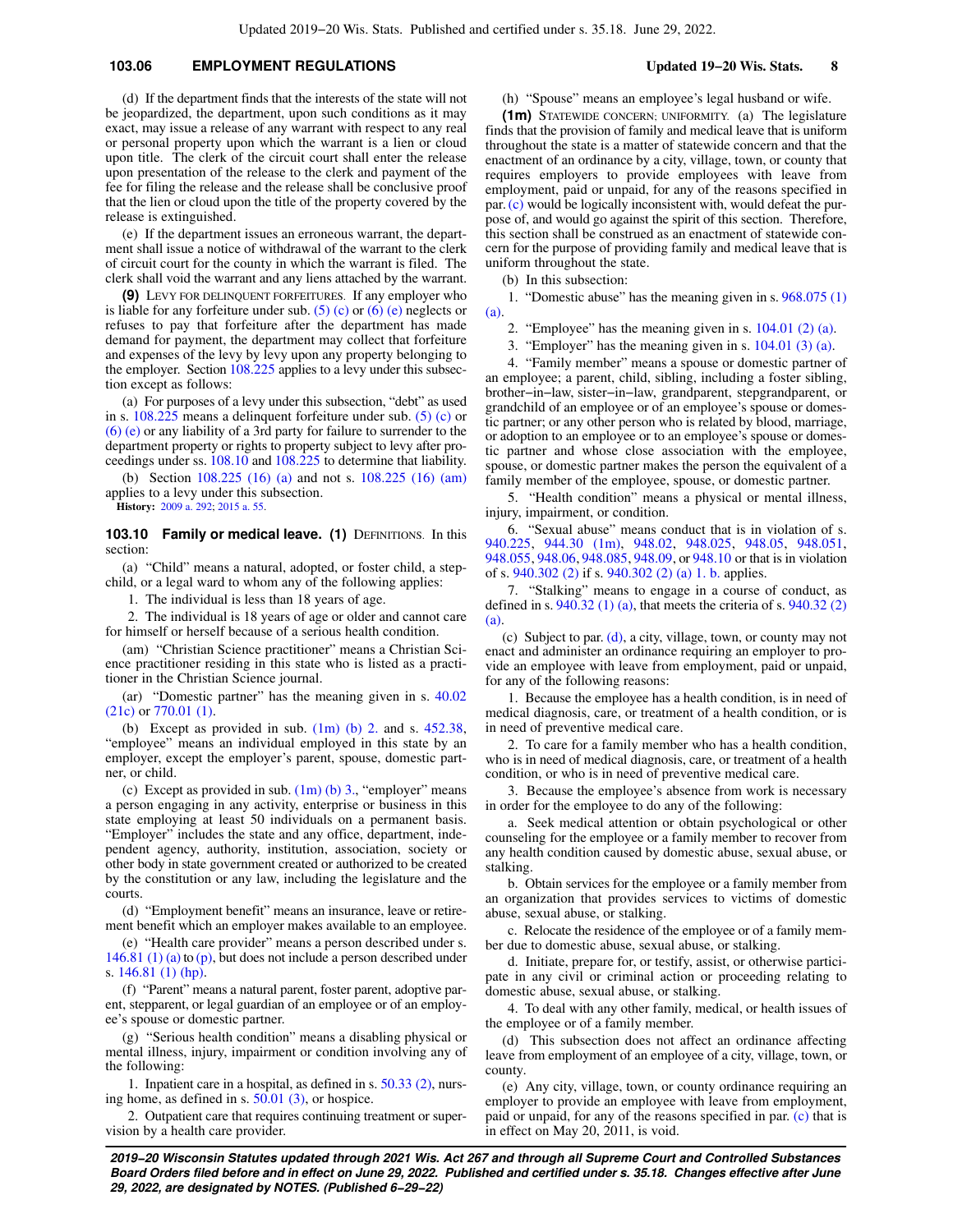## **103.06 EMPLOYMENT REGULATIONS Updated 19−20 Wis. Stats. 8**

(d) If the department finds that the interests of the state will not be jeopardized, the department, upon such conditions as it may exact, may issue a release of any warrant with respect to any real or personal property upon which the warrant is a lien or cloud upon title. The clerk of the circuit court shall enter the release upon presentation of the release to the clerk and payment of the fee for filing the release and the release shall be conclusive proof that the lien or cloud upon the title of the property covered by the release is extinguished.

(e) If the department issues an erroneous warrant, the department shall issue a notice of withdrawal of the warrant to the clerk of circuit court for the county in which the warrant is filed. The clerk shall void the warrant and any liens attached by the warrant.

**(9)** LEVY FOR DELINQUENT FORFEITURES. If any employer who is liable for any forfeiture under sub.  $(5)$  (c) or  $(6)$  (e) neglects or refuses to pay that forfeiture after the department has made demand for payment, the department may collect that forfeiture and expenses of the levy by levy upon any property belonging to the employer. Section [108.225](https://docs.legis.wisconsin.gov/document/statutes/108.225) applies to a levy under this subsection except as follows:

(a) For purposes of a levy under this subsection, "debt" as used in s. [108.225](https://docs.legis.wisconsin.gov/document/statutes/108.225) means a delinquent forfeiture under sub. [\(5\) \(c\)](https://docs.legis.wisconsin.gov/document/statutes/103.06(5)(c)) or [\(6\) \(e\)](https://docs.legis.wisconsin.gov/document/statutes/103.06(6)(e)) or any liability of a 3rd party for failure to surrender to the department property or rights to property subject to levy after proceedings under ss. [108.10](https://docs.legis.wisconsin.gov/document/statutes/108.10) and [108.225](https://docs.legis.wisconsin.gov/document/statutes/108.225) to determine that liability.

(b) Section [108.225 \(16\) \(a\)](https://docs.legis.wisconsin.gov/document/statutes/108.225(16)(a)) and not s. [108.225 \(16\) \(am\)](https://docs.legis.wisconsin.gov/document/statutes/108.225(16)(am)) applies to a levy under this subsection.

**History:** [2009 a. 292](https://docs.legis.wisconsin.gov/document/acts/2009/292); [2015 a. 55.](https://docs.legis.wisconsin.gov/document/acts/2015/55)

**103.10 Family or medical leave. (1) DEFINITIONS. In this** section:

(a) "Child" means a natural, adopted, or foster child, a stepchild, or a legal ward to whom any of the following applies:

1. The individual is less than 18 years of age.

2. The individual is 18 years of age or older and cannot care for himself or herself because of a serious health condition.

(am) "Christian Science practitioner" means a Christian Science practitioner residing in this state who is listed as a practitioner in the Christian Science journal.

(ar) "Domestic partner" has the meaning given in s. [40.02](https://docs.legis.wisconsin.gov/document/statutes/40.02(21c)) [\(21c\)](https://docs.legis.wisconsin.gov/document/statutes/40.02(21c)) or [770.01 \(1\).](https://docs.legis.wisconsin.gov/document/statutes/770.01(1))

(b) Except as provided in sub.  $(1m)$  (b) 2. and s.  $452.38$ , "employee" means an individual employed in this state by an employer, except the employer's parent, spouse, domestic partner, or child.

(c) Except as provided in sub.  $(1m)$  (b) 3., "employer" means a person engaging in any activity, enterprise or business in this state employing at least 50 individuals on a permanent basis. "Employer" includes the state and any office, department, independent agency, authority, institution, association, society or other body in state government created or authorized to be created by the constitution or any law, including the legislature and the courts.

(d) "Employment benefit" means an insurance, leave or retirement benefit which an employer makes available to an employee.

(e) "Health care provider" means a person described under s. [146.81 \(1\) \(a\)](https://docs.legis.wisconsin.gov/document/statutes/146.81(1)(a)) to  $(p)$ , but does not include a person described under s. [146.81 \(1\) \(hp\).](https://docs.legis.wisconsin.gov/document/statutes/146.81(1)(hp))

(f) "Parent" means a natural parent, foster parent, adoptive parent, stepparent, or legal guardian of an employee or of an employee's spouse or domestic partner.

(g) "Serious health condition" means a disabling physical or mental illness, injury, impairment or condition involving any of the following:

1. Inpatient care in a hospital, as defined in s. [50.33 \(2\)](https://docs.legis.wisconsin.gov/document/statutes/50.33(2)), nursing home, as defined in s. [50.01 \(3\)](https://docs.legis.wisconsin.gov/document/statutes/50.01(3)), or hospice.

2. Outpatient care that requires continuing treatment or supervision by a health care provider.

(h) "Spouse" means an employee's legal husband or wife.

**(1m)** STATEWIDE CONCERN; UNIFORMITY. (a) The legislature finds that the provision of family and medical leave that is uniform throughout the state is a matter of statewide concern and that the enactment of an ordinance by a city, village, town, or county that requires employers to provide employees with leave from employment, paid or unpaid, for any of the reasons specified in par.[\(c\)](https://docs.legis.wisconsin.gov/document/statutes/103.10(1m)(c)) would be logically inconsistent with, would defeat the purpose of, and would go against the spirit of this section. Therefore, this section shall be construed as an enactment of statewide concern for the purpose of providing family and medical leave that is uniform throughout the state.

(b) In this subsection:

1. "Domestic abuse" has the meaning given in s. [968.075 \(1\)](https://docs.legis.wisconsin.gov/document/statutes/968.075(1)(a)) [\(a\)](https://docs.legis.wisconsin.gov/document/statutes/968.075(1)(a)).

2. "Employee" has the meaning given in s. [104.01 \(2\) \(a\).](https://docs.legis.wisconsin.gov/document/statutes/104.01(2)(a))

3. "Employer" has the meaning given in s. [104.01 \(3\) \(a\).](https://docs.legis.wisconsin.gov/document/statutes/104.01(3)(a))

4. "Family member" means a spouse or domestic partner of an employee; a parent, child, sibling, including a foster sibling, brother−in−law, sister−in−law, grandparent, stepgrandparent, or grandchild of an employee or of an employee's spouse or domestic partner; or any other person who is related by blood, marriage, or adoption to an employee or to an employee's spouse or domestic partner and whose close association with the employee, spouse, or domestic partner makes the person the equivalent of a family member of the employee, spouse, or domestic partner.

5. "Health condition" means a physical or mental illness, injury, impairment, or condition.

6. "Sexual abuse" means conduct that is in violation of s. [940.225](https://docs.legis.wisconsin.gov/document/statutes/940.225), [944.30 \(1m\),](https://docs.legis.wisconsin.gov/document/statutes/944.30(1m)) [948.02](https://docs.legis.wisconsin.gov/document/statutes/948.02), [948.025](https://docs.legis.wisconsin.gov/document/statutes/948.025), [948.05,](https://docs.legis.wisconsin.gov/document/statutes/948.05) [948.051,](https://docs.legis.wisconsin.gov/document/statutes/948.051) [948.055](https://docs.legis.wisconsin.gov/document/statutes/948.055), [948.06](https://docs.legis.wisconsin.gov/document/statutes/948.06), [948.085,](https://docs.legis.wisconsin.gov/document/statutes/948.085) [948.09](https://docs.legis.wisconsin.gov/document/statutes/948.09), or [948.10](https://docs.legis.wisconsin.gov/document/statutes/948.10) or that is in violation of s. [940.302 \(2\)](https://docs.legis.wisconsin.gov/document/statutes/940.302(2)) if s. [940.302 \(2\) \(a\) 1. b.](https://docs.legis.wisconsin.gov/document/statutes/940.302(2)(a)1.b.) applies.

7. "Stalking" means to engage in a course of conduct, as defined in s.  $940.32$  (1) (a), that meets the criteria of s.  $940.32$  (2) [\(a\)](https://docs.legis.wisconsin.gov/document/statutes/940.32(2)(a)).

(c) Subject to par. [\(d\)](https://docs.legis.wisconsin.gov/document/statutes/103.10(1m)(d)), a city, village, town, or county may not enact and administer an ordinance requiring an employer to provide an employee with leave from employment, paid or unpaid, for any of the following reasons:

1. Because the employee has a health condition, is in need of medical diagnosis, care, or treatment of a health condition, or is in need of preventive medical care.

2. To care for a family member who has a health condition, who is in need of medical diagnosis, care, or treatment of a health condition, or who is in need of preventive medical care.

3. Because the employee's absence from work is necessary in order for the employee to do any of the following:

a. Seek medical attention or obtain psychological or other counseling for the employee or a family member to recover from any health condition caused by domestic abuse, sexual abuse, or stalking.

b. Obtain services for the employee or a family member from an organization that provides services to victims of domestic abuse, sexual abuse, or stalking.

c. Relocate the residence of the employee or of a family member due to domestic abuse, sexual abuse, or stalking.

d. Initiate, prepare for, or testify, assist, or otherwise participate in any civil or criminal action or proceeding relating to domestic abuse, sexual abuse, or stalking.

4. To deal with any other family, medical, or health issues of the employee or of a family member.

(d) This subsection does not affect an ordinance affecting leave from employment of an employee of a city, village, town, or county.

(e) Any city, village, town, or county ordinance requiring an employer to provide an employee with leave from employment, paid or unpaid, for any of the reasons specified in par. [\(c\)](https://docs.legis.wisconsin.gov/document/statutes/103.10(1m)(c)) that is in effect on May 20, 2011, is void.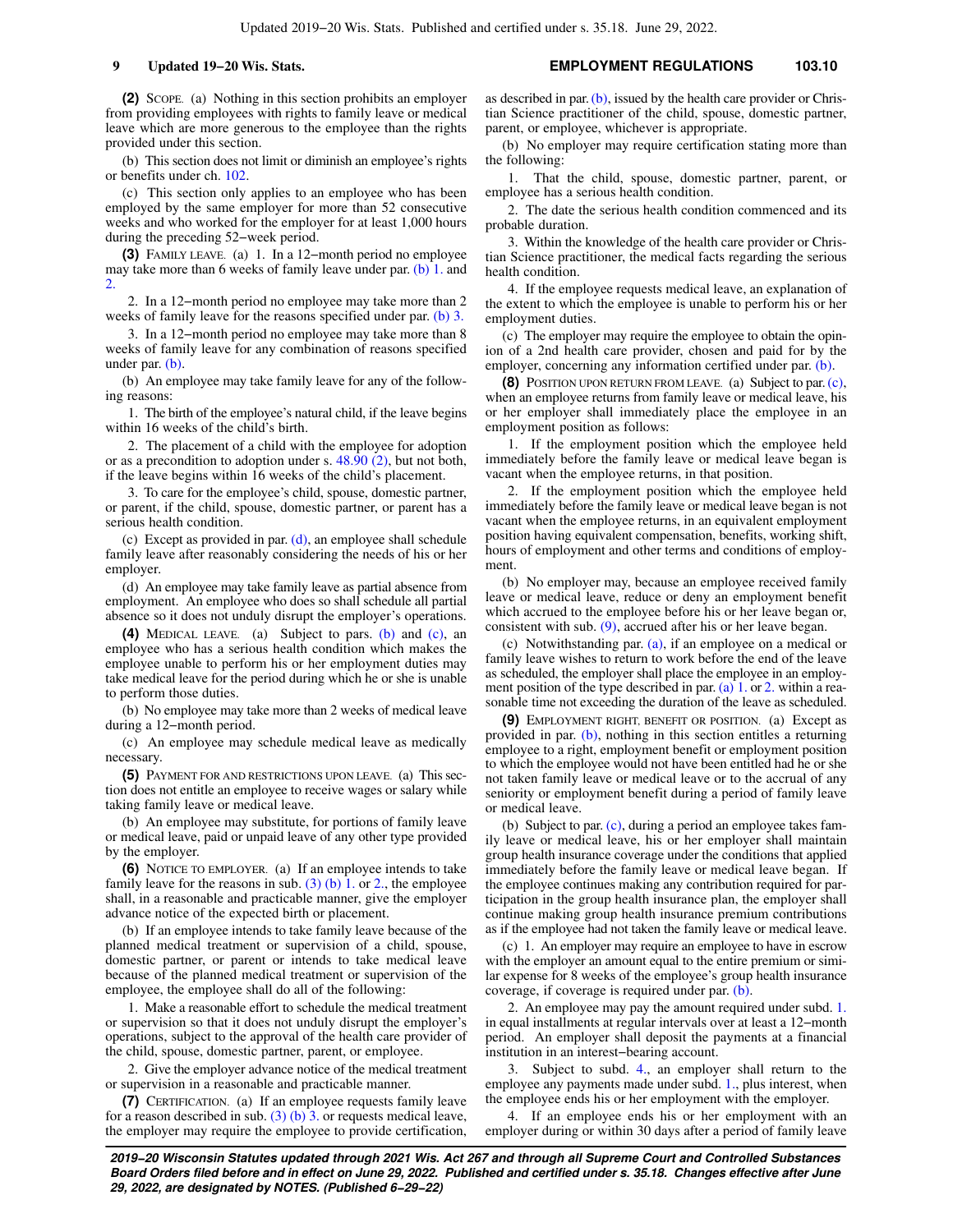**(2)** SCOPE. (a) Nothing in this section prohibits an employer from providing employees with rights to family leave or medical leave which are more generous to the employee than the rights provided under this section.

(b) This section does not limit or diminish an employee's rights or benefits under ch. [102](https://docs.legis.wisconsin.gov/document/statutes/ch.%20102).

(c) This section only applies to an employee who has been employed by the same employer for more than 52 consecutive weeks and who worked for the employer for at least 1,000 hours during the preceding 52−week period.

**(3)** FAMILY LEAVE. (a) 1. In a 12−month period no employee may take more than 6 weeks of family leave under par. [\(b\) 1.](https://docs.legis.wisconsin.gov/document/statutes/103.10(3)(b)1.) and  $\mathcal{D}$ 

2. In a 12−month period no employee may take more than 2 weeks of family leave for the reasons specified under par. [\(b\) 3.](https://docs.legis.wisconsin.gov/document/statutes/103.10(3)(b)3.)

3. In a 12−month period no employee may take more than 8 weeks of family leave for any combination of reasons specified under par. [\(b\).](https://docs.legis.wisconsin.gov/document/statutes/103.10(3)(b))

(b) An employee may take family leave for any of the following reasons:

1. The birth of the employee's natural child, if the leave begins within 16 weeks of the child's birth.

2. The placement of a child with the employee for adoption or as a precondition to adoption under s. [48.90 \(2\)](https://docs.legis.wisconsin.gov/document/statutes/48.90(2)), but not both, if the leave begins within 16 weeks of the child's placement.

3. To care for the employee's child, spouse, domestic partner, or parent, if the child, spouse, domestic partner, or parent has a serious health condition.

(c) Except as provided in par.  $(d)$ , an employee shall schedule family leave after reasonably considering the needs of his or her employer.

(d) An employee may take family leave as partial absence from employment. An employee who does so shall schedule all partial absence so it does not unduly disrupt the employer's operations.

**(4)** MEDICAL LEAVE. (a) Subject to pars. [\(b\)](https://docs.legis.wisconsin.gov/document/statutes/103.10(4)(b)) and [\(c\)](https://docs.legis.wisconsin.gov/document/statutes/103.10(4)(c)), an employee who has a serious health condition which makes the employee unable to perform his or her employment duties may take medical leave for the period during which he or she is unable to perform those duties.

(b) No employee may take more than 2 weeks of medical leave during a 12−month period.

(c) An employee may schedule medical leave as medically necessary.

**(5)** PAYMENT FOR AND RESTRICTIONS UPON LEAVE. (a) This section does not entitle an employee to receive wages or salary while taking family leave or medical leave.

(b) An employee may substitute, for portions of family leave or medical leave, paid or unpaid leave of any other type provided by the employer.

**(6)** NOTICE TO EMPLOYER. (a) If an employee intends to take family leave for the reasons in sub.  $(3)$  (b) 1. or [2.](https://docs.legis.wisconsin.gov/document/statutes/103.10(3)(b)2.), the employee shall, in a reasonable and practicable manner, give the employer advance notice of the expected birth or placement.

(b) If an employee intends to take family leave because of the planned medical treatment or supervision of a child, spouse, domestic partner, or parent or intends to take medical leave because of the planned medical treatment or supervision of the employee, the employee shall do all of the following:

1. Make a reasonable effort to schedule the medical treatment or supervision so that it does not unduly disrupt the employer's operations, subject to the approval of the health care provider of the child, spouse, domestic partner, parent, or employee.

2. Give the employer advance notice of the medical treatment or supervision in a reasonable and practicable manner.

**(7)** CERTIFICATION. (a) If an employee requests family leave for a reason described in sub.  $(3)$  (b) 3. or requests medical leave, the employer may require the employee to provide certification,

as described in par. [\(b\),](https://docs.legis.wisconsin.gov/document/statutes/103.10(7)(b)) issued by the health care provider or Christian Science practitioner of the child, spouse, domestic partner, parent, or employee, whichever is appropriate.

(b) No employer may require certification stating more than the following:

1. That the child, spouse, domestic partner, parent, or employee has a serious health condition.

2. The date the serious health condition commenced and its probable duration.

3. Within the knowledge of the health care provider or Christian Science practitioner, the medical facts regarding the serious health condition.

4. If the employee requests medical leave, an explanation of the extent to which the employee is unable to perform his or her employment duties.

(c) The employer may require the employee to obtain the opinion of a 2nd health care provider, chosen and paid for by the employer, concerning any information certified under par. [\(b\).](https://docs.legis.wisconsin.gov/document/statutes/103.10(7)(b))

**(8)** POSITION UPON RETURN FROM LEAVE. (a) Subject to par. [\(c\),](https://docs.legis.wisconsin.gov/document/statutes/103.10(8)(c)) when an employee returns from family leave or medical leave, his or her employer shall immediately place the employee in an employment position as follows:

1. If the employment position which the employee held immediately before the family leave or medical leave began is vacant when the employee returns, in that position.

2. If the employment position which the employee held immediately before the family leave or medical leave began is not vacant when the employee returns, in an equivalent employment position having equivalent compensation, benefits, working shift, hours of employment and other terms and conditions of employment.

(b) No employer may, because an employee received family leave or medical leave, reduce or deny an employment benefit which accrued to the employee before his or her leave began or, consistent with sub.  $(9)$ , accrued after his or her leave began.

(c) Notwithstanding par. [\(a\)](https://docs.legis.wisconsin.gov/document/statutes/103.10(8)(a)), if an employee on a medical or family leave wishes to return to work before the end of the leave as scheduled, the employer shall place the employee in an employment position of the type described in par.  $(a)$  1. or [2.](https://docs.legis.wisconsin.gov/document/statutes/103.10(8)(a)2.) within a reasonable time not exceeding the duration of the leave as scheduled.

**(9)** EMPLOYMENT RIGHT, BENEFIT OR POSITION. (a) Except as provided in par. [\(b\)](https://docs.legis.wisconsin.gov/document/statutes/103.10(9)(b)), nothing in this section entitles a returning employee to a right, employment benefit or employment position to which the employee would not have been entitled had he or she not taken family leave or medical leave or to the accrual of any seniority or employment benefit during a period of family leave or medical leave.

(b) Subject to par. [\(c\),](https://docs.legis.wisconsin.gov/document/statutes/103.10(9)(c)) during a period an employee takes family leave or medical leave, his or her employer shall maintain group health insurance coverage under the conditions that applied immediately before the family leave or medical leave began. If the employee continues making any contribution required for participation in the group health insurance plan, the employer shall continue making group health insurance premium contributions as if the employee had not taken the family leave or medical leave.

(c) 1. An employer may require an employee to have in escrow with the employer an amount equal to the entire premium or similar expense for 8 weeks of the employee's group health insurance coverage, if coverage is required under par. [\(b\).](https://docs.legis.wisconsin.gov/document/statutes/103.10(9)(b))

2. An employee may pay the amount required under subd. [1.](https://docs.legis.wisconsin.gov/document/statutes/103.10(9)(c)1.) in equal installments at regular intervals over at least a 12−month period. An employer shall deposit the payments at a financial institution in an interest−bearing account.

3. Subject to subd. [4.,](https://docs.legis.wisconsin.gov/document/statutes/103.10(9)(c)4.) an employer shall return to the employee any payments made under subd. [1.,](https://docs.legis.wisconsin.gov/document/statutes/103.10(9)(c)1.) plus interest, when the employee ends his or her employment with the employer.

4. If an employee ends his or her employment with an employer during or within 30 days after a period of family leave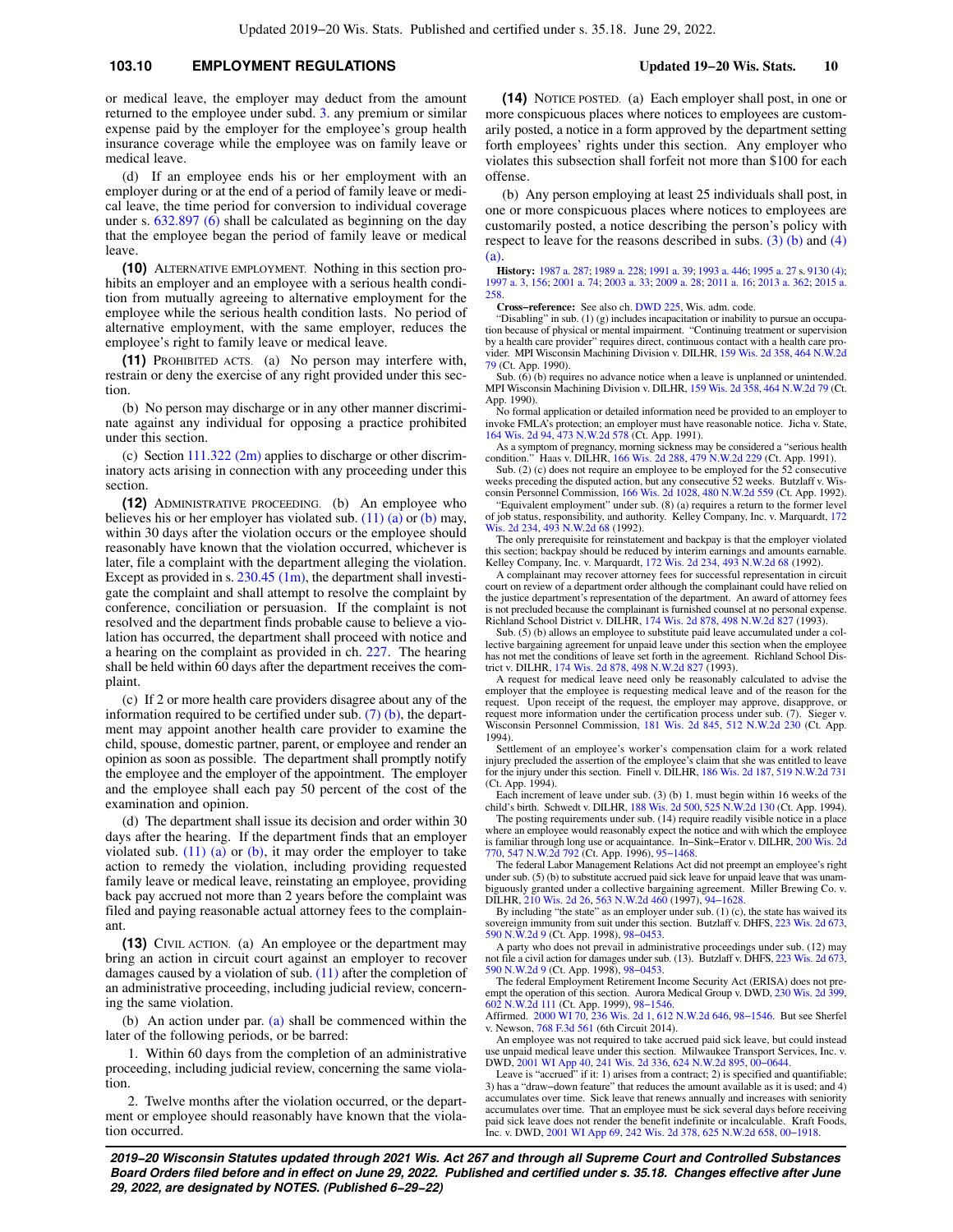## **103.10 EMPLOYMENT REGULATIONS Updated 19−20 Wis. Stats. 10**

or medical leave, the employer may deduct from the amount returned to the employee under subd. [3.](https://docs.legis.wisconsin.gov/document/statutes/103.10(9)(c)3.) any premium or similar expense paid by the employer for the employee's group health insurance coverage while the employee was on family leave or medical leave.

(d) If an employee ends his or her employment with an employer during or at the end of a period of family leave or medical leave, the time period for conversion to individual coverage under s.  $632.897(6)$  shall be calculated as beginning on the day that the employee began the period of family leave or medical leave.

**(10)** ALTERNATIVE EMPLOYMENT. Nothing in this section prohibits an employer and an employee with a serious health condition from mutually agreeing to alternative employment for the employee while the serious health condition lasts. No period of alternative employment, with the same employer, reduces the employee's right to family leave or medical leave.

**(11)** PROHIBITED ACTS. (a) No person may interfere with, restrain or deny the exercise of any right provided under this section.

(b) No person may discharge or in any other manner discriminate against any individual for opposing a practice prohibited under this section.

(c) Section  $111.322$  (2m) applies to discharge or other discriminatory acts arising in connection with any proceeding under this section.

**(12)** ADMINISTRATIVE PROCEEDING. (b) An employee who believes his or her employer has violated sub.  $(11)$  (a) or [\(b\)](https://docs.legis.wisconsin.gov/document/statutes/103.10(11)(b)) may, within 30 days after the violation occurs or the employee should reasonably have known that the violation occurred, whichever is later, file a complaint with the department alleging the violation. Except as provided in s.  $230.45$  (1m), the department shall investigate the complaint and shall attempt to resolve the complaint by conference, conciliation or persuasion. If the complaint is not resolved and the department finds probable cause to believe a violation has occurred, the department shall proceed with notice and a hearing on the complaint as provided in ch. [227.](https://docs.legis.wisconsin.gov/document/statutes/ch.%20227) The hearing shall be held within 60 days after the department receives the complaint.

(c) If 2 or more health care providers disagree about any of the information required to be certified under sub. [\(7\) \(b\)](https://docs.legis.wisconsin.gov/document/statutes/103.10(7)(b)), the department may appoint another health care provider to examine the child, spouse, domestic partner, parent, or employee and render an opinion as soon as possible. The department shall promptly notify the employee and the employer of the appointment. The employer and the employee shall each pay 50 percent of the cost of the examination and opinion.

(d) The department shall issue its decision and order within 30 days after the hearing. If the department finds that an employer violated sub.  $(11)$  (a) or [\(b\),](https://docs.legis.wisconsin.gov/document/statutes/103.10(11)(b)) it may order the employer to take action to remedy the violation, including providing requested family leave or medical leave, reinstating an employee, providing back pay accrued not more than 2 years before the complaint was filed and paying reasonable actual attorney fees to the complainant.

**(13)** CIVIL ACTION. (a) An employee or the department may bring an action in circuit court against an employer to recover damages caused by a violation of sub. [\(11\)](https://docs.legis.wisconsin.gov/document/statutes/103.10(11)) after the completion of an administrative proceeding, including judicial review, concerning the same violation.

(b) An action under par. [\(a\)](https://docs.legis.wisconsin.gov/document/statutes/103.10(13)(a)) shall be commenced within the later of the following periods, or be barred:

1. Within 60 days from the completion of an administrative proceeding, including judicial review, concerning the same violation.

2. Twelve months after the violation occurred, or the department or employee should reasonably have known that the violation occurred.

**(14)** NOTICE POSTED. (a) Each employer shall post, in one or more conspicuous places where notices to employees are customarily posted, a notice in a form approved by the department setting forth employees' rights under this section. Any employer who violates this subsection shall forfeit not more than \$100 for each offense.

(b) Any person employing at least 25 individuals shall post, in one or more conspicuous places where notices to employees are customarily posted, a notice describing the person's policy with respect to leave for the reasons described in subs.  $(3)$  (b) and  $(4)$ [\(a\)](https://docs.legis.wisconsin.gov/document/statutes/103.10(4)(a)).

**History:** [1987 a. 287;](https://docs.legis.wisconsin.gov/document/acts/1987/287) [1989 a. 228;](https://docs.legis.wisconsin.gov/document/acts/1989/228) [1991 a. 39](https://docs.legis.wisconsin.gov/document/acts/1991/39); [1993 a. 446](https://docs.legis.wisconsin.gov/document/acts/1993/446); [1995 a. 27](https://docs.legis.wisconsin.gov/document/acts/1995/27) s. [9130 \(4\)](https://docs.legis.wisconsin.gov/document/acts/1995/27,%20s.%209130); [1997 a. 3,](https://docs.legis.wisconsin.gov/document/acts/1997/3) [156;](https://docs.legis.wisconsin.gov/document/acts/1997/156) [2001 a. 74;](https://docs.legis.wisconsin.gov/document/acts/2001/74) [2003 a. 33;](https://docs.legis.wisconsin.gov/document/acts/2003/33) [2009 a. 28;](https://docs.legis.wisconsin.gov/document/acts/2009/28) [2011 a. 16;](https://docs.legis.wisconsin.gov/document/acts/2011/16) [2013 a. 362](https://docs.legis.wisconsin.gov/document/acts/2013/362); [2015 a.](https://docs.legis.wisconsin.gov/document/acts/2015/258) [258.](https://docs.legis.wisconsin.gov/document/acts/2015/258)

**Cross−reference:** See also ch. [DWD 225](https://docs.legis.wisconsin.gov/document/administrativecode/ch.%20DWD%20225), Wis. adm. code.

"Disabling" in sub. (1) (g) includes incapacitation or inability to pursue an occupation because of physical or mental impairment. "Continuing treatment or supervision by a health care provider" requires direct, continuous contact with a health care provider. MPI Wisconsin Machining Division v. DILHR, [159 Wis. 2d 358,](https://docs.legis.wisconsin.gov/document/courts/159%20Wis.%202d%20358) [464 N.W.2d](https://docs.legis.wisconsin.gov/document/courts/464%20N.W.2d%2079) [79](https://docs.legis.wisconsin.gov/document/courts/464%20N.W.2d%2079) (Ct. App. 1990).

Sub. (6) (b) requires no advance notice when a leave is unplanned or unintended. MPI Wisconsin Machining Division v. DILHR, [159 Wis. 2d 358,](https://docs.legis.wisconsin.gov/document/courts/159%20Wis.%202d%20358) [464 N.W.2d 79](https://docs.legis.wisconsin.gov/document/courts/464%20N.W.2d%2079) (Ct. App. 1990).

No formal application or detailed information need be provided to an employer to invoke FMLA's protection; an employer must have reasonable notice. Jicha v. State, [164 Wis. 2d 94,](https://docs.legis.wisconsin.gov/document/courts/164%20Wis.%202d%2094) [473 N.W.2d 578](https://docs.legis.wisconsin.gov/document/courts/473%20N.W.2d%20578) (Ct. App. 1991).

As a symptom of pregnancy, morning sickness may be considered a "serious health condition." Haas v. DILHR, [166 Wis. 2d 288](https://docs.legis.wisconsin.gov/document/courts/166%20Wis.%202d%20288), [479 N.W.2d 229](https://docs.legis.wisconsin.gov/document/courts/479%20N.W.2d%20229) (Ct. App. 1991).

Sub. (2) (c) does not require an employee to be employed for the 52 consecutive weeks preceding the disputed action, but any consecutive 52 weeks. Butzlaff v. Wisconsin Personnel Commission, [166 Wis. 2d 1028](https://docs.legis.wisconsin.gov/document/courts/166%20Wis.%202d%201028), [480 N.W.2d 559](https://docs.legis.wisconsin.gov/document/courts/480%20N.W.2d%20559) (Ct. App. 1992).

"Equivalent employment" under sub. (8) (a) requires a return to the former level of job status, responsibility, and authority. Kelley Company, Inc. v. Marquardt, [172](https://docs.legis.wisconsin.gov/document/courts/172%20Wis.%202d%20234) [Wis. 2d 234,](https://docs.legis.wisconsin.gov/document/courts/172%20Wis.%202d%20234) [493 N.W.2d 68](https://docs.legis.wisconsin.gov/document/courts/493%20N.W.2d%2068) (1992).

The only prerequisite for reinstatement and backpay is that the employer violated this section; backpay should be reduced by interim earnings and amounts earnable. Kelley Company, Inc. v. Marquardt, [172 Wis. 2d 234,](https://docs.legis.wisconsin.gov/document/courts/172%20Wis.%202d%20234) [493 N.W.2d 68](https://docs.legis.wisconsin.gov/document/courts/493%20N.W.2d%2068) (1992).

A complainant may recover attorney fees for successful representation in circuit court on review of a department order although the complainant could have relied on the justice department's representation of the department. An award of attorney fees is not precluded because the complainant is furnished counsel at no personal expense. Richland School District v. DILHR, [174 Wis. 2d 878](https://docs.legis.wisconsin.gov/document/courts/174%20Wis.%202d%20878), [498 N.W.2d 827](https://docs.legis.wisconsin.gov/document/courts/498%20N.W.2d%20827) (1993).

Sub. (5) (b) allows an employee to substitute paid leave accumulated under a collective bargaining agreement for unpaid leave under this section when the employee has not met the conditions of leave set forth in the agreement. Richland School District v. DILHR, [174 Wis. 2d 878](https://docs.legis.wisconsin.gov/document/courts/174%20Wis.%202d%20878), [498 N.W.2d 827](https://docs.legis.wisconsin.gov/document/courts/498%20N.W.2d%20827) (1993).

A request for medical leave need only be reasonably calculated to advise the employer that the employee is requesting medical leave and of the reason for the request. Upon receipt of the request, the employer may approve, disapprove, or request more information under the certification process under sub. (7). Sieger v. Wisconsin Personnel Commission, [181 Wis. 2d 845](https://docs.legis.wisconsin.gov/document/courts/181%20Wis.%202d%20845), [512 N.W.2d 230](https://docs.legis.wisconsin.gov/document/courts/512%20N.W.2d%20230) (Ct. App. 1994).

Settlement of an employee's worker's compensation claim for a work related injury precluded the assertion of the employee's claim that she was entitled to leave for the injury under this section. Finell v. DILHR, [186 Wis. 2d 187,](https://docs.legis.wisconsin.gov/document/courts/186%20Wis.%202d%20187) [519 N.W.2d 731](https://docs.legis.wisconsin.gov/document/courts/519%20N.W.2d%20731) (Ct. App. 1994).

Each increment of leave under sub. (3) (b) 1. must begin within 16 weeks of the child's birth. Schwedt v. DILHR, [188 Wis. 2d 500,](https://docs.legis.wisconsin.gov/document/courts/188%20Wis.%202d%20500) [525 N.W.2d 130](https://docs.legis.wisconsin.gov/document/courts/525%20N.W.2d%20130) (Ct. App. 1994).

The posting requirements under sub. (14) require readily visible notice in a place where an employee would reasonably expect the notice and with which the employee is familiar through long use or acquaintance. In−Sink−Erator v. DILHR, [200 Wis. 2d](https://docs.legis.wisconsin.gov/document/courts/200%20Wis.%202d%20770) [770,](https://docs.legis.wisconsin.gov/document/courts/200%20Wis.%202d%20770) [547 N.W.2d 792](https://docs.legis.wisconsin.gov/document/courts/547%20N.W.2d%20792) (Ct. App. 1996), [95−1468](https://docs.legis.wisconsin.gov/document/wicourtofappeals/95-1468).

The federal Labor Management Relations Act did not preempt an employee's right under sub. (5) (b) to substitute accrued paid sick leave for unpaid leave that was unambiguously granted under a collective bargaining agreement. Miller Brewing Co. v. DILHR, [210 Wis. 2d 26](https://docs.legis.wisconsin.gov/document/courts/210%20Wis.%202d%2026), [563 N.W.2d 460](https://docs.legis.wisconsin.gov/document/courts/563%20N.W.2d%20460) (1997), [94−1628.](https://docs.legis.wisconsin.gov/document/wisupremecourt/94-1628)

By including "the state" as an employer under sub. (1) (c), the state has waived its sovereign immunity from suit under this section. Butzlaff v. DHFS, [223 Wis. 2d 673](https://docs.legis.wisconsin.gov/document/courts/223%20Wis.%202d%20673), [590 N.W.2d 9](https://docs.legis.wisconsin.gov/document/courts/590%20N.W.2d%209) (Ct. App. 1998), [98−0453](https://docs.legis.wisconsin.gov/document/wicourtofappeals/98-0453).

A party who does not prevail in administrative proceedings under sub. (12) may not file a civil action for damages under sub. (13). Butzlaff v. DHFS, [223 Wis. 2d 673](https://docs.legis.wisconsin.gov/document/courts/223%20Wis.%202d%20673), [590 N.W.2d 9](https://docs.legis.wisconsin.gov/document/courts/590%20N.W.2d%209) (Ct. App. 1998), [98−0453](https://docs.legis.wisconsin.gov/document/wicourtofappeals/98-0453).

The federal Employment Retirement Income Security Act (ERISA) does not pre-empt the operation of this section. Aurora Medical Group v. DWD, [230 Wis. 2d 399](https://docs.legis.wisconsin.gov/document/courts/230%20Wis.%202d%20399),

[602 N.W.2d 111](https://docs.legis.wisconsin.gov/document/courts/602%20N.W.2d%20111) (Ct. App. 1999), [98−1546.](https://docs.legis.wisconsin.gov/document/wicourtofappeals/98-1546) Affirmed. [2000 WI 70](https://docs.legis.wisconsin.gov/document/courts/2000%20WI%2070), [236 Wis. 2d 1,](https://docs.legis.wisconsin.gov/document/courts/236%20Wis.%202d%201) [612 N.W.2d 646](https://docs.legis.wisconsin.gov/document/courts/612%20N.W.2d%20646), [98−1546](https://docs.legis.wisconsin.gov/document/wisupremecourt/98-1546). But see Sherfel v. Newson, [768 F.3d 561](https://docs.legis.wisconsin.gov/document/courts/768%20F.3d%20561) (6th Circuit 2014).

An employee was not required to take accrued paid sick leave, but could instead use unpaid medical leave under this section. Milwaukee Transport Services, Inc. v. DWD, [2001 WI App 40,](https://docs.legis.wisconsin.gov/document/courts/2001%20WI%20App%2040) [241 Wis. 2d 336](https://docs.legis.wisconsin.gov/document/courts/241%20Wis.%202d%20336), [624 N.W.2d 895,](https://docs.legis.wisconsin.gov/document/courts/624%20N.W.2d%20895) [00−0644.](https://docs.legis.wisconsin.gov/document/wicourtofappeals/00-0644)

Leave is "accrued" if it: 1) arises from a contract; 2) is specified and quantifiable; 3) has a "draw−down feature" that reduces the amount available as it is used; and 4) accumulates over time. Sick leave that renews annually and increases with seniority accumulates over time. That an employee must be sick several days before receiving paid sick leave does not render the benefit indefinite or incalculable. Kraft Foods, Inc. v. DWD, [2001 WI App 69,](https://docs.legis.wisconsin.gov/document/courts/2001%20WI%20App%2069) [242 Wis. 2d 378](https://docs.legis.wisconsin.gov/document/courts/242%20Wis.%202d%20378), [625 N.W.2d 658,](https://docs.legis.wisconsin.gov/document/courts/625%20N.W.2d%20658) [00−1918.](https://docs.legis.wisconsin.gov/document/wicourtofappeals/00-1918)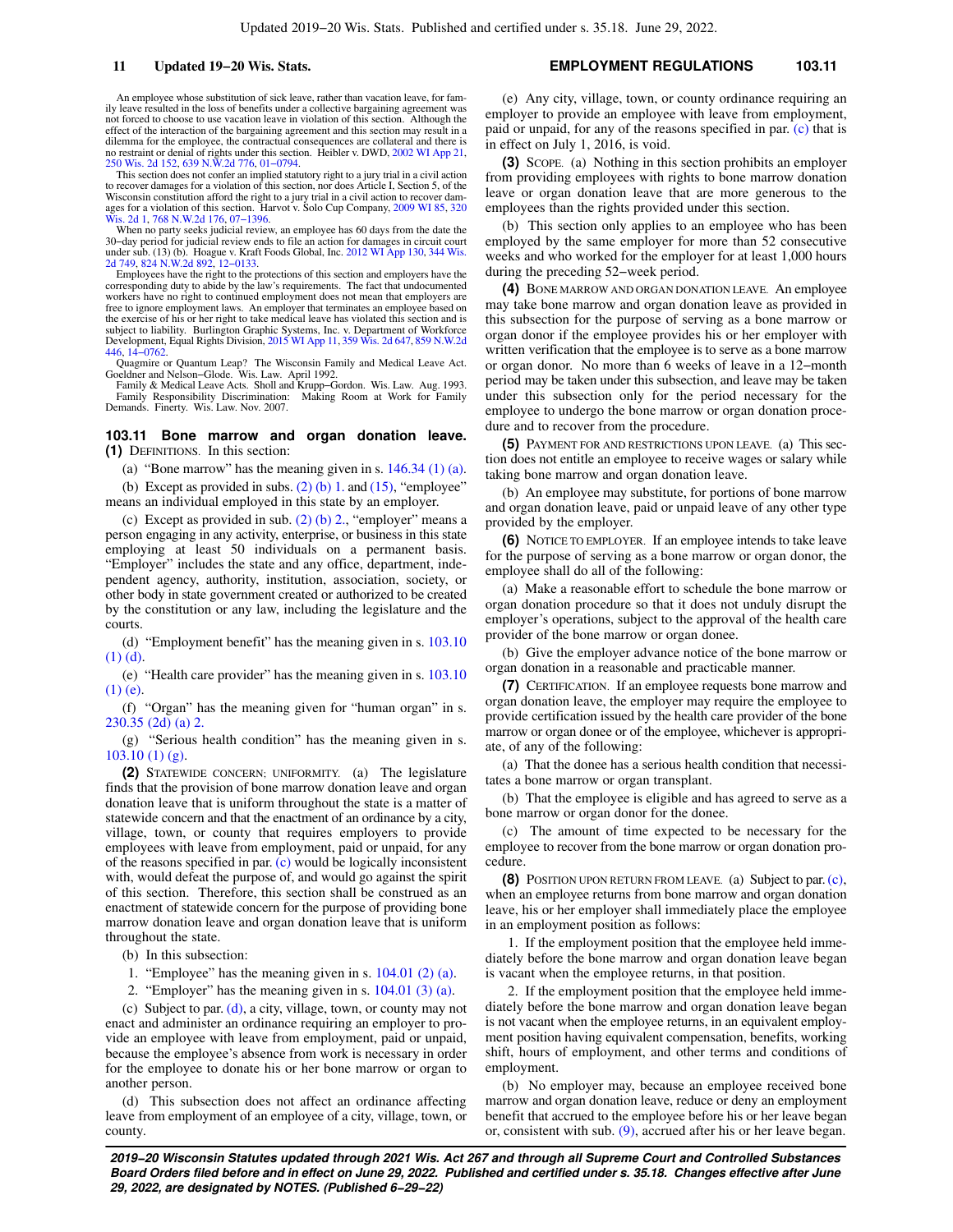An employee whose substitution of sick leave, rather than vacation leave, for family leave resulted in the loss of benefits under a collective bargaining agreement was not forced to choose to use vacation leave in violation of this section. Although the effect of the interaction of the bargaining agreement and this section may result in a dilemma for the employee, the contractual consequences are collateral and there is no restraint or denial of rights under this section. Heibler v. DWD, [2002 WI App 21](https://docs.legis.wisconsin.gov/document/courts/2002%20WI%20App%2021), [250 Wis. 2d 152,](https://docs.legis.wisconsin.gov/document/courts/250%20Wis.%202d%20152) [639 N.W.2d 776,](https://docs.legis.wisconsin.gov/document/courts/639%20N.W.2d%20776) [01−0794.](https://docs.legis.wisconsin.gov/document/wicourtofappeals/01-0794)

This section does not confer an implied statutory right to a jury trial in a civil action to recover damages for a violation of this section, nor does Article I, Section 5, of the<br>Wisconsin constitution afford the right to a jury trial in a civil action to recover dam-<br>ages for a violation of this section. Harv [Wis. 2d 1,](https://docs.legis.wisconsin.gov/document/courts/320%20Wis.%202d%201) [768 N.W.2d 176](https://docs.legis.wisconsin.gov/document/courts/768%20N.W.2d%20176), 07–1396.

When no party seeks judicial review, an employee has 60 days from the date the 30−day period for judicial review ends to file an action for damages in circuit court under sub. (13) (b). Hoague v. Kraft Foods Global, Inc. [2012 WI App 130](https://docs.legis.wisconsin.gov/document/courts/2012%20WI%20App%20130), [344 Wis.](https://docs.legis.wisconsin.gov/document/courts/344%20Wis.%202d%20749) [2d 749](https://docs.legis.wisconsin.gov/document/courts/344%20Wis.%202d%20749), [824 N.W.2d 892,](https://docs.legis.wisconsin.gov/document/courts/824%20N.W.2d%20892) [12−0133.](https://docs.legis.wisconsin.gov/document/wicourtofappeals/12-0133)

Employees have the right to the protections of this section and employers have the corresponding duty to abide by the law's requirements. The fact that undocumented workers have no right to continued employment does not mean that employers are free to ignore employment laws. An employer that terminates an employee based on the exercise of his or her right to take medical leave has violated this section and is subject to liability. Burlington Graphic Systems, Inc. v. Department of Workforce Development, Equal Rights Division, [2015 WI App 11](https://docs.legis.wisconsin.gov/document/courts/2015%20WI%20App%2011), [359 Wis. 2d 647,](https://docs.legis.wisconsin.gov/document/courts/359%20Wis.%202d%20647) [859 N.W.2d](https://docs.legis.wisconsin.gov/document/courts/859%20N.W.2d%20446) [446](https://docs.legis.wisconsin.gov/document/courts/859%20N.W.2d%20446), [14−0762](https://docs.legis.wisconsin.gov/document/wicourtofappeals/14-0762).

Quagmire or Quantum Leap? The Wisconsin Family and Medical Leave Act. Goeldner and Nelson−Glode. Wis. Law. April 1992.

Family & Medical Leave Acts. Sholl and Krupp−Gordon. Wis. Law. Aug. 1993. Family Responsibility Discrimination: Demands. Finerty. Wis. Law. Nov. 2007.

#### **103.11 Bone marrow and organ donation leave. (1)** DEFINITIONS. In this section:

(a) "Bone marrow" has the meaning given in s.  $146.34$  (1) (a).

(b) Except as provided in subs.  $(2)$  (b) 1. and  $(15)$ , "employee" means an individual employed in this state by an employer.

(c) Except as provided in sub.  $(2)$  (b) 2., "employer" means a person engaging in any activity, enterprise, or business in this state employing at least 50 individuals on a permanent basis. "Employer" includes the state and any office, department, independent agency, authority, institution, association, society, or other body in state government created or authorized to be created by the constitution or any law, including the legislature and the courts.

(d) "Employment benefit" has the meaning given in s. [103.10](https://docs.legis.wisconsin.gov/document/statutes/103.10(1)(d)) [\(1\) \(d\)](https://docs.legis.wisconsin.gov/document/statutes/103.10(1)(d)).

(e) "Health care provider" has the meaning given in s. [103.10](https://docs.legis.wisconsin.gov/document/statutes/103.10(1)(e)) [\(1\) \(e\).](https://docs.legis.wisconsin.gov/document/statutes/103.10(1)(e))

(f) "Organ" has the meaning given for "human organ" in s. [230.35 \(2d\) \(a\) 2.](https://docs.legis.wisconsin.gov/document/statutes/230.35(2d)(a)2.)

(g) "Serious health condition" has the meaning given in s. [103.10 \(1\) \(g\)](https://docs.legis.wisconsin.gov/document/statutes/103.10(1)(g)).

**(2)** STATEWIDE CONCERN; UNIFORMITY. (a) The legislature finds that the provision of bone marrow donation leave and organ donation leave that is uniform throughout the state is a matter of statewide concern and that the enactment of an ordinance by a city, village, town, or county that requires employers to provide employees with leave from employment, paid or unpaid, for any of the reasons specified in par. [\(c\)](https://docs.legis.wisconsin.gov/document/statutes/103.11(2)(c)) would be logically inconsistent with, would defeat the purpose of, and would go against the spirit of this section. Therefore, this section shall be construed as an enactment of statewide concern for the purpose of providing bone marrow donation leave and organ donation leave that is uniform throughout the state.

- (b) In this subsection:
- 1. "Employee" has the meaning given in s. [104.01 \(2\) \(a\)](https://docs.legis.wisconsin.gov/document/statutes/104.01(2)(a)).
- 2. "Employer" has the meaning given in s. [104.01 \(3\) \(a\)](https://docs.legis.wisconsin.gov/document/statutes/104.01(3)(a)).

(c) Subject to par. [\(d\)](https://docs.legis.wisconsin.gov/document/statutes/103.11(2)(d)), a city, village, town, or county may not enact and administer an ordinance requiring an employer to provide an employee with leave from employment, paid or unpaid, because the employee's absence from work is necessary in order for the employee to donate his or her bone marrow or organ to another person.

(d) This subsection does not affect an ordinance affecting leave from employment of an employee of a city, village, town, or county.

## **11 Updated 19−20 Wis. Stats. EMPLOYMENT REGULATIONS 103.11**

(e) Any city, village, town, or county ordinance requiring an employer to provide an employee with leave from employment, paid or unpaid, for any of the reasons specified in par. [\(c\)](https://docs.legis.wisconsin.gov/document/statutes/103.11(2)(c)) that is in effect on July 1, 2016, is void.

**(3)** SCOPE. (a) Nothing in this section prohibits an employer from providing employees with rights to bone marrow donation leave or organ donation leave that are more generous to the employees than the rights provided under this section.

(b) This section only applies to an employee who has been employed by the same employer for more than 52 consecutive weeks and who worked for the employer for at least 1,000 hours during the preceding 52−week period.

**(4)** BONE MARROW AND ORGAN DONATION LEAVE. An employee may take bone marrow and organ donation leave as provided in this subsection for the purpose of serving as a bone marrow or organ donor if the employee provides his or her employer with written verification that the employee is to serve as a bone marrow or organ donor. No more than 6 weeks of leave in a 12−month period may be taken under this subsection, and leave may be taken under this subsection only for the period necessary for the employee to undergo the bone marrow or organ donation procedure and to recover from the procedure.

**(5)** PAYMENT FOR AND RESTRICTIONS UPON LEAVE. (a) This section does not entitle an employee to receive wages or salary while taking bone marrow and organ donation leave.

(b) An employee may substitute, for portions of bone marrow and organ donation leave, paid or unpaid leave of any other type provided by the employer.

**(6)** NOTICE TO EMPLOYER. If an employee intends to take leave for the purpose of serving as a bone marrow or organ donor, the employee shall do all of the following:

(a) Make a reasonable effort to schedule the bone marrow or organ donation procedure so that it does not unduly disrupt the employer's operations, subject to the approval of the health care provider of the bone marrow or organ donee.

(b) Give the employer advance notice of the bone marrow or organ donation in a reasonable and practicable manner.

**(7)** CERTIFICATION. If an employee requests bone marrow and organ donation leave, the employer may require the employee to provide certification issued by the health care provider of the bone marrow or organ donee or of the employee, whichever is appropriate, of any of the following:

(a) That the donee has a serious health condition that necessitates a bone marrow or organ transplant.

(b) That the employee is eligible and has agreed to serve as a bone marrow or organ donor for the donee.

(c) The amount of time expected to be necessary for the employee to recover from the bone marrow or organ donation procedure.

**(8)** POSITION UPON RETURN FROM LEAVE. (a) Subject to par. [\(c\),](https://docs.legis.wisconsin.gov/document/statutes/103.11(8)(c)) when an employee returns from bone marrow and organ donation leave, his or her employer shall immediately place the employee in an employment position as follows:

1. If the employment position that the employee held immediately before the bone marrow and organ donation leave began is vacant when the employee returns, in that position.

2. If the employment position that the employee held immediately before the bone marrow and organ donation leave began is not vacant when the employee returns, in an equivalent employment position having equivalent compensation, benefits, working shift, hours of employment, and other terms and conditions of employment.

(b) No employer may, because an employee received bone marrow and organ donation leave, reduce or deny an employment benefit that accrued to the employee before his or her leave began or, consistent with sub.  $(9)$ , accrued after his or her leave began.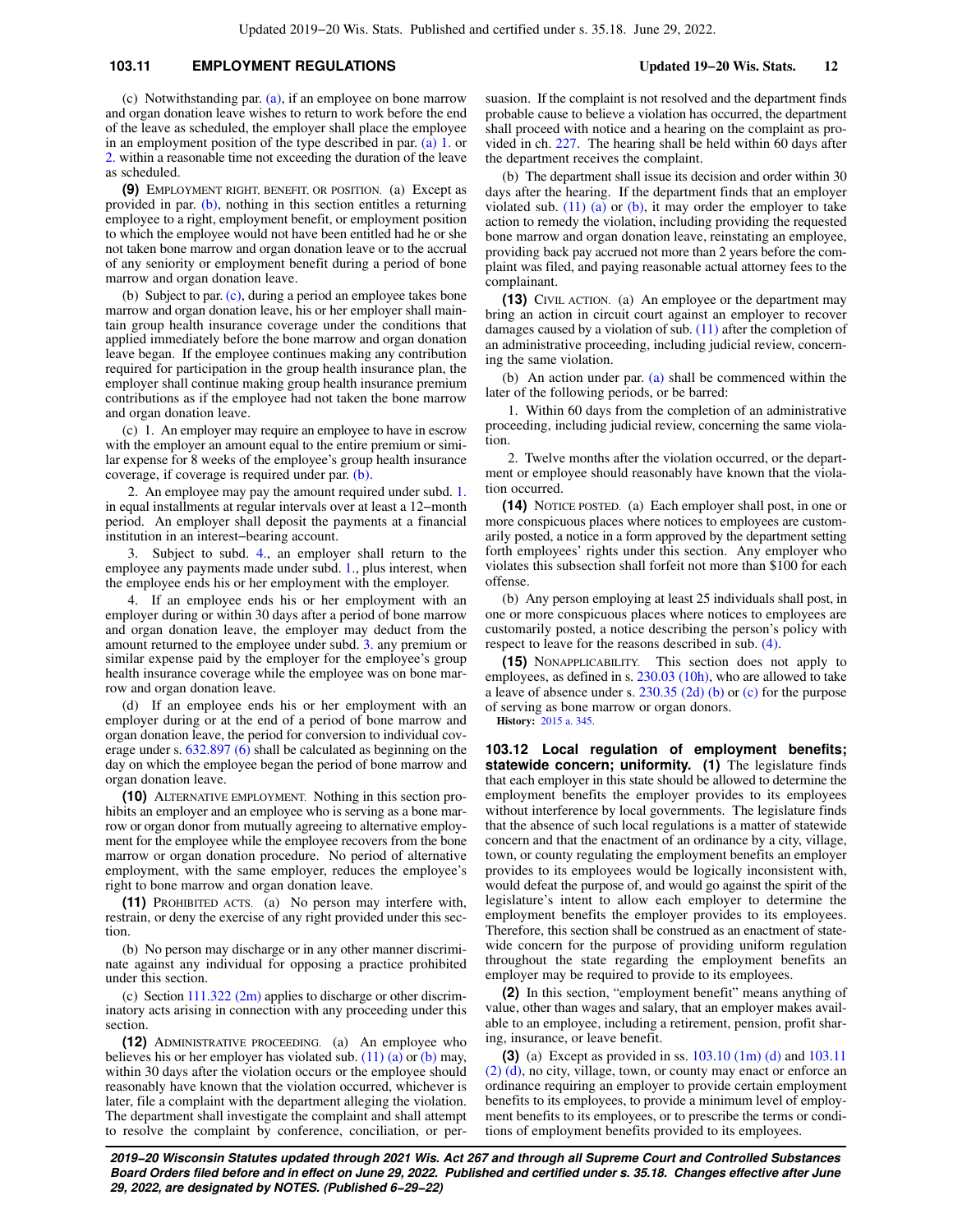# **103.11 EMPLOYMENT REGULATIONS Updated 19−20 Wis. Stats. 12**

(c) Notwithstanding par. [\(a\),](https://docs.legis.wisconsin.gov/document/statutes/103.11(8)(a)) if an employee on bone marrow and organ donation leave wishes to return to work before the end of the leave as scheduled, the employer shall place the employee in an employment position of the type described in par.  $(a)$  1. or [2.](https://docs.legis.wisconsin.gov/document/statutes/103.11(8)(a)2.) within a reasonable time not exceeding the duration of the leave as scheduled.

**(9)** EMPLOYMENT RIGHT, BENEFIT, OR POSITION. (a) Except as provided in par. [\(b\),](https://docs.legis.wisconsin.gov/document/statutes/103.11(9)(b)) nothing in this section entitles a returning employee to a right, employment benefit, or employment position to which the employee would not have been entitled had he or she not taken bone marrow and organ donation leave or to the accrual of any seniority or employment benefit during a period of bone marrow and organ donation leave.

(b) Subject to par. [\(c\)](https://docs.legis.wisconsin.gov/document/statutes/103.11(9)(c)), during a period an employee takes bone marrow and organ donation leave, his or her employer shall maintain group health insurance coverage under the conditions that applied immediately before the bone marrow and organ donation leave began. If the employee continues making any contribution required for participation in the group health insurance plan, the employer shall continue making group health insurance premium contributions as if the employee had not taken the bone marrow and organ donation leave.

(c) 1. An employer may require an employee to have in escrow with the employer an amount equal to the entire premium or similar expense for 8 weeks of the employee's group health insurance coverage, if coverage is required under par. [\(b\)](https://docs.legis.wisconsin.gov/document/statutes/103.11(9)(b)).

2. An employee may pay the amount required under subd. [1.](https://docs.legis.wisconsin.gov/document/statutes/103.11(9)(c)1.) in equal installments at regular intervals over at least a 12−month period. An employer shall deposit the payments at a financial institution in an interest−bearing account.

3. Subject to subd. [4.,](https://docs.legis.wisconsin.gov/document/statutes/103.11(9)(c)4.) an employer shall return to the employee any payments made under subd. [1.,](https://docs.legis.wisconsin.gov/document/statutes/103.11(9)(c)1.) plus interest, when the employee ends his or her employment with the employer.

4. If an employee ends his or her employment with an employer during or within 30 days after a period of bone marrow and organ donation leave, the employer may deduct from the amount returned to the employee under subd. [3.](https://docs.legis.wisconsin.gov/document/statutes/103.11(9)(c)3.) any premium or similar expense paid by the employer for the employee's group health insurance coverage while the employee was on bone marrow and organ donation leave.

(d) If an employee ends his or her employment with an employer during or at the end of a period of bone marrow and organ donation leave, the period for conversion to individual coverage under s. [632.897 \(6\)](https://docs.legis.wisconsin.gov/document/statutes/632.897(6)) shall be calculated as beginning on the day on which the employee began the period of bone marrow and organ donation leave.

**(10)** ALTERNATIVE EMPLOYMENT. Nothing in this section prohibits an employer and an employee who is serving as a bone marrow or organ donor from mutually agreeing to alternative employment for the employee while the employee recovers from the bone marrow or organ donation procedure. No period of alternative employment, with the same employer, reduces the employee's right to bone marrow and organ donation leave.

**(11)** PROHIBITED ACTS. (a) No person may interfere with, restrain, or deny the exercise of any right provided under this section.

(b) No person may discharge or in any other manner discriminate against any individual for opposing a practice prohibited under this section.

(c) Section  $111.322$  (2m) applies to discharge or other discriminatory acts arising in connection with any proceeding under this section.

**(12)** ADMINISTRATIVE PROCEEDING. (a) An employee who believes his or her employer has violated sub. [\(11\) \(a\)](https://docs.legis.wisconsin.gov/document/statutes/103.11(11)(a)) or [\(b\)](https://docs.legis.wisconsin.gov/document/statutes/103.11(11)(b)) may, within 30 days after the violation occurs or the employee should reasonably have known that the violation occurred, whichever is later, file a complaint with the department alleging the violation. The department shall investigate the complaint and shall attempt to resolve the complaint by conference, conciliation, or persuasion. If the complaint is not resolved and the department finds probable cause to believe a violation has occurred, the department shall proceed with notice and a hearing on the complaint as provided in ch. [227.](https://docs.legis.wisconsin.gov/document/statutes/ch.%20227) The hearing shall be held within 60 days after the department receives the complaint.

(b) The department shall issue its decision and order within 30 days after the hearing. If the department finds that an employer violated sub.  $(11)$  (a) or [\(b\),](https://docs.legis.wisconsin.gov/document/statutes/103.11(11)(b)) it may order the employer to take action to remedy the violation, including providing the requested bone marrow and organ donation leave, reinstating an employee, providing back pay accrued not more than 2 years before the complaint was filed, and paying reasonable actual attorney fees to the complainant.

**(13)** CIVIL ACTION. (a) An employee or the department may bring an action in circuit court against an employer to recover damages caused by a violation of sub. [\(11\)](https://docs.legis.wisconsin.gov/document/statutes/103.11(11)) after the completion of an administrative proceeding, including judicial review, concerning the same violation.

(b) An action under par. [\(a\)](https://docs.legis.wisconsin.gov/document/statutes/103.11(13)(a)) shall be commenced within the later of the following periods, or be barred:

1. Within 60 days from the completion of an administrative proceeding, including judicial review, concerning the same violation.

2. Twelve months after the violation occurred, or the department or employee should reasonably have known that the violation occurred.

**(14)** NOTICE POSTED. (a) Each employer shall post, in one or more conspicuous places where notices to employees are customarily posted, a notice in a form approved by the department setting forth employees' rights under this section. Any employer who violates this subsection shall forfeit not more than \$100 for each offense.

(b) Any person employing at least 25 individuals shall post, in one or more conspicuous places where notices to employees are customarily posted, a notice describing the person's policy with respect to leave for the reasons described in sub. [\(4\)](https://docs.legis.wisconsin.gov/document/statutes/103.11(4)).

**(15)** NONAPPLICABILITY. This section does not apply to employees, as defined in s. [230.03 \(10h\),](https://docs.legis.wisconsin.gov/document/statutes/230.03(10h)) who are allowed to take a leave of absence under s. [230.35 \(2d\) \(b\)](https://docs.legis.wisconsin.gov/document/statutes/230.35(2d)(b)) or [\(c\)](https://docs.legis.wisconsin.gov/document/statutes/230.35(2d)(c)) for the purpose of serving as bone marrow or organ donors.

**History:** [2015 a. 345.](https://docs.legis.wisconsin.gov/document/acts/2015/345)

**103.12 Local regulation of employment benefits; statewide concern; uniformity. (1)** The legislature finds that each employer in this state should be allowed to determine the employment benefits the employer provides to its employees without interference by local governments. The legislature finds that the absence of such local regulations is a matter of statewide concern and that the enactment of an ordinance by a city, village, town, or county regulating the employment benefits an employer provides to its employees would be logically inconsistent with, would defeat the purpose of, and would go against the spirit of the legislature's intent to allow each employer to determine the employment benefits the employer provides to its employees. Therefore, this section shall be construed as an enactment of statewide concern for the purpose of providing uniform regulation throughout the state regarding the employment benefits an employer may be required to provide to its employees.

**(2)** In this section, "employment benefit" means anything of value, other than wages and salary, that an employer makes available to an employee, including a retirement, pension, profit sharing, insurance, or leave benefit.

**(3)** (a) Except as provided in ss. [103.10 \(1m\) \(d\)](https://docs.legis.wisconsin.gov/document/statutes/103.10(1m)(d)) and [103.11](https://docs.legis.wisconsin.gov/document/statutes/103.11(2)(d)) [\(2\) \(d\)](https://docs.legis.wisconsin.gov/document/statutes/103.11(2)(d)), no city, village, town, or county may enact or enforce an ordinance requiring an employer to provide certain employment benefits to its employees, to provide a minimum level of employment benefits to its employees, or to prescribe the terms or conditions of employment benefits provided to its employees.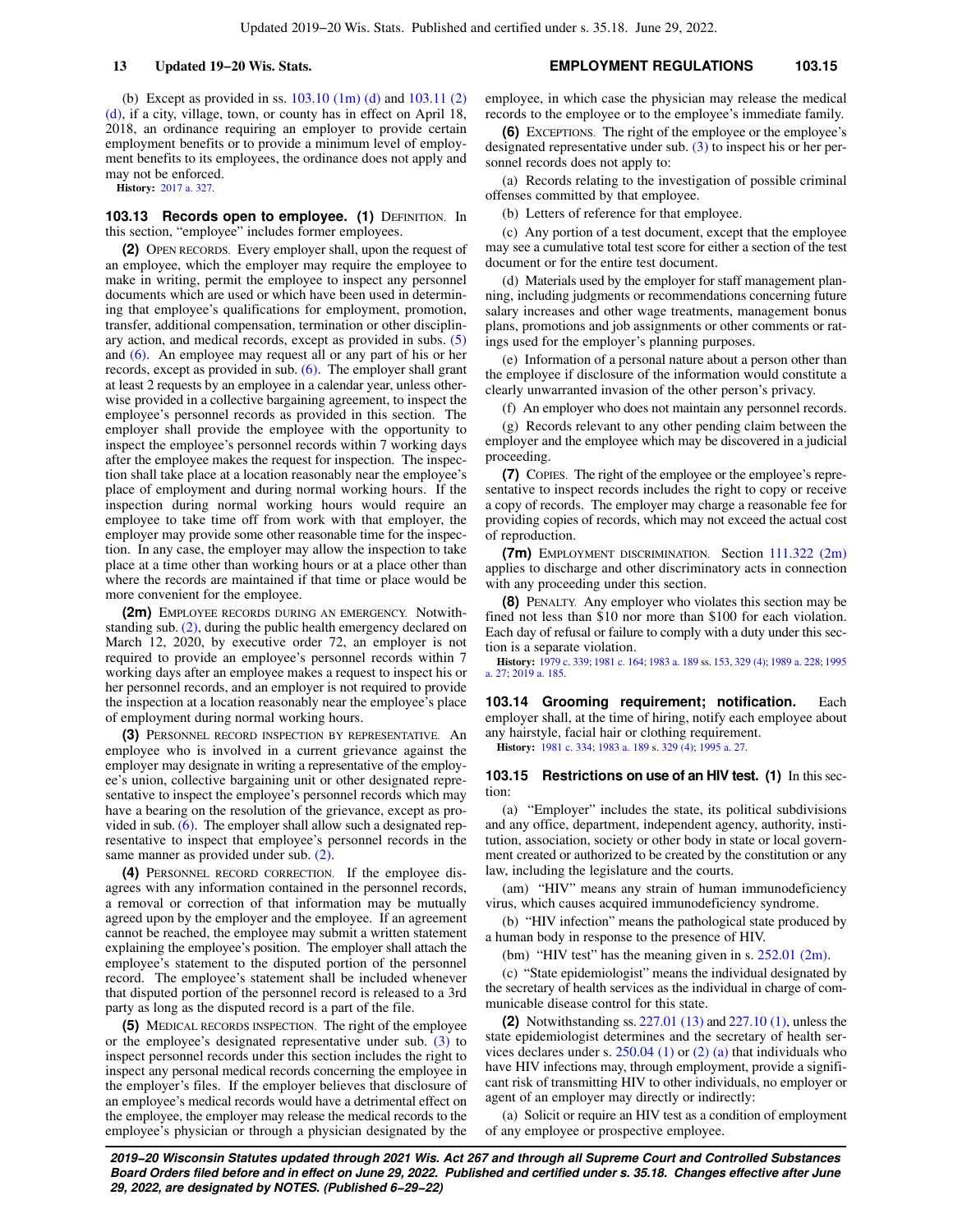(b) Except as provided in ss. [103.10 \(1m\) \(d\)](https://docs.legis.wisconsin.gov/document/statutes/103.10(1m)(d)) and [103.11 \(2\)](https://docs.legis.wisconsin.gov/document/statutes/103.11(2)(d)) [\(d\)](https://docs.legis.wisconsin.gov/document/statutes/103.11(2)(d)), if a city, village, town, or county has in effect on April 18, 2018, an ordinance requiring an employer to provide certain employment benefits or to provide a minimum level of employment benefits to its employees, the ordinance does not apply and may not be enforced.

**History:** [2017 a. 327](https://docs.legis.wisconsin.gov/document/acts/2017/327).

**103.13 Records open to employee. (1) DEFINITION. In** this section, "employee" includes former employees.

**(2)** OPEN RECORDS. Every employer shall, upon the request of an employee, which the employer may require the employee to make in writing, permit the employee to inspect any personnel documents which are used or which have been used in determining that employee's qualifications for employment, promotion, transfer, additional compensation, termination or other disciplinary action, and medical records, except as provided in subs. [\(5\)](https://docs.legis.wisconsin.gov/document/statutes/103.13(5)) and [\(6\)](https://docs.legis.wisconsin.gov/document/statutes/103.13(6)). An employee may request all or any part of his or her records, except as provided in sub. [\(6\)](https://docs.legis.wisconsin.gov/document/statutes/103.13(6)). The employer shall grant at least 2 requests by an employee in a calendar year, unless otherwise provided in a collective bargaining agreement, to inspect the employee's personnel records as provided in this section. The employer shall provide the employee with the opportunity to inspect the employee's personnel records within 7 working days after the employee makes the request for inspection. The inspection shall take place at a location reasonably near the employee's place of employment and during normal working hours. If the inspection during normal working hours would require an employee to take time off from work with that employer, the employer may provide some other reasonable time for the inspection. In any case, the employer may allow the inspection to take place at a time other than working hours or at a place other than where the records are maintained if that time or place would be more convenient for the employee.

**(2m)** EMPLOYEE RECORDS DURING AN EMERGENCY. Notwithstanding sub. [\(2\)](https://docs.legis.wisconsin.gov/document/statutes/103.13(2)), during the public health emergency declared on March 12, 2020, by executive order 72, an employer is not required to provide an employee's personnel records within 7 working days after an employee makes a request to inspect his or her personnel records, and an employer is not required to provide the inspection at a location reasonably near the employee's place of employment during normal working hours.

**(3)** PERSONNEL RECORD INSPECTION BY REPRESENTATIVE. An employee who is involved in a current grievance against the employer may designate in writing a representative of the employee's union, collective bargaining unit or other designated representative to inspect the employee's personnel records which may have a bearing on the resolution of the grievance, except as provided in sub.  $(6)$ . The employer shall allow such a designated representative to inspect that employee's personnel records in the same manner as provided under sub. [\(2\).](https://docs.legis.wisconsin.gov/document/statutes/103.13(2))

**(4)** PERSONNEL RECORD CORRECTION. If the employee disagrees with any information contained in the personnel records, a removal or correction of that information may be mutually agreed upon by the employer and the employee. If an agreement cannot be reached, the employee may submit a written statement explaining the employee's position. The employer shall attach the employee's statement to the disputed portion of the personnel record. The employee's statement shall be included whenever that disputed portion of the personnel record is released to a 3rd party as long as the disputed record is a part of the file.

**(5)** MEDICAL RECORDS INSPECTION. The right of the employee or the employee's designated representative under sub. [\(3\)](https://docs.legis.wisconsin.gov/document/statutes/103.13(3)) to inspect personnel records under this section includes the right to inspect any personal medical records concerning the employee in the employer's files. If the employer believes that disclosure of an employee's medical records would have a detrimental effect on the employee, the employer may release the medical records to the employee's physician or through a physician designated by the employee, in which case the physician may release the medical records to the employee or to the employee's immediate family.

**(6)** EXCEPTIONS. The right of the employee or the employee's designated representative under sub. [\(3\)](https://docs.legis.wisconsin.gov/document/statutes/103.13(3)) to inspect his or her personnel records does not apply to:

(a) Records relating to the investigation of possible criminal offenses committed by that employee.

(b) Letters of reference for that employee.

(c) Any portion of a test document, except that the employee may see a cumulative total test score for either a section of the test document or for the entire test document.

(d) Materials used by the employer for staff management planning, including judgments or recommendations concerning future salary increases and other wage treatments, management bonus plans, promotions and job assignments or other comments or ratings used for the employer's planning purposes.

(e) Information of a personal nature about a person other than the employee if disclosure of the information would constitute a clearly unwarranted invasion of the other person's privacy.

(f) An employer who does not maintain any personnel records.

(g) Records relevant to any other pending claim between the employer and the employee which may be discovered in a judicial proceeding.

**(7)** COPIES. The right of the employee or the employee's representative to inspect records includes the right to copy or receive a copy of records. The employer may charge a reasonable fee for providing copies of records, which may not exceed the actual cost of reproduction.

**(7m)** EMPLOYMENT DISCRIMINATION. Section [111.322 \(2m\)](https://docs.legis.wisconsin.gov/document/statutes/111.322(2m)) applies to discharge and other discriminatory acts in connection with any proceeding under this section.

**(8)** PENALTY. Any employer who violates this section may be fined not less than \$10 nor more than \$100 for each violation. Each day of refusal or failure to comply with a duty under this section is a separate violation.

**History:** [1979 c. 339;](https://docs.legis.wisconsin.gov/document/acts/1979/339) [1981 c. 164;](https://docs.legis.wisconsin.gov/document/acts/1981/164) [1983 a. 189](https://docs.legis.wisconsin.gov/document/acts/1983/189) ss. [153](https://docs.legis.wisconsin.gov/document/acts/1983/189,%20s.%20153), [329 \(4\);](https://docs.legis.wisconsin.gov/document/acts/1983/189,%20s.%20329) [1989 a. 228](https://docs.legis.wisconsin.gov/document/acts/1989/228); [1995](https://docs.legis.wisconsin.gov/document/acts/1995/27) [a. 27;](https://docs.legis.wisconsin.gov/document/acts/1995/27) [2019 a. 185](https://docs.legis.wisconsin.gov/document/acts/2019/185).

**103.14 Grooming requirement; notification.** Each employer shall, at the time of hiring, notify each employee about any hairstyle, facial hair or clothing requirement. **History:** [1981 c. 334;](https://docs.legis.wisconsin.gov/document/acts/1981/334) [1983 a. 189](https://docs.legis.wisconsin.gov/document/acts/1983/189) s. [329 \(4\);](https://docs.legis.wisconsin.gov/document/acts/1983/189,%20s.%20329) [1995 a. 27.](https://docs.legis.wisconsin.gov/document/acts/1995/27)

#### **103.15 Restrictions on use of an HIV test. (1)** In this section:

(a) "Employer" includes the state, its political subdivisions and any office, department, independent agency, authority, institution, association, society or other body in state or local government created or authorized to be created by the constitution or any law, including the legislature and the courts.

(am) "HIV" means any strain of human immunodeficiency virus, which causes acquired immunodeficiency syndrome.

(b) "HIV infection" means the pathological state produced by a human body in response to the presence of HIV.

(bm) "HIV test" has the meaning given in s. [252.01 \(2m\).](https://docs.legis.wisconsin.gov/document/statutes/252.01(2m))

(c) "State epidemiologist" means the individual designated by the secretary of health services as the individual in charge of communicable disease control for this state.

**(2)** Notwithstanding ss. [227.01 \(13\)](https://docs.legis.wisconsin.gov/document/statutes/227.01(13)) and [227.10 \(1\)](https://docs.legis.wisconsin.gov/document/statutes/227.10(1)), unless the state epidemiologist determines and the secretary of health services declares under s.  $250.04$  (1) or [\(2\) \(a\)](https://docs.legis.wisconsin.gov/document/statutes/250.04(2)(a)) that individuals who have HIV infections may, through employment, provide a significant risk of transmitting HIV to other individuals, no employer or agent of an employer may directly or indirectly:

(a) Solicit or require an HIV test as a condition of employment of any employee or prospective employee.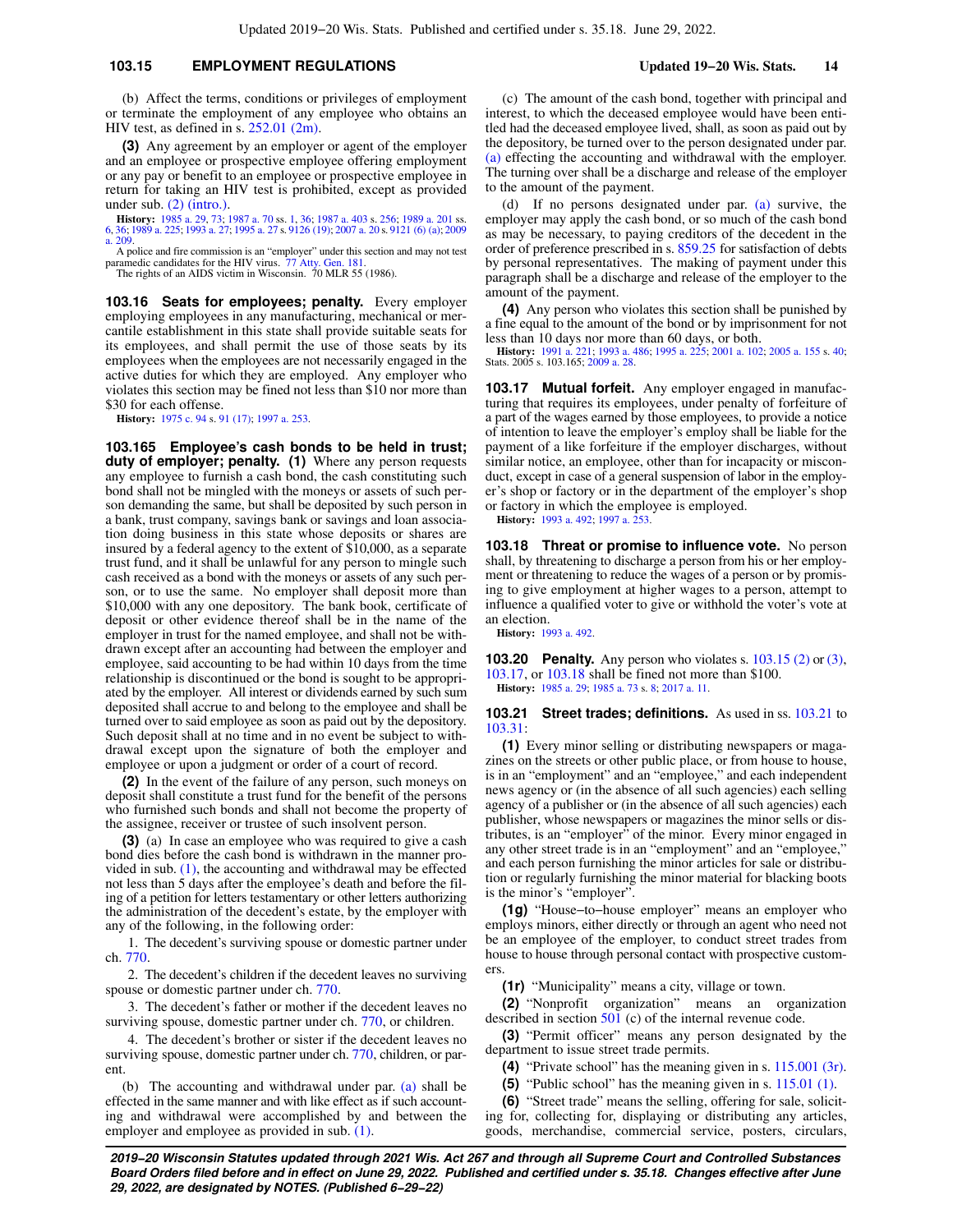## **103.15 EMPLOYMENT REGULATIONS Updated 19−20 Wis. Stats. 14**

(b) Affect the terms, conditions or privileges of employment or terminate the employment of any employee who obtains an HIV test, as defined in s. [252.01 \(2m\)](https://docs.legis.wisconsin.gov/document/statutes/252.01(2m)).

**(3)** Any agreement by an employer or agent of the employer and an employee or prospective employee offering employment or any pay or benefit to an employee or prospective employee in return for taking an HIV test is prohibited, except as provided under sub. [\(2\) \(intro.\).](https://docs.legis.wisconsin.gov/document/statutes/103.15(2)(intro.))

**History:** [1985 a. 29](https://docs.legis.wisconsin.gov/document/acts/1985/29), [73;](https://docs.legis.wisconsin.gov/document/acts/1985/73) [1987 a. 70](https://docs.legis.wisconsin.gov/document/acts/1987/70) ss. [1,](https://docs.legis.wisconsin.gov/document/acts/1987/70,%20s.%201) [36](https://docs.legis.wisconsin.gov/document/acts/1987/70,%20s.%2036); [1987 a. 403](https://docs.legis.wisconsin.gov/document/acts/1987/403) s. [256;](https://docs.legis.wisconsin.gov/document/acts/1987/403,%20s.%20256) [1989 a. 201](https://docs.legis.wisconsin.gov/document/acts/1989/201) ss. [6](https://docs.legis.wisconsin.gov/document/acts/1989/201,%20s.%206), [36](https://docs.legis.wisconsin.gov/document/acts/1989/201,%20s.%2036); [1989 a. 225;](https://docs.legis.wisconsin.gov/document/acts/1989/225) [1993 a. 27](https://docs.legis.wisconsin.gov/document/acts/1993/27); [1995 a. 27](https://docs.legis.wisconsin.gov/document/acts/1995/27) s. [9126 \(19\)](https://docs.legis.wisconsin.gov/document/acts/1995/27,%20s.%209126); [2007 a. 20](https://docs.legis.wisconsin.gov/document/acts/2007/20) s. [9121 \(6\) \(a\);](https://docs.legis.wisconsin.gov/document/acts/2007/20,%20s.%209121) [2009](https://docs.legis.wisconsin.gov/document/acts/2009/209) [a. 209.](https://docs.legis.wisconsin.gov/document/acts/2009/209)

A police and fire commission is an "employer" under this section and may not test paramedic candidates for the HIV virus. [77 Atty. Gen. 181.](https://docs.legis.wisconsin.gov/document/oag/vol77-181) The rights of an AIDS victim in Wisconsin. 70 MLR 55 (1986).

**103.16 Seats for employees; penalty.** Every employer employing employees in any manufacturing, mechanical or mercantile establishment in this state shall provide suitable seats for its employees, and shall permit the use of those seats by its employees when the employees are not necessarily engaged in the active duties for which they are employed. Any employer who violates this section may be fined not less than \$10 nor more than \$30 for each offense.

**History:** [1975 c. 94](https://docs.legis.wisconsin.gov/document/acts/1975/94) s. [91 \(17\)](https://docs.legis.wisconsin.gov/document/acts/1975/94,%20s.%2091); [1997 a. 253.](https://docs.legis.wisconsin.gov/document/acts/1997/253)

**103.165 Employee's cash bonds to be held in trust; duty of employer; penalty. (1)** Where any person requests any employee to furnish a cash bond, the cash constituting such bond shall not be mingled with the moneys or assets of such person demanding the same, but shall be deposited by such person in a bank, trust company, savings bank or savings and loan association doing business in this state whose deposits or shares are insured by a federal agency to the extent of \$10,000, as a separate trust fund, and it shall be unlawful for any person to mingle such cash received as a bond with the moneys or assets of any such person, or to use the same. No employer shall deposit more than \$10,000 with any one depository. The bank book, certificate of deposit or other evidence thereof shall be in the name of the employer in trust for the named employee, and shall not be withdrawn except after an accounting had between the employer and employee, said accounting to be had within 10 days from the time relationship is discontinued or the bond is sought to be appropriated by the employer. All interest or dividends earned by such sum deposited shall accrue to and belong to the employee and shall be turned over to said employee as soon as paid out by the depository. Such deposit shall at no time and in no event be subject to withdrawal except upon the signature of both the employer and employee or upon a judgment or order of a court of record.

**(2)** In the event of the failure of any person, such moneys on deposit shall constitute a trust fund for the benefit of the persons who furnished such bonds and shall not become the property of the assignee, receiver or trustee of such insolvent person.

**(3)** (a) In case an employee who was required to give a cash bond dies before the cash bond is withdrawn in the manner provided in sub.  $(1)$ , the accounting and withdrawal may be effected not less than 5 days after the employee's death and before the filing of a petition for letters testamentary or other letters authorizing the administration of the decedent's estate, by the employer with any of the following, in the following order:

1. The decedent's surviving spouse or domestic partner under ch. [770](https://docs.legis.wisconsin.gov/document/statutes/ch.%20770).

2. The decedent's children if the decedent leaves no surviving spouse or domestic partner under ch. [770.](https://docs.legis.wisconsin.gov/document/statutes/ch.%20770)

3. The decedent's father or mother if the decedent leaves no surviving spouse, domestic partner under ch. [770,](https://docs.legis.wisconsin.gov/document/statutes/ch.%20770) or children.

4. The decedent's brother or sister if the decedent leaves no surviving spouse, domestic partner under ch. [770,](https://docs.legis.wisconsin.gov/document/statutes/ch.%20770) children, or parent.

(b) The accounting and withdrawal under par. [\(a\)](https://docs.legis.wisconsin.gov/document/statutes/103.165(3)(a)) shall be effected in the same manner and with like effect as if such accounting and withdrawal were accomplished by and between the employer and employee as provided in sub. [\(1\)](https://docs.legis.wisconsin.gov/document/statutes/103.165(1)).

(c) The amount of the cash bond, together with principal and interest, to which the deceased employee would have been entitled had the deceased employee lived, shall, as soon as paid out by the depository, be turned over to the person designated under par. [\(a\)](https://docs.legis.wisconsin.gov/document/statutes/103.165(3)(a)) effecting the accounting and withdrawal with the employer. The turning over shall be a discharge and release of the employer to the amount of the payment.

(d) If no persons designated under par. [\(a\)](https://docs.legis.wisconsin.gov/document/statutes/103.165(3)(a)) survive, the employer may apply the cash bond, or so much of the cash bond as may be necessary, to paying creditors of the decedent in the order of preference prescribed in s. [859.25](https://docs.legis.wisconsin.gov/document/statutes/859.25) for satisfaction of debts by personal representatives. The making of payment under this paragraph shall be a discharge and release of the employer to the amount of the payment.

**(4)** Any person who violates this section shall be punished by a fine equal to the amount of the bond or by imprisonment for not less than 10 days nor more than 60 days, or both.

**History:** [1991 a. 221;](https://docs.legis.wisconsin.gov/document/acts/1991/221) [1993 a. 486](https://docs.legis.wisconsin.gov/document/acts/1993/486); [1995 a. 225;](https://docs.legis.wisconsin.gov/document/acts/1995/225) [2001 a. 102;](https://docs.legis.wisconsin.gov/document/acts/2001/102) [2005 a. 155](https://docs.legis.wisconsin.gov/document/acts/2005/155) s. [40](https://docs.legis.wisconsin.gov/document/acts/2005/155,%20s.%2040); Stats. 2005 s. 103.165; [2009 a. 28](https://docs.legis.wisconsin.gov/document/acts/2009/28).

**103.17 Mutual forfeit.** Any employer engaged in manufacturing that requires its employees, under penalty of forfeiture of a part of the wages earned by those employees, to provide a notice of intention to leave the employer's employ shall be liable for the payment of a like forfeiture if the employer discharges, without similar notice, an employee, other than for incapacity or misconduct, except in case of a general suspension of labor in the employer's shop or factory or in the department of the employer's shop or factory in which the employee is employed.

**History:** [1993 a. 492;](https://docs.legis.wisconsin.gov/document/acts/1993/492) [1997 a. 253](https://docs.legis.wisconsin.gov/document/acts/1997/253).

**103.18 Threat or promise to influence vote.** No person shall, by threatening to discharge a person from his or her employment or threatening to reduce the wages of a person or by promising to give employment at higher wages to a person, attempt to influence a qualified voter to give or withhold the voter's vote at an election.

**History:** [1993 a. 492.](https://docs.legis.wisconsin.gov/document/acts/1993/492)

**103.20 Penalty.** Any person who violates s. [103.15 \(2\)](https://docs.legis.wisconsin.gov/document/statutes/103.15(2)) or [\(3\),](https://docs.legis.wisconsin.gov/document/statutes/103.15(3)) [103.17,](https://docs.legis.wisconsin.gov/document/statutes/103.17) or [103.18](https://docs.legis.wisconsin.gov/document/statutes/103.18) shall be fined not more than \$100. **History:** [1985 a. 29](https://docs.legis.wisconsin.gov/document/acts/1985/29); [1985 a. 73](https://docs.legis.wisconsin.gov/document/acts/1985/73) s. [8;](https://docs.legis.wisconsin.gov/document/acts/1985/73,%20s.%208) [2017 a. 11.](https://docs.legis.wisconsin.gov/document/acts/2017/11)

#### **103.21 Street trades; definitions.** As used in ss. [103.21](https://docs.legis.wisconsin.gov/document/statutes/103.21) to [103.31:](https://docs.legis.wisconsin.gov/document/statutes/103.31)

**(1)** Every minor selling or distributing newspapers or magazines on the streets or other public place, or from house to house, is in an "employment" and an "employee," and each independent news agency or (in the absence of all such agencies) each selling agency of a publisher or (in the absence of all such agencies) each publisher, whose newspapers or magazines the minor sells or distributes, is an "employer" of the minor. Every minor engaged in any other street trade is in an "employment" and an "employee," and each person furnishing the minor articles for sale or distribution or regularly furnishing the minor material for blacking boots is the minor's "employer".

**(1g)** "House−to−house employer" means an employer who employs minors, either directly or through an agent who need not be an employee of the employer, to conduct street trades from house to house through personal contact with prospective customers

**(1r)** "Municipality" means a city, village or town.

**(2)** "Nonprofit organization" means an organization described in section [501](https://docs.legis.wisconsin.gov/document/usc/26%20USC%20501) (c) of the internal revenue code.

**(3)** "Permit officer" means any person designated by the department to issue street trade permits.

**(4)** "Private school" has the meaning given in s. [115.001 \(3r\).](https://docs.legis.wisconsin.gov/document/statutes/115.001(3r))

**(5)** "Public school" has the meaning given in s. [115.01 \(1\).](https://docs.legis.wisconsin.gov/document/statutes/115.01(1))

**(6)** "Street trade" means the selling, offering for sale, soliciting for, collecting for, displaying or distributing any articles, goods, merchandise, commercial service, posters, circulars,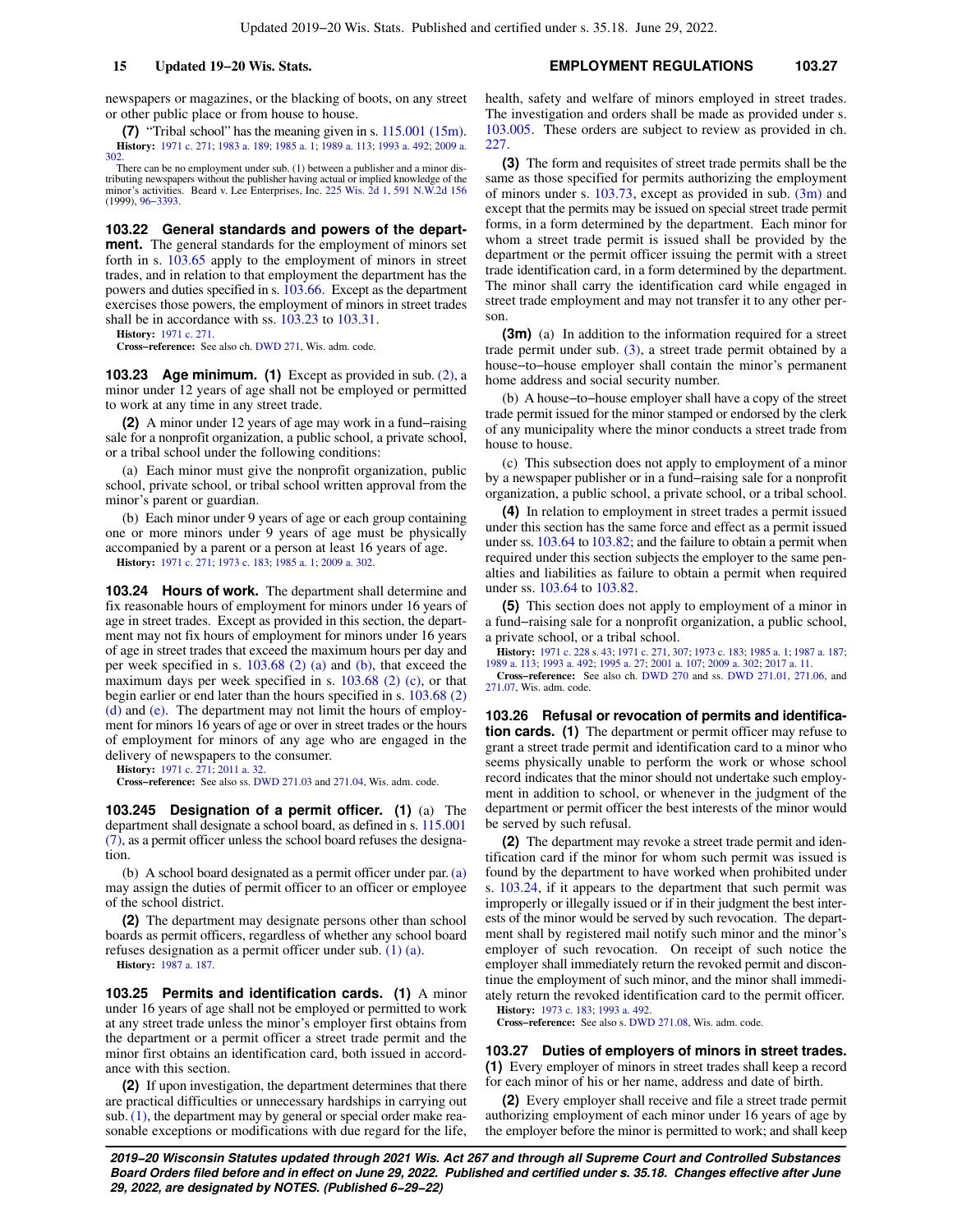newspapers or magazines, or the blacking of boots, on any street or other public place or from house to house.

**(7)** "Tribal school" has the meaning given in s. [115.001 \(15m\).](https://docs.legis.wisconsin.gov/document/statutes/115.001(15m)) **History:** [1971 c. 271](https://docs.legis.wisconsin.gov/document/acts/1971/271); [1983 a. 189](https://docs.legis.wisconsin.gov/document/acts/1983/189); [1985 a. 1;](https://docs.legis.wisconsin.gov/document/acts/1985/1) [1989 a. 113](https://docs.legis.wisconsin.gov/document/acts/1989/113); [1993 a. 492;](https://docs.legis.wisconsin.gov/document/acts/1993/492) [2009 a.](https://docs.legis.wisconsin.gov/document/acts/2009/302) [302](https://docs.legis.wisconsin.gov/document/acts/2009/302).

There can be no employment under sub. (1) between a publisher and a minor distributing newspapers without the publisher having actual or implied knowledge of the minor's activities. Beard v. Lee Enterprises, Inc. [225 Wis. 2d 1](https://docs.legis.wisconsin.gov/document/courts/225%20Wis.%202d%201), [591 N.W.2d 156](https://docs.legis.wisconsin.gov/document/courts/591%20N.W.2d%20156) (1999), [96−3393.](https://docs.legis.wisconsin.gov/document/wisupremecourt/96-3393)

**103.22 General standards and powers of the department.** The general standards for the employment of minors set forth in s. [103.65](https://docs.legis.wisconsin.gov/document/statutes/103.65) apply to the employment of minors in street trades, and in relation to that employment the department has the powers and duties specified in s. [103.66.](https://docs.legis.wisconsin.gov/document/statutes/103.66) Except as the department exercises those powers, the employment of minors in street trades shall be in accordance with ss. [103.23](https://docs.legis.wisconsin.gov/document/statutes/103.23) to [103.31.](https://docs.legis.wisconsin.gov/document/statutes/103.31)

**History:** [1971 c. 271](https://docs.legis.wisconsin.gov/document/acts/1971/271).

**Cross−reference:** See also ch. [DWD 271](https://docs.legis.wisconsin.gov/document/administrativecode/ch.%20DWD%20271), Wis. adm. code.

**103.23 Age minimum. (1)** Except as provided in sub. [\(2\),](https://docs.legis.wisconsin.gov/document/statutes/103.23(2)) a minor under 12 years of age shall not be employed or permitted to work at any time in any street trade.

**(2)** A minor under 12 years of age may work in a fund−raising sale for a nonprofit organization, a public school, a private school, or a tribal school under the following conditions:

(a) Each minor must give the nonprofit organization, public school, private school, or tribal school written approval from the minor's parent or guardian.

(b) Each minor under 9 years of age or each group containing one or more minors under 9 years of age must be physically accompanied by a parent or a person at least 16 years of age. **History:** [1971 c. 271](https://docs.legis.wisconsin.gov/document/acts/1971/271); [1973 c. 183](https://docs.legis.wisconsin.gov/document/acts/1973/183); [1985 a. 1;](https://docs.legis.wisconsin.gov/document/acts/1985/1) [2009 a. 302](https://docs.legis.wisconsin.gov/document/acts/2009/302).

**103.24 Hours of work.** The department shall determine and fix reasonable hours of employment for minors under 16 years of age in street trades. Except as provided in this section, the department may not fix hours of employment for minors under 16 years of age in street trades that exceed the maximum hours per day and per week specified in s. [103.68 \(2\) \(a\)](https://docs.legis.wisconsin.gov/document/statutes/103.68(2)(a)) and [\(b\)](https://docs.legis.wisconsin.gov/document/statutes/103.68(2)(b)), that exceed the maximum days per week specified in s. [103.68 \(2\) \(c\)](https://docs.legis.wisconsin.gov/document/statutes/103.68(2)(c)), or that begin earlier or end later than the hours specified in s. [103.68 \(2\)](https://docs.legis.wisconsin.gov/document/statutes/103.68(2)(d)) [\(d\)](https://docs.legis.wisconsin.gov/document/statutes/103.68(2)(d)) and [\(e\)](https://docs.legis.wisconsin.gov/document/statutes/103.68(2)(e)). The department may not limit the hours of employment for minors 16 years of age or over in street trades or the hours of employment for minors of any age who are engaged in the delivery of newspapers to the consumer.

**History:** [1971 c. 271](https://docs.legis.wisconsin.gov/document/acts/1971/271); [2011 a. 32](https://docs.legis.wisconsin.gov/document/acts/2011/32).

**Cross−reference:** See also ss. [DWD 271.03](https://docs.legis.wisconsin.gov/document/administrativecode/DWD%20271.03) and [271.04,](https://docs.legis.wisconsin.gov/document/administrativecode/DWD%20271.04) Wis. adm. code.

**103.245 Designation of a permit officer. (1)** (a) The department shall designate a school board, as defined in s. [115.001](https://docs.legis.wisconsin.gov/document/statutes/115.001(7)) [\(7\)](https://docs.legis.wisconsin.gov/document/statutes/115.001(7)), as a permit officer unless the school board refuses the designation.

(b) A school board designated as a permit officer under par.[\(a\)](https://docs.legis.wisconsin.gov/document/statutes/103.245(1)(a)) may assign the duties of permit officer to an officer or employee of the school district.

**(2)** The department may designate persons other than school boards as permit officers, regardless of whether any school board refuses designation as a permit officer under sub. [\(1\) \(a\).](https://docs.legis.wisconsin.gov/document/statutes/103.245(1)(a))

**History:** [1987 a. 187](https://docs.legis.wisconsin.gov/document/acts/1987/187).

**103.25 Permits and identification cards. (1)** A minor under 16 years of age shall not be employed or permitted to work at any street trade unless the minor's employer first obtains from the department or a permit officer a street trade permit and the minor first obtains an identification card, both issued in accordance with this section.

**(2)** If upon investigation, the department determines that there are practical difficulties or unnecessary hardships in carrying out sub. [\(1\),](https://docs.legis.wisconsin.gov/document/statutes/103.25(1)) the department may by general or special order make reasonable exceptions or modifications with due regard for the life, health, safety and welfare of minors employed in street trades. The investigation and orders shall be made as provided under s. [103.005](https://docs.legis.wisconsin.gov/document/statutes/103.005). These orders are subject to review as provided in ch. [227.](https://docs.legis.wisconsin.gov/document/statutes/ch.%20227)

**(3)** The form and requisites of street trade permits shall be the same as those specified for permits authorizing the employment of minors under s.  $103.73$ , except as provided in sub.  $(3m)$  and except that the permits may be issued on special street trade permit forms, in a form determined by the department. Each minor for whom a street trade permit is issued shall be provided by the department or the permit officer issuing the permit with a street trade identification card, in a form determined by the department. The minor shall carry the identification card while engaged in street trade employment and may not transfer it to any other person.

**(3m)** (a) In addition to the information required for a street trade permit under sub. [\(3\),](https://docs.legis.wisconsin.gov/document/statutes/103.25(3)) a street trade permit obtained by a house−to−house employer shall contain the minor's permanent home address and social security number.

(b) A house−to−house employer shall have a copy of the street trade permit issued for the minor stamped or endorsed by the clerk of any municipality where the minor conducts a street trade from house to house.

(c) This subsection does not apply to employment of a minor by a newspaper publisher or in a fund−raising sale for a nonprofit organization, a public school, a private school, or a tribal school.

**(4)** In relation to employment in street trades a permit issued under this section has the same force and effect as a permit issued under ss. [103.64](https://docs.legis.wisconsin.gov/document/statutes/103.64) to [103.82;](https://docs.legis.wisconsin.gov/document/statutes/103.82) and the failure to obtain a permit when required under this section subjects the employer to the same penalties and liabilities as failure to obtain a permit when required under ss. [103.64](https://docs.legis.wisconsin.gov/document/statutes/103.64) to [103.82.](https://docs.legis.wisconsin.gov/document/statutes/103.82)

**(5)** This section does not apply to employment of a minor in a fund−raising sale for a nonprofit organization, a public school, a private school, or a tribal school.

**History:** [1971 c. 228](https://docs.legis.wisconsin.gov/document/acts/1971/228) s. [43](https://docs.legis.wisconsin.gov/document/acts/1971/228,%20s.%2043); [1971 c. 271,](https://docs.legis.wisconsin.gov/document/acts/1971/271) [307;](https://docs.legis.wisconsin.gov/document/acts/1971/307) [1973 c. 183](https://docs.legis.wisconsin.gov/document/acts/1973/183); [1985 a. 1;](https://docs.legis.wisconsin.gov/document/acts/1985/1) [1987 a. 187](https://docs.legis.wisconsin.gov/document/acts/1987/187); [1989 a. 113;](https://docs.legis.wisconsin.gov/document/acts/1989/113) [1993 a. 492](https://docs.legis.wisconsin.gov/document/acts/1993/492); [1995 a. 27;](https://docs.legis.wisconsin.gov/document/acts/1995/27) [2001 a. 107](https://docs.legis.wisconsin.gov/document/acts/2001/107); [2009 a. 302;](https://docs.legis.wisconsin.gov/document/acts/2009/302) [2017 a. 11.](https://docs.legis.wisconsin.gov/document/acts/2017/11) **Cross−reference:** See also ch. [DWD 270](https://docs.legis.wisconsin.gov/document/administrativecode/ch.%20DWD%20270) and ss. [DWD 271.01](https://docs.legis.wisconsin.gov/document/administrativecode/DWD%20271.01), [271.06,](https://docs.legis.wisconsin.gov/document/administrativecode/DWD%20271.06) and [271.07](https://docs.legis.wisconsin.gov/document/administrativecode/DWD%20271.07), Wis. adm. code.

**103.26 Refusal or revocation of permits and identification cards.** (1) The department or permit officer may refuse to grant a street trade permit and identification card to a minor who seems physically unable to perform the work or whose school record indicates that the minor should not undertake such employment in addition to school, or whenever in the judgment of the department or permit officer the best interests of the minor would be served by such refusal.

**(2)** The department may revoke a street trade permit and identification card if the minor for whom such permit was issued is found by the department to have worked when prohibited under s. [103.24,](https://docs.legis.wisconsin.gov/document/statutes/103.24) if it appears to the department that such permit was improperly or illegally issued or if in their judgment the best interests of the minor would be served by such revocation. The department shall by registered mail notify such minor and the minor's employer of such revocation. On receipt of such notice the employer shall immediately return the revoked permit and discontinue the employment of such minor, and the minor shall immediately return the revoked identification card to the permit officer.

**History:** [1973 c. 183;](https://docs.legis.wisconsin.gov/document/acts/1973/183) [1993 a. 492](https://docs.legis.wisconsin.gov/document/acts/1993/492). **Cross−reference:** See also s. [DWD 271.08](https://docs.legis.wisconsin.gov/document/administrativecode/DWD%20271.08), Wis. adm. code.

**103.27 Duties of employers of minors in street trades. (1)** Every employer of minors in street trades shall keep a record for each minor of his or her name, address and date of birth.

**(2)** Every employer shall receive and file a street trade permit authorizing employment of each minor under 16 years of age by the employer before the minor is permitted to work; and shall keep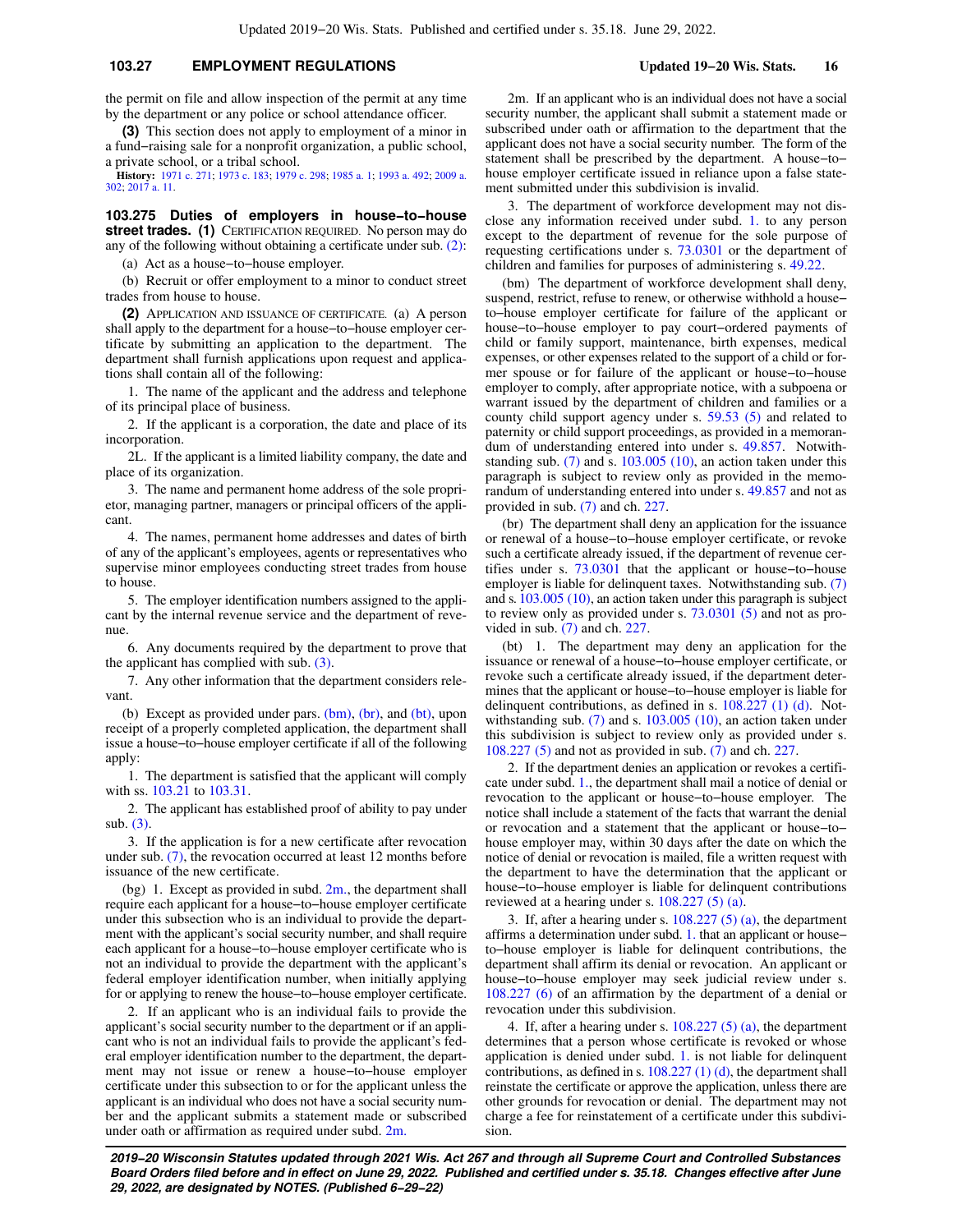## **103.27 EMPLOYMENT REGULATIONS Updated 19−20 Wis. Stats. 16**

the permit on file and allow inspection of the permit at any time by the department or any police or school attendance officer.

**(3)** This section does not apply to employment of a minor in a fund−raising sale for a nonprofit organization, a public school, a private school, or a tribal school.

**History:** [1971 c. 271](https://docs.legis.wisconsin.gov/document/acts/1971/271); [1973 c. 183;](https://docs.legis.wisconsin.gov/document/acts/1973/183) [1979 c. 298;](https://docs.legis.wisconsin.gov/document/acts/1979/298) [1985 a. 1](https://docs.legis.wisconsin.gov/document/acts/1985/1); [1993 a. 492;](https://docs.legis.wisconsin.gov/document/acts/1993/492) [2009 a.](https://docs.legis.wisconsin.gov/document/acts/2009/302) [302](https://docs.legis.wisconsin.gov/document/acts/2009/302); [2017 a. 11](https://docs.legis.wisconsin.gov/document/acts/2017/11).

**103.275 Duties of employers in house−to−house street trades. (1)** CERTIFICATION REQUIRED. No person may do any of the following without obtaining a certificate under sub. [\(2\):](https://docs.legis.wisconsin.gov/document/statutes/103.275(2))

(a) Act as a house−to−house employer.

(b) Recruit or offer employment to a minor to conduct street trades from house to house.

**(2)** APPLICATION AND ISSUANCE OF CERTIFICATE. (a) A person shall apply to the department for a house−to−house employer certificate by submitting an application to the department. The department shall furnish applications upon request and applications shall contain all of the following:

1. The name of the applicant and the address and telephone of its principal place of business.

2. If the applicant is a corporation, the date and place of its incorporation.

2L. If the applicant is a limited liability company, the date and place of its organization.

3. The name and permanent home address of the sole proprietor, managing partner, managers or principal officers of the applicant.

4. The names, permanent home addresses and dates of birth of any of the applicant's employees, agents or representatives who supervise minor employees conducting street trades from house to house.

5. The employer identification numbers assigned to the applicant by the internal revenue service and the department of revenue.

6. Any documents required by the department to prove that the applicant has complied with sub. [\(3\).](https://docs.legis.wisconsin.gov/document/statutes/103.275(3))

7. Any other information that the department considers relevant.

(b) Except as provided under pars.  $(bm)$ ,  $(br)$ , and  $(bt)$ , upon receipt of a properly completed application, the department shall issue a house−to−house employer certificate if all of the following apply:

1. The department is satisfied that the applicant will comply with ss. [103.21](https://docs.legis.wisconsin.gov/document/statutes/103.21) to [103.31](https://docs.legis.wisconsin.gov/document/statutes/103.31).

2. The applicant has established proof of ability to pay under sub. [\(3\)](https://docs.legis.wisconsin.gov/document/statutes/103.275(3)).

3. If the application is for a new certificate after revocation under sub. [\(7\),](https://docs.legis.wisconsin.gov/document/statutes/103.275(7)) the revocation occurred at least 12 months before issuance of the new certificate.

(bg) 1. Except as provided in subd.  $2m$ , the department shall require each applicant for a house−to−house employer certificate under this subsection who is an individual to provide the department with the applicant's social security number, and shall require each applicant for a house−to−house employer certificate who is not an individual to provide the department with the applicant's federal employer identification number, when initially applying for or applying to renew the house−to−house employer certificate.

2. If an applicant who is an individual fails to provide the applicant's social security number to the department or if an applicant who is not an individual fails to provide the applicant's federal employer identification number to the department, the department may not issue or renew a house−to−house employer certificate under this subsection to or for the applicant unless the applicant is an individual who does not have a social security number and the applicant submits a statement made or subscribed under oath or affirmation as required under subd. [2m.](https://docs.legis.wisconsin.gov/document/statutes/103.275(2)(bg)2m.)

2m. If an applicant who is an individual does not have a social security number, the applicant shall submit a statement made or subscribed under oath or affirmation to the department that the applicant does not have a social security number. The form of the statement shall be prescribed by the department. A house−to− house employer certificate issued in reliance upon a false statement submitted under this subdivision is invalid.

3. The department of workforce development may not disclose any information received under subd. [1.](https://docs.legis.wisconsin.gov/document/statutes/103.275(2)(bg)1.) to any person except to the department of revenue for the sole purpose of requesting certifications under s. [73.0301](https://docs.legis.wisconsin.gov/document/statutes/73.0301) or the department of children and families for purposes of administering s. [49.22](https://docs.legis.wisconsin.gov/document/statutes/49.22).

(bm) The department of workforce development shall deny, suspend, restrict, refuse to renew, or otherwise withhold a house– to−house employer certificate for failure of the applicant or house−to−house employer to pay court−ordered payments of child or family support, maintenance, birth expenses, medical expenses, or other expenses related to the support of a child or former spouse or for failure of the applicant or house−to−house employer to comply, after appropriate notice, with a subpoena or warrant issued by the department of children and families or a county child support agency under s. [59.53 \(5\)](https://docs.legis.wisconsin.gov/document/statutes/59.53(5)) and related to paternity or child support proceedings, as provided in a memorandum of understanding entered into under s. [49.857.](https://docs.legis.wisconsin.gov/document/statutes/49.857) Notwithstanding sub. [\(7\)](https://docs.legis.wisconsin.gov/document/statutes/103.275(7)) and s. [103.005 \(10\)](https://docs.legis.wisconsin.gov/document/statutes/103.005(10)), an action taken under this paragraph is subject to review only as provided in the memorandum of understanding entered into under s. [49.857](https://docs.legis.wisconsin.gov/document/statutes/49.857) and not as provided in sub. [\(7\)](https://docs.legis.wisconsin.gov/document/statutes/103.275(7)) and ch. [227.](https://docs.legis.wisconsin.gov/document/statutes/ch.%20227)

(br) The department shall deny an application for the issuance or renewal of a house−to−house employer certificate, or revoke such a certificate already issued, if the department of revenue certifies under s. [73.0301](https://docs.legis.wisconsin.gov/document/statutes/73.0301) that the applicant or house−to−house employer is liable for delinquent taxes. Notwithstanding sub. [\(7\)](https://docs.legis.wisconsin.gov/document/statutes/103.275(7)) and s. [103.005 \(10\),](https://docs.legis.wisconsin.gov/document/statutes/103.005(10)) an action taken under this paragraph is subject to review only as provided under s. [73.0301 \(5\)](https://docs.legis.wisconsin.gov/document/statutes/73.0301(5)) and not as provided in sub. [\(7\)](https://docs.legis.wisconsin.gov/document/statutes/103.275(7)) and ch. [227.](https://docs.legis.wisconsin.gov/document/statutes/ch.%20227)

(bt) 1. The department may deny an application for the issuance or renewal of a house−to−house employer certificate, or revoke such a certificate already issued, if the department determines that the applicant or house−to−house employer is liable for delinquent contributions, as defined in s. [108.227 \(1\) \(d\)](https://docs.legis.wisconsin.gov/document/statutes/108.227(1)(d)). Notwithstanding sub.  $(7)$  and s.  $103.005$   $(10)$ , an action taken under this subdivision is subject to review only as provided under s. [108.227 \(5\)](https://docs.legis.wisconsin.gov/document/statutes/108.227(5)) and not as provided in sub. [\(7\)](https://docs.legis.wisconsin.gov/document/statutes/103.275(7)) and ch. [227](https://docs.legis.wisconsin.gov/document/statutes/ch.%20227).

2. If the department denies an application or revokes a certificate under subd. [1.](https://docs.legis.wisconsin.gov/document/statutes/103.275(2)(bt)1.), the department shall mail a notice of denial or revocation to the applicant or house−to−house employer. The notice shall include a statement of the facts that warrant the denial or revocation and a statement that the applicant or house−to− house employer may, within 30 days after the date on which the notice of denial or revocation is mailed, file a written request with the department to have the determination that the applicant or house−to−house employer is liable for delinquent contributions reviewed at a hearing under s. [108.227 \(5\) \(a\)](https://docs.legis.wisconsin.gov/document/statutes/108.227(5)(a)).

3. If, after a hearing under s.  $108.227(5)(a)$ , the department affirms a determination under subd. [1.](https://docs.legis.wisconsin.gov/document/statutes/103.275(2)(bt)1.) that an applicant or house− to−house employer is liable for delinquent contributions, the department shall affirm its denial or revocation. An applicant or house−to−house employer may seek judicial review under s. [108.227 \(6\)](https://docs.legis.wisconsin.gov/document/statutes/108.227(6)) of an affirmation by the department of a denial or revocation under this subdivision.

4. If, after a hearing under s.  $108.227(5)(a)$ , the department determines that a person whose certificate is revoked or whose application is denied under subd. [1.](https://docs.legis.wisconsin.gov/document/statutes/103.275(2)(bt)1.) is not liable for delinquent contributions, as defined in s. [108.227 \(1\) \(d\)](https://docs.legis.wisconsin.gov/document/statutes/108.227(1)(d)), the department shall reinstate the certificate or approve the application, unless there are other grounds for revocation or denial. The department may not charge a fee for reinstatement of a certificate under this subdivision.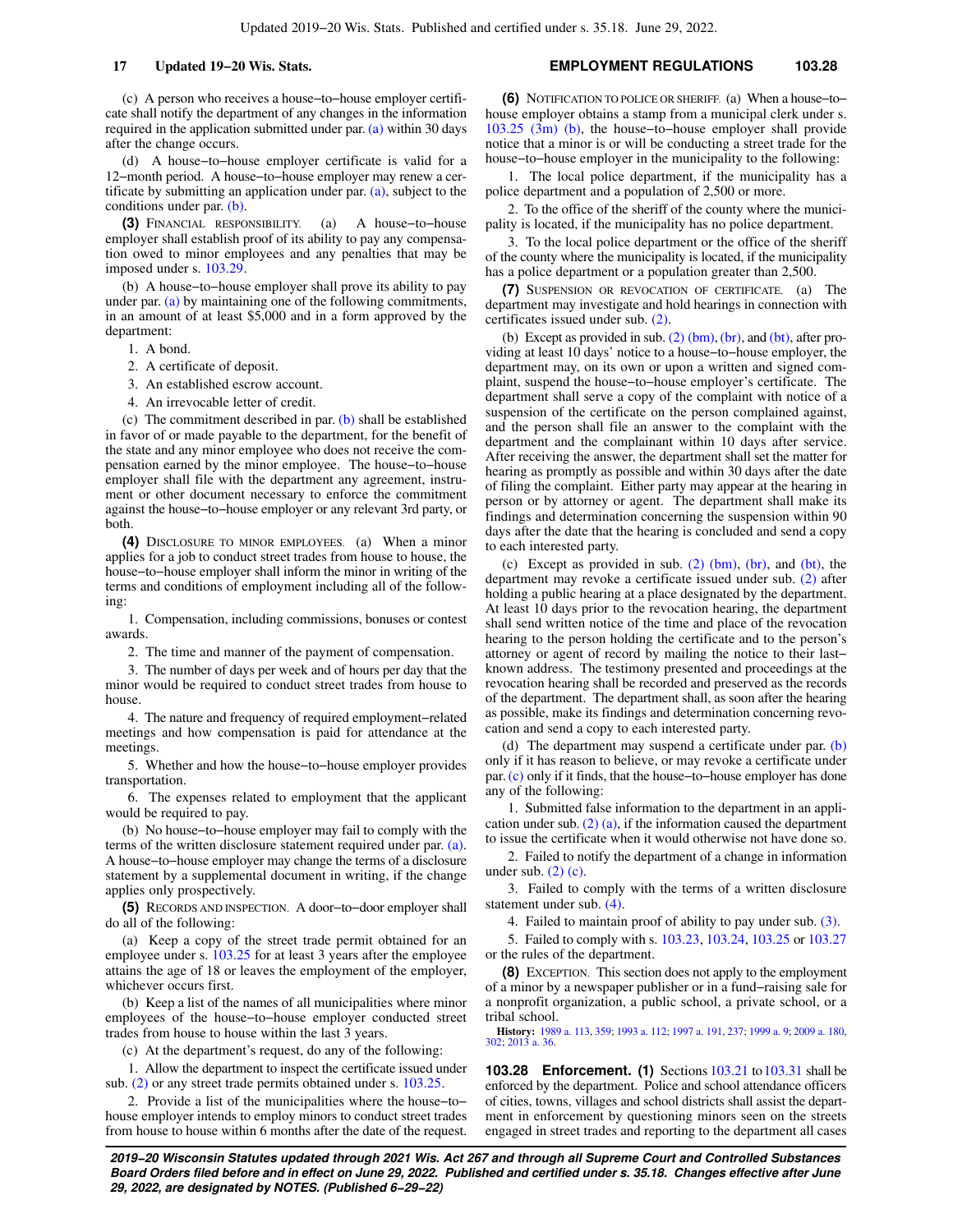(c) A person who receives a house−to−house employer certificate shall notify the department of any changes in the information required in the application submitted under par. [\(a\)](https://docs.legis.wisconsin.gov/document/statutes/103.275(2)(a)) within 30 days after the change occurs.

(d) A house−to−house employer certificate is valid for a 12−month period. A house−to−house employer may renew a certificate by submitting an application under par.  $(a)$ , subject to the conditions under par. [\(b\).](https://docs.legis.wisconsin.gov/document/statutes/103.275(2)(b))

**(3)** FINANCIAL RESPONSIBILITY. (a) A house−to−house employer shall establish proof of its ability to pay any compensation owed to minor employees and any penalties that may be imposed under s. [103.29.](https://docs.legis.wisconsin.gov/document/statutes/103.29)

(b) A house−to−house employer shall prove its ability to pay under par. [\(a\)](https://docs.legis.wisconsin.gov/document/statutes/103.275(3)(a)) by maintaining one of the following commitments, in an amount of at least \$5,000 and in a form approved by the department:

1. A bond.

- 2. A certificate of deposit.
- 3. An established escrow account.
- 4. An irrevocable letter of credit.

(c) The commitment described in par. [\(b\)](https://docs.legis.wisconsin.gov/document/statutes/103.275(3)(b)) shall be established in favor of or made payable to the department, for the benefit of the state and any minor employee who does not receive the compensation earned by the minor employee. The house−to−house employer shall file with the department any agreement, instrument or other document necessary to enforce the commitment against the house−to−house employer or any relevant 3rd party, or both.

**(4)** DISCLOSURE TO MINOR EMPLOYEES. (a) When a minor applies for a job to conduct street trades from house to house, the house−to−house employer shall inform the minor in writing of the terms and conditions of employment including all of the following:

1. Compensation, including commissions, bonuses or contest awards.

2. The time and manner of the payment of compensation.

3. The number of days per week and of hours per day that the minor would be required to conduct street trades from house to house.

4. The nature and frequency of required employment−related meetings and how compensation is paid for attendance at the meetings.

5. Whether and how the house−to−house employer provides transportation.

6. The expenses related to employment that the applicant would be required to pay.

(b) No house−to−house employer may fail to comply with the terms of the written disclosure statement required under par. [\(a\).](https://docs.legis.wisconsin.gov/document/statutes/103.275(4)(a)) A house−to−house employer may change the terms of a disclosure statement by a supplemental document in writing, if the change applies only prospectively.

**(5)** RECORDS AND INSPECTION. A door−to−door employer shall do all of the following:

(a) Keep a copy of the street trade permit obtained for an employee under s. [103.25](https://docs.legis.wisconsin.gov/document/statutes/103.25) for at least 3 years after the employee attains the age of 18 or leaves the employment of the employer, whichever occurs first.

(b) Keep a list of the names of all municipalities where minor employees of the house−to−house employer conducted street trades from house to house within the last 3 years.

(c) At the department's request, do any of the following:

1. Allow the department to inspect the certificate issued under sub. [\(2\)](https://docs.legis.wisconsin.gov/document/statutes/103.275(2)) or any street trade permits obtained under s. [103.25.](https://docs.legis.wisconsin.gov/document/statutes/103.25)

2. Provide a list of the municipalities where the house−to− house employer intends to employ minors to conduct street trades from house to house within 6 months after the date of the request.

## **17 Updated 19−20 Wis. Stats. EMPLOYMENT REGULATIONS 103.28**

**(6)** NOTIFICATION TO POLICE OR SHERIFF. (a) When a house−to− house employer obtains a stamp from a municipal clerk under s. [103.25 \(3m\) \(b\)](https://docs.legis.wisconsin.gov/document/statutes/103.25(3m)(b)), the house−to−house employer shall provide notice that a minor is or will be conducting a street trade for the house−to−house employer in the municipality to the following:

1. The local police department, if the municipality has a police department and a population of 2,500 or more.

2. To the office of the sheriff of the county where the municipality is located, if the municipality has no police department.

3. To the local police department or the office of the sheriff of the county where the municipality is located, if the municipality has a police department or a population greater than 2,500.

**(7)** SUSPENSION OR REVOCATION OF CERTIFICATE. (a) The department may investigate and hold hearings in connection with certificates issued under sub. [\(2\)](https://docs.legis.wisconsin.gov/document/statutes/103.275(2)).

(b) Except as provided in sub.  $(2)$  (bm), [\(br\)](https://docs.legis.wisconsin.gov/document/statutes/103.275(2)(br)), and [\(bt\),](https://docs.legis.wisconsin.gov/document/statutes/103.275(2)(bt)) after providing at least 10 days' notice to a house−to−house employer, the department may, on its own or upon a written and signed complaint, suspend the house−to−house employer's certificate. The department shall serve a copy of the complaint with notice of a suspension of the certificate on the person complained against, and the person shall file an answer to the complaint with the department and the complainant within 10 days after service. After receiving the answer, the department shall set the matter for hearing as promptly as possible and within 30 days after the date of filing the complaint. Either party may appear at the hearing in person or by attorney or agent. The department shall make its findings and determination concerning the suspension within 90 days after the date that the hearing is concluded and send a copy to each interested party.

(c) Except as provided in sub. [\(2\) \(bm\),](https://docs.legis.wisconsin.gov/document/statutes/103.275(2)(bm)) [\(br\),](https://docs.legis.wisconsin.gov/document/statutes/103.275(2)(br)) and [\(bt\),](https://docs.legis.wisconsin.gov/document/statutes/103.275(2)(bt)) the department may revoke a certificate issued under sub. [\(2\)](https://docs.legis.wisconsin.gov/document/statutes/103.275(2)) after holding a public hearing at a place designated by the department. At least 10 days prior to the revocation hearing, the department shall send written notice of the time and place of the revocation hearing to the person holding the certificate and to the person's attorney or agent of record by mailing the notice to their last− known address. The testimony presented and proceedings at the revocation hearing shall be recorded and preserved as the records of the department. The department shall, as soon after the hearing as possible, make its findings and determination concerning revocation and send a copy to each interested party.

(d) The department may suspend a certificate under par.  $(b)$ only if it has reason to believe, or may revoke a certificate under par.[\(c\)](https://docs.legis.wisconsin.gov/document/statutes/103.275(7)(c)) only if it finds, that the house−to−house employer has done any of the following:

1. Submitted false information to the department in an application under sub.  $(2)$  (a), if the information caused the department to issue the certificate when it would otherwise not have done so.

2. Failed to notify the department of a change in information under sub.  $(2)$  (c).

3. Failed to comply with the terms of a written disclosure statement under sub. [\(4\)](https://docs.legis.wisconsin.gov/document/statutes/103.275(4)).

4. Failed to maintain proof of ability to pay under sub. [\(3\)](https://docs.legis.wisconsin.gov/document/statutes/103.275(3)).

5. Failed to comply with s. [103.23,](https://docs.legis.wisconsin.gov/document/statutes/103.23) [103.24,](https://docs.legis.wisconsin.gov/document/statutes/103.24) [103.25](https://docs.legis.wisconsin.gov/document/statutes/103.25) or [103.27](https://docs.legis.wisconsin.gov/document/statutes/103.27) or the rules of the department.

**(8)** EXCEPTION. This section does not apply to the employment of a minor by a newspaper publisher or in a fund−raising sale for a nonprofit organization, a public school, a private school, or a tribal school.

**History:** [1989 a. 113](https://docs.legis.wisconsin.gov/document/acts/1989/113), [359;](https://docs.legis.wisconsin.gov/document/acts/1989/359) [1993 a. 112](https://docs.legis.wisconsin.gov/document/acts/1993/112); [1997 a. 191](https://docs.legis.wisconsin.gov/document/acts/1997/191), [237](https://docs.legis.wisconsin.gov/document/acts/1997/237); [1999 a. 9;](https://docs.legis.wisconsin.gov/document/acts/1999/9) [2009 a. 180](https://docs.legis.wisconsin.gov/document/acts/2009/180), [302;](https://docs.legis.wisconsin.gov/document/acts/2009/302) [2013 a. 36.](https://docs.legis.wisconsin.gov/document/acts/2013/36)

**103.28 Enforcement. (1)** Sections [103.21](https://docs.legis.wisconsin.gov/document/statutes/103.21) to [103.31](https://docs.legis.wisconsin.gov/document/statutes/103.31) shall be enforced by the department. Police and school attendance officers of cities, towns, villages and school districts shall assist the department in enforcement by questioning minors seen on the streets engaged in street trades and reporting to the department all cases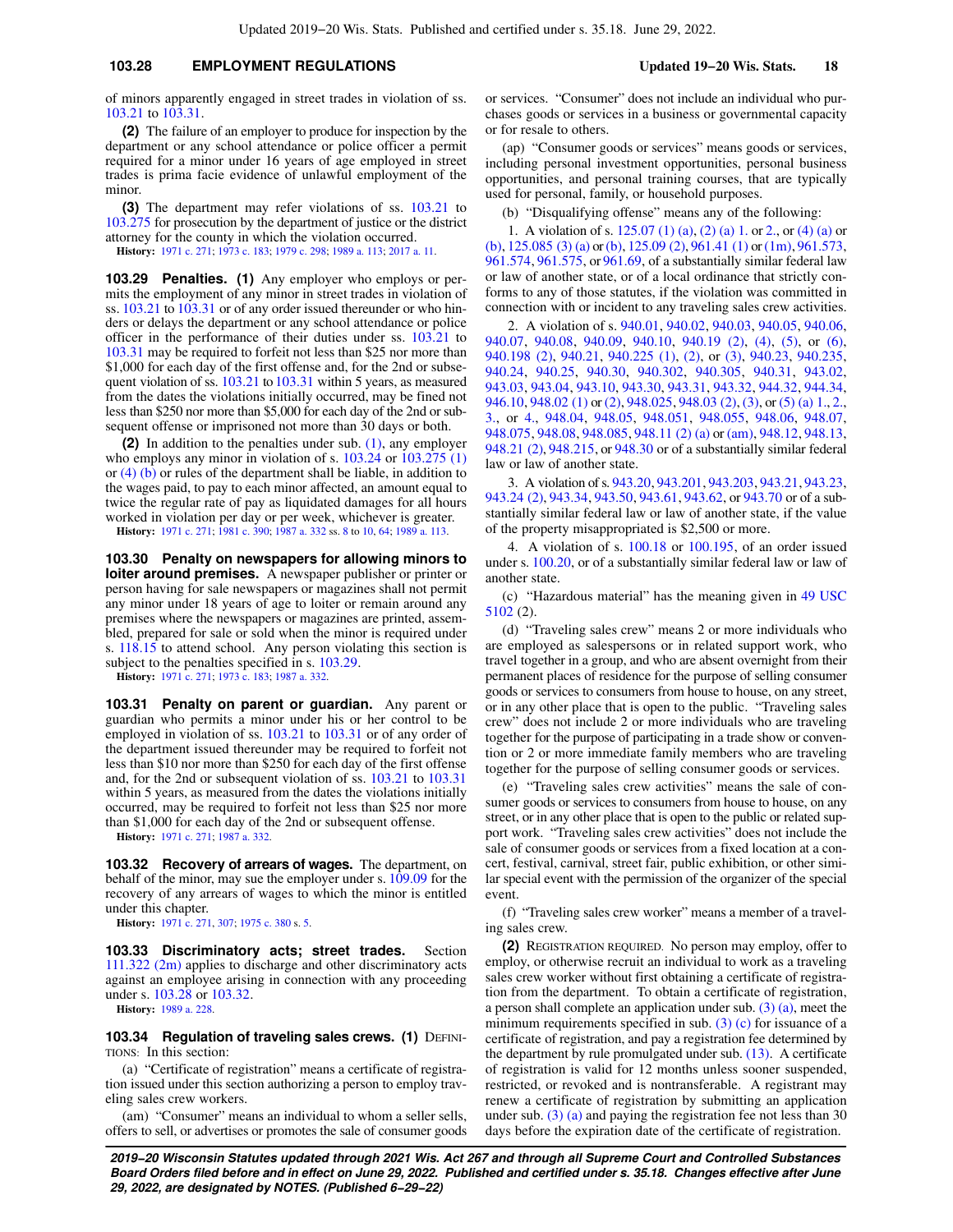## **103.28 EMPLOYMENT REGULATIONS Updated 19−20 Wis. Stats. 18**

of minors apparently engaged in street trades in violation of ss. [103.21](https://docs.legis.wisconsin.gov/document/statutes/103.21) to [103.31](https://docs.legis.wisconsin.gov/document/statutes/103.31).

**(2)** The failure of an employer to produce for inspection by the department or any school attendance or police officer a permit required for a minor under 16 years of age employed in street trades is prima facie evidence of unlawful employment of the minor.

**(3)** The department may refer violations of ss. [103.21](https://docs.legis.wisconsin.gov/document/statutes/103.21) to [103.275](https://docs.legis.wisconsin.gov/document/statutes/103.275) for prosecution by the department of justice or the district attorney for the county in which the violation occurred.

**History:** [1971 c. 271](https://docs.legis.wisconsin.gov/document/acts/1971/271); [1973 c. 183](https://docs.legis.wisconsin.gov/document/acts/1973/183); [1979 c. 298;](https://docs.legis.wisconsin.gov/document/acts/1979/298) [1989 a. 113](https://docs.legis.wisconsin.gov/document/acts/1989/113); [2017 a. 11.](https://docs.legis.wisconsin.gov/document/acts/2017/11)

**103.29 Penalties. (1)** Any employer who employs or permits the employment of any minor in street trades in violation of ss. [103.21](https://docs.legis.wisconsin.gov/document/statutes/103.21) to [103.31](https://docs.legis.wisconsin.gov/document/statutes/103.31) or of any order issued thereunder or who hinders or delays the department or any school attendance or police officer in the performance of their duties under ss. [103.21](https://docs.legis.wisconsin.gov/document/statutes/103.21) to [103.31](https://docs.legis.wisconsin.gov/document/statutes/103.31) may be required to forfeit not less than \$25 nor more than \$1,000 for each day of the first offense and, for the 2nd or subsequent violation of ss. [103.21](https://docs.legis.wisconsin.gov/document/statutes/103.21) to [103.31](https://docs.legis.wisconsin.gov/document/statutes/103.31) within 5 years, as measured from the dates the violations initially occurred, may be fined not less than \$250 nor more than \$5,000 for each day of the 2nd or subsequent offense or imprisoned not more than 30 days or both.

**(2)** In addition to the penalties under sub. [\(1\)](https://docs.legis.wisconsin.gov/document/statutes/103.29(1)), any employer who employs any minor in violation of s. [103.24](https://docs.legis.wisconsin.gov/document/statutes/103.24) or [103.275 \(1\)](https://docs.legis.wisconsin.gov/document/statutes/103.275(1)) or  $(4)$  (b) or rules of the department shall be liable, in addition to the wages paid, to pay to each minor affected, an amount equal to twice the regular rate of pay as liquidated damages for all hours worked in violation per day or per week, whichever is greater.

**History:** [1971 c. 271](https://docs.legis.wisconsin.gov/document/acts/1971/271); [1981 c. 390](https://docs.legis.wisconsin.gov/document/acts/1981/390); [1987 a. 332](https://docs.legis.wisconsin.gov/document/acts/1987/332) ss. [8](https://docs.legis.wisconsin.gov/document/acts/1987/332,%20s.%208) to [10,](https://docs.legis.wisconsin.gov/document/acts/1987/332,%20s.%2010) [64](https://docs.legis.wisconsin.gov/document/acts/1987/332,%20s.%2064); [1989 a. 113.](https://docs.legis.wisconsin.gov/document/acts/1989/113)

**103.30 Penalty on newspapers for allowing minors to loiter around premises.** A newspaper publisher or printer or person having for sale newspapers or magazines shall not permit any minor under 18 years of age to loiter or remain around any premises where the newspapers or magazines are printed, assembled, prepared for sale or sold when the minor is required under s. [118.15](https://docs.legis.wisconsin.gov/document/statutes/118.15) to attend school. Any person violating this section is subject to the penalties specified in s.  $103.29$ .

**History:** [1971 c. 271](https://docs.legis.wisconsin.gov/document/acts/1971/271); [1973 c. 183](https://docs.legis.wisconsin.gov/document/acts/1973/183); [1987 a. 332.](https://docs.legis.wisconsin.gov/document/acts/1987/332)

**103.31 Penalty on parent or guardian.** Any parent or guardian who permits a minor under his or her control to be employed in violation of ss. [103.21](https://docs.legis.wisconsin.gov/document/statutes/103.21) to [103.31](https://docs.legis.wisconsin.gov/document/statutes/103.31) or of any order of the department issued thereunder may be required to forfeit not less than \$10 nor more than \$250 for each day of the first offense and, for the 2nd or subsequent violation of ss. [103.21](https://docs.legis.wisconsin.gov/document/statutes/103.21) to [103.31](https://docs.legis.wisconsin.gov/document/statutes/103.31) within 5 years, as measured from the dates the violations initially occurred, may be required to forfeit not less than \$25 nor more than \$1,000 for each day of the 2nd or subsequent offense.

**History:** [1971 c. 271](https://docs.legis.wisconsin.gov/document/acts/1971/271); [1987 a. 332](https://docs.legis.wisconsin.gov/document/acts/1987/332).

**103.32 Recovery of arrears of wages.** The department, on behalf of the minor, may sue the employer under s. [109.09](https://docs.legis.wisconsin.gov/document/statutes/109.09) for the recovery of any arrears of wages to which the minor is entitled under this chapter.

**History:** [1971 c. 271](https://docs.legis.wisconsin.gov/document/acts/1971/271), [307](https://docs.legis.wisconsin.gov/document/acts/1971/307); [1975 c. 380](https://docs.legis.wisconsin.gov/document/acts/1975/380) s. [5.](https://docs.legis.wisconsin.gov/document/acts/1975/380,%20s.%205)

**103.33 Discriminatory acts; street trades.** Section [111.322 \(2m\)](https://docs.legis.wisconsin.gov/document/statutes/111.322(2m)) applies to discharge and other discriminatory acts against an employee arising in connection with any proceeding under s. [103.28](https://docs.legis.wisconsin.gov/document/statutes/103.28) or [103.32.](https://docs.legis.wisconsin.gov/document/statutes/103.32)

**History:** [1989 a. 228](https://docs.legis.wisconsin.gov/document/acts/1989/228).

**103.34 Regulation of traveling sales crews. (1) DEFINI-**TIONS: In this section:

(a) "Certificate of registration" means a certificate of registration issued under this section authorizing a person to employ traveling sales crew workers.

(am) "Consumer" means an individual to whom a seller sells, offers to sell, or advertises or promotes the sale of consumer goods or services. "Consumer" does not include an individual who purchases goods or services in a business or governmental capacity or for resale to others.

(ap) "Consumer goods or services" means goods or services, including personal investment opportunities, personal business opportunities, and personal training courses, that are typically used for personal, family, or household purposes.

(b) "Disqualifying offense" means any of the following:

1. A violation of s. [125.07 \(1\) \(a\),](https://docs.legis.wisconsin.gov/document/statutes/125.07(1)(a)) [\(2\) \(a\) 1.](https://docs.legis.wisconsin.gov/document/statutes/125.07(2)(a)1.) or [2.,](https://docs.legis.wisconsin.gov/document/statutes/125.07(2)(a)2.) or [\(4\) \(a\)](https://docs.legis.wisconsin.gov/document/statutes/125.07(4)(a)) or [\(b\),](https://docs.legis.wisconsin.gov/document/statutes/125.07(4)(b)) [125.085 \(3\) \(a\)](https://docs.legis.wisconsin.gov/document/statutes/125.085(3)(a)) or [\(b\),](https://docs.legis.wisconsin.gov/document/statutes/125.085(3)(b)) [125.09 \(2\)](https://docs.legis.wisconsin.gov/document/statutes/125.09(2)), [961.41 \(1\)](https://docs.legis.wisconsin.gov/document/statutes/961.41(1)) or [\(1m\),](https://docs.legis.wisconsin.gov/document/statutes/961.41(1m)) [961.573,](https://docs.legis.wisconsin.gov/document/statutes/961.573) [961.574](https://docs.legis.wisconsin.gov/document/statutes/961.574), [961.575,](https://docs.legis.wisconsin.gov/document/statutes/961.575) or [961.69](https://docs.legis.wisconsin.gov/document/statutes/961.69), of a substantially similar federal law or law of another state, or of a local ordinance that strictly conforms to any of those statutes, if the violation was committed in connection with or incident to any traveling sales crew activities.

2. A violation of s. [940.01,](https://docs.legis.wisconsin.gov/document/statutes/940.01) [940.02](https://docs.legis.wisconsin.gov/document/statutes/940.02), [940.03,](https://docs.legis.wisconsin.gov/document/statutes/940.03) [940.05,](https://docs.legis.wisconsin.gov/document/statutes/940.05) [940.06,](https://docs.legis.wisconsin.gov/document/statutes/940.06) [940.07,](https://docs.legis.wisconsin.gov/document/statutes/940.07) [940.08,](https://docs.legis.wisconsin.gov/document/statutes/940.08) [940.09](https://docs.legis.wisconsin.gov/document/statutes/940.09), [940.10,](https://docs.legis.wisconsin.gov/document/statutes/940.10) [940.19 \(2\)](https://docs.legis.wisconsin.gov/document/statutes/940.19(2)), [\(4\),](https://docs.legis.wisconsin.gov/document/statutes/940.19(4)) [\(5\),](https://docs.legis.wisconsin.gov/document/statutes/940.19(5)) or [\(6\),](https://docs.legis.wisconsin.gov/document/statutes/940.19(6)) [940.198 \(2\)](https://docs.legis.wisconsin.gov/document/statutes/940.198(2)), [940.21,](https://docs.legis.wisconsin.gov/document/statutes/940.21) [940.225 \(1\)](https://docs.legis.wisconsin.gov/document/statutes/940.225(1)), [\(2\)](https://docs.legis.wisconsin.gov/document/statutes/940.225(2)), or [\(3\),](https://docs.legis.wisconsin.gov/document/statutes/940.225(3)) [940.23](https://docs.legis.wisconsin.gov/document/statutes/940.23), [940.235,](https://docs.legis.wisconsin.gov/document/statutes/940.235) [940.24,](https://docs.legis.wisconsin.gov/document/statutes/940.24) [940.25,](https://docs.legis.wisconsin.gov/document/statutes/940.25) [940.30](https://docs.legis.wisconsin.gov/document/statutes/940.30), [940.302](https://docs.legis.wisconsin.gov/document/statutes/940.302), [940.305,](https://docs.legis.wisconsin.gov/document/statutes/940.305) [940.31](https://docs.legis.wisconsin.gov/document/statutes/940.31), [943.02,](https://docs.legis.wisconsin.gov/document/statutes/943.02) [943.03,](https://docs.legis.wisconsin.gov/document/statutes/943.03) [943.04](https://docs.legis.wisconsin.gov/document/statutes/943.04), [943.10,](https://docs.legis.wisconsin.gov/document/statutes/943.10) [943.30,](https://docs.legis.wisconsin.gov/document/statutes/943.30) [943.31](https://docs.legis.wisconsin.gov/document/statutes/943.31), [943.32](https://docs.legis.wisconsin.gov/document/statutes/943.32), [944.32,](https://docs.legis.wisconsin.gov/document/statutes/944.32) [944.34,](https://docs.legis.wisconsin.gov/document/statutes/944.34) [946.10,](https://docs.legis.wisconsin.gov/document/statutes/946.10) [948.02 \(1\)](https://docs.legis.wisconsin.gov/document/statutes/948.02(1)) or [\(2\)](https://docs.legis.wisconsin.gov/document/statutes/948.02(2)), [948.025](https://docs.legis.wisconsin.gov/document/statutes/948.025), [948.03 \(2\)](https://docs.legis.wisconsin.gov/document/statutes/948.03(2)), [\(3\),](https://docs.legis.wisconsin.gov/document/statutes/948.03(3)) or [\(5\) \(a\) 1.](https://docs.legis.wisconsin.gov/document/statutes/948.03(5)(a)1.), [2.,](https://docs.legis.wisconsin.gov/document/statutes/948.03(5)(a)2.) [3.,](https://docs.legis.wisconsin.gov/document/statutes/948.03(5)(a)3.) or [4.,](https://docs.legis.wisconsin.gov/document/statutes/948.03(5)(a)4.) [948.04](https://docs.legis.wisconsin.gov/document/statutes/948.04), [948.05,](https://docs.legis.wisconsin.gov/document/statutes/948.05) [948.051,](https://docs.legis.wisconsin.gov/document/statutes/948.051) [948.055,](https://docs.legis.wisconsin.gov/document/statutes/948.055) [948.06,](https://docs.legis.wisconsin.gov/document/statutes/948.06) [948.07,](https://docs.legis.wisconsin.gov/document/statutes/948.07) [948.075](https://docs.legis.wisconsin.gov/document/statutes/948.075), [948.08](https://docs.legis.wisconsin.gov/document/statutes/948.08), [948.085,](https://docs.legis.wisconsin.gov/document/statutes/948.085) [948.11 \(2\) \(a\)](https://docs.legis.wisconsin.gov/document/statutes/948.11(2)(a)) or [\(am\)](https://docs.legis.wisconsin.gov/document/statutes/948.11(2)(am)), [948.12](https://docs.legis.wisconsin.gov/document/statutes/948.12), [948.13,](https://docs.legis.wisconsin.gov/document/statutes/948.13) [948.21 \(2\)](https://docs.legis.wisconsin.gov/document/statutes/948.21(2)), [948.215](https://docs.legis.wisconsin.gov/document/statutes/948.215), or [948.30](https://docs.legis.wisconsin.gov/document/statutes/948.30) or of a substantially similar federal law or law of another state.

3. A violation of s. [943.20,](https://docs.legis.wisconsin.gov/document/statutes/943.20) [943.201,](https://docs.legis.wisconsin.gov/document/statutes/943.201) [943.203,](https://docs.legis.wisconsin.gov/document/statutes/943.203) [943.21](https://docs.legis.wisconsin.gov/document/statutes/943.21), [943.23,](https://docs.legis.wisconsin.gov/document/statutes/943.23) [943.24 \(2\)](https://docs.legis.wisconsin.gov/document/statutes/943.24(2)), [943.34](https://docs.legis.wisconsin.gov/document/statutes/943.34), [943.50,](https://docs.legis.wisconsin.gov/document/statutes/943.50) [943.61,](https://docs.legis.wisconsin.gov/document/statutes/943.61) [943.62,](https://docs.legis.wisconsin.gov/document/statutes/943.62) or [943.70](https://docs.legis.wisconsin.gov/document/statutes/943.70) or of a substantially similar federal law or law of another state, if the value of the property misappropriated is \$2,500 or more.

4. A violation of s. [100.18](https://docs.legis.wisconsin.gov/document/statutes/100.18) or [100.195,](https://docs.legis.wisconsin.gov/document/statutes/100.195) of an order issued under s. [100.20](https://docs.legis.wisconsin.gov/document/statutes/100.20), or of a substantially similar federal law or law of another state.

(c) "Hazardous material" has the meaning given in [49 USC](https://docs.legis.wisconsin.gov/document/usc/49%20USC%205102) [5102](https://docs.legis.wisconsin.gov/document/usc/49%20USC%205102) (2).

(d) "Traveling sales crew" means 2 or more individuals who are employed as salespersons or in related support work, who travel together in a group, and who are absent overnight from their permanent places of residence for the purpose of selling consumer goods or services to consumers from house to house, on any street, or in any other place that is open to the public. "Traveling sales crew" does not include 2 or more individuals who are traveling together for the purpose of participating in a trade show or convention or 2 or more immediate family members who are traveling together for the purpose of selling consumer goods or services.

(e) "Traveling sales crew activities" means the sale of consumer goods or services to consumers from house to house, on any street, or in any other place that is open to the public or related support work. "Traveling sales crew activities" does not include the sale of consumer goods or services from a fixed location at a concert, festival, carnival, street fair, public exhibition, or other similar special event with the permission of the organizer of the special event.

(f) "Traveling sales crew worker" means a member of a traveling sales crew.

**(2)** REGISTRATION REQUIRED. No person may employ, offer to employ, or otherwise recruit an individual to work as a traveling sales crew worker without first obtaining a certificate of registration from the department. To obtain a certificate of registration, a person shall complete an application under sub. [\(3\) \(a\)](https://docs.legis.wisconsin.gov/document/statutes/103.34(3)(a)), meet the minimum requirements specified in sub. [\(3\) \(c\)](https://docs.legis.wisconsin.gov/document/statutes/103.34(3)(c)) for issuance of a certificate of registration, and pay a registration fee determined by the department by rule promulgated under sub. [\(13\).](https://docs.legis.wisconsin.gov/document/statutes/103.34(13)) A certificate of registration is valid for 12 months unless sooner suspended, restricted, or revoked and is nontransferable. A registrant may renew a certificate of registration by submitting an application under sub.  $(3)$  (a) and paying the registration fee not less than 30 days before the expiration date of the certificate of registration.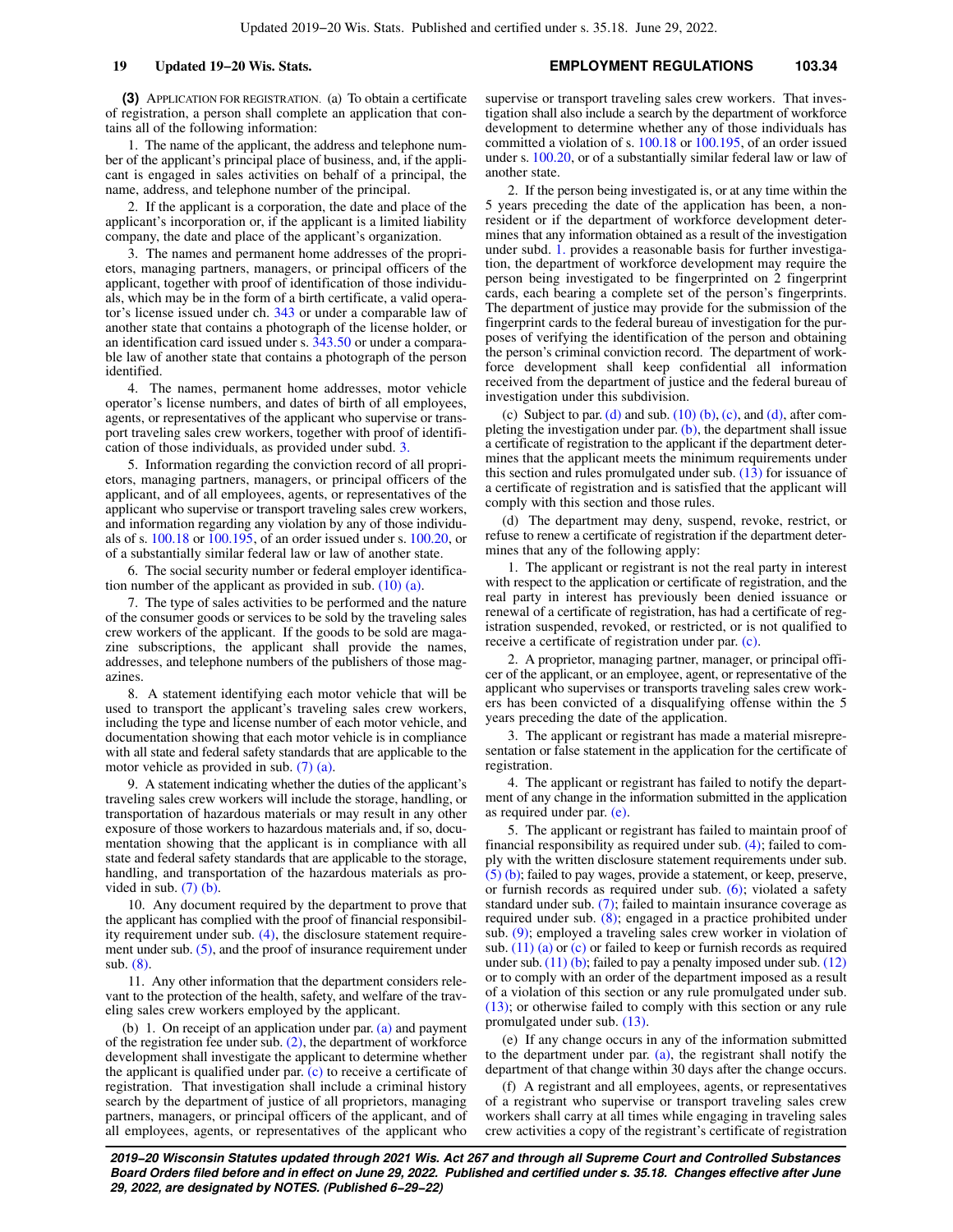**(3)** APPLICATION FOR REGISTRATION. (a) To obtain a certificate of registration, a person shall complete an application that contains all of the following information:

1. The name of the applicant, the address and telephone number of the applicant's principal place of business, and, if the applicant is engaged in sales activities on behalf of a principal, the name, address, and telephone number of the principal.

2. If the applicant is a corporation, the date and place of the applicant's incorporation or, if the applicant is a limited liability company, the date and place of the applicant's organization.

3. The names and permanent home addresses of the proprietors, managing partners, managers, or principal officers of the applicant, together with proof of identification of those individuals, which may be in the form of a birth certificate, a valid operator's license issued under ch. [343](https://docs.legis.wisconsin.gov/document/statutes/ch.%20343) or under a comparable law of another state that contains a photograph of the license holder, or an identification card issued under s. [343.50](https://docs.legis.wisconsin.gov/document/statutes/343.50) or under a comparable law of another state that contains a photograph of the person identified.

4. The names, permanent home addresses, motor vehicle operator's license numbers, and dates of birth of all employees, agents, or representatives of the applicant who supervise or transport traveling sales crew workers, together with proof of identification of those individuals, as provided under subd. [3.](https://docs.legis.wisconsin.gov/document/statutes/103.34(3)(a)3.)

5. Information regarding the conviction record of all proprietors, managing partners, managers, or principal officers of the applicant, and of all employees, agents, or representatives of the applicant who supervise or transport traveling sales crew workers, and information regarding any violation by any of those individuals of s. [100.18](https://docs.legis.wisconsin.gov/document/statutes/100.18) or [100.195,](https://docs.legis.wisconsin.gov/document/statutes/100.195) of an order issued under s. [100.20](https://docs.legis.wisconsin.gov/document/statutes/100.20), or of a substantially similar federal law or law of another state.

6. The social security number or federal employer identification number of the applicant as provided in sub.  $(10)$  (a).

7. The type of sales activities to be performed and the nature of the consumer goods or services to be sold by the traveling sales crew workers of the applicant. If the goods to be sold are magazine subscriptions, the applicant shall provide the names, addresses, and telephone numbers of the publishers of those magazines.

8. A statement identifying each motor vehicle that will be used to transport the applicant's traveling sales crew workers, including the type and license number of each motor vehicle, and documentation showing that each motor vehicle is in compliance with all state and federal safety standards that are applicable to the motor vehicle as provided in sub. [\(7\) \(a\).](https://docs.legis.wisconsin.gov/document/statutes/103.34(7)(a))

9. A statement indicating whether the duties of the applicant's traveling sales crew workers will include the storage, handling, or transportation of hazardous materials or may result in any other exposure of those workers to hazardous materials and, if so, documentation showing that the applicant is in compliance with all state and federal safety standards that are applicable to the storage, handling, and transportation of the hazardous materials as provided in sub.  $(7)$  (b).

10. Any document required by the department to prove that the applicant has complied with the proof of financial responsibility requirement under sub. [\(4\),](https://docs.legis.wisconsin.gov/document/statutes/103.34(4)) the disclosure statement require-ment under sub. [\(5\),](https://docs.legis.wisconsin.gov/document/statutes/103.34(5)) and the proof of insurance requirement under sub. [\(8\)](https://docs.legis.wisconsin.gov/document/statutes/103.34(8)).

11. Any other information that the department considers relevant to the protection of the health, safety, and welfare of the traveling sales crew workers employed by the applicant.

(b) 1. On receipt of an application under par.  $(a)$  and payment of the registration fee under sub.  $(2)$ , the department of workforce development shall investigate the applicant to determine whether the applicant is qualified under par. [\(c\)](https://docs.legis.wisconsin.gov/document/statutes/103.34(3)(c)) to receive a certificate of registration. That investigation shall include a criminal history search by the department of justice of all proprietors, managing partners, managers, or principal officers of the applicant, and of all employees, agents, or representatives of the applicant who supervise or transport traveling sales crew workers. That investigation shall also include a search by the department of workforce development to determine whether any of those individuals has committed a violation of s. [100.18](https://docs.legis.wisconsin.gov/document/statutes/100.18) or [100.195](https://docs.legis.wisconsin.gov/document/statutes/100.195), of an order issued under s. [100.20](https://docs.legis.wisconsin.gov/document/statutes/100.20), or of a substantially similar federal law or law of another state.

2. If the person being investigated is, or at any time within the 5 years preceding the date of the application has been, a nonresident or if the department of workforce development determines that any information obtained as a result of the investigation under subd. [1.](https://docs.legis.wisconsin.gov/document/statutes/103.34(3)(b)1.) provides a reasonable basis for further investigation, the department of workforce development may require the person being investigated to be fingerprinted on 2 fingerprint cards, each bearing a complete set of the person's fingerprints. The department of justice may provide for the submission of the fingerprint cards to the federal bureau of investigation for the purposes of verifying the identification of the person and obtaining the person's criminal conviction record. The department of workforce development shall keep confidential all information received from the department of justice and the federal bureau of investigation under this subdivision.

(c) Subject to par. [\(d\)](https://docs.legis.wisconsin.gov/document/statutes/103.34(3)(d)) and sub.  $(10)$  (b), [\(c\)](https://docs.legis.wisconsin.gov/document/statutes/103.34(10)(c)), and [\(d\)](https://docs.legis.wisconsin.gov/document/statutes/103.34(10)(d)), after com-pleting the investigation under par. [\(b\)](https://docs.legis.wisconsin.gov/document/statutes/103.34(3)(b)), the department shall issue a certificate of registration to the applicant if the department determines that the applicant meets the minimum requirements under this section and rules promulgated under sub. [\(13\)](https://docs.legis.wisconsin.gov/document/statutes/103.34(13)) for issuance of a certificate of registration and is satisfied that the applicant will comply with this section and those rules.

(d) The department may deny, suspend, revoke, restrict, or refuse to renew a certificate of registration if the department determines that any of the following apply:

1. The applicant or registrant is not the real party in interest with respect to the application or certificate of registration, and the real party in interest has previously been denied issuance or renewal of a certificate of registration, has had a certificate of registration suspended, revoked, or restricted, or is not qualified to receive a certificate of registration under par. [\(c\).](https://docs.legis.wisconsin.gov/document/statutes/103.34(3)(c))

2. A proprietor, managing partner, manager, or principal officer of the applicant, or an employee, agent, or representative of the applicant who supervises or transports traveling sales crew workers has been convicted of a disqualifying offense within the 5 years preceding the date of the application.

3. The applicant or registrant has made a material misrepresentation or false statement in the application for the certificate of registration.

4. The applicant or registrant has failed to notify the department of any change in the information submitted in the application as required under par. [\(e\).](https://docs.legis.wisconsin.gov/document/statutes/103.34(3)(e))

5. The applicant or registrant has failed to maintain proof of financial responsibility as required under sub. [\(4\)](https://docs.legis.wisconsin.gov/document/statutes/103.34(4)); failed to comply with the written disclosure statement requirements under sub. [\(5\) \(b\)](https://docs.legis.wisconsin.gov/document/statutes/103.34(5)(b)); failed to pay wages, provide a statement, or keep, preserve, or furnish records as required under sub. [\(6\);](https://docs.legis.wisconsin.gov/document/statutes/103.34(6)) violated a safety standard under sub. [\(7\);](https://docs.legis.wisconsin.gov/document/statutes/103.34(7)) failed to maintain insurance coverage as required under sub. [\(8\);](https://docs.legis.wisconsin.gov/document/statutes/103.34(8)) engaged in a practice prohibited under sub. [\(9\);](https://docs.legis.wisconsin.gov/document/statutes/103.34(9)) employed a traveling sales crew worker in violation of sub.  $(11)$  (a) or [\(c\)](https://docs.legis.wisconsin.gov/document/statutes/103.34(11)(c)) or failed to keep or furnish records as required under sub.  $(11)$  (b); failed to pay a penalty imposed under sub.  $(12)$ or to comply with an order of the department imposed as a result of a violation of this section or any rule promulgated under sub. [\(13\)](https://docs.legis.wisconsin.gov/document/statutes/103.34(13)); or otherwise failed to comply with this section or any rule promulgated under sub. [\(13\)](https://docs.legis.wisconsin.gov/document/statutes/103.34(13)).

(e) If any change occurs in any of the information submitted to the department under par.  $(a)$ , the registrant shall notify the department of that change within 30 days after the change occurs.

(f) A registrant and all employees, agents, or representatives of a registrant who supervise or transport traveling sales crew workers shall carry at all times while engaging in traveling sales crew activities a copy of the registrant's certificate of registration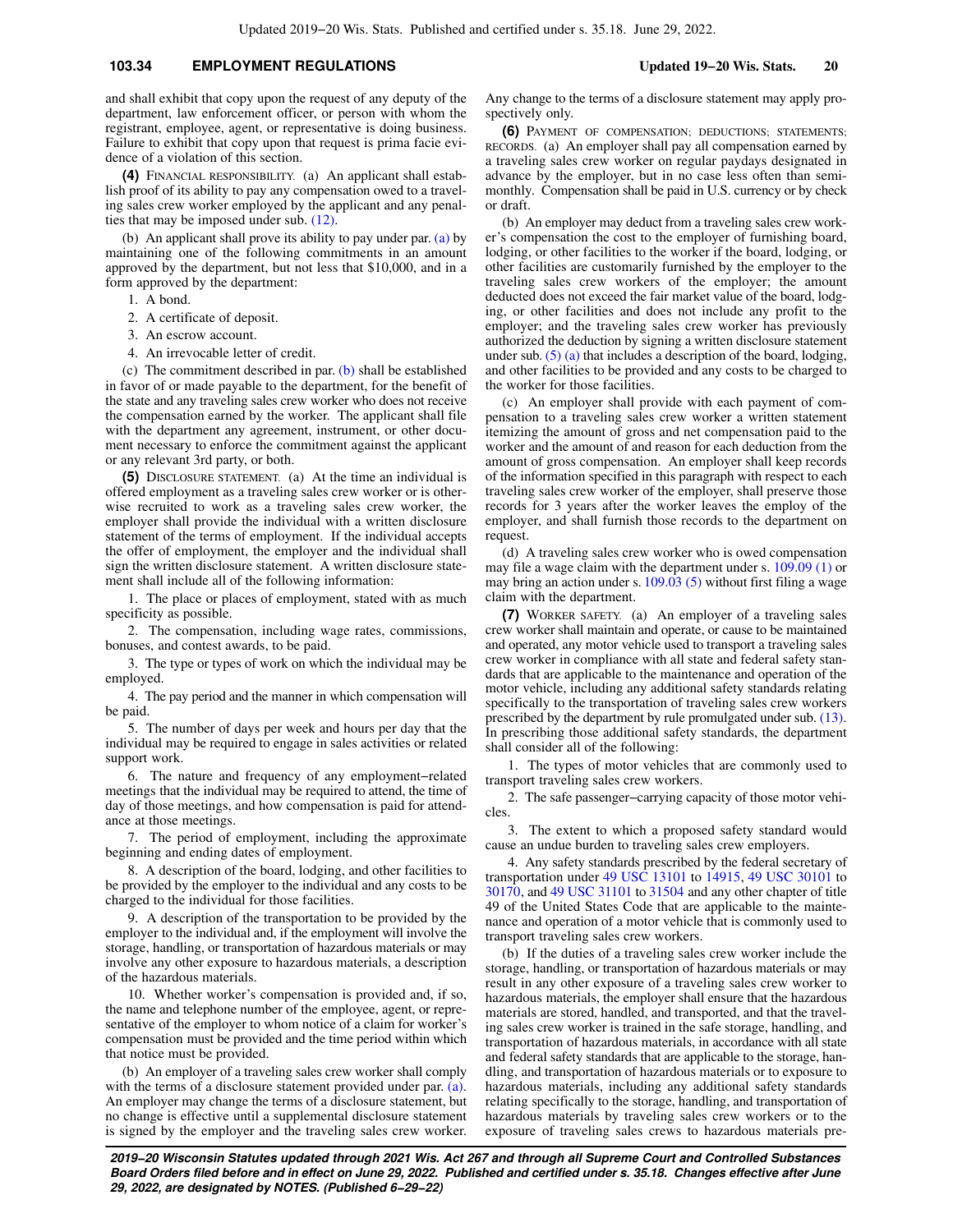## **103.34 EMPLOYMENT REGULATIONS Updated 19−20 Wis. Stats. 20**

and shall exhibit that copy upon the request of any deputy of the department, law enforcement officer, or person with whom the registrant, employee, agent, or representative is doing business. Failure to exhibit that copy upon that request is prima facie evidence of a violation of this section.

**(4)** FINANCIAL RESPONSIBILITY. (a) An applicant shall establish proof of its ability to pay any compensation owed to a traveling sales crew worker employed by the applicant and any penalties that may be imposed under sub. [\(12\)](https://docs.legis.wisconsin.gov/document/statutes/103.34(12)).

(b) An applicant shall prove its ability to pay under par. [\(a\)](https://docs.legis.wisconsin.gov/document/statutes/103.34(4)(a)) by maintaining one of the following commitments in an amount approved by the department, but not less that \$10,000, and in a form approved by the department:

1. A bond.

2. A certificate of deposit.

- 3. An escrow account.
- 4. An irrevocable letter of credit.

(c) The commitment described in par. [\(b\)](https://docs.legis.wisconsin.gov/document/statutes/103.34(4)(b)) shall be established in favor of or made payable to the department, for the benefit of the state and any traveling sales crew worker who does not receive the compensation earned by the worker. The applicant shall file with the department any agreement, instrument, or other document necessary to enforce the commitment against the applicant or any relevant 3rd party, or both.

**(5)** DISCLOSURE STATEMENT. (a) At the time an individual is offered employment as a traveling sales crew worker or is otherwise recruited to work as a traveling sales crew worker, the employer shall provide the individual with a written disclosure statement of the terms of employment. If the individual accepts the offer of employment, the employer and the individual shall sign the written disclosure statement. A written disclosure statement shall include all of the following information:

1. The place or places of employment, stated with as much specificity as possible.

2. The compensation, including wage rates, commissions, bonuses, and contest awards, to be paid.

3. The type or types of work on which the individual may be employed.

4. The pay period and the manner in which compensation will be paid.

5. The number of days per week and hours per day that the individual may be required to engage in sales activities or related support work.

6. The nature and frequency of any employment−related meetings that the individual may be required to attend, the time of day of those meetings, and how compensation is paid for attendance at those meetings.

7. The period of employment, including the approximate beginning and ending dates of employment.

8. A description of the board, lodging, and other facilities to be provided by the employer to the individual and any costs to be charged to the individual for those facilities.

9. A description of the transportation to be provided by the employer to the individual and, if the employment will involve the storage, handling, or transportation of hazardous materials or may involve any other exposure to hazardous materials, a description of the hazardous materials.

10. Whether worker's compensation is provided and, if so, the name and telephone number of the employee, agent, or representative of the employer to whom notice of a claim for worker's compensation must be provided and the time period within which that notice must be provided.

(b) An employer of a traveling sales crew worker shall comply with the terms of a disclosure statement provided under par. [\(a\).](https://docs.legis.wisconsin.gov/document/statutes/103.34(5)(a)) An employer may change the terms of a disclosure statement, but no change is effective until a supplemental disclosure statement is signed by the employer and the traveling sales crew worker.

Any change to the terms of a disclosure statement may apply prospectively only.

**(6)** PAYMENT OF COMPENSATION; DEDUCTIONS; STATEMENTS; RECORDS. (a) An employer shall pay all compensation earned by a traveling sales crew worker on regular paydays designated in advance by the employer, but in no case less often than semimonthly. Compensation shall be paid in U.S. currency or by check or draft.

(b) An employer may deduct from a traveling sales crew worker's compensation the cost to the employer of furnishing board, lodging, or other facilities to the worker if the board, lodging, or other facilities are customarily furnished by the employer to the traveling sales crew workers of the employer; the amount deducted does not exceed the fair market value of the board, lodging, or other facilities and does not include any profit to the employer; and the traveling sales crew worker has previously authorized the deduction by signing a written disclosure statement under sub. [\(5\) \(a\)](https://docs.legis.wisconsin.gov/document/statutes/103.34(5)(a)) that includes a description of the board, lodging, and other facilities to be provided and any costs to be charged to the worker for those facilities.

(c) An employer shall provide with each payment of compensation to a traveling sales crew worker a written statement itemizing the amount of gross and net compensation paid to the worker and the amount of and reason for each deduction from the amount of gross compensation. An employer shall keep records of the information specified in this paragraph with respect to each traveling sales crew worker of the employer, shall preserve those records for 3 years after the worker leaves the employ of the employer, and shall furnish those records to the department on request.

(d) A traveling sales crew worker who is owed compensation may file a wage claim with the department under s. [109.09 \(1\)](https://docs.legis.wisconsin.gov/document/statutes/109.09(1)) or may bring an action under s. [109.03 \(5\)](https://docs.legis.wisconsin.gov/document/statutes/109.03(5)) without first filing a wage claim with the department.

**(7)** WORKER SAFETY. (a) An employer of a traveling sales crew worker shall maintain and operate, or cause to be maintained and operated, any motor vehicle used to transport a traveling sales crew worker in compliance with all state and federal safety standards that are applicable to the maintenance and operation of the motor vehicle, including any additional safety standards relating specifically to the transportation of traveling sales crew workers prescribed by the department by rule promulgated under sub. [\(13\).](https://docs.legis.wisconsin.gov/document/statutes/103.34(13)) In prescribing those additional safety standards, the department shall consider all of the following:

1. The types of motor vehicles that are commonly used to transport traveling sales crew workers.

2. The safe passenger−carrying capacity of those motor vehicles.

3. The extent to which a proposed safety standard would cause an undue burden to traveling sales crew employers.

4. Any safety standards prescribed by the federal secretary of transportation under [49 USC 13101](https://docs.legis.wisconsin.gov/document/usc/49%20USC%2013101) to [14915](https://docs.legis.wisconsin.gov/document/usc/49%20USC%2014915), [49 USC 30101](https://docs.legis.wisconsin.gov/document/usc/49%20USC%2030101) to [30170,](https://docs.legis.wisconsin.gov/document/usc/49%20USC%2030170) and [49 USC 31101](https://docs.legis.wisconsin.gov/document/usc/49%20USC%2031101) to [31504](https://docs.legis.wisconsin.gov/document/usc/49%20USC%2031504) and any other chapter of title 49 of the United States Code that are applicable to the maintenance and operation of a motor vehicle that is commonly used to transport traveling sales crew workers.

(b) If the duties of a traveling sales crew worker include the storage, handling, or transportation of hazardous materials or may result in any other exposure of a traveling sales crew worker to hazardous materials, the employer shall ensure that the hazardous materials are stored, handled, and transported, and that the traveling sales crew worker is trained in the safe storage, handling, and transportation of hazardous materials, in accordance with all state and federal safety standards that are applicable to the storage, handling, and transportation of hazardous materials or to exposure to hazardous materials, including any additional safety standards relating specifically to the storage, handling, and transportation of hazardous materials by traveling sales crew workers or to the exposure of traveling sales crews to hazardous materials pre-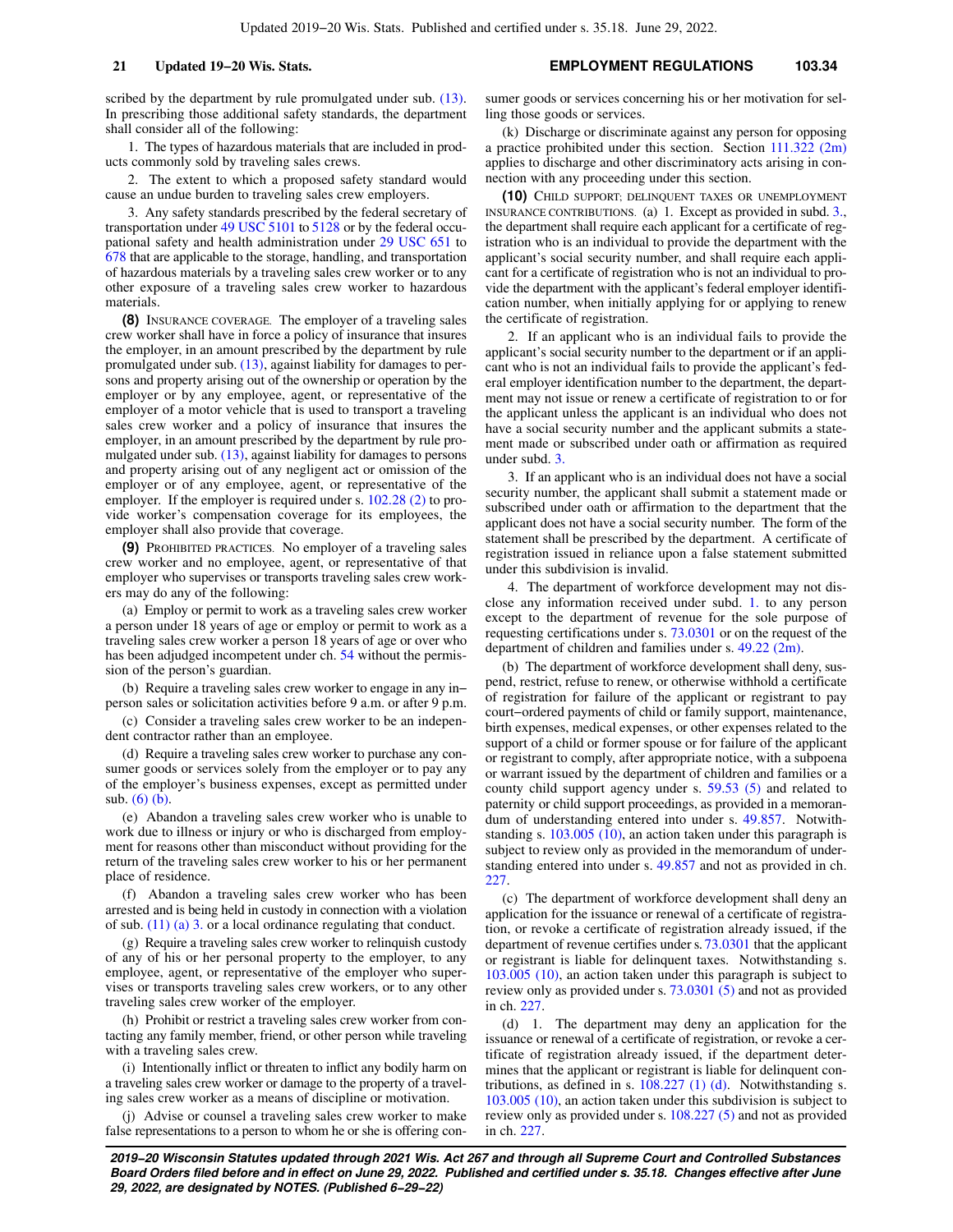scribed by the department by rule promulgated under sub.  $(13)$ . In prescribing those additional safety standards, the department shall consider all of the following:

1. The types of hazardous materials that are included in products commonly sold by traveling sales crews.

2. The extent to which a proposed safety standard would cause an undue burden to traveling sales crew employers.

3. Any safety standards prescribed by the federal secretary of transportation under [49 USC 5101](https://docs.legis.wisconsin.gov/document/usc/49%20USC%205101) to [5128](https://docs.legis.wisconsin.gov/document/usc/49%20USC%205128) or by the federal occupational safety and health administration under [29 USC 651](https://docs.legis.wisconsin.gov/document/usc/29%20USC%20651) to [678](https://docs.legis.wisconsin.gov/document/usc/29%20USC%20678) that are applicable to the storage, handling, and transportation of hazardous materials by a traveling sales crew worker or to any other exposure of a traveling sales crew worker to hazardous materials.

**(8)** INSURANCE COVERAGE. The employer of a traveling sales crew worker shall have in force a policy of insurance that insures the employer, in an amount prescribed by the department by rule promulgated under sub. [\(13\),](https://docs.legis.wisconsin.gov/document/statutes/103.34(13)) against liability for damages to persons and property arising out of the ownership or operation by the employer or by any employee, agent, or representative of the employer of a motor vehicle that is used to transport a traveling sales crew worker and a policy of insurance that insures the employer, in an amount prescribed by the department by rule promulgated under sub. [\(13\)](https://docs.legis.wisconsin.gov/document/statutes/103.34(13)), against liability for damages to persons and property arising out of any negligent act or omission of the employer or of any employee, agent, or representative of the employer. If the employer is required under s. [102.28 \(2\)](https://docs.legis.wisconsin.gov/document/statutes/102.28(2)) to provide worker's compensation coverage for its employees, the employer shall also provide that coverage.

**(9)** PROHIBITED PRACTICES. No employer of a traveling sales crew worker and no employee, agent, or representative of that employer who supervises or transports traveling sales crew workers may do any of the following:

(a) Employ or permit to work as a traveling sales crew worker a person under 18 years of age or employ or permit to work as a traveling sales crew worker a person 18 years of age or over who has been adjudged incompetent under ch. [54](https://docs.legis.wisconsin.gov/document/statutes/ch.%2054) without the permission of the person's guardian.

(b) Require a traveling sales crew worker to engage in any in− person sales or solicitation activities before 9 a.m. or after 9 p.m.

(c) Consider a traveling sales crew worker to be an independent contractor rather than an employee.

(d) Require a traveling sales crew worker to purchase any consumer goods or services solely from the employer or to pay any of the employer's business expenses, except as permitted under sub. [\(6\) \(b\)](https://docs.legis.wisconsin.gov/document/statutes/103.34(6)(b)).

(e) Abandon a traveling sales crew worker who is unable to work due to illness or injury or who is discharged from employment for reasons other than misconduct without providing for the return of the traveling sales crew worker to his or her permanent place of residence.

(f) Abandon a traveling sales crew worker who has been arrested and is being held in custody in connection with a violation of sub. [\(11\) \(a\) 3.](https://docs.legis.wisconsin.gov/document/statutes/103.34(11)(a)3.) or a local ordinance regulating that conduct.

(g) Require a traveling sales crew worker to relinquish custody of any of his or her personal property to the employer, to any employee, agent, or representative of the employer who supervises or transports traveling sales crew workers, or to any other traveling sales crew worker of the employer.

(h) Prohibit or restrict a traveling sales crew worker from contacting any family member, friend, or other person while traveling with a traveling sales crew.

(i) Intentionally inflict or threaten to inflict any bodily harm on a traveling sales crew worker or damage to the property of a traveling sales crew worker as a means of discipline or motivation.

(j) Advise or counsel a traveling sales crew worker to make false representations to a person to whom he or she is offering consumer goods or services concerning his or her motivation for selling those goods or services.

(k) Discharge or discriminate against any person for opposing a practice prohibited under this section. Section [111.322 \(2m\)](https://docs.legis.wisconsin.gov/document/statutes/111.322(2m)) applies to discharge and other discriminatory acts arising in connection with any proceeding under this section.

**(10)** CHILD SUPPORT; DELINQUENT TAXES OR UNEMPLOYMENT INSURANCE CONTRIBUTIONS. (a) 1. Except as provided in subd. [3.,](https://docs.legis.wisconsin.gov/document/statutes/103.34(10)(a)3.) the department shall require each applicant for a certificate of registration who is an individual to provide the department with the applicant's social security number, and shall require each applicant for a certificate of registration who is not an individual to provide the department with the applicant's federal employer identification number, when initially applying for or applying to renew the certificate of registration.

2. If an applicant who is an individual fails to provide the applicant's social security number to the department or if an applicant who is not an individual fails to provide the applicant's federal employer identification number to the department, the department may not issue or renew a certificate of registration to or for the applicant unless the applicant is an individual who does not have a social security number and the applicant submits a statement made or subscribed under oath or affirmation as required under subd. [3.](https://docs.legis.wisconsin.gov/document/statutes/103.34(10)(a)3.)

3. If an applicant who is an individual does not have a social security number, the applicant shall submit a statement made or subscribed under oath or affirmation to the department that the applicant does not have a social security number. The form of the statement shall be prescribed by the department. A certificate of registration issued in reliance upon a false statement submitted under this subdivision is invalid.

4. The department of workforce development may not disclose any information received under subd. [1.](https://docs.legis.wisconsin.gov/document/statutes/103.34(10)(a)1.) to any person except to the department of revenue for the sole purpose of requesting certifications under s. [73.0301](https://docs.legis.wisconsin.gov/document/statutes/73.0301) or on the request of the department of children and families under s. [49.22 \(2m\).](https://docs.legis.wisconsin.gov/document/statutes/49.22(2m))

(b) The department of workforce development shall deny, suspend, restrict, refuse to renew, or otherwise withhold a certificate of registration for failure of the applicant or registrant to pay court−ordered payments of child or family support, maintenance, birth expenses, medical expenses, or other expenses related to the support of a child or former spouse or for failure of the applicant or registrant to comply, after appropriate notice, with a subpoena or warrant issued by the department of children and families or a county child support agency under s. [59.53 \(5\)](https://docs.legis.wisconsin.gov/document/statutes/59.53(5)) and related to paternity or child support proceedings, as provided in a memorandum of understanding entered into under s. [49.857.](https://docs.legis.wisconsin.gov/document/statutes/49.857) Notwithstanding s. [103.005 \(10\),](https://docs.legis.wisconsin.gov/document/statutes/103.005(10)) an action taken under this paragraph is subject to review only as provided in the memorandum of understanding entered into under s. [49.857](https://docs.legis.wisconsin.gov/document/statutes/49.857) and not as provided in ch. [227.](https://docs.legis.wisconsin.gov/document/statutes/ch.%20227)

(c) The department of workforce development shall deny an application for the issuance or renewal of a certificate of registration, or revoke a certificate of registration already issued, if the department of revenue certifies under s. [73.0301](https://docs.legis.wisconsin.gov/document/statutes/73.0301) that the applicant or registrant is liable for delinquent taxes. Notwithstanding s. [103.005 \(10\)](https://docs.legis.wisconsin.gov/document/statutes/103.005(10)), an action taken under this paragraph is subject to review only as provided under s. [73.0301 \(5\)](https://docs.legis.wisconsin.gov/document/statutes/73.0301(5)) and not as provided in ch. [227.](https://docs.legis.wisconsin.gov/document/statutes/ch.%20227)

(d) 1. The department may deny an application for the issuance or renewal of a certificate of registration, or revoke a certificate of registration already issued, if the department determines that the applicant or registrant is liable for delinquent contributions, as defined in s. [108.227 \(1\) \(d\)](https://docs.legis.wisconsin.gov/document/statutes/108.227(1)(d)). Notwithstanding s. [103.005 \(10\),](https://docs.legis.wisconsin.gov/document/statutes/103.005(10)) an action taken under this subdivision is subject to review only as provided under s. [108.227 \(5\)](https://docs.legis.wisconsin.gov/document/statutes/108.227(5)) and not as provided in ch. [227.](https://docs.legis.wisconsin.gov/document/statutes/ch.%20227)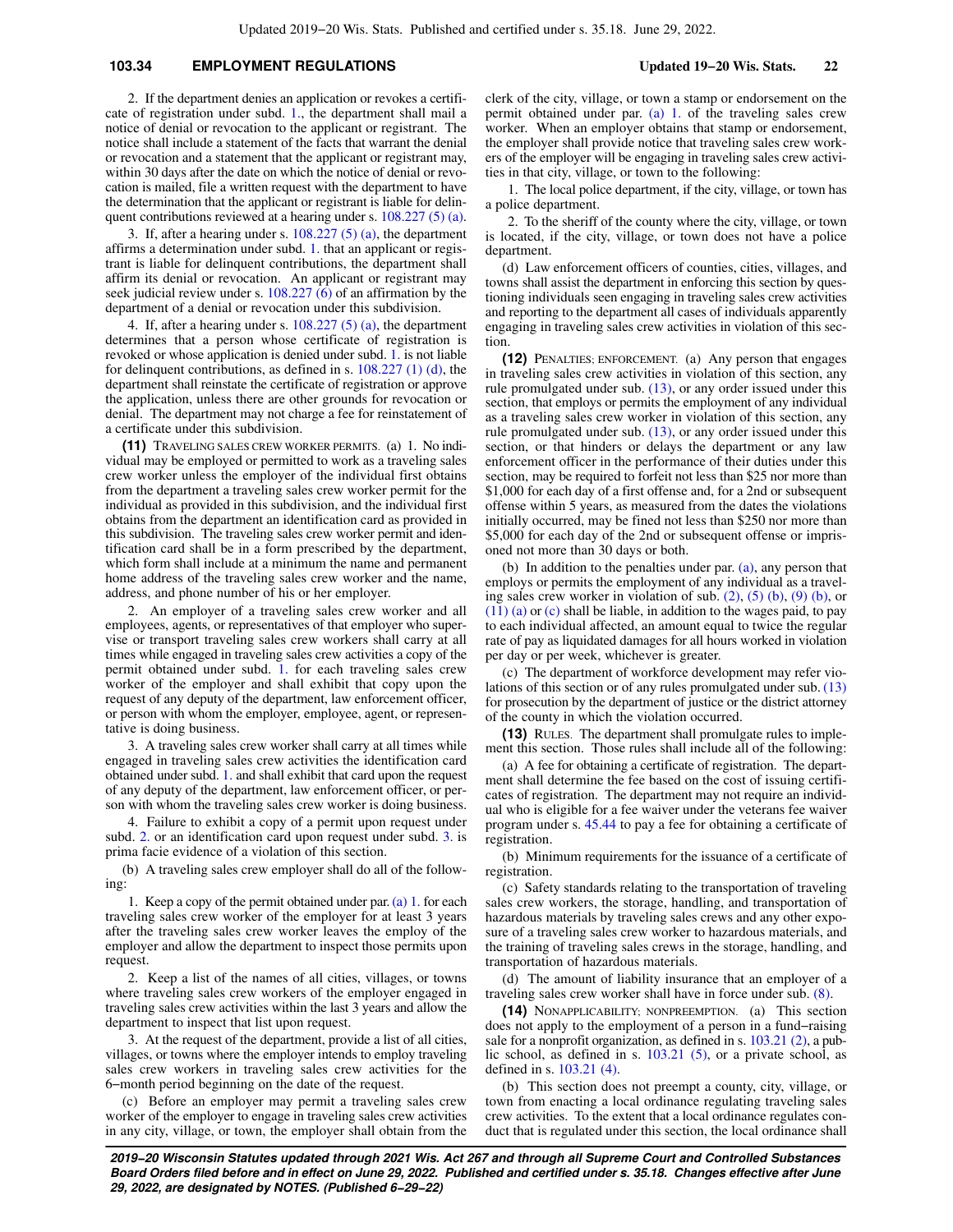## **103.34 EMPLOYMENT REGULATIONS Updated 19−20 Wis. Stats. 22**

2. If the department denies an application or revokes a certificate of registration under subd. [1.](https://docs.legis.wisconsin.gov/document/statutes/103.34(10)(d)1.), the department shall mail a notice of denial or revocation to the applicant or registrant. The notice shall include a statement of the facts that warrant the denial or revocation and a statement that the applicant or registrant may, within 30 days after the date on which the notice of denial or revocation is mailed, file a written request with the department to have the determination that the applicant or registrant is liable for delinquent contributions reviewed at a hearing under s. [108.227 \(5\) \(a\).](https://docs.legis.wisconsin.gov/document/statutes/108.227(5)(a))

3. If, after a hearing under s. [108.227 \(5\) \(a\),](https://docs.legis.wisconsin.gov/document/statutes/108.227(5)(a)) the department affirms a determination under subd. [1.](https://docs.legis.wisconsin.gov/document/statutes/103.34(10)(d)1.) that an applicant or registrant is liable for delinquent contributions, the department shall affirm its denial or revocation. An applicant or registrant may seek judicial review under s.  $108.227\,(6)$  of an affirmation by the department of a denial or revocation under this subdivision.

4. If, after a hearing under s.  $108.227(5)$  (a), the department determines that a person whose certificate of registration is revoked or whose application is denied under subd. [1.](https://docs.legis.wisconsin.gov/document/statutes/103.34(10)(d)1.) is not liable for delinquent contributions, as defined in s. [108.227 \(1\) \(d\)](https://docs.legis.wisconsin.gov/document/statutes/108.227(1)(d)), the department shall reinstate the certificate of registration or approve the application, unless there are other grounds for revocation or denial. The department may not charge a fee for reinstatement of a certificate under this subdivision.

**(11)** TRAVELING SALES CREW WORKER PERMITS. (a) 1. No individual may be employed or permitted to work as a traveling sales crew worker unless the employer of the individual first obtains from the department a traveling sales crew worker permit for the individual as provided in this subdivision, and the individual first obtains from the department an identification card as provided in this subdivision. The traveling sales crew worker permit and identification card shall be in a form prescribed by the department, which form shall include at a minimum the name and permanent home address of the traveling sales crew worker and the name, address, and phone number of his or her employer.

2. An employer of a traveling sales crew worker and all employees, agents, or representatives of that employer who supervise or transport traveling sales crew workers shall carry at all times while engaged in traveling sales crew activities a copy of the permit obtained under subd. [1.](https://docs.legis.wisconsin.gov/document/statutes/103.34(11)(a)1.) for each traveling sales crew worker of the employer and shall exhibit that copy upon the request of any deputy of the department, law enforcement officer, or person with whom the employer, employee, agent, or representative is doing business.

3. A traveling sales crew worker shall carry at all times while engaged in traveling sales crew activities the identification card obtained under subd. [1.](https://docs.legis.wisconsin.gov/document/statutes/103.34(11)(a)1.) and shall exhibit that card upon the request of any deputy of the department, law enforcement officer, or person with whom the traveling sales crew worker is doing business.

4. Failure to exhibit a copy of a permit upon request under subd. [2.](https://docs.legis.wisconsin.gov/document/statutes/103.34(11)(a)2.) or an identification card upon request under subd. [3.](https://docs.legis.wisconsin.gov/document/statutes/103.34(11)(a)3.) is prima facie evidence of a violation of this section.

(b) A traveling sales crew employer shall do all of the following:

1. Keep a copy of the permit obtained under par. [\(a\) 1.](https://docs.legis.wisconsin.gov/document/statutes/103.34(11)(a)1.) for each traveling sales crew worker of the employer for at least 3 years after the traveling sales crew worker leaves the employ of the employer and allow the department to inspect those permits upon request.

2. Keep a list of the names of all cities, villages, or towns where traveling sales crew workers of the employer engaged in traveling sales crew activities within the last 3 years and allow the department to inspect that list upon request.

3. At the request of the department, provide a list of all cities, villages, or towns where the employer intends to employ traveling sales crew workers in traveling sales crew activities for the 6−month period beginning on the date of the request.

(c) Before an employer may permit a traveling sales crew worker of the employer to engage in traveling sales crew activities in any city, village, or town, the employer shall obtain from the clerk of the city, village, or town a stamp or endorsement on the permit obtained under par. [\(a\) 1.](https://docs.legis.wisconsin.gov/document/statutes/103.34(11)(a)1.) of the traveling sales crew worker. When an employer obtains that stamp or endorsement, the employer shall provide notice that traveling sales crew workers of the employer will be engaging in traveling sales crew activities in that city, village, or town to the following:

1. The local police department, if the city, village, or town has a police department.

2. To the sheriff of the county where the city, village, or town is located, if the city, village, or town does not have a police department.

(d) Law enforcement officers of counties, cities, villages, and towns shall assist the department in enforcing this section by questioning individuals seen engaging in traveling sales crew activities and reporting to the department all cases of individuals apparently engaging in traveling sales crew activities in violation of this section.

**(12)** PENALTIES; ENFORCEMENT. (a) Any person that engages in traveling sales crew activities in violation of this section, any rule promulgated under sub. [\(13\),](https://docs.legis.wisconsin.gov/document/statutes/103.34(13)) or any order issued under this section, that employs or permits the employment of any individual as a traveling sales crew worker in violation of this section, any rule promulgated under sub. [\(13\),](https://docs.legis.wisconsin.gov/document/statutes/103.34(13)) or any order issued under this section, or that hinders or delays the department or any law enforcement officer in the performance of their duties under this section, may be required to forfeit not less than \$25 nor more than \$1,000 for each day of a first offense and, for a 2nd or subsequent offense within 5 years, as measured from the dates the violations initially occurred, may be fined not less than \$250 nor more than \$5,000 for each day of the 2nd or subsequent offense or imprisoned not more than 30 days or both.

(b) In addition to the penalties under par. [\(a\),](https://docs.legis.wisconsin.gov/document/statutes/103.34(12)(a)) any person that employs or permits the employment of any individual as a traveling sales crew worker in violation of sub.  $(2)$ ,  $(5)$   $(b)$ ,  $(9)$   $(b)$ , or [\(11\) \(a\)](https://docs.legis.wisconsin.gov/document/statutes/103.34(11)(a)) or [\(c\)](https://docs.legis.wisconsin.gov/document/statutes/103.34(11)(c)) shall be liable, in addition to the wages paid, to pay to each individual affected, an amount equal to twice the regular rate of pay as liquidated damages for all hours worked in violation per day or per week, whichever is greater.

(c) The department of workforce development may refer violations of this section or of any rules promulgated under sub. [\(13\)](https://docs.legis.wisconsin.gov/document/statutes/103.34(13)) for prosecution by the department of justice or the district attorney of the county in which the violation occurred.

**(13)** RULES. The department shall promulgate rules to implement this section. Those rules shall include all of the following:

(a) A fee for obtaining a certificate of registration. The department shall determine the fee based on the cost of issuing certificates of registration. The department may not require an individual who is eligible for a fee waiver under the veterans fee waiver program under s. [45.44](https://docs.legis.wisconsin.gov/document/statutes/45.44) to pay a fee for obtaining a certificate of registration.

(b) Minimum requirements for the issuance of a certificate of registration.

(c) Safety standards relating to the transportation of traveling sales crew workers, the storage, handling, and transportation of hazardous materials by traveling sales crews and any other exposure of a traveling sales crew worker to hazardous materials, and the training of traveling sales crews in the storage, handling, and transportation of hazardous materials.

(d) The amount of liability insurance that an employer of a traveling sales crew worker shall have in force under sub. [\(8\)](https://docs.legis.wisconsin.gov/document/statutes/103.34(8)).

**(14)** NONAPPLICABILITY; NONPREEMPTION. (a) This section does not apply to the employment of a person in a fund−raising sale for a nonprofit organization, as defined in s. [103.21 \(2\),](https://docs.legis.wisconsin.gov/document/statutes/103.21(2)) a public school, as defined in s. [103.21 \(5\)](https://docs.legis.wisconsin.gov/document/statutes/103.21(5)), or a private school, as defined in s. [103.21 \(4\).](https://docs.legis.wisconsin.gov/document/statutes/103.21(4))

(b) This section does not preempt a county, city, village, or town from enacting a local ordinance regulating traveling sales crew activities. To the extent that a local ordinance regulates conduct that is regulated under this section, the local ordinance shall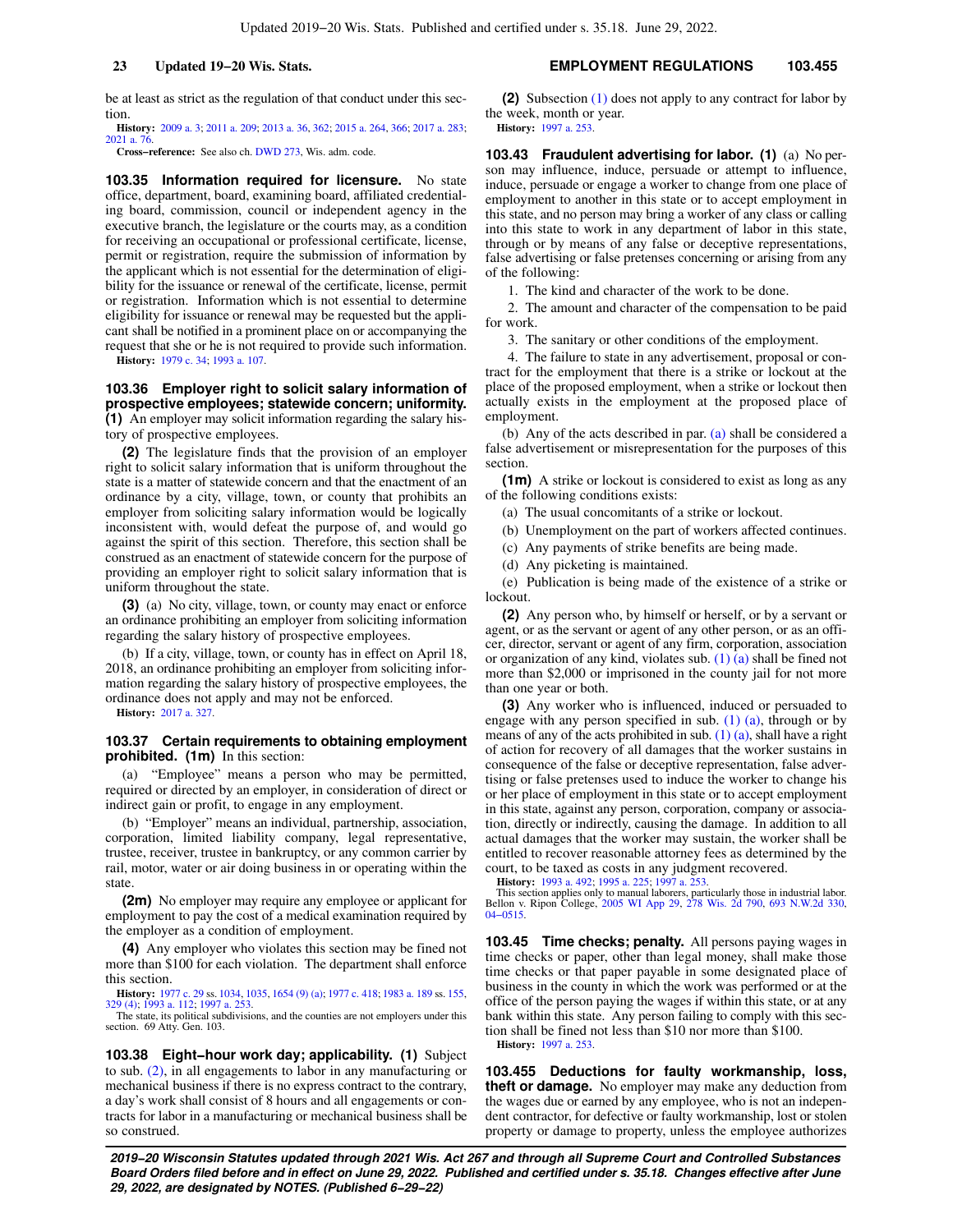be at least as strict as the regulation of that conduct under this section.

**History:** [2009 a. 3;](https://docs.legis.wisconsin.gov/document/acts/2009/3) [2011 a. 209;](https://docs.legis.wisconsin.gov/document/acts/2011/209) [2013 a. 36,](https://docs.legis.wisconsin.gov/document/acts/2013/36) [362;](https://docs.legis.wisconsin.gov/document/acts/2013/362) [2015 a. 264,](https://docs.legis.wisconsin.gov/document/acts/2015/264) [366;](https://docs.legis.wisconsin.gov/document/acts/2015/366) [2017 a. 283](https://docs.legis.wisconsin.gov/document/acts/2017/283); [2021 a. 76](https://docs.legis.wisconsin.gov/document/acts/2021/76).

**Cross−reference:** See also ch. [DWD 273](https://docs.legis.wisconsin.gov/document/administrativecode/ch.%20DWD%20273), Wis. adm. code.

**103.35 Information required for licensure.** No state office, department, board, examining board, affiliated credentialing board, commission, council or independent agency in the executive branch, the legislature or the courts may, as a condition for receiving an occupational or professional certificate, license, permit or registration, require the submission of information by the applicant which is not essential for the determination of eligibility for the issuance or renewal of the certificate, license, permit or registration. Information which is not essential to determine eligibility for issuance or renewal may be requested but the applicant shall be notified in a prominent place on or accompanying the request that she or he is not required to provide such information.

**History:** [1979 c. 34;](https://docs.legis.wisconsin.gov/document/acts/1979/34) [1993 a. 107.](https://docs.legis.wisconsin.gov/document/acts/1993/107)

**103.36 Employer right to solicit salary information of prospective employees; statewide concern; uniformity. (1)** An employer may solicit information regarding the salary history of prospective employees.

**(2)** The legislature finds that the provision of an employer right to solicit salary information that is uniform throughout the state is a matter of statewide concern and that the enactment of an ordinance by a city, village, town, or county that prohibits an employer from soliciting salary information would be logically inconsistent with, would defeat the purpose of, and would go against the spirit of this section. Therefore, this section shall be construed as an enactment of statewide concern for the purpose of providing an employer right to solicit salary information that is uniform throughout the state.

**(3)** (a) No city, village, town, or county may enact or enforce an ordinance prohibiting an employer from soliciting information regarding the salary history of prospective employees.

(b) If a city, village, town, or county has in effect on April 18, 2018, an ordinance prohibiting an employer from soliciting information regarding the salary history of prospective employees, the ordinance does not apply and may not be enforced.

**History:** [2017 a. 327](https://docs.legis.wisconsin.gov/document/acts/2017/327).

#### **103.37 Certain requirements to obtaining employment prohibited. (1m)** In this section:

(a) "Employee" means a person who may be permitted, required or directed by an employer, in consideration of direct or indirect gain or profit, to engage in any employment.

(b) "Employer" means an individual, partnership, association, corporation, limited liability company, legal representative, trustee, receiver, trustee in bankruptcy, or any common carrier by rail, motor, water or air doing business in or operating within the state.

**(2m)** No employer may require any employee or applicant for employment to pay the cost of a medical examination required by the employer as a condition of employment.

**(4)** Any employer who violates this section may be fined not more than \$100 for each violation. The department shall enforce this section.

**History:** [1977 c. 29](https://docs.legis.wisconsin.gov/document/acts/1977/29) ss. [1034,](https://docs.legis.wisconsin.gov/document/acts/1977/29,%20s.%201034) [1035,](https://docs.legis.wisconsin.gov/document/acts/1977/29,%20s.%201035) [1654 \(9\) \(a\)](https://docs.legis.wisconsin.gov/document/acts/1977/29,%20s.%201654); [1977 c. 418;](https://docs.legis.wisconsin.gov/document/acts/1977/418) [1983 a. 189](https://docs.legis.wisconsin.gov/document/acts/1983/189) ss. [155](https://docs.legis.wisconsin.gov/document/acts/1983/189,%20s.%20155), [329 \(4\)](https://docs.legis.wisconsin.gov/document/acts/1983/189,%20s.%20329); [1993 a. 112;](https://docs.legis.wisconsin.gov/document/acts/1993/112) [1997 a. 253](https://docs.legis.wisconsin.gov/document/acts/1997/253).

The state, its political subdivisions, and the counties are not employers under this section. 69 Atty. Gen. 103.

**103.38 Eight−hour work day; applicability. (1)** Subject to sub. [\(2\)](https://docs.legis.wisconsin.gov/document/statutes/103.38(2)), in all engagements to labor in any manufacturing or mechanical business if there is no express contract to the contrary, a day's work shall consist of 8 hours and all engagements or contracts for labor in a manufacturing or mechanical business shall be so construed.

**(2)** Subsection [\(1\)](https://docs.legis.wisconsin.gov/document/statutes/103.38(1)) does not apply to any contract for labor by the week, month or year. **History:** [1997 a. 253.](https://docs.legis.wisconsin.gov/document/acts/1997/253)

**103.43 Fraudulent advertising for labor. (1)** (a) No person may influence, induce, persuade or attempt to influence, induce, persuade or engage a worker to change from one place of employment to another in this state or to accept employment in this state, and no person may bring a worker of any class or calling into this state to work in any department of labor in this state, through or by means of any false or deceptive representations, false advertising or false pretenses concerning or arising from any of the following:

1. The kind and character of the work to be done.

2. The amount and character of the compensation to be paid for work.

3. The sanitary or other conditions of the employment.

4. The failure to state in any advertisement, proposal or contract for the employment that there is a strike or lockout at the place of the proposed employment, when a strike or lockout then actually exists in the employment at the proposed place of employment.

(b) Any of the acts described in par. [\(a\)](https://docs.legis.wisconsin.gov/document/statutes/103.43(1)(a)) shall be considered a false advertisement or misrepresentation for the purposes of this section.

**(1m)** A strike or lockout is considered to exist as long as any of the following conditions exists:

(a) The usual concomitants of a strike or lockout.

(b) Unemployment on the part of workers affected continues.

(c) Any payments of strike benefits are being made.

(d) Any picketing is maintained.

(e) Publication is being made of the existence of a strike or lockout.

**(2)** Any person who, by himself or herself, or by a servant or agent, or as the servant or agent of any other person, or as an officer, director, servant or agent of any firm, corporation, association or organization of any kind, violates sub. [\(1\) \(a\)](https://docs.legis.wisconsin.gov/document/statutes/103.43(1)(a)) shall be fined not more than \$2,000 or imprisoned in the county jail for not more than one year or both.

**(3)** Any worker who is influenced, induced or persuaded to engage with any person specified in sub.  $(1)$   $(a)$ , through or by means of any of the acts prohibited in sub. [\(1\) \(a\)](https://docs.legis.wisconsin.gov/document/statutes/103.43(1)(a)), shall have a right of action for recovery of all damages that the worker sustains in consequence of the false or deceptive representation, false advertising or false pretenses used to induce the worker to change his or her place of employment in this state or to accept employment in this state, against any person, corporation, company or association, directly or indirectly, causing the damage. In addition to all actual damages that the worker may sustain, the worker shall be entitled to recover reasonable attorney fees as determined by the court, to be taxed as costs in any judgment recovered.<br>**History:** 1993 a. 492; 1995 a. 225; 1997 a. 253.

**History:** [1993 a. 492;](https://docs.legis.wisconsin.gov/document/acts/1993/492) [1995 a. 225](https://docs.legis.wisconsin.gov/document/acts/1995/225); [1997 a. 253.](https://docs.legis.wisconsin.gov/document/acts/1997/253) This section applies only to manual laborers, particularly those in industrial labor. Bellon v. Ripon College, [2005 WI App 29,](https://docs.legis.wisconsin.gov/document/courts/2005%20WI%20App%2029) [278 Wis. 2d 790](https://docs.legis.wisconsin.gov/document/courts/278%20Wis.%202d%20790), [693 N.W.2d 330](https://docs.legis.wisconsin.gov/document/courts/693%20N.W.2d%20330), [04−0515.](https://docs.legis.wisconsin.gov/document/wicourtofappeals/04-0515)

**103.45 Time checks; penalty.** All persons paying wages in time checks or paper, other than legal money, shall make those time checks or that paper payable in some designated place of business in the county in which the work was performed or at the office of the person paying the wages if within this state, or at any bank within this state. Any person failing to comply with this section shall be fined not less than \$10 nor more than \$100. **History:** [1997 a. 253.](https://docs.legis.wisconsin.gov/document/acts/1997/253)

**103.455 Deductions for faulty workmanship, loss, theft or damage.** No employer may make any deduction from the wages due or earned by any employee, who is not an independent contractor, for defective or faulty workmanship, lost or stolen property or damage to property, unless the employee authorizes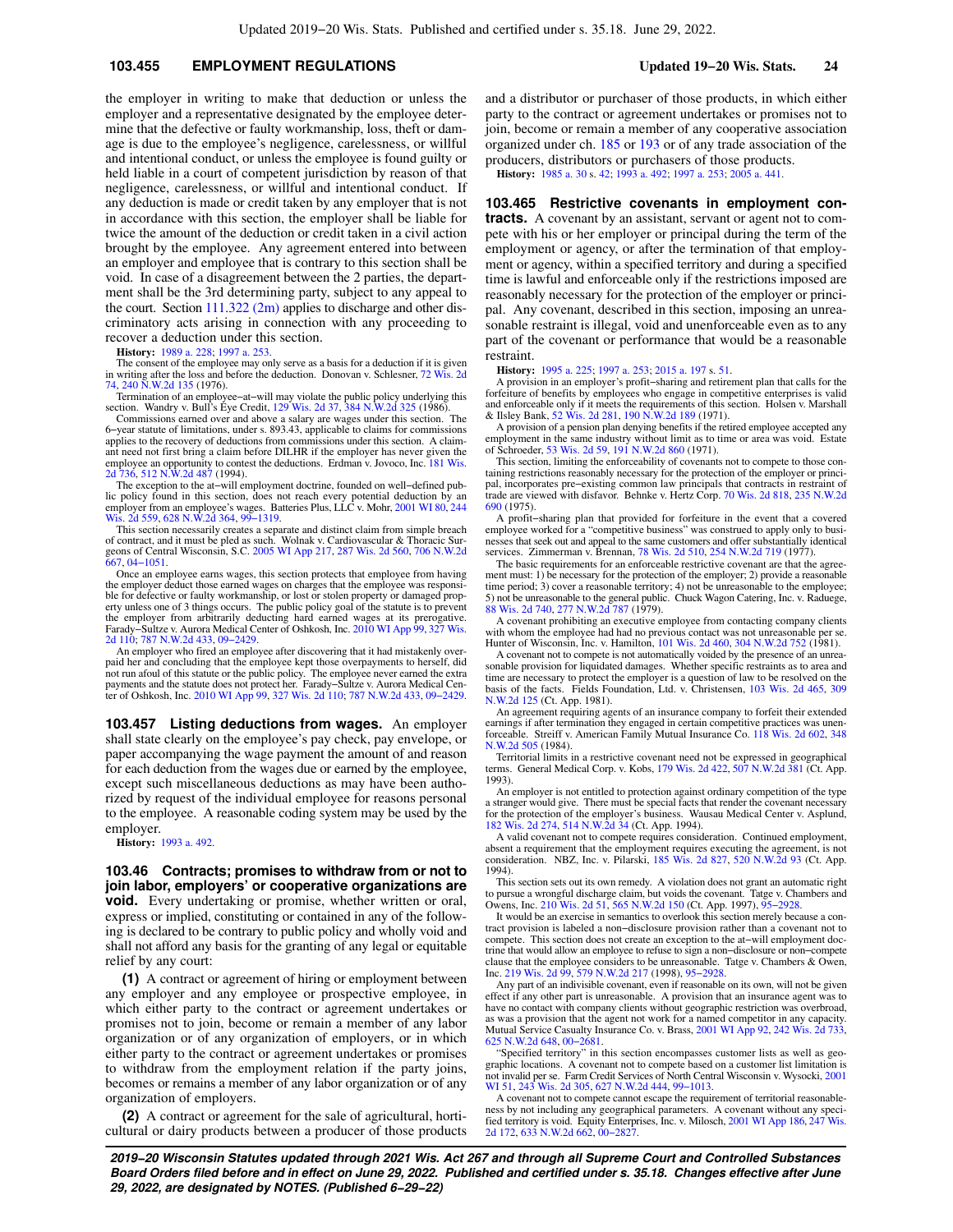## **103.455 EMPLOYMENT REGULATIONS Updated 19−20 Wis. Stats. 24**

the employer in writing to make that deduction or unless the employer and a representative designated by the employee determine that the defective or faulty workmanship, loss, theft or damage is due to the employee's negligence, carelessness, or willful and intentional conduct, or unless the employee is found guilty or held liable in a court of competent jurisdiction by reason of that negligence, carelessness, or willful and intentional conduct. If any deduction is made or credit taken by any employer that is not in accordance with this section, the employer shall be liable for twice the amount of the deduction or credit taken in a civil action brought by the employee. Any agreement entered into between an employer and employee that is contrary to this section shall be void. In case of a disagreement between the 2 parties, the department shall be the 3rd determining party, subject to any appeal to the court. Section [111.322 \(2m\)](https://docs.legis.wisconsin.gov/document/statutes/111.322(2m)) applies to discharge and other discriminatory acts arising in connection with any proceeding to recover a deduction under this section.

**History:** [1989 a. 228](https://docs.legis.wisconsin.gov/document/acts/1989/228); [1997 a. 253](https://docs.legis.wisconsin.gov/document/acts/1997/253).

The consent of the employee may only serve as a basis for a deduction if it is given in writing after the loss and before the deduction. Donovan v. Schlesner, [72 Wis. 2d](https://docs.legis.wisconsin.gov/document/courts/72%20Wis.%202d%2074) [74,](https://docs.legis.wisconsin.gov/document/courts/72%20Wis.%202d%2074) [240 N.W.2d 135](https://docs.legis.wisconsin.gov/document/courts/240%20N.W.2d%20135) (1976).

Termination of an employee−at−will may violate the public policy underlying this section. Wandry v. Bull's Eye Credit, [129 Wis. 2d 37,](https://docs.legis.wisconsin.gov/document/courts/129%20Wis.%202d%2037) [384 N.W.2d 325](https://docs.legis.wisconsin.gov/document/courts/384%20N.W.2d%20325) (1986).

Commissions earned over and above a salary are wages under this section. The 6−year statute of limitations, under s. 893.43, applicable to claims for commissions applies to the recovery of deductions from commissions under this section. A claimant need not first bring a claim before DILHR if the employer has never given the employee an opportunity to contest the deductions. Erdman v. Jovoco, Inc. [181 Wis.](https://docs.legis.wisconsin.gov/document/courts/181%20Wis.%202d%20736) [2d 736](https://docs.legis.wisconsin.gov/document/courts/181%20Wis.%202d%20736), [512 N.W.2d 487](https://docs.legis.wisconsin.gov/document/courts/512%20N.W.2d%20487) (1994).

The exception to the at–will employment doctrine, founded on well–defined public policy found in this section, does not reach every potential deduction by an employer from an employee's wages. Batteries Plus, LLC v. Mohr, [2001 WI 80](https://docs.legis.wisconsin.gov/document/courts/2001%20WI%2080), [244](https://docs.legis.wisconsin.gov/document/courts/244%20Wis.%202d%20559) [Wis. 2d 559,](https://docs.legis.wisconsin.gov/document/courts/244%20Wis.%202d%20559) [628 N.W.2d 364](https://docs.legis.wisconsin.gov/document/courts/628%20N.W.2d%20364), [99−1319](https://docs.legis.wisconsin.gov/document/wisupremecourt/99-1319).

This section necessarily creates a separate and distinct claim from simple breach of contract, and it must be pled as such. Wolnak v. Cardiovascular & Thoracic Surgeons of Central Wisconsin, S.C. [2005 WI App 217](https://docs.legis.wisconsin.gov/document/courts/2005%20WI%20App%20217), [287 Wis. 2d 560,](https://docs.legis.wisconsin.gov/document/courts/287%20Wis.%202d%20560) [706 N.W.2d](https://docs.legis.wisconsin.gov/document/courts/706%20N.W.2d%20667) [667](https://docs.legis.wisconsin.gov/document/courts/706%20N.W.2d%20667), [04−1051](https://docs.legis.wisconsin.gov/document/wicourtofappeals/04-1051).

Once an employee earns wages, this section protects that employee from having the employer deduct those earned wages on charges that the employee was responsi-ble for defective or faulty workmanship, or lost or stolen property or damaged property unless one of 3 things occurs. The public policy goal of the statute is to prevent the employer from arbitrarily deducting hard earned wages at its prerogative. Farady−Sultze v. Aurora Medical Center of Oshkosh, Inc. [2010 WI App 99,](https://docs.legis.wisconsin.gov/document/courts/2010%20WI%20App%2099) [327 Wis.](https://docs.legis.wisconsin.gov/document/courts/327%20Wis.%202d%20110) [2d 110;](https://docs.legis.wisconsin.gov/document/courts/327%20Wis.%202d%20110) [787 N.W.2d 433,](https://docs.legis.wisconsin.gov/document/courts/787%20N.W.2d%20433) [09−2429.](https://docs.legis.wisconsin.gov/document/wicourtofappeals/09-2429)

An employer who fired an employee after discovering that it had mistakenly overpaid her and concluding that the employee kept those overpayments to herself, did not run afoul of this statute or the public policy. The employee never earned the extra payments and the statute does not protect her. Farady−Sultze v. Aurora Medical Cen-ter of Oshkosh, Inc. [2010 WI App 99,](https://docs.legis.wisconsin.gov/document/courts/2010%20WI%20App%2099) [327 Wis. 2d 110;](https://docs.legis.wisconsin.gov/document/courts/327%20Wis.%202d%20110) [787 N.W.2d 433](https://docs.legis.wisconsin.gov/document/courts/787%20N.W.2d%20433), [09−2429](https://docs.legis.wisconsin.gov/document/wicourtofappeals/09-2429).

**103.457 Listing deductions from wages.** An employer shall state clearly on the employee's pay check, pay envelope, or paper accompanying the wage payment the amount of and reason for each deduction from the wages due or earned by the employee, except such miscellaneous deductions as may have been authorized by request of the individual employee for reasons personal to the employee. A reasonable coding system may be used by the employer.

**History:** [1993 a. 492](https://docs.legis.wisconsin.gov/document/acts/1993/492).

**103.46 Contracts; promises to withdraw from or not to join labor, employers' or cooperative organizations are void.** Every undertaking or promise, whether written or oral, express or implied, constituting or contained in any of the following is declared to be contrary to public policy and wholly void and shall not afford any basis for the granting of any legal or equitable relief by any court:

**(1)** A contract or agreement of hiring or employment between any employer and any employee or prospective employee, in which either party to the contract or agreement undertakes or promises not to join, become or remain a member of any labor organization or of any organization of employers, or in which either party to the contract or agreement undertakes or promises to withdraw from the employment relation if the party joins, becomes or remains a member of any labor organization or of any organization of employers.

**(2)** A contract or agreement for the sale of agricultural, horticultural or dairy products between a producer of those products and a distributor or purchaser of those products, in which either party to the contract or agreement undertakes or promises not to join, become or remain a member of any cooperative association organized under ch. [185](https://docs.legis.wisconsin.gov/document/statutes/ch.%20185) or [193](https://docs.legis.wisconsin.gov/document/statutes/ch.%20193) or of any trade association of the producers, distributors or purchasers of those products.

**History:** [1985 a. 30](https://docs.legis.wisconsin.gov/document/acts/1985/30) s. [42](https://docs.legis.wisconsin.gov/document/acts/1985/30,%20s.%2042); [1993 a. 492;](https://docs.legis.wisconsin.gov/document/acts/1993/492) [1997 a. 253](https://docs.legis.wisconsin.gov/document/acts/1997/253); [2005 a. 441](https://docs.legis.wisconsin.gov/document/acts/2005/441).

**103.465 Restrictive covenants in employment contracts.** A covenant by an assistant, servant or agent not to compete with his or her employer or principal during the term of the employment or agency, or after the termination of that employment or agency, within a specified territory and during a specified time is lawful and enforceable only if the restrictions imposed are reasonably necessary for the protection of the employer or principal. Any covenant, described in this section, imposing an unreasonable restraint is illegal, void and unenforceable even as to any part of the covenant or performance that would be a reasonable restraint.

**History:** [1995 a. 225;](https://docs.legis.wisconsin.gov/document/acts/1995/225) [1997 a. 253](https://docs.legis.wisconsin.gov/document/acts/1997/253); [2015 a. 197](https://docs.legis.wisconsin.gov/document/acts/2015/197) s. [51.](https://docs.legis.wisconsin.gov/document/acts/2015/197,%20s.%2051)

A provision in an employer's profit−sharing and retirement plan that calls for the forfeiture of benefits by employees who engage in competitive enterprises is valid and enforceable only if it meets the requirements of this section. Holsen v. Marshall & Ilsley Bank, [52 Wis. 2d 281](https://docs.legis.wisconsin.gov/document/courts/52%20Wis.%202d%20281), [190 N.W.2d 189](https://docs.legis.wisconsin.gov/document/courts/190%20N.W.2d%20189) (1971).

A provision of a pension plan denying benefits if the retired employee accepted any employment in the same industry without limit as to time or area was void. Estate of Schroeder, [53 Wis. 2d 59](https://docs.legis.wisconsin.gov/document/courts/53%20Wis.%202d%2059), [191 N.W.2d 860](https://docs.legis.wisconsin.gov/document/courts/191%20N.W.2d%20860) (1971).

This section, limiting the enforceability of covenants not to compete to those con-taining restrictions reasonably necessary for the protection of the employer or principal, incorporates pre−existing common law principals that contracts in restraint of trade are viewed with disfavor. Behnke v. Hertz Corp. [70 Wis. 2d 818](https://docs.legis.wisconsin.gov/document/courts/70%20Wis.%202d%20818), [235 N.W.2d](https://docs.legis.wisconsin.gov/document/courts/235%20N.W.2d%20690) [690](https://docs.legis.wisconsin.gov/document/courts/235%20N.W.2d%20690) (1975).

A profit−sharing plan that provided for forfeiture in the event that a covered employee worked for a "competitive business" was construed to apply only to businesses that seek out and appeal to the same customers and offer substantially identical services. Zimmerman v. Brennan, [78 Wis. 2d 510,](https://docs.legis.wisconsin.gov/document/courts/78%20Wis.%202d%20510) [254 N.W.2d 719](https://docs.legis.wisconsin.gov/document/courts/254%20N.W.2d%20719) (1977).

The basic requirements for an enforceable restrictive covenant are that the agreement must: 1) be necessary for the protection of the employer; 2) provide a reasonable time period; 3) cover a reasonable territory; 4) not be unreasonable to the employee; 5) not be unreasonable to the general public. Chuck Wagon Catering, Inc. v. Raduege, [88 Wis. 2d 740,](https://docs.legis.wisconsin.gov/document/courts/88%20Wis.%202d%20740) [277 N.W.2d 787](https://docs.legis.wisconsin.gov/document/courts/277%20N.W.2d%20787) (1979).

A covenant prohibiting an executive employee from contacting company clients with whom the employee had had no previous contact was not unreasonable per se. Hunter of Wisconsin, Inc. v. Hamilton, [101 Wis. 2d 460,](https://docs.legis.wisconsin.gov/document/courts/101%20Wis.%202d%20460) [304 N.W.2d 752](https://docs.legis.wisconsin.gov/document/courts/304%20N.W.2d%20752) (1981).

A covenant not to compete is not automatically voided by the presence of an unreasonable provision for liquidated damages. Whether specific restraints as to area and time are necessary to protect the employer is a question basis of the facts. Fields Foundation, Ltd. v. Christensen, [103 Wis. 2d 465,](https://docs.legis.wisconsin.gov/document/courts/103%20Wis.%202d%20465) [309](https://docs.legis.wisconsin.gov/document/courts/309%20N.W.2d%20125) [N.W.2d 125](https://docs.legis.wisconsin.gov/document/courts/309%20N.W.2d%20125) (Ct. App. 1981).

An agreement requiring agents of an insurance company to forfeit their extended earnings if after termination they engaged in certain competitive practices was unenforceable. Streiff v. American Family Mutual Insurance Co. [118 Wis. 2d 602](https://docs.legis.wisconsin.gov/document/courts/118%20Wis.%202d%20602), [348](https://docs.legis.wisconsin.gov/document/courts/348%20N.W.2d%20505) [N.W.2d 505](https://docs.legis.wisconsin.gov/document/courts/348%20N.W.2d%20505) (1984).

Territorial limits in a restrictive covenant need not be expressed in geographical terms. General Medical Corp. v. Kobs, [179 Wis. 2d 422,](https://docs.legis.wisconsin.gov/document/courts/179%20Wis.%202d%20422) [507 N.W.2d 381](https://docs.legis.wisconsin.gov/document/courts/507%20N.W.2d%20381) (Ct. App. 1993).

An employer is not entitled to protection against ordinary competition of the type a stranger would give. There must be special facts that render the covenant necessary for the protection of the employer's business. Wausau Medical Center v. Asplund, [182 Wis. 2d 274](https://docs.legis.wisconsin.gov/document/courts/182%20Wis.%202d%20274), [514 N.W.2d 34](https://docs.legis.wisconsin.gov/document/courts/514%20N.W.2d%2034) (Ct. App. 1994).

A valid covenant not to compete requires consideration. Continued employment, absent a requirement that the employment requires executing the agreement, is not consideration. NBZ, Inc. v. Pilarski, [185 Wis. 2d 827](https://docs.legis.wisconsin.gov/document/courts/185%20Wis.%202d%20827), [520 N.W.2d 93](https://docs.legis.wisconsin.gov/document/courts/520%20N.W.2d%2093) (Ct. App. 1994).

This section sets out its own remedy. A violation does not grant an automatic right to pursue a wrongful discharge claim, but voids the covenant. Tatge v. Chambers and Owens, Inc. [210 Wis. 2d 51,](https://docs.legis.wisconsin.gov/document/courts/210%20Wis.%202d%2051) [565 N.W.2d 150](https://docs.legis.wisconsin.gov/document/courts/565%20N.W.2d%20150) (Ct. App. 1997), [95−2928.](https://docs.legis.wisconsin.gov/document/wicourtofappeals/95-2928)

It would be an exercise in semantics to overlook this section merely because a contract provision is labeled a non−disclosure provision rather than a covenant not to compete. This section does not create an exception to the at−will employment doctrine that would allow an employee to refuse to sign a non−disclosure or non−compete clause that the employee considers to be unreasonable. Tatge v. Chambers & Owen, Inc. [219 Wis. 2d 99](https://docs.legis.wisconsin.gov/document/courts/219%20Wis.%202d%2099), [579 N.W.2d 217](https://docs.legis.wisconsin.gov/document/courts/579%20N.W.2d%20217) (1998), [95−2928](https://docs.legis.wisconsin.gov/document/wisupremecourt/95-2928).

Any part of an indivisible covenant, even if reasonable on its own, will not be given effect if any other part is unreasonable. A provision that an insurance agent was to have no contact with company clients without geographic restriction was overbroad, as was a provision that the agent not work for a named competitor in any capacity. Mutual Service Casualty Insurance Co. v. Brass, [2001 WI App 92,](https://docs.legis.wisconsin.gov/document/courts/2001%20WI%20App%2092) [242 Wis. 2d 733](https://docs.legis.wisconsin.gov/document/courts/242%20Wis.%202d%20733), [625 N.W.2d 648](https://docs.legis.wisconsin.gov/document/courts/625%20N.W.2d%20648), [00−2681](https://docs.legis.wisconsin.gov/document/wicourtofappeals/00-2681).

"Specified territory" in this section encompasses customer lists as well as geo-graphic locations. A covenant not to compete based on a customer list limitation is not invalid per se. Farm Credit Services of North Central Wisconsin v. Wysocki, [2001](https://docs.legis.wisconsin.gov/document/courts/2001%20WI%2051) [WI 51,](https://docs.legis.wisconsin.gov/document/courts/2001%20WI%2051) [243 Wis. 2d 305](https://docs.legis.wisconsin.gov/document/courts/243%20Wis.%202d%20305), [627 N.W.2d 444,](https://docs.legis.wisconsin.gov/document/courts/627%20N.W.2d%20444) [99−1013](https://docs.legis.wisconsin.gov/document/wisupremecourt/99-1013).

A covenant not to compete cannot escape the requirement of territorial reasonableness by not including any geographical parameters. A covenant without any specified territory is void. Equity Enterprises, Inc. v. Milosch, [2001 WI App 186](https://docs.legis.wisconsin.gov/document/courts/2001%20WI%20App%20186), [247 Wis.](https://docs.legis.wisconsin.gov/document/courts/247%20Wis.%202d%20172) [2d 172](https://docs.legis.wisconsin.gov/document/courts/247%20Wis.%202d%20172), [633 N.W.2d 662,](https://docs.legis.wisconsin.gov/document/courts/633%20N.W.2d%20662) [00−2827](https://docs.legis.wisconsin.gov/document/wicourtofappeals/00-2827).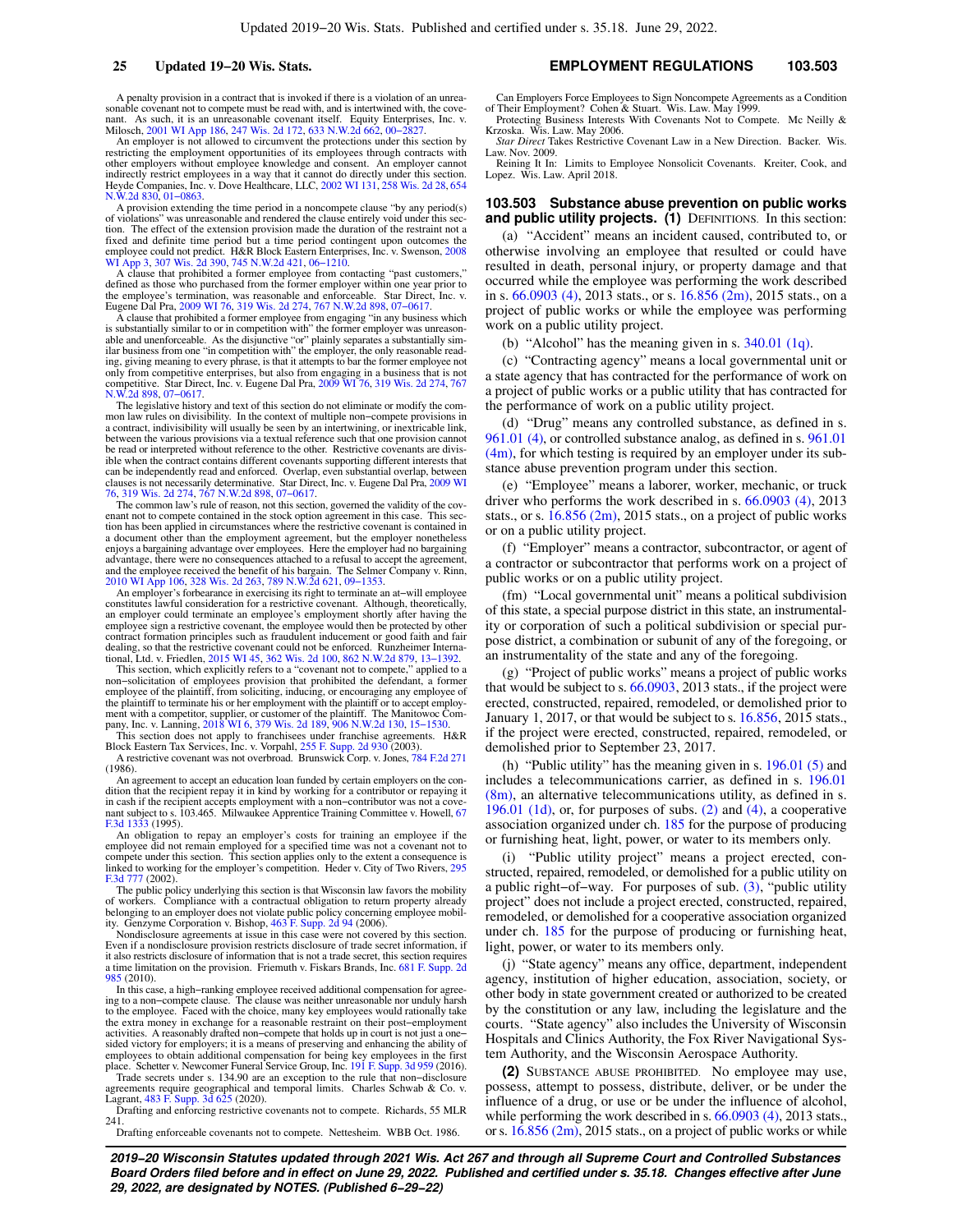A penalty provision in a contract that is invoked if there is a violation of an unreasonable covenant not to compete must be read with, and is intertwined with, the cove-nant. As such, it is an unreasonable covenant itself. Equity Enterprises, Inc. v. Milosch, [2001 WI App 186](https://docs.legis.wisconsin.gov/document/courts/2001%20WI%20App%20186), [247 Wis. 2d 172,](https://docs.legis.wisconsin.gov/document/courts/247%20Wis.%202d%20172) [633 N.W.2d 662](https://docs.legis.wisconsin.gov/document/courts/633%20N.W.2d%20662), 00-2

An employer is not allowed to circumvent the protections under this section by restricting the employment opportunities of its employees through contracts with other employers without employee knowledge and consent. An employer cannot indirectly restrict employees in a way that it cannot do directly under this section.<br>Heyde Companies, Inc. v. Dove Healthcare, LLC, [2002 WI 131](https://docs.legis.wisconsin.gov/document/courts/2002%20WI%20131), [258 Wis. 2d 28](https://docs.legis.wisconsin.gov/document/courts/258%20Wis.%202d%2028), [654](https://docs.legis.wisconsin.gov/document/courts/654%20N.W.2d%20830) [N.W.2d 830,](https://docs.legis.wisconsin.gov/document/courts/654%20N.W.2d%20830) [01−0863.](https://docs.legis.wisconsin.gov/document/wisupremecourt/01-0863)

A provision extending the time period in a noncompete clause "by any period(s) of violations" was unreasonable and rendered the clause entirely void under this section. The effect of the extension provision made the duration of the restraint not a fixed and definite time period but a time period contingent upon outcomes the employee could not predict. H&R Block Eastern Enterprises, Inc. v. Swenson, [2008](https://docs.legis.wisconsin.gov/document/courts/2008%20WI%20App%203) [WI App 3,](https://docs.legis.wisconsin.gov/document/courts/2008%20WI%20App%203) [307 Wis. 2d 390](https://docs.legis.wisconsin.gov/document/courts/307%20Wis.%202d%20390), [745 N.W.2d 421](https://docs.legis.wisconsin.gov/document/courts/745%20N.W.2d%20421), [06−1210](https://docs.legis.wisconsin.gov/document/wicourtofappeals/06-1210).

A clause that prohibited a former employee from contacting "past customers," defined as those who purchased from the former employer within one year prior to the employee's termination, was reasonable and enforceable. Star Eugene Dal Pra, [2009 WI 76,](https://docs.legis.wisconsin.gov/document/courts/2009%20WI%2076) [319 Wis. 2d 274](https://docs.legis.wisconsin.gov/document/courts/319%20Wis.%202d%20274), [767 N.W.2d 898,](https://docs.legis.wisconsin.gov/document/courts/767%20N.W.2d%20898) [07−0617](https://docs.legis.wisconsin.gov/document/wisupremecourt/07-0617).

A clause that prohibited a former employee from engaging "in any business which is substantially similar to or in competition with" the former employer was unreasonable and unenforceable. As the disjunctive "or" plainly separates a substantially sim-<br>ilar business from one "in competition with" the employer, the only reasonable read-<br>ing, giving meaning to every phrase, is that it at only from competitive enterprises, but also from engaging in a business that is not competitive. Star Direct, Inc. v. Eugene Dal Pra, [2009 WI 76,](https://docs.legis.wisconsin.gov/document/courts/2009%20WI%2076) [319 Wis. 2d 274](https://docs.legis.wisconsin.gov/document/courts/319%20Wis.%202d%20274), [767](https://docs.legis.wisconsin.gov/document/courts/767%20N.W.2d%20898) [N.W.2d 898,](https://docs.legis.wisconsin.gov/document/courts/767%20N.W.2d%20898) [07−0617.](https://docs.legis.wisconsin.gov/document/wisupremecourt/07-0617)

The legislative history and text of this section do not eliminate or modify the common law rules on divisibility. In the context of multiple non−compete provisions in a contract, indivisibility will usually be seen by an intertwining, or inextricable link, between the various provisions via a textual reference such that one provision cannot be read or interpreted without reference to the other. Restrictive covenants are divisible when the contract contains different covenants supporting different interests that can be independently read and enforced. Overlap, clauses is not necessarily determinative. Star Direct, Inc. v. Eugene Dal Pra, [2009 WI](https://docs.legis.wisconsin.gov/document/courts/2009%20WI%2076) [76,](https://docs.legis.wisconsin.gov/document/courts/2009%20WI%2076) [319 Wis. 2d 274](https://docs.legis.wisconsin.gov/document/courts/319%20Wis.%202d%20274), [767 N.W.2d 898](https://docs.legis.wisconsin.gov/document/courts/767%20N.W.2d%20898), [07−0617](https://docs.legis.wisconsin.gov/document/wisupremecourt/07-0617).

The common law's rule of reason, not this section, governed the validity of the covenant not to compete contained in the stock option agreement in this case. This section has been applied in circumstances where the restrictive covenant is contained in a document other than the employment agreement, but the employer nonetheless enjoys a bargaining advantage over employees. Here the employer had no bargaining advantage, there were no consequences attached to a refusal to accept the agreement, and the employee received the benefit of his bargain. The Selmer Company v. Rinn, [2010 WI App 106,](https://docs.legis.wisconsin.gov/document/courts/2010%20WI%20App%20106) [328 Wis. 2d 263](https://docs.legis.wisconsin.gov/document/courts/328%20Wis.%202d%20263), [789 N.W.2d 621,](https://docs.legis.wisconsin.gov/document/courts/789%20N.W.2d%20621) [09−1353.](https://docs.legis.wisconsin.gov/document/wicourtofappeals/09-1353)

An employer's forbearance in exercising its right to terminate an at−will employee constitutes lawful consideration for a restrictive covenant. Although, theoretically, an employer could terminate an employee's employment shortly after having the employee sign a restrictive covenant, the employee would then be protected by other contract formation principles such as fraudulent inducement or good faith and fair dealing, so that the restrictive covenant could not be enforced. Runzheimer Interna-

tional, Ltd. v. Friedlen, [2015 WI 45](https://docs.legis.wisconsin.gov/document/courts/2015%20WI%2045), [362 Wis. 2d 100,](https://docs.legis.wisconsin.gov/document/courts/362%20Wis.%202d%20100) [862 N.W.2d 879,](https://docs.legis.wisconsin.gov/document/courts/862%20N.W.2d%20879) [13−1392.](https://docs.legis.wisconsin.gov/document/wisupremecourt/13-1392) This section, which explicitly refers to a "covenant not to compete," applied to a non−solicitation of employees provision that prohibited the defendant, a former employee of the plaintiff, from soliciting, inducing, or encouraging any employee of the plaintiff to terminate his or her employment with the plaintiff or to accept employ-ment with a competitor, supplier, or customer of the plaintiff. The Manitowoc Company, Inc. v. Lanning, [2018 WI 6](https://docs.legis.wisconsin.gov/document/courts/2018%20WI%206), [379 Wis. 2d 189,](https://docs.legis.wisconsin.gov/document/courts/379%20Wis.%202d%20189) [906 N.W.2d 130,](https://docs.legis.wisconsin.gov/document/courts/906%20N.W.2d%20130) 15–1530.

This section does not apply to franchisees under franchise agreements. H&R<br>Block Eastern Tax Services, Inc. v. Vorpahl, [255 F. Supp. 2d 930](https://docs.legis.wisconsin.gov/document/courts/255%20F.%20Supp.%202d%20930) (2003). A restrictive covenant was not overbroad. Brunswick Corp. v. Jones, [784 F.2d 271](https://docs.legis.wisconsin.gov/document/courts/784%20F.2d%20271) (1986).

An agreement to accept an education loan funded by certain employers on the condition that the recipient repay it in kind by working for a contributor or repaying it in cash if the recipient accepts employment with a non−contributor was not a cove-nant subject to s. 103.465. Milwaukee Apprentice Training Committee v. Howell, [67](https://docs.legis.wisconsin.gov/document/courts/67%20F.3d%201333) [F.3d 1333](https://docs.legis.wisconsin.gov/document/courts/67%20F.3d%201333) (1995).

An obligation to repay an employer's costs for training an employee if the employee did not remain employed for a specified time was not a covenant not to compete under this section. This section applies only to the extent a consequence is linked to working for the employer's competition. Heder v. City of Two Rivers, [295](https://docs.legis.wisconsin.gov/document/courts/295%20F.3d%20777) [F.3d 777](https://docs.legis.wisconsin.gov/document/courts/295%20F.3d%20777) (2002).

The public policy underlying this section is that Wisconsin law favors the mobility of workers. Compliance with a contractual obligation to return property already<br>belonging to an employer does not violate public policy concerning employee mobil-<br>ity. Genzyme Corporation v. Bishop, [463 F. Supp. 2d 94](https://docs.legis.wisconsin.gov/document/courts/463%20F.%20Supp.%202d%2094) (200

Nondisclosure agreements at issue in this case were not covered by this section. Even if a nondisclosure provision restricts disclosure of trade secret information, if it also restricts disclosure of information that is not a trade secret, this section requires a time limitation on the provision. Friemuth v. Fiskars Brands, Inc. [681 F. Supp. 2d](https://docs.legis.wisconsin.gov/document/courts/681%20F.%20Supp.%202d%20985) [985](https://docs.legis.wisconsin.gov/document/courts/681%20F.%20Supp.%202d%20985) (2010).

In this case, a high−ranking employee received additional compensation for agreeing to a non-compete clause. The clause was neither unreasonable nor unduly harsh<br>to the employee. Faced with the choice, many key employees would rationally take<br>the extra money in exchange for a reasonable restraint on t activities. A reasonably drafted non−compete that holds up in court is not just a one− sided victory for employers; it is a means of preserving and enhancing the ability of employees to obtain additional compensation for being key employees in the first place. Schetter v. Newcomer Funeral Service Group, Inc. [191 F. Supp. 3d 959](https://docs.legis.wisconsin.gov/document/courts/191%20F.%20Supp.%203d%20959) (2016).

Trade secrets under s. 134.90 are an exception to the rule that non−disclosure agreements require geographical and temporal limits. Charles Schwab & Co. v. Lagrant, [483 F. Supp. 3d 625](https://docs.legis.wisconsin.gov/document/courts/483%20F.%20Supp.%203d%20625) (2020).

Drafting and enforcing restrictive covenants not to compete. Richards, 55 MLR 241.

Drafting enforceable covenants not to compete. Nettesheim. WBB Oct. 1986.

### **25 Updated 19−20 Wis. Stats. EMPLOYMENT REGULATIONS 103.503**

Can Employers Force Employees to Sign Noncompete Agreements as a Condition of Their Employment? Cohen & Stuart. Wis. Law. May 1999.

Protecting Business Interests With Covenants Not to Compete. Mc Neilly & Krzoska. Wis. Law. May 2006.

*Star Direct* Takes Restrictive Covenant Law in a New Direction. Backer. Wis. Law. Nov. 2009.

Reining It In: Limits to Employee Nonsolicit Covenants. Kreiter, Cook, and Lopez. Wis. Law. April 2018.

## **103.503 Substance abuse prevention on public works** and public utility projects. (1) DEFINITIONS. In this section:

(a) "Accident" means an incident caused, contributed to, or otherwise involving an employee that resulted or could have resulted in death, personal injury, or property damage and that occurred while the employee was performing the work described in s. [66.0903 \(4\)](https://docs.legis.wisconsin.gov/document/statutes/2013/66.0903(4)), 2013 stats., or s. [16.856 \(2m\)](https://docs.legis.wisconsin.gov/document/statutes/2015/16.856(2m)), 2015 stats., on a project of public works or while the employee was performing work on a public utility project.

(b) "Alcohol" has the meaning given in s. [340.01 \(1q\)](https://docs.legis.wisconsin.gov/document/statutes/340.01(1q)).

(c) "Contracting agency" means a local governmental unit or a state agency that has contracted for the performance of work on a project of public works or a public utility that has contracted for the performance of work on a public utility project.

(d) "Drug" means any controlled substance, as defined in s. [961.01 \(4\)](https://docs.legis.wisconsin.gov/document/statutes/961.01(4)), or controlled substance analog, as defined in s. [961.01](https://docs.legis.wisconsin.gov/document/statutes/961.01(4m))  $(4m)$ , for which testing is required by an employer under its substance abuse prevention program under this section.

(e) "Employee" means a laborer, worker, mechanic, or truck driver who performs the work described in s. [66.0903 \(4\)](https://docs.legis.wisconsin.gov/document/statutes/2013/66.0903(4)), 2013 stats., or s. [16.856 \(2m\),](https://docs.legis.wisconsin.gov/document/statutes/2015/16.856(2m)) 2015 stats., on a project of public works or on a public utility project.

(f) "Employer" means a contractor, subcontractor, or agent of a contractor or subcontractor that performs work on a project of public works or on a public utility project.

(fm) "Local governmental unit" means a political subdivision of this state, a special purpose district in this state, an instrumentality or corporation of such a political subdivision or special purpose district, a combination or subunit of any of the foregoing, or an instrumentality of the state and any of the foregoing.

(g) "Project of public works" means a project of public works that would be subject to s. [66.0903](https://docs.legis.wisconsin.gov/document/statutes/2013/66.0903), 2013 stats., if the project were erected, constructed, repaired, remodeled, or demolished prior to January 1, 2017, or that would be subject to s. [16.856,](https://docs.legis.wisconsin.gov/document/statutes/2015/16.856) 2015 stats., if the project were erected, constructed, repaired, remodeled, or demolished prior to September 23, 2017.

(h) "Public utility" has the meaning given in s. [196.01 \(5\)](https://docs.legis.wisconsin.gov/document/statutes/196.01(5)) and includes a telecommunications carrier, as defined in s. [196.01](https://docs.legis.wisconsin.gov/document/statutes/196.01(8m))  $(8m)$ , an alternative telecommunications utility, as defined in s. [196.01 \(1d\),](https://docs.legis.wisconsin.gov/document/statutes/196.01(1d)) or, for purposes of subs. [\(2\)](https://docs.legis.wisconsin.gov/document/statutes/103.503(2)) and [\(4\)](https://docs.legis.wisconsin.gov/document/statutes/103.503(4)), a cooperative association organized under ch. [185](https://docs.legis.wisconsin.gov/document/statutes/ch.%20185) for the purpose of producing or furnishing heat, light, power, or water to its members only.

(i) "Public utility project" means a project erected, constructed, repaired, remodeled, or demolished for a public utility on a public right−of−way. For purposes of sub. [\(3\)](https://docs.legis.wisconsin.gov/document/statutes/103.503(3)), "public utility project" does not include a project erected, constructed, repaired, remodeled, or demolished for a cooperative association organized under ch. [185](https://docs.legis.wisconsin.gov/document/statutes/ch.%20185) for the purpose of producing or furnishing heat, light, power, or water to its members only.

(j) "State agency" means any office, department, independent agency, institution of higher education, association, society, or other body in state government created or authorized to be created by the constitution or any law, including the legislature and the courts. "State agency" also includes the University of Wisconsin Hospitals and Clinics Authority, the Fox River Navigational System Authority, and the Wisconsin Aerospace Authority.

**(2)** SUBSTANCE ABUSE PROHIBITED. No employee may use, possess, attempt to possess, distribute, deliver, or be under the influence of a drug, or use or be under the influence of alcohol, while performing the work described in s. [66.0903 \(4\),](https://docs.legis.wisconsin.gov/document/statutes/2013/66.0903(4)) 2013 stats., or s. [16.856 \(2m\),](https://docs.legis.wisconsin.gov/document/statutes/2015/16.856(2m)) 2015 stats., on a project of public works or while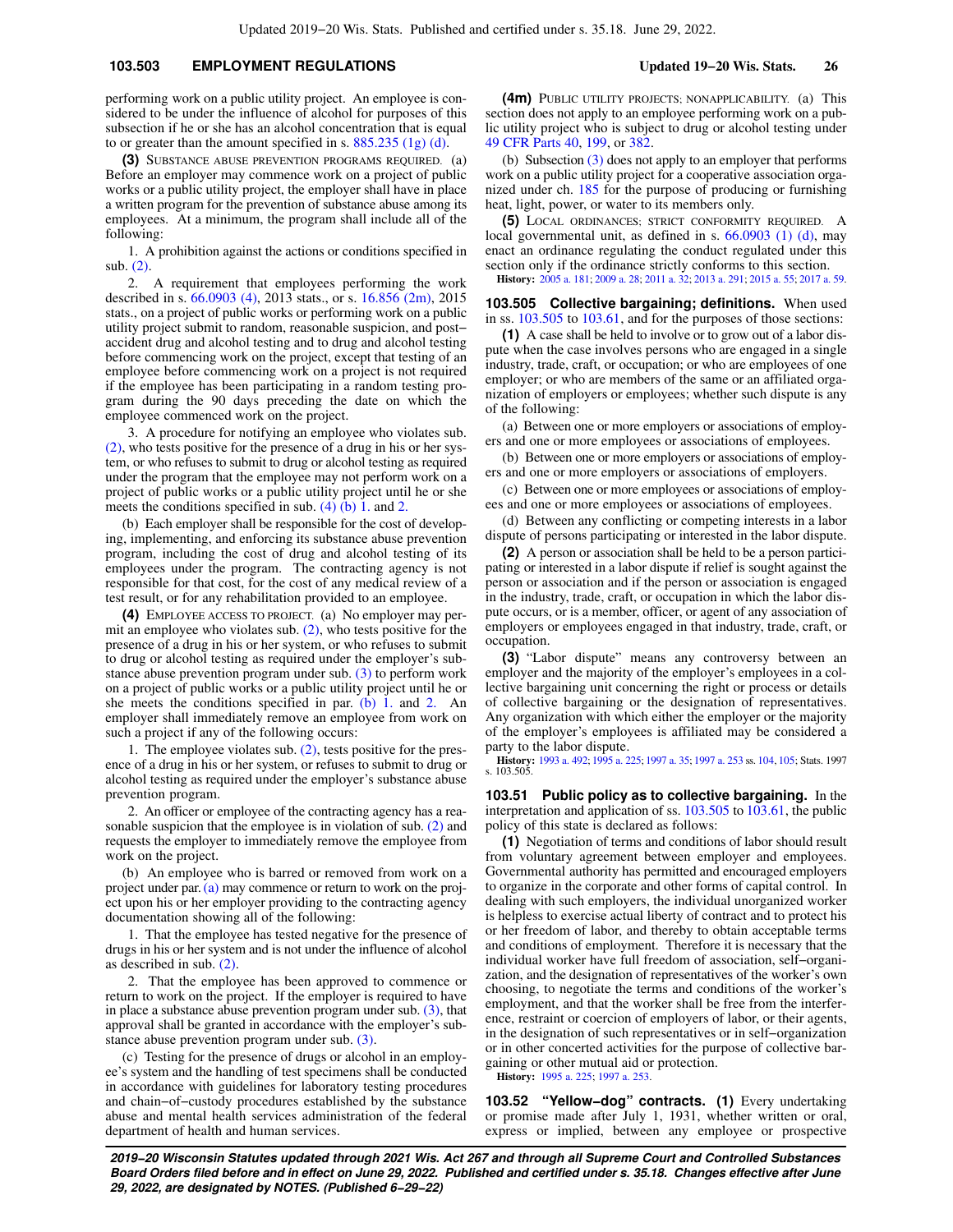## **103.503 EMPLOYMENT REGULATIONS Updated 19−20 Wis. Stats. 26**

performing work on a public utility project. An employee is considered to be under the influence of alcohol for purposes of this subsection if he or she has an alcohol concentration that is equal to or greater than the amount specified in s.  $885.235$  (1g) (d).

**(3)** SUBSTANCE ABUSE PREVENTION PROGRAMS REQUIRED. (a) Before an employer may commence work on a project of public works or a public utility project, the employer shall have in place a written program for the prevention of substance abuse among its employees. At a minimum, the program shall include all of the following:

1. A prohibition against the actions or conditions specified in sub. [\(2\)](https://docs.legis.wisconsin.gov/document/statutes/103.503(2)).

2. A requirement that employees performing the work described in s. [66.0903 \(4\)](https://docs.legis.wisconsin.gov/document/statutes/2013/66.0903(4)), 2013 stats., or s. [16.856 \(2m\)](https://docs.legis.wisconsin.gov/document/statutes/2015/16.856(2m)), 2015 stats., on a project of public works or performing work on a public utility project submit to random, reasonable suspicion, and post− accident drug and alcohol testing and to drug and alcohol testing before commencing work on the project, except that testing of an employee before commencing work on a project is not required if the employee has been participating in a random testing program during the 90 days preceding the date on which the employee commenced work on the project.

3. A procedure for notifying an employee who violates sub. [\(2\)](https://docs.legis.wisconsin.gov/document/statutes/103.503(2)), who tests positive for the presence of a drug in his or her system, or who refuses to submit to drug or alcohol testing as required under the program that the employee may not perform work on a project of public works or a public utility project until he or she meets the conditions specified in sub.  $(4)$  (b) 1. and [2.](https://docs.legis.wisconsin.gov/document/statutes/103.503(4)(b)2.)

(b) Each employer shall be responsible for the cost of developing, implementing, and enforcing its substance abuse prevention program, including the cost of drug and alcohol testing of its employees under the program. The contracting agency is not responsible for that cost, for the cost of any medical review of a test result, or for any rehabilitation provided to an employee.

**(4)** EMPLOYEE ACCESS TO PROJECT. (a) No employer may permit an employee who violates sub.  $(2)$ , who tests positive for the presence of a drug in his or her system, or who refuses to submit to drug or alcohol testing as required under the employer's substance abuse prevention program under sub. [\(3\)](https://docs.legis.wisconsin.gov/document/statutes/103.503(3)) to perform work on a project of public works or a public utility project until he or she meets the conditions specified in par. [\(b\) 1.](https://docs.legis.wisconsin.gov/document/statutes/103.503(4)(b)1.) and [2.](https://docs.legis.wisconsin.gov/document/statutes/103.503(4)(b)2.) An employer shall immediately remove an employee from work on such a project if any of the following occurs:

1. The employee violates sub. [\(2\),](https://docs.legis.wisconsin.gov/document/statutes/103.503(2)) tests positive for the presence of a drug in his or her system, or refuses to submit to drug or alcohol testing as required under the employer's substance abuse prevention program.

2. An officer or employee of the contracting agency has a reasonable suspicion that the employee is in violation of sub. [\(2\)](https://docs.legis.wisconsin.gov/document/statutes/103.503(2)) and requests the employer to immediately remove the employee from work on the project.

(b) An employee who is barred or removed from work on a project under par. [\(a\)](https://docs.legis.wisconsin.gov/document/statutes/103.503(4)(a)) may commence or return to work on the project upon his or her employer providing to the contracting agency documentation showing all of the following:

1. That the employee has tested negative for the presence of drugs in his or her system and is not under the influence of alcohol as described in sub. [\(2\)](https://docs.legis.wisconsin.gov/document/statutes/103.503(2)).

2. That the employee has been approved to commence or return to work on the project. If the employer is required to have in place a substance abuse prevention program under sub.  $(3)$ , that approval shall be granted in accordance with the employer's substance abuse prevention program under sub. [\(3\)](https://docs.legis.wisconsin.gov/document/statutes/103.503(3)).

(c) Testing for the presence of drugs or alcohol in an employee's system and the handling of test specimens shall be conducted in accordance with guidelines for laboratory testing procedures and chain−of−custody procedures established by the substance abuse and mental health services administration of the federal department of health and human services.

**(4m)** PUBLIC UTILITY PROJECTS; NONAPPLICABILITY. (a) This section does not apply to an employee performing work on a public utility project who is subject to drug or alcohol testing under [49 CFR Parts 40,](https://docs.legis.wisconsin.gov/document/cfr/49%20CFR%2040) [199](https://docs.legis.wisconsin.gov/document/cfr/49%20CFR%20199), or [382](https://docs.legis.wisconsin.gov/document/cfr/49%20CFR%20382).

(b) Subsection [\(3\)](https://docs.legis.wisconsin.gov/document/statutes/103.503(3)) does not apply to an employer that performs work on a public utility project for a cooperative association organized under ch. [185](https://docs.legis.wisconsin.gov/document/statutes/ch.%20185) for the purpose of producing or furnishing heat, light, power, or water to its members only.

**(5)** LOCAL ORDINANCES; STRICT CONFORMITY REQUIRED. A local governmental unit, as defined in s. [66.0903 \(1\) \(d\)](https://docs.legis.wisconsin.gov/document/statutes/66.0903(1)(d)), may enact an ordinance regulating the conduct regulated under this section only if the ordinance strictly conforms to this section. **History:** [2005 a. 181;](https://docs.legis.wisconsin.gov/document/acts/2005/181) [2009 a. 28](https://docs.legis.wisconsin.gov/document/acts/2009/28); [2011 a. 32;](https://docs.legis.wisconsin.gov/document/acts/2011/32) [2013 a. 291](https://docs.legis.wisconsin.gov/document/acts/2013/291); [2015 a. 55](https://docs.legis.wisconsin.gov/document/acts/2015/55); [2017 a. 59](https://docs.legis.wisconsin.gov/document/acts/2017/59).

**103.505 Collective bargaining; definitions.** When used in ss. [103.505](https://docs.legis.wisconsin.gov/document/statutes/103.505) to [103.61,](https://docs.legis.wisconsin.gov/document/statutes/103.61) and for the purposes of those sections:

**(1)** A case shall be held to involve or to grow out of a labor dispute when the case involves persons who are engaged in a single industry, trade, craft, or occupation; or who are employees of one employer; or who are members of the same or an affiliated organization of employers or employees; whether such dispute is any of the following:

(a) Between one or more employers or associations of employers and one or more employees or associations of employees.

(b) Between one or more employers or associations of employers and one or more employers or associations of employers.

(c) Between one or more employees or associations of employees and one or more employees or associations of employees.

(d) Between any conflicting or competing interests in a labor dispute of persons participating or interested in the labor dispute.

**(2)** A person or association shall be held to be a person participating or interested in a labor dispute if relief is sought against the person or association and if the person or association is engaged in the industry, trade, craft, or occupation in which the labor dispute occurs, or is a member, officer, or agent of any association of employers or employees engaged in that industry, trade, craft, or occupation.

**(3)** "Labor dispute" means any controversy between an employer and the majority of the employer's employees in a collective bargaining unit concerning the right or process or details of collective bargaining or the designation of representatives. Any organization with which either the employer or the majority of the employer's employees is affiliated may be considered a party to the labor dispute.

**History:** [1993 a. 492;](https://docs.legis.wisconsin.gov/document/acts/1993/492) [1995 a. 225](https://docs.legis.wisconsin.gov/document/acts/1995/225); [1997 a. 35](https://docs.legis.wisconsin.gov/document/acts/1997/35); [1997 a. 253](https://docs.legis.wisconsin.gov/document/acts/1997/253) ss. [104,](https://docs.legis.wisconsin.gov/document/acts/1997/253,%20s.%20104) [105;](https://docs.legis.wisconsin.gov/document/acts/1997/253,%20s.%20105) Stats. 1997 s. 103.505.

**103.51 Public policy as to collective bargaining.** In the interpretation and application of ss. [103.505](https://docs.legis.wisconsin.gov/document/statutes/103.505) to [103.61,](https://docs.legis.wisconsin.gov/document/statutes/103.61) the public policy of this state is declared as follows:

**(1)** Negotiation of terms and conditions of labor should result from voluntary agreement between employer and employees. Governmental authority has permitted and encouraged employers to organize in the corporate and other forms of capital control. In dealing with such employers, the individual unorganized worker is helpless to exercise actual liberty of contract and to protect his or her freedom of labor, and thereby to obtain acceptable terms and conditions of employment. Therefore it is necessary that the individual worker have full freedom of association, self−organization, and the designation of representatives of the worker's own choosing, to negotiate the terms and conditions of the worker's employment, and that the worker shall be free from the interference, restraint or coercion of employers of labor, or their agents, in the designation of such representatives or in self−organization or in other concerted activities for the purpose of collective bargaining or other mutual aid or protection.

**History:** [1995 a. 225;](https://docs.legis.wisconsin.gov/document/acts/1995/225) [1997 a. 253](https://docs.legis.wisconsin.gov/document/acts/1997/253).

**103.52 "Yellow−dog" contracts. (1)** Every undertaking or promise made after July 1, 1931, whether written or oral, express or implied, between any employee or prospective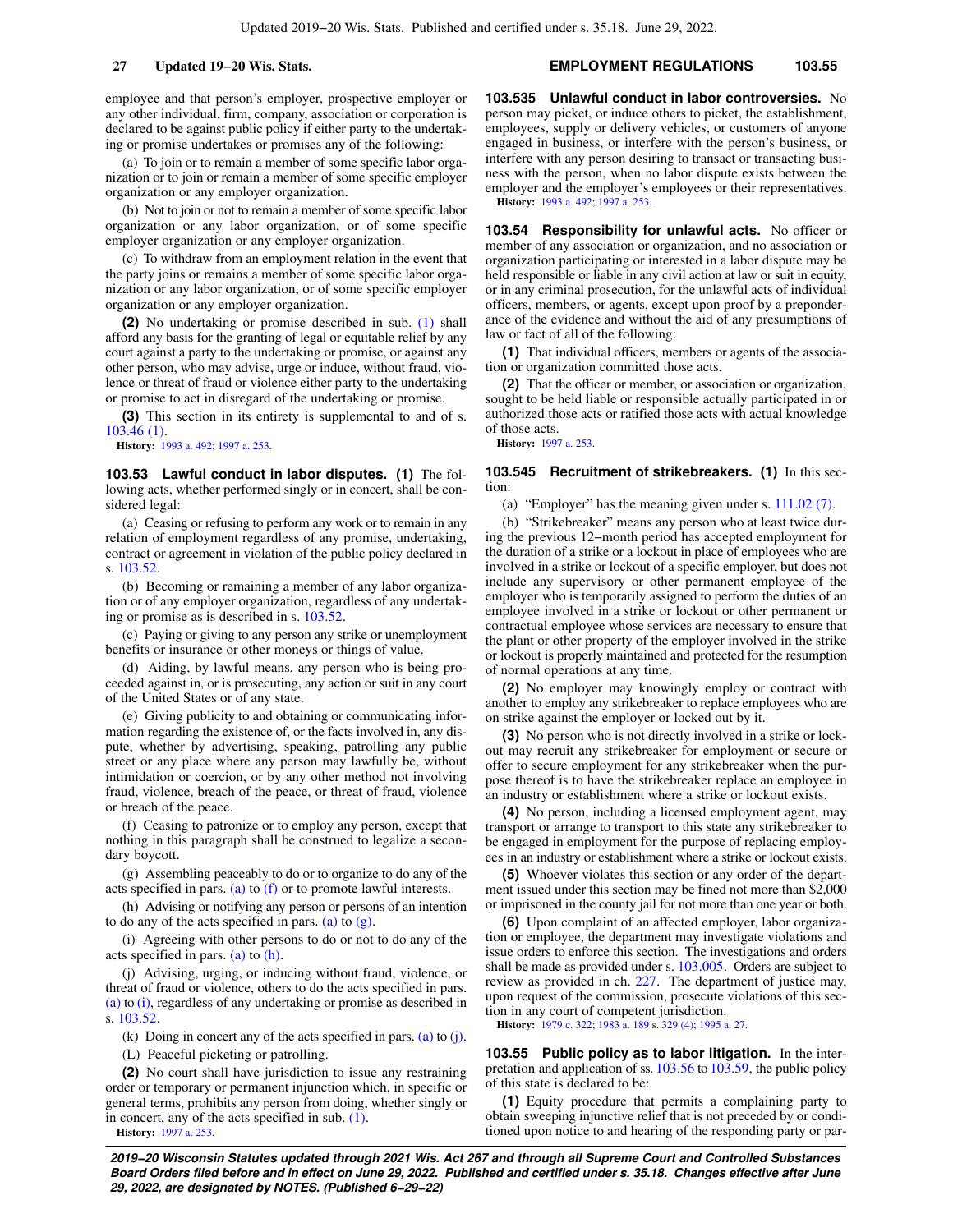employee and that person's employer, prospective employer or any other individual, firm, company, association or corporation is declared to be against public policy if either party to the undertaking or promise undertakes or promises any of the following:

(a) To join or to remain a member of some specific labor organization or to join or remain a member of some specific employer organization or any employer organization.

(b) Not to join or not to remain a member of some specific labor organization or any labor organization, or of some specific employer organization or any employer organization.

(c) To withdraw from an employment relation in the event that the party joins or remains a member of some specific labor organization or any labor organization, or of some specific employer organization or any employer organization.

**(2)** No undertaking or promise described in sub. [\(1\)](https://docs.legis.wisconsin.gov/document/statutes/103.52(1)) shall afford any basis for the granting of legal or equitable relief by any court against a party to the undertaking or promise, or against any other person, who may advise, urge or induce, without fraud, violence or threat of fraud or violence either party to the undertaking or promise to act in disregard of the undertaking or promise.

**(3)** This section in its entirety is supplemental to and of s. [103.46 \(1\).](https://docs.legis.wisconsin.gov/document/statutes/103.46(1))

**History:** [1993 a. 492](https://docs.legis.wisconsin.gov/document/acts/1993/492); [1997 a. 253](https://docs.legis.wisconsin.gov/document/acts/1997/253).

**103.53 Lawful conduct in labor disputes. (1)** The following acts, whether performed singly or in concert, shall be considered legal:

(a) Ceasing or refusing to perform any work or to remain in any relation of employment regardless of any promise, undertaking, contract or agreement in violation of the public policy declared in s. [103.52.](https://docs.legis.wisconsin.gov/document/statutes/103.52)

(b) Becoming or remaining a member of any labor organization or of any employer organization, regardless of any undertaking or promise as is described in s. [103.52](https://docs.legis.wisconsin.gov/document/statutes/103.52).

(c) Paying or giving to any person any strike or unemployment benefits or insurance or other moneys or things of value.

(d) Aiding, by lawful means, any person who is being proceeded against in, or is prosecuting, any action or suit in any court of the United States or of any state.

(e) Giving publicity to and obtaining or communicating information regarding the existence of, or the facts involved in, any dispute, whether by advertising, speaking, patrolling any public street or any place where any person may lawfully be, without intimidation or coercion, or by any other method not involving fraud, violence, breach of the peace, or threat of fraud, violence or breach of the peace.

(f) Ceasing to patronize or to employ any person, except that nothing in this paragraph shall be construed to legalize a secondary boycott.

(g) Assembling peaceably to do or to organize to do any of the acts specified in pars. [\(a\)](https://docs.legis.wisconsin.gov/document/statutes/103.53(1)(a)) to [\(f\)](https://docs.legis.wisconsin.gov/document/statutes/103.53(1)(f)) or to promote lawful interests.

(h) Advising or notifying any person or persons of an intention to do any of the acts specified in pars. [\(a\)](https://docs.legis.wisconsin.gov/document/statutes/103.53(1)(a)) to  $(g)$ .

(i) Agreeing with other persons to do or not to do any of the acts specified in pars. [\(a\)](https://docs.legis.wisconsin.gov/document/statutes/103.53(1)(a)) to [\(h\)](https://docs.legis.wisconsin.gov/document/statutes/103.53(1)(h)).

(j) Advising, urging, or inducing without fraud, violence, or threat of fraud or violence, others to do the acts specified in pars. [\(a\)](https://docs.legis.wisconsin.gov/document/statutes/103.53(1)(a)) to [\(i\),](https://docs.legis.wisconsin.gov/document/statutes/103.53(1)(i)) regardless of any undertaking or promise as described in s. [103.52.](https://docs.legis.wisconsin.gov/document/statutes/103.52)

(k) Doing in concert any of the acts specified in pars. [\(a\)](https://docs.legis.wisconsin.gov/document/statutes/103.53(1)(a)) to [\(j\).](https://docs.legis.wisconsin.gov/document/statutes/103.53(1)(j))

(L) Peaceful picketing or patrolling.

**(2)** No court shall have jurisdiction to issue any restraining order or temporary or permanent injunction which, in specific or general terms, prohibits any person from doing, whether singly or in concert, any of the acts specified in sub. [\(1\).](https://docs.legis.wisconsin.gov/document/statutes/103.53(1))

**History:** [1997 a. 253](https://docs.legis.wisconsin.gov/document/acts/1997/253).

## **27 Updated 19−20 Wis. Stats. EMPLOYMENT REGULATIONS 103.55**

**103.535 Unlawful conduct in labor controversies.** No person may picket, or induce others to picket, the establishment, employees, supply or delivery vehicles, or customers of anyone engaged in business, or interfere with the person's business, or interfere with any person desiring to transact or transacting business with the person, when no labor dispute exists between the employer and the employer's employees or their representatives. **History:** [1993 a. 492;](https://docs.legis.wisconsin.gov/document/acts/1993/492) [1997 a. 253](https://docs.legis.wisconsin.gov/document/acts/1997/253).

**103.54 Responsibility for unlawful acts.** No officer or member of any association or organization, and no association or organization participating or interested in a labor dispute may be held responsible or liable in any civil action at law or suit in equity, or in any criminal prosecution, for the unlawful acts of individual officers, members, or agents, except upon proof by a preponderance of the evidence and without the aid of any presumptions of law or fact of all of the following:

**(1)** That individual officers, members or agents of the association or organization committed those acts.

**(2)** That the officer or member, or association or organization, sought to be held liable or responsible actually participated in or authorized those acts or ratified those acts with actual knowledge of those acts.

**History:** [1997 a. 253.](https://docs.legis.wisconsin.gov/document/acts/1997/253)

### **103.545 Recruitment of strikebreakers. (1)** In this section:

(a) "Employer" has the meaning given under s. [111.02 \(7\).](https://docs.legis.wisconsin.gov/document/statutes/111.02(7))

(b) "Strikebreaker" means any person who at least twice during the previous 12−month period has accepted employment for the duration of a strike or a lockout in place of employees who are involved in a strike or lockout of a specific employer, but does not include any supervisory or other permanent employee of the employer who is temporarily assigned to perform the duties of an employee involved in a strike or lockout or other permanent or contractual employee whose services are necessary to ensure that the plant or other property of the employer involved in the strike or lockout is properly maintained and protected for the resumption of normal operations at any time.

**(2)** No employer may knowingly employ or contract with another to employ any strikebreaker to replace employees who are on strike against the employer or locked out by it.

**(3)** No person who is not directly involved in a strike or lockout may recruit any strikebreaker for employment or secure or offer to secure employment for any strikebreaker when the purpose thereof is to have the strikebreaker replace an employee in an industry or establishment where a strike or lockout exists.

**(4)** No person, including a licensed employment agent, may transport or arrange to transport to this state any strikebreaker to be engaged in employment for the purpose of replacing employees in an industry or establishment where a strike or lockout exists.

**(5)** Whoever violates this section or any order of the department issued under this section may be fined not more than \$2,000 or imprisoned in the county jail for not more than one year or both.

**(6)** Upon complaint of an affected employer, labor organization or employee, the department may investigate violations and issue orders to enforce this section. The investigations and orders shall be made as provided under s. [103.005](https://docs.legis.wisconsin.gov/document/statutes/103.005). Orders are subject to review as provided in ch. [227.](https://docs.legis.wisconsin.gov/document/statutes/ch.%20227) The department of justice may, upon request of the commission, prosecute violations of this section in any court of competent jurisdiction.

**History:** [1979 c. 322;](https://docs.legis.wisconsin.gov/document/acts/1979/322) [1983 a. 189](https://docs.legis.wisconsin.gov/document/acts/1983/189) s. [329 \(4\);](https://docs.legis.wisconsin.gov/document/acts/1983/189,%20s.%20329) [1995 a. 27.](https://docs.legis.wisconsin.gov/document/acts/1995/27)

**103.55 Public policy as to labor litigation.** In the interpretation and application of ss. [103.56](https://docs.legis.wisconsin.gov/document/statutes/103.56) to [103.59](https://docs.legis.wisconsin.gov/document/statutes/103.59), the public policy of this state is declared to be:

**(1)** Equity procedure that permits a complaining party to obtain sweeping injunctive relief that is not preceded by or conditioned upon notice to and hearing of the responding party or par-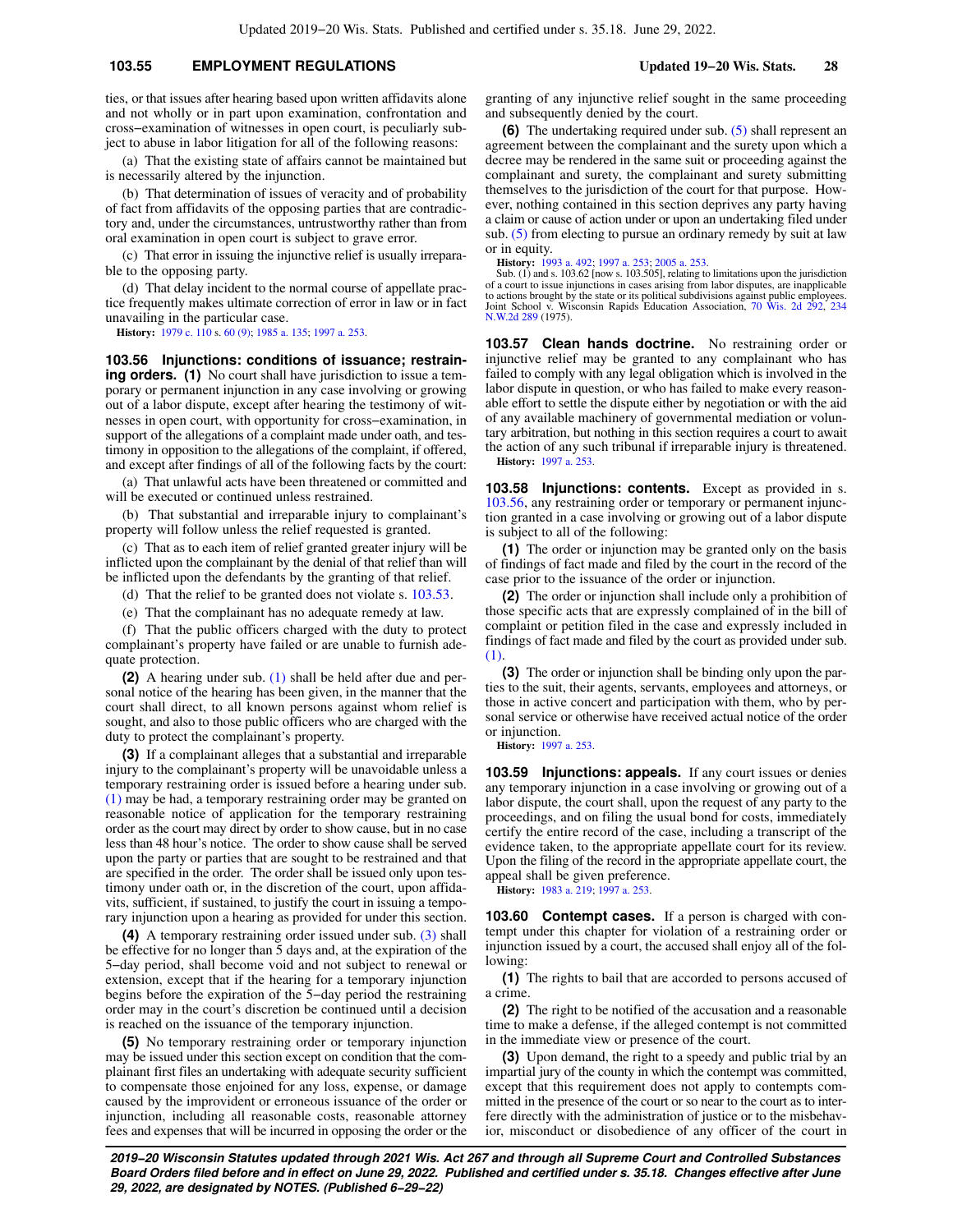## **103.55 EMPLOYMENT REGULATIONS Updated 19−20 Wis. Stats. 28**

ties, or that issues after hearing based upon written affidavits alone and not wholly or in part upon examination, confrontation and cross−examination of witnesses in open court, is peculiarly subject to abuse in labor litigation for all of the following reasons:

(a) That the existing state of affairs cannot be maintained but is necessarily altered by the injunction.

(b) That determination of issues of veracity and of probability of fact from affidavits of the opposing parties that are contradictory and, under the circumstances, untrustworthy rather than from oral examination in open court is subject to grave error.

(c) That error in issuing the injunctive relief is usually irreparable to the opposing party.

(d) That delay incident to the normal course of appellate practice frequently makes ultimate correction of error in law or in fact unavailing in the particular case.

**History:** [1979 c. 110](https://docs.legis.wisconsin.gov/document/acts/1979/110) s. [60 \(9\)](https://docs.legis.wisconsin.gov/document/acts/1979/110,%20s.%2060); [1985 a. 135;](https://docs.legis.wisconsin.gov/document/acts/1985/135) [1997 a. 253](https://docs.legis.wisconsin.gov/document/acts/1997/253).

**103.56 Injunctions: conditions of issuance; restraining orders.** (1) No court shall have jurisdiction to issue a temporary or permanent injunction in any case involving or growing out of a labor dispute, except after hearing the testimony of witnesses in open court, with opportunity for cross−examination, in support of the allegations of a complaint made under oath, and testimony in opposition to the allegations of the complaint, if offered, and except after findings of all of the following facts by the court:

(a) That unlawful acts have been threatened or committed and will be executed or continued unless restrained.

(b) That substantial and irreparable injury to complainant's property will follow unless the relief requested is granted.

(c) That as to each item of relief granted greater injury will be inflicted upon the complainant by the denial of that relief than will be inflicted upon the defendants by the granting of that relief.

(d) That the relief to be granted does not violate s. [103.53](https://docs.legis.wisconsin.gov/document/statutes/103.53).

(e) That the complainant has no adequate remedy at law.

(f) That the public officers charged with the duty to protect complainant's property have failed or are unable to furnish adequate protection.

**(2)** A hearing under sub. [\(1\)](https://docs.legis.wisconsin.gov/document/statutes/103.56(1)) shall be held after due and personal notice of the hearing has been given, in the manner that the court shall direct, to all known persons against whom relief is sought, and also to those public officers who are charged with the duty to protect the complainant's property.

**(3)** If a complainant alleges that a substantial and irreparable injury to the complainant's property will be unavoidable unless a temporary restraining order is issued before a hearing under sub. [\(1\)](https://docs.legis.wisconsin.gov/document/statutes/103.56(1)) may be had, a temporary restraining order may be granted on reasonable notice of application for the temporary restraining order as the court may direct by order to show cause, but in no case less than 48 hour's notice. The order to show cause shall be served upon the party or parties that are sought to be restrained and that are specified in the order. The order shall be issued only upon testimony under oath or, in the discretion of the court, upon affidavits, sufficient, if sustained, to justify the court in issuing a temporary injunction upon a hearing as provided for under this section.

**(4)** A temporary restraining order issued under sub. [\(3\)](https://docs.legis.wisconsin.gov/document/statutes/103.56(3)) shall be effective for no longer than 5 days and, at the expiration of the 5−day period, shall become void and not subject to renewal or extension, except that if the hearing for a temporary injunction begins before the expiration of the 5−day period the restraining order may in the court's discretion be continued until a decision is reached on the issuance of the temporary injunction.

**(5)** No temporary restraining order or temporary injunction may be issued under this section except on condition that the complainant first files an undertaking with adequate security sufficient to compensate those enjoined for any loss, expense, or damage caused by the improvident or erroneous issuance of the order or injunction, including all reasonable costs, reasonable attorney fees and expenses that will be incurred in opposing the order or the

granting of any injunctive relief sought in the same proceeding and subsequently denied by the court.

**(6)** The undertaking required under sub. [\(5\)](https://docs.legis.wisconsin.gov/document/statutes/103.56(5)) shall represent an agreement between the complainant and the surety upon which a decree may be rendered in the same suit or proceeding against the complainant and surety, the complainant and surety submitting themselves to the jurisdiction of the court for that purpose. However, nothing contained in this section deprives any party having a claim or cause of action under or upon an undertaking filed under sub. [\(5\)](https://docs.legis.wisconsin.gov/document/statutes/103.56(5)) from electing to pursue an ordinary remedy by suit at law or in equity.

**History:** [1993 a. 492;](https://docs.legis.wisconsin.gov/document/acts/1993/492) [1997 a. 253](https://docs.legis.wisconsin.gov/document/acts/1997/253); [2005 a. 253.](https://docs.legis.wisconsin.gov/document/acts/2005/253)

Sub. (1) and s. 103.62 [now s. 103.505], relating to limitations upon the jurisdiction of a court to issue injunctions in cases arising from labor disputes, are inapplicable to actions brought by the state or its political subdivisions against public employees. Joint School v. Wisconsin Rapids Education Association, [70 Wis. 2d 292](https://docs.legis.wisconsin.gov/document/courts/70%20Wis.%202d%20292), [234](https://docs.legis.wisconsin.gov/document/courts/234%20N.W.2d%20289) [N.W.2d 289](https://docs.legis.wisconsin.gov/document/courts/234%20N.W.2d%20289) (1975).

**103.57 Clean hands doctrine.** No restraining order or injunctive relief may be granted to any complainant who has failed to comply with any legal obligation which is involved in the labor dispute in question, or who has failed to make every reasonable effort to settle the dispute either by negotiation or with the aid of any available machinery of governmental mediation or voluntary arbitration, but nothing in this section requires a court to await the action of any such tribunal if irreparable injury is threatened. **History:** [1997 a. 253.](https://docs.legis.wisconsin.gov/document/acts/1997/253)

**103.58 Injunctions: contents.** Except as provided in s. [103.56,](https://docs.legis.wisconsin.gov/document/statutes/103.56) any restraining order or temporary or permanent injunction granted in a case involving or growing out of a labor dispute is subject to all of the following:

**(1)** The order or injunction may be granted only on the basis of findings of fact made and filed by the court in the record of the case prior to the issuance of the order or injunction.

**(2)** The order or injunction shall include only a prohibition of those specific acts that are expressly complained of in the bill of complaint or petition filed in the case and expressly included in findings of fact made and filed by the court as provided under sub. [\(1\).](https://docs.legis.wisconsin.gov/document/statutes/103.58(1))

**(3)** The order or injunction shall be binding only upon the parties to the suit, their agents, servants, employees and attorneys, or those in active concert and participation with them, who by personal service or otherwise have received actual notice of the order or injunction.

**History:** [1997 a. 253.](https://docs.legis.wisconsin.gov/document/acts/1997/253)

**103.59 Injunctions: appeals.** If any court issues or denies any temporary injunction in a case involving or growing out of a labor dispute, the court shall, upon the request of any party to the proceedings, and on filing the usual bond for costs, immediately certify the entire record of the case, including a transcript of the evidence taken, to the appropriate appellate court for its review. Upon the filing of the record in the appropriate appellate court, the appeal shall be given preference.

**History:** [1983 a. 219;](https://docs.legis.wisconsin.gov/document/acts/1983/219) [1997 a. 253](https://docs.legis.wisconsin.gov/document/acts/1997/253).

**103.60 Contempt cases.** If a person is charged with contempt under this chapter for violation of a restraining order or injunction issued by a court, the accused shall enjoy all of the following:

**(1)** The rights to bail that are accorded to persons accused of a crime.

**(2)** The right to be notified of the accusation and a reasonable time to make a defense, if the alleged contempt is not committed in the immediate view or presence of the court.

**(3)** Upon demand, the right to a speedy and public trial by an impartial jury of the county in which the contempt was committed, except that this requirement does not apply to contempts committed in the presence of the court or so near to the court as to interfere directly with the administration of justice or to the misbehavior, misconduct or disobedience of any officer of the court in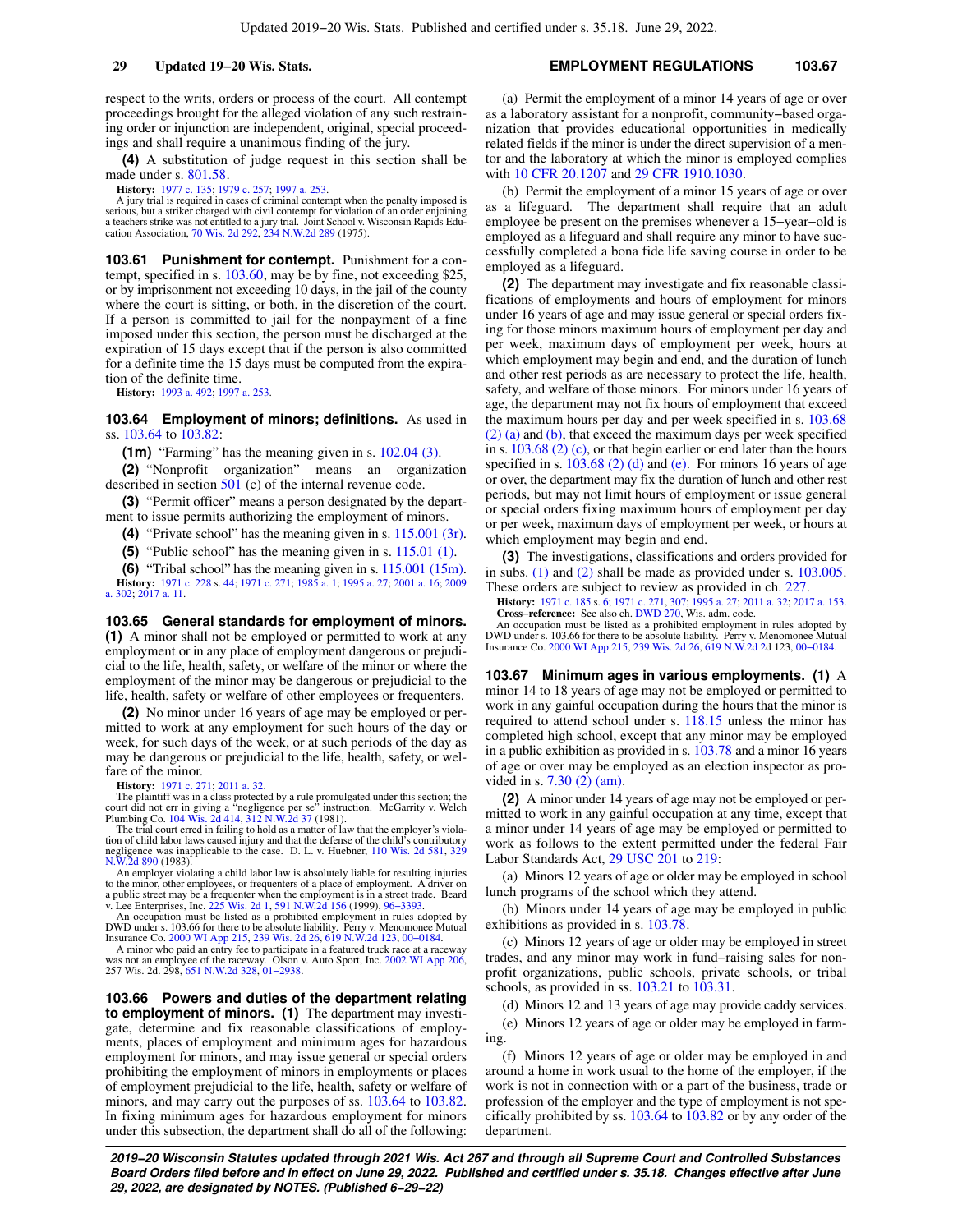respect to the writs, orders or process of the court. All contempt proceedings brought for the alleged violation of any such restraining order or injunction are independent, original, special proceedings and shall require a unanimous finding of the jury.

**(4)** A substitution of judge request in this section shall be made under s. [801.58.](https://docs.legis.wisconsin.gov/document/statutes/801.58)

**History:** [1977 c. 135](https://docs.legis.wisconsin.gov/document/acts/1977/135); [1979 c. 257](https://docs.legis.wisconsin.gov/document/acts/1979/257); [1997 a. 253.](https://docs.legis.wisconsin.gov/document/acts/1997/253)

A jury trial is required in cases of criminal contempt when the penalty imposed is serious, but a striker charged with civil contempt for violation of an order enjoining a teachers strike was not entitled to a jury trial. Joint School v. Wisconsin Rapids Education Association, [70 Wis. 2d 292,](https://docs.legis.wisconsin.gov/document/courts/70%20Wis.%202d%20292) [234 N.W.2d 289](https://docs.legis.wisconsin.gov/document/courts/234%20N.W.2d%20289) (1975).

**103.61 Punishment for contempt.** Punishment for a contempt, specified in s. [103.60](https://docs.legis.wisconsin.gov/document/statutes/103.60), may be by fine, not exceeding \$25, or by imprisonment not exceeding 10 days, in the jail of the county where the court is sitting, or both, in the discretion of the court. If a person is committed to jail for the nonpayment of a fine imposed under this section, the person must be discharged at the expiration of 15 days except that if the person is also committed for a definite time the 15 days must be computed from the expiration of the definite time.

**History:** [1993 a. 492](https://docs.legis.wisconsin.gov/document/acts/1993/492); [1997 a. 253](https://docs.legis.wisconsin.gov/document/acts/1997/253).

**103.64 Employment of minors; definitions.** As used in ss. [103.64](https://docs.legis.wisconsin.gov/document/statutes/103.64) to [103.82:](https://docs.legis.wisconsin.gov/document/statutes/103.82)

**(1m)** "Farming" has the meaning given in s. [102.04 \(3\).](https://docs.legis.wisconsin.gov/document/statutes/102.04(3))

**(2)** "Nonprofit organization" means an organization described in section [501](https://docs.legis.wisconsin.gov/document/usc/26%20USC%20501) (c) of the internal revenue code.

**(3)** "Permit officer" means a person designated by the department to issue permits authorizing the employment of minors.

**(4)** "Private school" has the meaning given in s. [115.001 \(3r\).](https://docs.legis.wisconsin.gov/document/statutes/115.001(3r))

**(5)** "Public school" has the meaning given in s. [115.01 \(1\).](https://docs.legis.wisconsin.gov/document/statutes/115.01(1))

**(6)** "Tribal school" has the meaning given in s. [115.001 \(15m\).](https://docs.legis.wisconsin.gov/document/statutes/115.001(15m))

**History:** [1971 c. 228](https://docs.legis.wisconsin.gov/document/acts/1971/228) s. [44;](https://docs.legis.wisconsin.gov/document/acts/1971/228,%20s.%2044) [1971 c. 271](https://docs.legis.wisconsin.gov/document/acts/1971/271); [1985 a. 1;](https://docs.legis.wisconsin.gov/document/acts/1985/1) [1995 a. 27](https://docs.legis.wisconsin.gov/document/acts/1995/27); [2001 a. 16](https://docs.legis.wisconsin.gov/document/acts/2001/16); [2009](https://docs.legis.wisconsin.gov/document/acts/2009/302) [a. 302;](https://docs.legis.wisconsin.gov/document/acts/2009/302) [2017 a. 11.](https://docs.legis.wisconsin.gov/document/acts/2017/11)

**103.65 General standards for employment of minors. (1)** A minor shall not be employed or permitted to work at any employment or in any place of employment dangerous or prejudicial to the life, health, safety, or welfare of the minor or where the employment of the minor may be dangerous or prejudicial to the life, health, safety or welfare of other employees or frequenters.

**(2)** No minor under 16 years of age may be employed or permitted to work at any employment for such hours of the day or week, for such days of the week, or at such periods of the day as may be dangerous or prejudicial to the life, health, safety, or welfare of the minor.

**History:** [1971 c. 271](https://docs.legis.wisconsin.gov/document/acts/1971/271); [2011 a. 32](https://docs.legis.wisconsin.gov/document/acts/2011/32).

The plaintiff was in a class protected by a rule promulgated under this section; the court did not err in giving a "negligence per se" instruction. McGarrity v. Welch Plumbing Co. [104 Wis. 2d 414](https://docs.legis.wisconsin.gov/document/courts/104%20Wis.%202d%20414), [312 N.W.2d 37](https://docs.legis.wisconsin.gov/document/courts/312%20N.W.2d%2037) (1981).

The trial court erred in failing to hold as a matter of law that the employer's violation of child labor laws caused injury and that the defense of the child's contributory negligence was inapplicable to the case. D. L. v. Huebner, [110 Wis. 2d 581,](https://docs.legis.wisconsin.gov/document/courts/110%20Wis.%202d%20581) [329](https://docs.legis.wisconsin.gov/document/courts/329%20N.W.2d%20890) [N.W.2d 890](https://docs.legis.wisconsin.gov/document/courts/329%20N.W.2d%20890) (1983).

An employer violating a child labor law is absolutely liable for resulting injuries

to the minor, other employees, or frequenters of a place of employment. A driver on public street may be a frequenter when the employment is in a street trade. Beard v. Lee Enterprises, Inc. [225 Wis. 2d 1](https://docs.legis.wisconsin.gov/document/courts/225%20Wis.%202d%201), [591 N.W.2d 156](https://docs.legis.wisconsin.gov/document/courts/591%20N.W.2d%20156) 

A minor who paid an entry fee to participate in a featured truck race at a raceway was not an employee of the raceway. Olson v. Auto Sport, Inc. [2002 WI App 206](https://docs.legis.wisconsin.gov/document/courts/2002%20WI%20App%20206), 257 Wis. 2d. 298, [651 N.W.2d 328](https://docs.legis.wisconsin.gov/document/courts/651%20N.W.2d%20328), [01−2938](https://docs.legis.wisconsin.gov/document/wicourtofappeals/01-2938).

**103.66 Powers and duties of the department relating to employment of minors. (1)** The department may investigate, determine and fix reasonable classifications of employments, places of employment and minimum ages for hazardous employment for minors, and may issue general or special orders prohibiting the employment of minors in employments or places of employment prejudicial to the life, health, safety or welfare of minors, and may carry out the purposes of ss. [103.64](https://docs.legis.wisconsin.gov/document/statutes/103.64) to [103.82.](https://docs.legis.wisconsin.gov/document/statutes/103.82) In fixing minimum ages for hazardous employment for minors under this subsection, the department shall do all of the following:

#### **29 Updated 19−20 Wis. Stats. EMPLOYMENT REGULATIONS 103.67**

(a) Permit the employment of a minor 14 years of age or over as a laboratory assistant for a nonprofit, community−based organization that provides educational opportunities in medically related fields if the minor is under the direct supervision of a mentor and the laboratory at which the minor is employed complies with [10 CFR 20.1207](https://docs.legis.wisconsin.gov/document/cfr/10%20CFR%2020.1207) and [29 CFR 1910.1030](https://docs.legis.wisconsin.gov/document/cfr/29%20CFR%201910.1030).

(b) Permit the employment of a minor 15 years of age or over as a lifeguard. The department shall require that an adult employee be present on the premises whenever a 15−year−old is employed as a lifeguard and shall require any minor to have successfully completed a bona fide life saving course in order to be employed as a lifeguard.

**(2)** The department may investigate and fix reasonable classifications of employments and hours of employment for minors under 16 years of age and may issue general or special orders fixing for those minors maximum hours of employment per day and per week, maximum days of employment per week, hours at which employment may begin and end, and the duration of lunch and other rest periods as are necessary to protect the life, health, safety, and welfare of those minors. For minors under 16 years of age, the department may not fix hours of employment that exceed the maximum hours per day and per week specified in s. [103.68](https://docs.legis.wisconsin.gov/document/statutes/103.68(2)(a)) [\(2\) \(a\)](https://docs.legis.wisconsin.gov/document/statutes/103.68(2)(a)) and [\(b\)](https://docs.legis.wisconsin.gov/document/statutes/103.68(2)(b)), that exceed the maximum days per week specified in s. [103.68 \(2\) \(c\)](https://docs.legis.wisconsin.gov/document/statutes/103.68(2)(c)), or that begin earlier or end later than the hours specified in s.  $103.68$  (2) (d) and [\(e\)](https://docs.legis.wisconsin.gov/document/statutes/103.68(2)(e)). For minors 16 years of age or over, the department may fix the duration of lunch and other rest periods, but may not limit hours of employment or issue general or special orders fixing maximum hours of employment per day or per week, maximum days of employment per week, or hours at which employment may begin and end.

**(3)** The investigations, classifications and orders provided for in subs. [\(1\)](https://docs.legis.wisconsin.gov/document/statutes/103.66(1)) and [\(2\)](https://docs.legis.wisconsin.gov/document/statutes/103.66(2)) shall be made as provided under s. [103.005.](https://docs.legis.wisconsin.gov/document/statutes/103.005) These orders are subject to review as provided in ch. [227](https://docs.legis.wisconsin.gov/document/statutes/ch.%20227).

**History:** [1971 c. 185](https://docs.legis.wisconsin.gov/document/acts/1971/185) s. [6](https://docs.legis.wisconsin.gov/document/acts/1971/185,%20s.%206); [1971 c. 271](https://docs.legis.wisconsin.gov/document/acts/1971/271), [307](https://docs.legis.wisconsin.gov/document/acts/1971/307); [1995 a. 27;](https://docs.legis.wisconsin.gov/document/acts/1995/27) [2011 a. 32](https://docs.legis.wisconsin.gov/document/acts/2011/32); [2017 a. 153](https://docs.legis.wisconsin.gov/document/acts/2017/153).

**Cross−reference:** See also ch. [DWD 270](https://docs.legis.wisconsin.gov/document/administrativecode/ch.%20DWD%20270), Wis. adm. code.

An occupation must be listed as a prohibited employment in rules adopted by DWD under s. 103.66 for there to be absolute liability. Perry v. Menomonee Mutual Insurance Co. [2000 WI App 215,](https://docs.legis.wisconsin.gov/document/courts/2000%20WI%20App%20215) [239 Wis. 2d 26,](https://docs.legis.wisconsin.gov/document/courts/239%20Wis.%202d%2026) [619 N.W.2d 2](https://docs.legis.wisconsin.gov/document/courts/619%20N.W.2d%202)d 123, [00−0184](https://docs.legis.wisconsin.gov/document/wicourtofappeals/00-0184).

**103.67 Minimum ages in various employments. (1)** A minor 14 to 18 years of age may not be employed or permitted to work in any gainful occupation during the hours that the minor is required to attend school under s. [118.15](https://docs.legis.wisconsin.gov/document/statutes/118.15) unless the minor has completed high school, except that any minor may be employed in a public exhibition as provided in s. [103.78](https://docs.legis.wisconsin.gov/document/statutes/103.78) and a minor 16 years of age or over may be employed as an election inspector as provided in s. [7.30 \(2\) \(am\).](https://docs.legis.wisconsin.gov/document/statutes/7.30(2)(am))

**(2)** A minor under 14 years of age may not be employed or permitted to work in any gainful occupation at any time, except that a minor under 14 years of age may be employed or permitted to work as follows to the extent permitted under the federal Fair Labor Standards Act, [29 USC 201](https://docs.legis.wisconsin.gov/document/usc/29%20USC%20201) to [219](https://docs.legis.wisconsin.gov/document/usc/29%20USC%20219):

(a) Minors 12 years of age or older may be employed in school lunch programs of the school which they attend.

(b) Minors under 14 years of age may be employed in public exhibitions as provided in s. [103.78](https://docs.legis.wisconsin.gov/document/statutes/103.78).

(c) Minors 12 years of age or older may be employed in street trades, and any minor may work in fund−raising sales for nonprofit organizations, public schools, private schools, or tribal schools, as provided in ss. [103.21](https://docs.legis.wisconsin.gov/document/statutes/103.21) to [103.31](https://docs.legis.wisconsin.gov/document/statutes/103.31).

(d) Minors 12 and 13 years of age may provide caddy services. (e) Minors 12 years of age or older may be employed in farming.

(f) Minors 12 years of age or older may be employed in and around a home in work usual to the home of the employer, if the work is not in connection with or a part of the business, trade or profession of the employer and the type of employment is not specifically prohibited by ss. [103.64](https://docs.legis.wisconsin.gov/document/statutes/103.64) to [103.82](https://docs.legis.wisconsin.gov/document/statutes/103.82) or by any order of the department.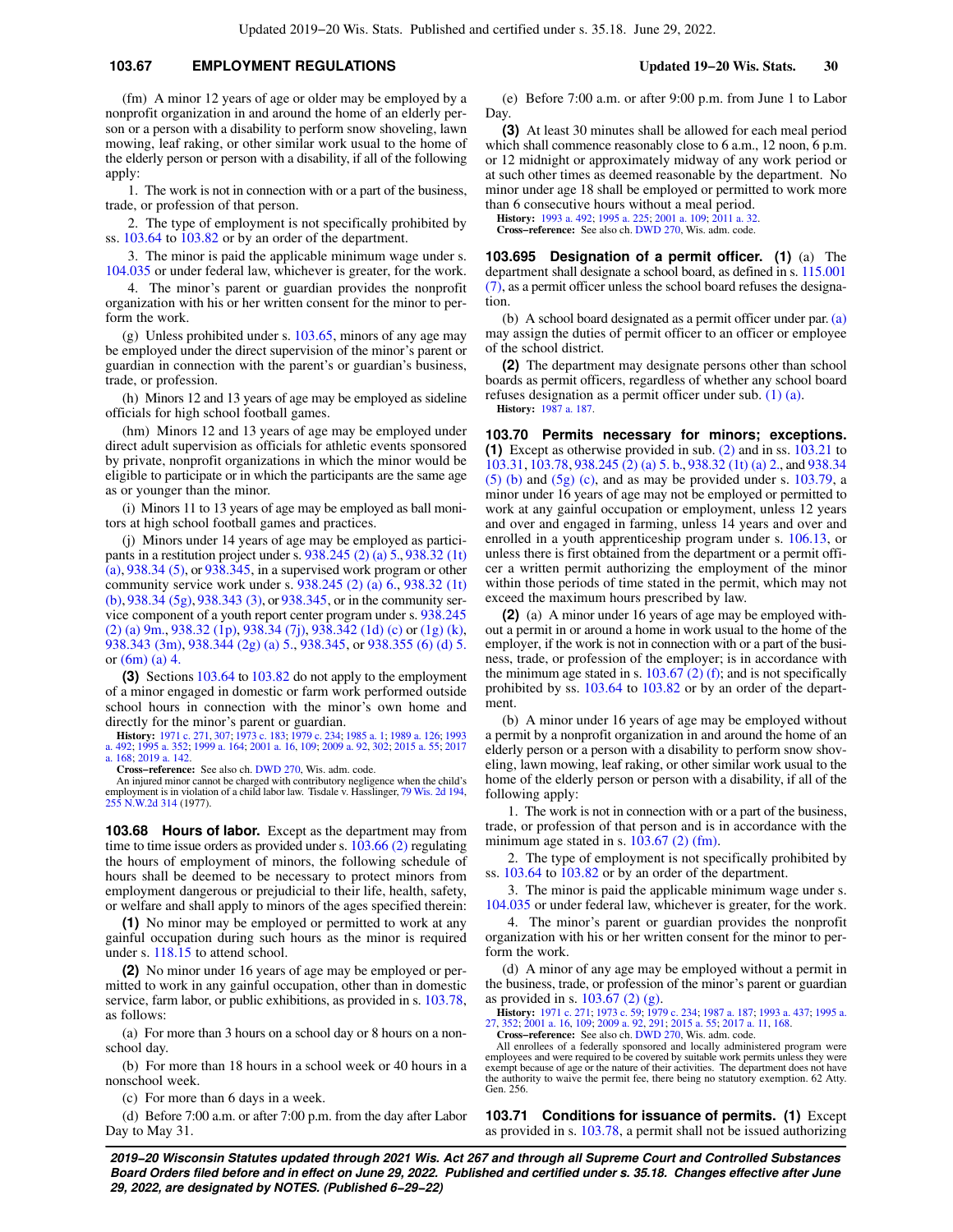## **103.67 EMPLOYMENT REGULATIONS Updated 19−20 Wis. Stats. 30**

(fm) A minor 12 years of age or older may be employed by a nonprofit organization in and around the home of an elderly person or a person with a disability to perform snow shoveling, lawn mowing, leaf raking, or other similar work usual to the home of the elderly person or person with a disability, if all of the following apply:

1. The work is not in connection with or a part of the business, trade, or profession of that person.

2. The type of employment is not specifically prohibited by ss. [103.64](https://docs.legis.wisconsin.gov/document/statutes/103.64) to [103.82](https://docs.legis.wisconsin.gov/document/statutes/103.82) or by an order of the department.

3. The minor is paid the applicable minimum wage under s. [104.035](https://docs.legis.wisconsin.gov/document/statutes/104.035) or under federal law, whichever is greater, for the work.

4. The minor's parent or guardian provides the nonprofit organization with his or her written consent for the minor to perform the work.

 $(g)$  Unless prohibited under s. [103.65](https://docs.legis.wisconsin.gov/document/statutes/103.65), minors of any age may be employed under the direct supervision of the minor's parent or guardian in connection with the parent's or guardian's business, trade, or profession.

(h) Minors 12 and 13 years of age may be employed as sideline officials for high school football games.

(hm) Minors 12 and 13 years of age may be employed under direct adult supervision as officials for athletic events sponsored by private, nonprofit organizations in which the minor would be eligible to participate or in which the participants are the same age as or younger than the minor.

(i) Minors 11 to 13 years of age may be employed as ball monitors at high school football games and practices.

(j) Minors under 14 years of age may be employed as participants in a restitution project under s.  $938.245 (2)(a) 5, 938.32 (1t)$  $938.245 (2)(a) 5, 938.32 (1t)$  $(a)$ , [938.34 \(5\),](https://docs.legis.wisconsin.gov/document/statutes/938.34(5)) or [938.345](https://docs.legis.wisconsin.gov/document/statutes/938.345), in a supervised work program or other community service work under s. [938.245 \(2\) \(a\) 6.](https://docs.legis.wisconsin.gov/document/statutes/938.245(2)(a)6.), [938.32 \(1t\)](https://docs.legis.wisconsin.gov/document/statutes/938.32(1t)(b)) [\(b\)](https://docs.legis.wisconsin.gov/document/statutes/938.32(1t)(b)), [938.34 \(5g\)](https://docs.legis.wisconsin.gov/document/statutes/938.34(5g)), [938.343 \(3\)](https://docs.legis.wisconsin.gov/document/statutes/938.343(3)), or [938.345](https://docs.legis.wisconsin.gov/document/statutes/938.345), or in the community service component of a youth report center program under s. [938.245](https://docs.legis.wisconsin.gov/document/statutes/938.245(2)(a)9m.) [\(2\) \(a\) 9m.](https://docs.legis.wisconsin.gov/document/statutes/938.245(2)(a)9m.), [938.32 \(1p\)](https://docs.legis.wisconsin.gov/document/statutes/938.32(1p)), [938.34 \(7j\)](https://docs.legis.wisconsin.gov/document/statutes/938.34(7j)), [938.342 \(1d\) \(c\)](https://docs.legis.wisconsin.gov/document/statutes/938.342(1d)(c)) or [\(1g\) \(k\),](https://docs.legis.wisconsin.gov/document/statutes/938.342(1g)(k)) [938.343 \(3m\),](https://docs.legis.wisconsin.gov/document/statutes/938.343(3m)) [938.344 \(2g\) \(a\) 5.,](https://docs.legis.wisconsin.gov/document/statutes/938.344(2g)(a)5.) [938.345,](https://docs.legis.wisconsin.gov/document/statutes/938.345) or [938.355 \(6\) \(d\) 5.](https://docs.legis.wisconsin.gov/document/statutes/938.355(6)(d)5.) or [\(6m\) \(a\) 4.](https://docs.legis.wisconsin.gov/document/statutes/938.355(6m)(a)4.)

**(3)** Sections [103.64](https://docs.legis.wisconsin.gov/document/statutes/103.64) to [103.82](https://docs.legis.wisconsin.gov/document/statutes/103.82) do not apply to the employment of a minor engaged in domestic or farm work performed outside school hours in connection with the minor's own home and directly for the minor's parent or guardian.

**History:** [1971 c. 271,](https://docs.legis.wisconsin.gov/document/acts/1971/271) [307](https://docs.legis.wisconsin.gov/document/acts/1971/307); [1973 c. 183;](https://docs.legis.wisconsin.gov/document/acts/1973/183) [1979 c. 234;](https://docs.legis.wisconsin.gov/document/acts/1979/234) [1985 a. 1](https://docs.legis.wisconsin.gov/document/acts/1985/1); [1989 a. 126;](https://docs.legis.wisconsin.gov/document/acts/1989/126) [1993](https://docs.legis.wisconsin.gov/document/acts/1993/492) [a. 492;](https://docs.legis.wisconsin.gov/document/acts/1993/492) [1995 a. 352;](https://docs.legis.wisconsin.gov/document/acts/1995/352) [1999 a. 164](https://docs.legis.wisconsin.gov/document/acts/1999/164); [2001 a. 16,](https://docs.legis.wisconsin.gov/document/acts/2001/16) [109](https://docs.legis.wisconsin.gov/document/acts/2001/109); [2009 a. 92](https://docs.legis.wisconsin.gov/document/acts/2009/92), [302;](https://docs.legis.wisconsin.gov/document/acts/2009/302) [2015 a. 55;](https://docs.legis.wisconsin.gov/document/acts/2015/55) [2017](https://docs.legis.wisconsin.gov/document/acts/2017/168) [a. 168;](https://docs.legis.wisconsin.gov/document/acts/2017/168) [2019 a. 142.](https://docs.legis.wisconsin.gov/document/acts/2019/142)

**Cross−reference:** See also ch. [DWD 270](https://docs.legis.wisconsin.gov/document/administrativecode/ch.%20DWD%20270), Wis. adm. code.

An injured minor cannot be charged with contributory negligence when the child's employment is in violation of a child labor law. Tisdale v. Hasslinger, [79 Wis. 2d 194](https://docs.legis.wisconsin.gov/document/courts/79%20Wis.%202d%20194), [255 N.W.2d 314](https://docs.legis.wisconsin.gov/document/courts/255%20N.W.2d%20314) (1977).

**103.68 Hours of labor.** Except as the department may from time to time issue orders as provided under s.  $103.66$  (2) regulating the hours of employment of minors, the following schedule of hours shall be deemed to be necessary to protect minors from employment dangerous or prejudicial to their life, health, safety, or welfare and shall apply to minors of the ages specified therein:

**(1)** No minor may be employed or permitted to work at any gainful occupation during such hours as the minor is required under s. [118.15](https://docs.legis.wisconsin.gov/document/statutes/118.15) to attend school.

**(2)** No minor under 16 years of age may be employed or permitted to work in any gainful occupation, other than in domestic service, farm labor, or public exhibitions, as provided in s. [103.78,](https://docs.legis.wisconsin.gov/document/statutes/103.78) as follows:

(a) For more than 3 hours on a school day or 8 hours on a nonschool day.

(b) For more than 18 hours in a school week or 40 hours in a nonschool week.

(c) For more than 6 days in a week.

(d) Before 7:00 a.m. or after 7:00 p.m. from the day after Labor Day to May 31.

(e) Before 7:00 a.m. or after 9:00 p.m. from June 1 to Labor Day.

**(3)** At least 30 minutes shall be allowed for each meal period which shall commence reasonably close to 6 a.m., 12 noon, 6 p.m. or 12 midnight or approximately midway of any work period or at such other times as deemed reasonable by the department. No minor under age 18 shall be employed or permitted to work more than 6 consecutive hours without a meal period.

**History:** [1993 a. 492;](https://docs.legis.wisconsin.gov/document/acts/1993/492) [1995 a. 225](https://docs.legis.wisconsin.gov/document/acts/1995/225); [2001 a. 109;](https://docs.legis.wisconsin.gov/document/acts/2001/109) [2011 a. 32.](https://docs.legis.wisconsin.gov/document/acts/2011/32)

**Cross−reference:** See also ch. [DWD 270](https://docs.legis.wisconsin.gov/document/administrativecode/ch.%20DWD%20270), Wis. adm. code.

**103.695 Designation of a permit officer. (1)** (a) The department shall designate a school board, as defined in s. [115.001](https://docs.legis.wisconsin.gov/document/statutes/115.001(7)) [\(7\),](https://docs.legis.wisconsin.gov/document/statutes/115.001(7)) as a permit officer unless the school board refuses the designation.

(b) A school board designated as a permit officer under par.  $(a)$ may assign the duties of permit officer to an officer or employee of the school district.

**(2)** The department may designate persons other than school boards as permit officers, regardless of whether any school board refuses designation as a permit officer under sub. [\(1\) \(a\).](https://docs.legis.wisconsin.gov/document/statutes/103.695(1)(a)) **History:** [1987 a. 187.](https://docs.legis.wisconsin.gov/document/acts/1987/187)

**103.70 Permits necessary for minors; exceptions. (1)** Except as otherwise provided in sub. [\(2\)](https://docs.legis.wisconsin.gov/document/statutes/103.70(2)) and in ss. [103.21](https://docs.legis.wisconsin.gov/document/statutes/103.21) to [103.31,](https://docs.legis.wisconsin.gov/document/statutes/103.31) [103.78,](https://docs.legis.wisconsin.gov/document/statutes/103.78) [938.245 \(2\) \(a\) 5. b.,](https://docs.legis.wisconsin.gov/document/statutes/938.245(2)(a)5.b.) [938.32 \(1t\) \(a\) 2.](https://docs.legis.wisconsin.gov/document/statutes/938.32(1t)(a)2.), and [938.34](https://docs.legis.wisconsin.gov/document/statutes/938.34(5)(b))  $(5)$  (b) and  $(5g)$  (c), and as may be provided under s. [103.79](https://docs.legis.wisconsin.gov/document/statutes/103.79), a minor under 16 years of age may not be employed or permitted to work at any gainful occupation or employment, unless 12 years and over and engaged in farming, unless 14 years and over and enrolled in a youth apprenticeship program under s. [106.13,](https://docs.legis.wisconsin.gov/document/statutes/106.13) or unless there is first obtained from the department or a permit officer a written permit authorizing the employment of the minor within those periods of time stated in the permit, which may not exceed the maximum hours prescribed by law.

**(2)** (a) A minor under 16 years of age may be employed without a permit in or around a home in work usual to the home of the employer, if the work is not in connection with or a part of the business, trade, or profession of the employer; is in accordance with the minimum age stated in s.  $103.67$  (2) (f); and is not specifically prohibited by ss. [103.64](https://docs.legis.wisconsin.gov/document/statutes/103.64) to [103.82](https://docs.legis.wisconsin.gov/document/statutes/103.82) or by an order of the department.

(b) A minor under 16 years of age may be employed without a permit by a nonprofit organization in and around the home of an elderly person or a person with a disability to perform snow shoveling, lawn mowing, leaf raking, or other similar work usual to the home of the elderly person or person with a disability, if all of the following apply:

1. The work is not in connection with or a part of the business, trade, or profession of that person and is in accordance with the minimum age stated in s.  $103.67$  (2) (fm).

2. The type of employment is not specifically prohibited by ss. [103.64](https://docs.legis.wisconsin.gov/document/statutes/103.64) to [103.82](https://docs.legis.wisconsin.gov/document/statutes/103.82) or by an order of the department.

3. The minor is paid the applicable minimum wage under s. [104.035](https://docs.legis.wisconsin.gov/document/statutes/104.035) or under federal law, whichever is greater, for the work.

4. The minor's parent or guardian provides the nonprofit organization with his or her written consent for the minor to perform the work.

(d) A minor of any age may be employed without a permit in the business, trade, or profession of the minor's parent or guardian as provided in s. [103.67 \(2\) \(g\)](https://docs.legis.wisconsin.gov/document/statutes/103.67(2)(g)).

**History:** [1971 c. 271;](https://docs.legis.wisconsin.gov/document/acts/1971/271) [1973 c. 59](https://docs.legis.wisconsin.gov/document/acts/1973/59); [1979 c. 234](https://docs.legis.wisconsin.gov/document/acts/1979/234); [1987 a. 187](https://docs.legis.wisconsin.gov/document/acts/1987/187); [1993 a. 437](https://docs.legis.wisconsin.gov/document/acts/1993/437); [1995 a.](https://docs.legis.wisconsin.gov/document/acts/1995/27) [27](https://docs.legis.wisconsin.gov/document/acts/1995/27), [352](https://docs.legis.wisconsin.gov/document/acts/1995/352); [2001 a. 16](https://docs.legis.wisconsin.gov/document/acts/2001/16), [109](https://docs.legis.wisconsin.gov/document/acts/2001/109); [2009 a. 92](https://docs.legis.wisconsin.gov/document/acts/2009/92), [291;](https://docs.legis.wisconsin.gov/document/acts/2009/291) [2015 a. 55;](https://docs.legis.wisconsin.gov/document/acts/2015/55) [2017 a. 11,](https://docs.legis.wisconsin.gov/document/acts/2017/11) [168.](https://docs.legis.wisconsin.gov/document/acts/2017/168) **Cross−reference:** See also ch. [DWD 270](https://docs.legis.wisconsin.gov/document/administrativecode/ch.%20DWD%20270), Wis. adm. code.

All enrollees of a federally sponsored and locally administered program were<br>employees and were required to be covered by suitable work permits unless they were<br>exempt because of age or the nature of their activities. The

the authority to waive the permit fee, there being no statutory exemption. 62 Atty. Gen. 256.

**103.71 Conditions for issuance of permits. (1)** Except as provided in s. [103.78](https://docs.legis.wisconsin.gov/document/statutes/103.78), a permit shall not be issued authorizing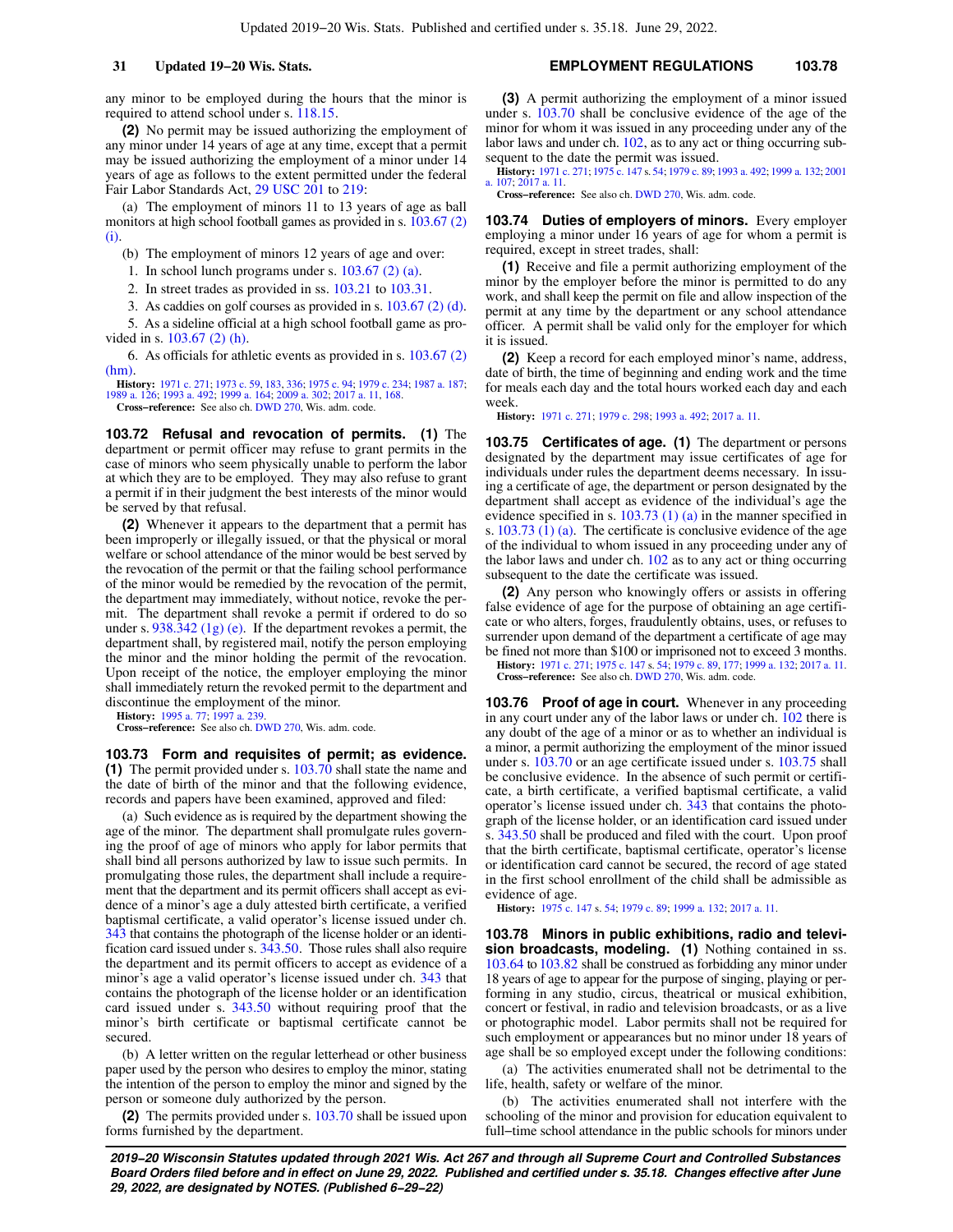any minor to be employed during the hours that the minor is required to attend school under s. [118.15](https://docs.legis.wisconsin.gov/document/statutes/118.15).

**(2)** No permit may be issued authorizing the employment of any minor under 14 years of age at any time, except that a permit may be issued authorizing the employment of a minor under 14 years of age as follows to the extent permitted under the federal Fair Labor Standards Act, [29 USC 201](https://docs.legis.wisconsin.gov/document/usc/29%20USC%20201) to [219:](https://docs.legis.wisconsin.gov/document/usc/29%20USC%20219)

(a) The employment of minors 11 to 13 years of age as ball monitors at high school football games as provided in s. [103.67 \(2\)](https://docs.legis.wisconsin.gov/document/statutes/103.67(2)(i)) [\(i\)](https://docs.legis.wisconsin.gov/document/statutes/103.67(2)(i)).

(b) The employment of minors 12 years of age and over:

1. In school lunch programs under s. [103.67 \(2\) \(a\)](https://docs.legis.wisconsin.gov/document/statutes/103.67(2)(a)).

2. In street trades as provided in ss. [103.21](https://docs.legis.wisconsin.gov/document/statutes/103.21) to [103.31.](https://docs.legis.wisconsin.gov/document/statutes/103.31)

3. As caddies on golf courses as provided in s. [103.67 \(2\) \(d\).](https://docs.legis.wisconsin.gov/document/statutes/103.67(2)(d))

5. As a sideline official at a high school football game as provided in s. [103.67 \(2\) \(h\)](https://docs.legis.wisconsin.gov/document/statutes/103.67(2)(h)).

6. As officials for athletic events as provided in s. [103.67 \(2\)](https://docs.legis.wisconsin.gov/document/statutes/103.67(2)(hm)) [\(hm\)](https://docs.legis.wisconsin.gov/document/statutes/103.67(2)(hm)).

**History:** [1971 c. 271;](https://docs.legis.wisconsin.gov/document/acts/1971/271) [1973 c. 59](https://docs.legis.wisconsin.gov/document/acts/1973/59), [183,](https://docs.legis.wisconsin.gov/document/acts/1973/183) [336;](https://docs.legis.wisconsin.gov/document/acts/1973/336) [1975 c. 94;](https://docs.legis.wisconsin.gov/document/acts/1975/94) [1979 c. 234](https://docs.legis.wisconsin.gov/document/acts/1979/234); [1987 a. 187](https://docs.legis.wisconsin.gov/document/acts/1987/187); [1989 a. 126;](https://docs.legis.wisconsin.gov/document/acts/1989/126) [1993 a. 492](https://docs.legis.wisconsin.gov/document/acts/1993/492); [1999 a. 164](https://docs.legis.wisconsin.gov/document/acts/1999/164); [2009 a. 302;](https://docs.legis.wisconsin.gov/document/acts/2009/302) [2017 a. 11,](https://docs.legis.wisconsin.gov/document/acts/2017/11) [168.](https://docs.legis.wisconsin.gov/document/acts/2017/168) **Cross−reference:** See also ch. [DWD 270](https://docs.legis.wisconsin.gov/document/administrativecode/ch.%20DWD%20270), Wis. adm. code.

**103.72 Refusal and revocation of permits. (1)** The department or permit officer may refuse to grant permits in the case of minors who seem physically unable to perform the labor at which they are to be employed. They may also refuse to grant a permit if in their judgment the best interests of the minor would be served by that refusal.

**(2)** Whenever it appears to the department that a permit has been improperly or illegally issued, or that the physical or moral welfare or school attendance of the minor would be best served by the revocation of the permit or that the failing school performance of the minor would be remedied by the revocation of the permit, the department may immediately, without notice, revoke the permit. The department shall revoke a permit if ordered to do so under s.  $938.342$  (1g) (e). If the department revokes a permit, the department shall, by registered mail, notify the person employing the minor and the minor holding the permit of the revocation. Upon receipt of the notice, the employer employing the minor shall immediately return the revoked permit to the department and discontinue the employment of the minor.

**History:** [1995 a. 77;](https://docs.legis.wisconsin.gov/document/acts/1995/77) [1997 a. 239.](https://docs.legis.wisconsin.gov/document/acts/1997/239)

**Cross−reference:** See also ch. [DWD 270](https://docs.legis.wisconsin.gov/document/administrativecode/ch.%20DWD%20270), Wis. adm. code.

**103.73 Form and requisites of permit; as evidence. (1)** The permit provided under s. [103.70](https://docs.legis.wisconsin.gov/document/statutes/103.70) shall state the name and the date of birth of the minor and that the following evidence, records and papers have been examined, approved and filed:

(a) Such evidence as is required by the department showing the age of the minor. The department shall promulgate rules governing the proof of age of minors who apply for labor permits that shall bind all persons authorized by law to issue such permits. In promulgating those rules, the department shall include a requirement that the department and its permit officers shall accept as evidence of a minor's age a duly attested birth certificate, a verified baptismal certificate, a valid operator's license issued under ch. [343](https://docs.legis.wisconsin.gov/document/statutes/ch.%20343) that contains the photograph of the license holder or an identification card issued under s. [343.50](https://docs.legis.wisconsin.gov/document/statutes/343.50). Those rules shall also require the department and its permit officers to accept as evidence of a minor's age a valid operator's license issued under ch. [343](https://docs.legis.wisconsin.gov/document/statutes/ch.%20343) that contains the photograph of the license holder or an identification card issued under s. [343.50](https://docs.legis.wisconsin.gov/document/statutes/343.50) without requiring proof that the minor's birth certificate or baptismal certificate cannot be secured.

(b) A letter written on the regular letterhead or other business paper used by the person who desires to employ the minor, stating the intention of the person to employ the minor and signed by the person or someone duly authorized by the person.

**(2)** The permits provided under s. [103.70](https://docs.legis.wisconsin.gov/document/statutes/103.70) shall be issued upon forms furnished by the department.

**(3)** A permit authorizing the employment of a minor issued under s. [103.70](https://docs.legis.wisconsin.gov/document/statutes/103.70) shall be conclusive evidence of the age of the minor for whom it was issued in any proceeding under any of the labor laws and under ch. [102,](https://docs.legis.wisconsin.gov/document/statutes/ch.%20102) as to any act or thing occurring subsequent to the date the permit was issued.

**History:** [1971 c. 271](https://docs.legis.wisconsin.gov/document/acts/1971/271); [1975 c. 147](https://docs.legis.wisconsin.gov/document/acts/1975/147) s. [54;](https://docs.legis.wisconsin.gov/document/acts/1975/147,%20s.%2054) [1979 c. 89;](https://docs.legis.wisconsin.gov/document/acts/1979/89) [1993 a. 492](https://docs.legis.wisconsin.gov/document/acts/1993/492); [1999 a. 132](https://docs.legis.wisconsin.gov/document/acts/1999/132); [2001](https://docs.legis.wisconsin.gov/document/acts/2001/107) [a. 107](https://docs.legis.wisconsin.gov/document/acts/2001/107); [2017 a. 11](https://docs.legis.wisconsin.gov/document/acts/2017/11).

**Cross−reference:** See also ch. [DWD 270](https://docs.legis.wisconsin.gov/document/administrativecode/ch.%20DWD%20270), Wis. adm. code.

**103.74 Duties of employers of minors.** Every employer employing a minor under 16 years of age for whom a permit is required, except in street trades, shall:

**(1)** Receive and file a permit authorizing employment of the minor by the employer before the minor is permitted to do any work, and shall keep the permit on file and allow inspection of the permit at any time by the department or any school attendance officer. A permit shall be valid only for the employer for which it is issued.

**(2)** Keep a record for each employed minor's name, address, date of birth, the time of beginning and ending work and the time for meals each day and the total hours worked each day and each week.

**History:** [1971 c. 271;](https://docs.legis.wisconsin.gov/document/acts/1971/271) [1979 c. 298](https://docs.legis.wisconsin.gov/document/acts/1979/298); [1993 a. 492;](https://docs.legis.wisconsin.gov/document/acts/1993/492) [2017 a. 11.](https://docs.legis.wisconsin.gov/document/acts/2017/11)

**103.75 Certificates of age. (1)** The department or persons designated by the department may issue certificates of age for individuals under rules the department deems necessary. In issuing a certificate of age, the department or person designated by the department shall accept as evidence of the individual's age the evidence specified in s. [103.73 \(1\) \(a\)](https://docs.legis.wisconsin.gov/document/statutes/103.73(1)(a)) in the manner specified in s. [103.73 \(1\) \(a\)](https://docs.legis.wisconsin.gov/document/statutes/103.73(1)(a)). The certificate is conclusive evidence of the age of the individual to whom issued in any proceeding under any of the labor laws and under ch.  $102$  as to any act or thing occurring subsequent to the date the certificate was issued.

**(2)** Any person who knowingly offers or assists in offering false evidence of age for the purpose of obtaining an age certificate or who alters, forges, fraudulently obtains, uses, or refuses to surrender upon demand of the department a certificate of age may be fined not more than \$100 or imprisoned not to exceed 3 months.

**History:** [1971 c. 271](https://docs.legis.wisconsin.gov/document/acts/1971/271); [1975 c. 147](https://docs.legis.wisconsin.gov/document/acts/1975/147) s. [54](https://docs.legis.wisconsin.gov/document/acts/1975/147,%20s.%2054); [1979 c. 89](https://docs.legis.wisconsin.gov/document/acts/1979/89), [177](https://docs.legis.wisconsin.gov/document/acts/1979/177); [1999 a. 132;](https://docs.legis.wisconsin.gov/document/acts/1999/132) [2017 a. 11](https://docs.legis.wisconsin.gov/document/acts/2017/11). **Cross−reference:** See also ch. [DWD 270](https://docs.legis.wisconsin.gov/document/administrativecode/ch.%20DWD%20270), Wis. adm. code.

**103.76 Proof of age in court.** Whenever in any proceeding in any court under any of the labor laws or under ch. [102](https://docs.legis.wisconsin.gov/document/statutes/ch.%20102) there is any doubt of the age of a minor or as to whether an individual is a minor, a permit authorizing the employment of the minor issued under s. [103.70](https://docs.legis.wisconsin.gov/document/statutes/103.70) or an age certificate issued under s. [103.75](https://docs.legis.wisconsin.gov/document/statutes/103.75) shall be conclusive evidence. In the absence of such permit or certificate, a birth certificate, a verified baptismal certificate, a valid operator's license issued under ch. [343](https://docs.legis.wisconsin.gov/document/statutes/ch.%20343) that contains the photograph of the license holder, or an identification card issued under s. [343.50](https://docs.legis.wisconsin.gov/document/statutes/343.50) shall be produced and filed with the court. Upon proof that the birth certificate, baptismal certificate, operator's license or identification card cannot be secured, the record of age stated in the first school enrollment of the child shall be admissible as evidence of age.

**History:** [1975 c. 147](https://docs.legis.wisconsin.gov/document/acts/1975/147) s. [54;](https://docs.legis.wisconsin.gov/document/acts/1975/147,%20s.%2054) [1979 c. 89;](https://docs.legis.wisconsin.gov/document/acts/1979/89) [1999 a. 132](https://docs.legis.wisconsin.gov/document/acts/1999/132); [2017 a. 11](https://docs.legis.wisconsin.gov/document/acts/2017/11).

**103.78 Minors in public exhibitions, radio and television broadcasts, modeling. (1)** Nothing contained in ss. [103.64](https://docs.legis.wisconsin.gov/document/statutes/103.64) to [103.82](https://docs.legis.wisconsin.gov/document/statutes/103.82) shall be construed as forbidding any minor under 18 years of age to appear for the purpose of singing, playing or performing in any studio, circus, theatrical or musical exhibition, concert or festival, in radio and television broadcasts, or as a live or photographic model. Labor permits shall not be required for such employment or appearances but no minor under 18 years of age shall be so employed except under the following conditions:

(a) The activities enumerated shall not be detrimental to the life, health, safety or welfare of the minor.

(b) The activities enumerated shall not interfere with the schooling of the minor and provision for education equivalent to full–time school attendance in the public schools for minors under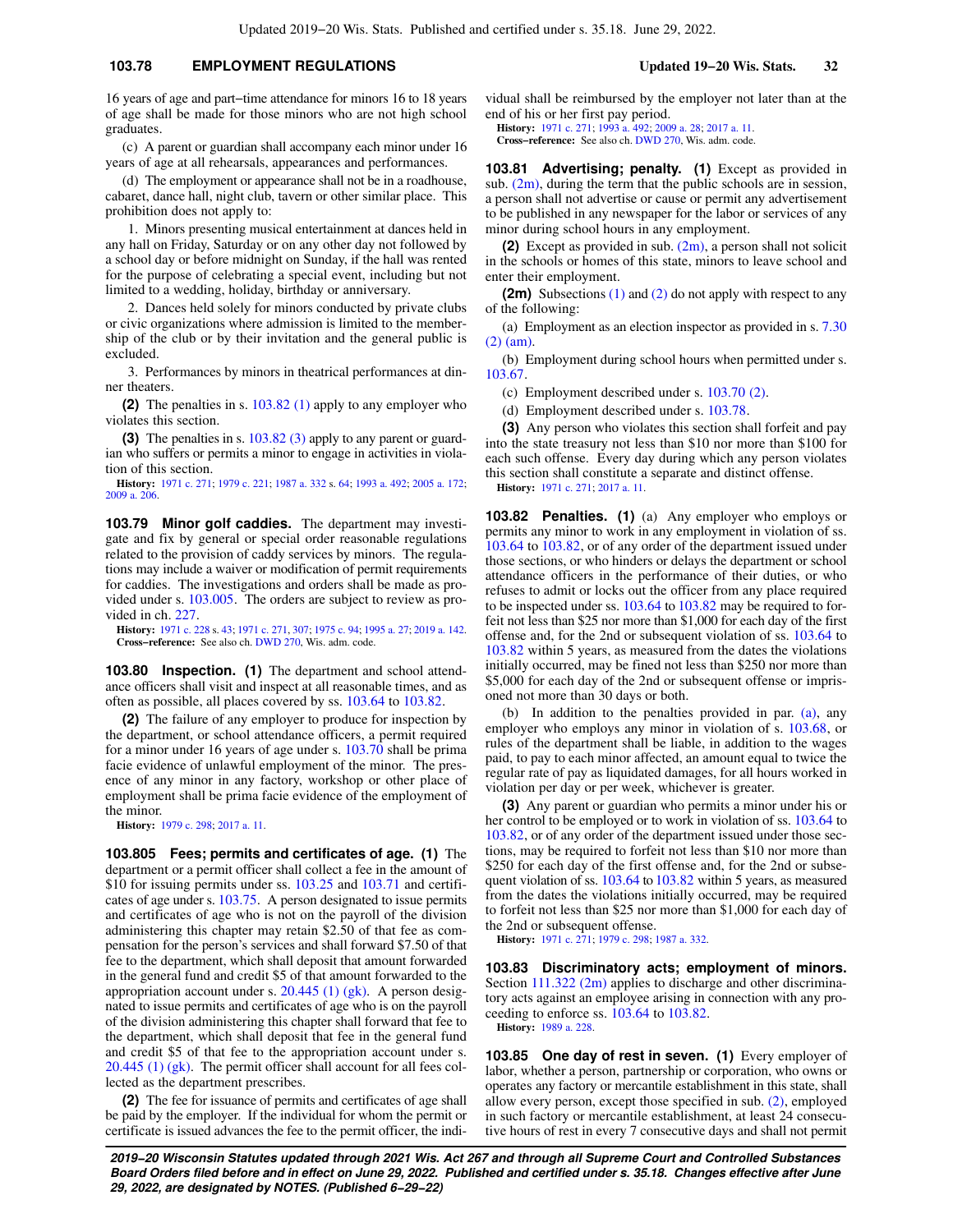## **103.78 EMPLOYMENT REGULATIONS Updated 19−20 Wis. Stats. 32**

16 years of age and part−time attendance for minors 16 to 18 years of age shall be made for those minors who are not high school graduates.

(c) A parent or guardian shall accompany each minor under 16 years of age at all rehearsals, appearances and performances.

(d) The employment or appearance shall not be in a roadhouse, cabaret, dance hall, night club, tavern or other similar place. This prohibition does not apply to:

1. Minors presenting musical entertainment at dances held in any hall on Friday, Saturday or on any other day not followed by a school day or before midnight on Sunday, if the hall was rented for the purpose of celebrating a special event, including but not limited to a wedding, holiday, birthday or anniversary.

2. Dances held solely for minors conducted by private clubs or civic organizations where admission is limited to the membership of the club or by their invitation and the general public is excluded.

3. Performances by minors in theatrical performances at dinner theaters.

**(2)** The penalties in s. [103.82 \(1\)](https://docs.legis.wisconsin.gov/document/statutes/103.82(1)) apply to any employer who violates this section.

**(3)** The penalties in s. [103.82 \(3\)](https://docs.legis.wisconsin.gov/document/statutes/103.82(3)) apply to any parent or guardian who suffers or permits a minor to engage in activities in violation of this section.

**History:** [1971 c. 271](https://docs.legis.wisconsin.gov/document/acts/1971/271); [1979 c. 221](https://docs.legis.wisconsin.gov/document/acts/1979/221); [1987 a. 332](https://docs.legis.wisconsin.gov/document/acts/1987/332) s. [64;](https://docs.legis.wisconsin.gov/document/acts/1987/332,%20s.%2064) [1993 a. 492](https://docs.legis.wisconsin.gov/document/acts/1993/492); [2005 a. 172](https://docs.legis.wisconsin.gov/document/acts/2005/172); [2009 a. 206.](https://docs.legis.wisconsin.gov/document/acts/2009/206)

**103.79 Minor golf caddies.** The department may investigate and fix by general or special order reasonable regulations related to the provision of caddy services by minors. The regulations may include a waiver or modification of permit requirements for caddies. The investigations and orders shall be made as provided under s. [103.005](https://docs.legis.wisconsin.gov/document/statutes/103.005). The orders are subject to review as provided in ch. [227](https://docs.legis.wisconsin.gov/document/statutes/ch.%20227).

**History:** [1971 c. 228](https://docs.legis.wisconsin.gov/document/acts/1971/228) s. [43](https://docs.legis.wisconsin.gov/document/acts/1971/228,%20s.%2043); [1971 c. 271,](https://docs.legis.wisconsin.gov/document/acts/1971/271) [307;](https://docs.legis.wisconsin.gov/document/acts/1971/307) [1975 c. 94;](https://docs.legis.wisconsin.gov/document/acts/1975/94) [1995 a. 27;](https://docs.legis.wisconsin.gov/document/acts/1995/27) [2019 a. 142](https://docs.legis.wisconsin.gov/document/acts/2019/142). **Cross−reference:** See also ch. [DWD 270](https://docs.legis.wisconsin.gov/document/administrativecode/ch.%20DWD%20270), Wis. adm. code.

**103.80 Inspection. (1)** The department and school attendance officers shall visit and inspect at all reasonable times, and as often as possible, all places covered by ss. [103.64](https://docs.legis.wisconsin.gov/document/statutes/103.64) to [103.82](https://docs.legis.wisconsin.gov/document/statutes/103.82).

**(2)** The failure of any employer to produce for inspection by the department, or school attendance officers, a permit required for a minor under 16 years of age under s. [103.70](https://docs.legis.wisconsin.gov/document/statutes/103.70) shall be prima facie evidence of unlawful employment of the minor. The presence of any minor in any factory, workshop or other place of employment shall be prima facie evidence of the employment of the minor.

**History:** [1979 c. 298](https://docs.legis.wisconsin.gov/document/acts/1979/298); [2017 a. 11](https://docs.legis.wisconsin.gov/document/acts/2017/11).

**103.805 Fees; permits and certificates of age. (1)** The department or a permit officer shall collect a fee in the amount of \$10 for issuing permits under ss. [103.25](https://docs.legis.wisconsin.gov/document/statutes/103.25) and [103.71](https://docs.legis.wisconsin.gov/document/statutes/103.71) and certificates of age under s. [103.75](https://docs.legis.wisconsin.gov/document/statutes/103.75). A person designated to issue permits and certificates of age who is not on the payroll of the division administering this chapter may retain \$2.50 of that fee as compensation for the person's services and shall forward \$7.50 of that fee to the department, which shall deposit that amount forwarded in the general fund and credit \$5 of that amount forwarded to the appropriation account under s.  $20.445$  (1) (gk). A person designated to issue permits and certificates of age who is on the payroll of the division administering this chapter shall forward that fee to the department, which shall deposit that fee in the general fund and credit \$5 of that fee to the appropriation account under s. [20.445 \(1\) \(gk\)](https://docs.legis.wisconsin.gov/document/statutes/20.445(1)(gk)). The permit officer shall account for all fees collected as the department prescribes.

**(2)** The fee for issuance of permits and certificates of age shall be paid by the employer. If the individual for whom the permit or certificate is issued advances the fee to the permit officer, the individual shall be reimbursed by the employer not later than at the end of his or her first pay period.

**History:** [1971 c. 271;](https://docs.legis.wisconsin.gov/document/acts/1971/271) [1993 a. 492](https://docs.legis.wisconsin.gov/document/acts/1993/492); [2009 a. 28](https://docs.legis.wisconsin.gov/document/acts/2009/28); [2017 a. 11](https://docs.legis.wisconsin.gov/document/acts/2017/11). **Cross−reference:** See also ch. [DWD 270](https://docs.legis.wisconsin.gov/document/administrativecode/ch.%20DWD%20270), Wis. adm. code.

**103.81 Advertising; penalty. (1)** Except as provided in sub.  $(2m)$ , during the term that the public schools are in session, a person shall not advertise or cause or permit any advertisement to be published in any newspaper for the labor or services of any minor during school hours in any employment.

**(2)** Except as provided in sub. [\(2m\),](https://docs.legis.wisconsin.gov/document/statutes/103.81(2m)) a person shall not solicit in the schools or homes of this state, minors to leave school and enter their employment.

**(2m)** Subsections [\(1\)](https://docs.legis.wisconsin.gov/document/statutes/103.81(1)) and [\(2\)](https://docs.legis.wisconsin.gov/document/statutes/103.81(2)) do not apply with respect to any of the following:

(a) Employment as an election inspector as provided in s. [7.30](https://docs.legis.wisconsin.gov/document/statutes/7.30(2)(am)) [\(2\) \(am\).](https://docs.legis.wisconsin.gov/document/statutes/7.30(2)(am))

(b) Employment during school hours when permitted under s. [103.67.](https://docs.legis.wisconsin.gov/document/statutes/103.67)

(c) Employment described under s. [103.70 \(2\)](https://docs.legis.wisconsin.gov/document/statutes/103.70(2)).

(d) Employment described under s. [103.78.](https://docs.legis.wisconsin.gov/document/statutes/103.78)

**(3)** Any person who violates this section shall forfeit and pay into the state treasury not less than \$10 nor more than \$100 for each such offense. Every day during which any person violates this section shall constitute a separate and distinct offense. **History:** [1971 c. 271;](https://docs.legis.wisconsin.gov/document/acts/1971/271) [2017 a. 11](https://docs.legis.wisconsin.gov/document/acts/2017/11).

**103.82 Penalties. (1)** (a) Any employer who employs or permits any minor to work in any employment in violation of ss. [103.64](https://docs.legis.wisconsin.gov/document/statutes/103.64) to [103.82](https://docs.legis.wisconsin.gov/document/statutes/103.82), or of any order of the department issued under those sections, or who hinders or delays the department or school attendance officers in the performance of their duties, or who refuses to admit or locks out the officer from any place required to be inspected under ss. [103.64](https://docs.legis.wisconsin.gov/document/statutes/103.64) to [103.82](https://docs.legis.wisconsin.gov/document/statutes/103.82) may be required to forfeit not less than \$25 nor more than \$1,000 for each day of the first offense and, for the 2nd or subsequent violation of ss. [103.64](https://docs.legis.wisconsin.gov/document/statutes/103.64) to [103.82](https://docs.legis.wisconsin.gov/document/statutes/103.82) within 5 years, as measured from the dates the violations initially occurred, may be fined not less than \$250 nor more than \$5,000 for each day of the 2nd or subsequent offense or imprisoned not more than 30 days or both.

(b) In addition to the penalties provided in par. [\(a\),](https://docs.legis.wisconsin.gov/document/statutes/103.82(1)(a)) any employer who employs any minor in violation of s. [103.68](https://docs.legis.wisconsin.gov/document/statutes/103.68), or rules of the department shall be liable, in addition to the wages paid, to pay to each minor affected, an amount equal to twice the regular rate of pay as liquidated damages, for all hours worked in violation per day or per week, whichever is greater.

**(3)** Any parent or guardian who permits a minor under his or her control to be employed or to work in violation of ss. [103.64](https://docs.legis.wisconsin.gov/document/statutes/103.64) to [103.82,](https://docs.legis.wisconsin.gov/document/statutes/103.82) or of any order of the department issued under those sections, may be required to forfeit not less than \$10 nor more than \$250 for each day of the first offense and, for the 2nd or subse-quent violation of ss. [103.64](https://docs.legis.wisconsin.gov/document/statutes/103.64) to [103.82](https://docs.legis.wisconsin.gov/document/statutes/103.82) within 5 years, as measured from the dates the violations initially occurred, may be required to forfeit not less than \$25 nor more than \$1,000 for each day of the 2nd or subsequent offense.

**History:** [1971 c. 271;](https://docs.legis.wisconsin.gov/document/acts/1971/271) [1979 c. 298](https://docs.legis.wisconsin.gov/document/acts/1979/298); [1987 a. 332.](https://docs.legis.wisconsin.gov/document/acts/1987/332)

**103.83 Discriminatory acts; employment of minors.** Section [111.322 \(2m\)](https://docs.legis.wisconsin.gov/document/statutes/111.322(2m)) applies to discharge and other discriminatory acts against an employee arising in connection with any proceeding to enforce ss. [103.64](https://docs.legis.wisconsin.gov/document/statutes/103.64) to [103.82](https://docs.legis.wisconsin.gov/document/statutes/103.82). **History:** [1989 a. 228.](https://docs.legis.wisconsin.gov/document/acts/1989/228)

**103.85 One day of rest in seven. (1)** Every employer of labor, whether a person, partnership or corporation, who owns or operates any factory or mercantile establishment in this state, shall allow every person, except those specified in sub. [\(2\)](https://docs.legis.wisconsin.gov/document/statutes/103.85(2)), employed in such factory or mercantile establishment, at least 24 consecutive hours of rest in every 7 consecutive days and shall not permit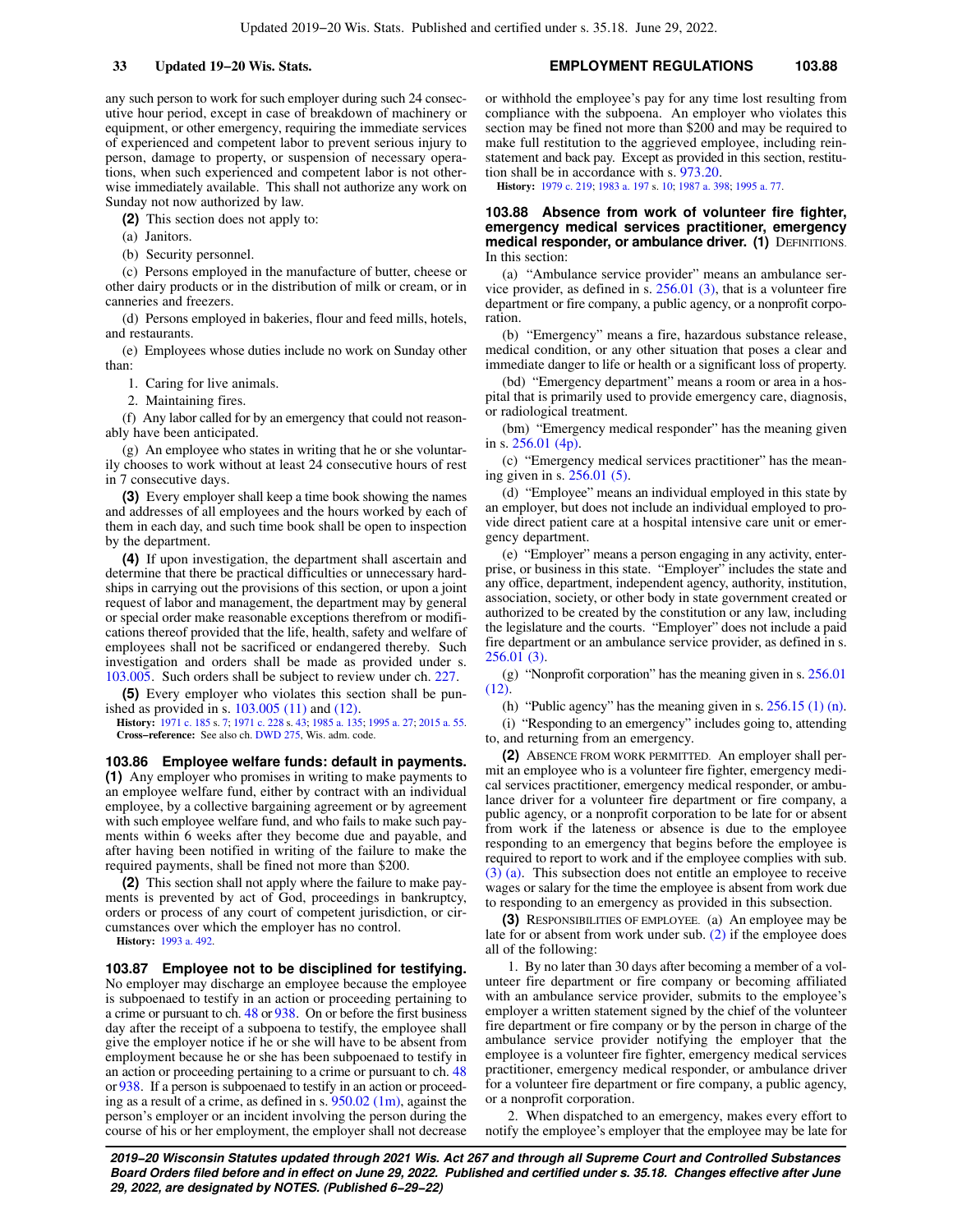any such person to work for such employer during such 24 consecutive hour period, except in case of breakdown of machinery or equipment, or other emergency, requiring the immediate services of experienced and competent labor to prevent serious injury to person, damage to property, or suspension of necessary operations, when such experienced and competent labor is not otherwise immediately available. This shall not authorize any work on Sunday not now authorized by law.

**(2)** This section does not apply to:

(a) Janitors.

(b) Security personnel.

(c) Persons employed in the manufacture of butter, cheese or other dairy products or in the distribution of milk or cream, or in canneries and freezers.

(d) Persons employed in bakeries, flour and feed mills, hotels, and restaurants.

(e) Employees whose duties include no work on Sunday other than:

1. Caring for live animals.

2. Maintaining fires.

(f) Any labor called for by an emergency that could not reasonably have been anticipated.

(g) An employee who states in writing that he or she voluntarily chooses to work without at least 24 consecutive hours of rest in 7 consecutive days.

**(3)** Every employer shall keep a time book showing the names and addresses of all employees and the hours worked by each of them in each day, and such time book shall be open to inspection by the department.

**(4)** If upon investigation, the department shall ascertain and determine that there be practical difficulties or unnecessary hardships in carrying out the provisions of this section, or upon a joint request of labor and management, the department may by general or special order make reasonable exceptions therefrom or modifications thereof provided that the life, health, safety and welfare of employees shall not be sacrificed or endangered thereby. Such investigation and orders shall be made as provided under s. [103.005](https://docs.legis.wisconsin.gov/document/statutes/103.005). Such orders shall be subject to review under ch. [227](https://docs.legis.wisconsin.gov/document/statutes/ch.%20227).

**(5)** Every employer who violates this section shall be punished as provided in s. [103.005 \(11\)](https://docs.legis.wisconsin.gov/document/statutes/103.005(11)) and [\(12\).](https://docs.legis.wisconsin.gov/document/statutes/103.005(12))

**History:** [1971 c. 185](https://docs.legis.wisconsin.gov/document/acts/1971/185) s. [7](https://docs.legis.wisconsin.gov/document/acts/1971/185,%20s.%207); [1971 c. 228](https://docs.legis.wisconsin.gov/document/acts/1971/228) s. [43](https://docs.legis.wisconsin.gov/document/acts/1971/228,%20s.%2043); [1985 a. 135](https://docs.legis.wisconsin.gov/document/acts/1985/135); [1995 a. 27;](https://docs.legis.wisconsin.gov/document/acts/1995/27) [2015 a. 55](https://docs.legis.wisconsin.gov/document/acts/2015/55). **Cross−reference:** See also ch. [DWD 275](https://docs.legis.wisconsin.gov/document/administrativecode/ch.%20DWD%20275), Wis. adm. code.

**103.86 Employee welfare funds: default in payments.**

**(1)** Any employer who promises in writing to make payments to an employee welfare fund, either by contract with an individual employee, by a collective bargaining agreement or by agreement with such employee welfare fund, and who fails to make such payments within 6 weeks after they become due and payable, and after having been notified in writing of the failure to make the required payments, shall be fined not more than \$200.

**(2)** This section shall not apply where the failure to make payments is prevented by act of God, proceedings in bankruptcy, orders or process of any court of competent jurisdiction, or circumstances over which the employer has no control.

**History:** [1993 a. 492](https://docs.legis.wisconsin.gov/document/acts/1993/492).

**103.87 Employee not to be disciplined for testifying.**

No employer may discharge an employee because the employee is subpoenaed to testify in an action or proceeding pertaining to a crime or pursuant to ch. [48](https://docs.legis.wisconsin.gov/document/statutes/ch.%2048) or [938](https://docs.legis.wisconsin.gov/document/statutes/ch.%20938). On or before the first business day after the receipt of a subpoena to testify, the employee shall give the employer notice if he or she will have to be absent from employment because he or she has been subpoenaed to testify in an action or proceeding pertaining to a crime or pursuant to ch. [48](https://docs.legis.wisconsin.gov/document/statutes/ch.%2048) or [938](https://docs.legis.wisconsin.gov/document/statutes/ch.%20938). If a person is subpoenaed to testify in an action or proceeding as a result of a crime, as defined in s. [950.02 \(1m\)](https://docs.legis.wisconsin.gov/document/statutes/950.02(1m)), against the person's employer or an incident involving the person during the course of his or her employment, the employer shall not decrease

or withhold the employee's pay for any time lost resulting from compliance with the subpoena. An employer who violates this section may be fined not more than \$200 and may be required to make full restitution to the aggrieved employee, including reinstatement and back pay. Except as provided in this section, restitution shall be in accordance with s. [973.20](https://docs.legis.wisconsin.gov/document/statutes/973.20).

**History:** [1979 c. 219;](https://docs.legis.wisconsin.gov/document/acts/1979/219) [1983 a. 197](https://docs.legis.wisconsin.gov/document/acts/1983/197) s. [10](https://docs.legis.wisconsin.gov/document/acts/1983/197,%20s.%2010); [1987 a. 398;](https://docs.legis.wisconsin.gov/document/acts/1987/398) [1995 a. 77](https://docs.legis.wisconsin.gov/document/acts/1995/77).

#### **103.88 Absence from work of volunteer fire fighter, emergency medical services practitioner, emergency medical responder, or ambulance driver. (1)** DEFINITIONS. In this section:

(a) "Ambulance service provider" means an ambulance service provider, as defined in s. [256.01 \(3\),](https://docs.legis.wisconsin.gov/document/statutes/256.01(3)) that is a volunteer fire department or fire company, a public agency, or a nonprofit corporation.

(b) "Emergency" means a fire, hazardous substance release, medical condition, or any other situation that poses a clear and immediate danger to life or health or a significant loss of property.

(bd) "Emergency department" means a room or area in a hospital that is primarily used to provide emergency care, diagnosis, or radiological treatment.

(bm) "Emergency medical responder" has the meaning given in s. [256.01 \(4p\).](https://docs.legis.wisconsin.gov/document/statutes/256.01(4p))

(c) "Emergency medical services practitioner" has the meaning given in s. [256.01 \(5\)](https://docs.legis.wisconsin.gov/document/statutes/256.01(5)).

(d) "Employee" means an individual employed in this state by an employer, but does not include an individual employed to provide direct patient care at a hospital intensive care unit or emergency department.

(e) "Employer" means a person engaging in any activity, enterprise, or business in this state. "Employer" includes the state and any office, department, independent agency, authority, institution, association, society, or other body in state government created or authorized to be created by the constitution or any law, including the legislature and the courts. "Employer" does not include a paid fire department or an ambulance service provider, as defined in s. [256.01 \(3\).](https://docs.legis.wisconsin.gov/document/statutes/256.01(3))

(g) "Nonprofit corporation" has the meaning given in s. [256.01](https://docs.legis.wisconsin.gov/document/statutes/256.01(12)) [\(12\)](https://docs.legis.wisconsin.gov/document/statutes/256.01(12)).

(h) "Public agency" has the meaning given in s.  $256.15(1)(n)$ .

(i) "Responding to an emergency" includes going to, attending to, and returning from an emergency.

**(2)** ABSENCE FROM WORK PERMITTED. An employer shall permit an employee who is a volunteer fire fighter, emergency medical services practitioner, emergency medical responder, or ambulance driver for a volunteer fire department or fire company, a public agency, or a nonprofit corporation to be late for or absent from work if the lateness or absence is due to the employee responding to an emergency that begins before the employee is required to report to work and if the employee complies with sub. [\(3\) \(a\)](https://docs.legis.wisconsin.gov/document/statutes/103.88(3)(a)). This subsection does not entitle an employee to receive wages or salary for the time the employee is absent from work due to responding to an emergency as provided in this subsection.

**(3)** RESPONSIBILITIES OF EMPLOYEE. (a) An employee may be late for or absent from work under sub. [\(2\)](https://docs.legis.wisconsin.gov/document/statutes/103.88(2)) if the employee does all of the following:

1. By no later than 30 days after becoming a member of a volunteer fire department or fire company or becoming affiliated with an ambulance service provider, submits to the employee's employer a written statement signed by the chief of the volunteer fire department or fire company or by the person in charge of the ambulance service provider notifying the employer that the employee is a volunteer fire fighter, emergency medical services practitioner, emergency medical responder, or ambulance driver for a volunteer fire department or fire company, a public agency, or a nonprofit corporation.

2. When dispatched to an emergency, makes every effort to notify the employee's employer that the employee may be late for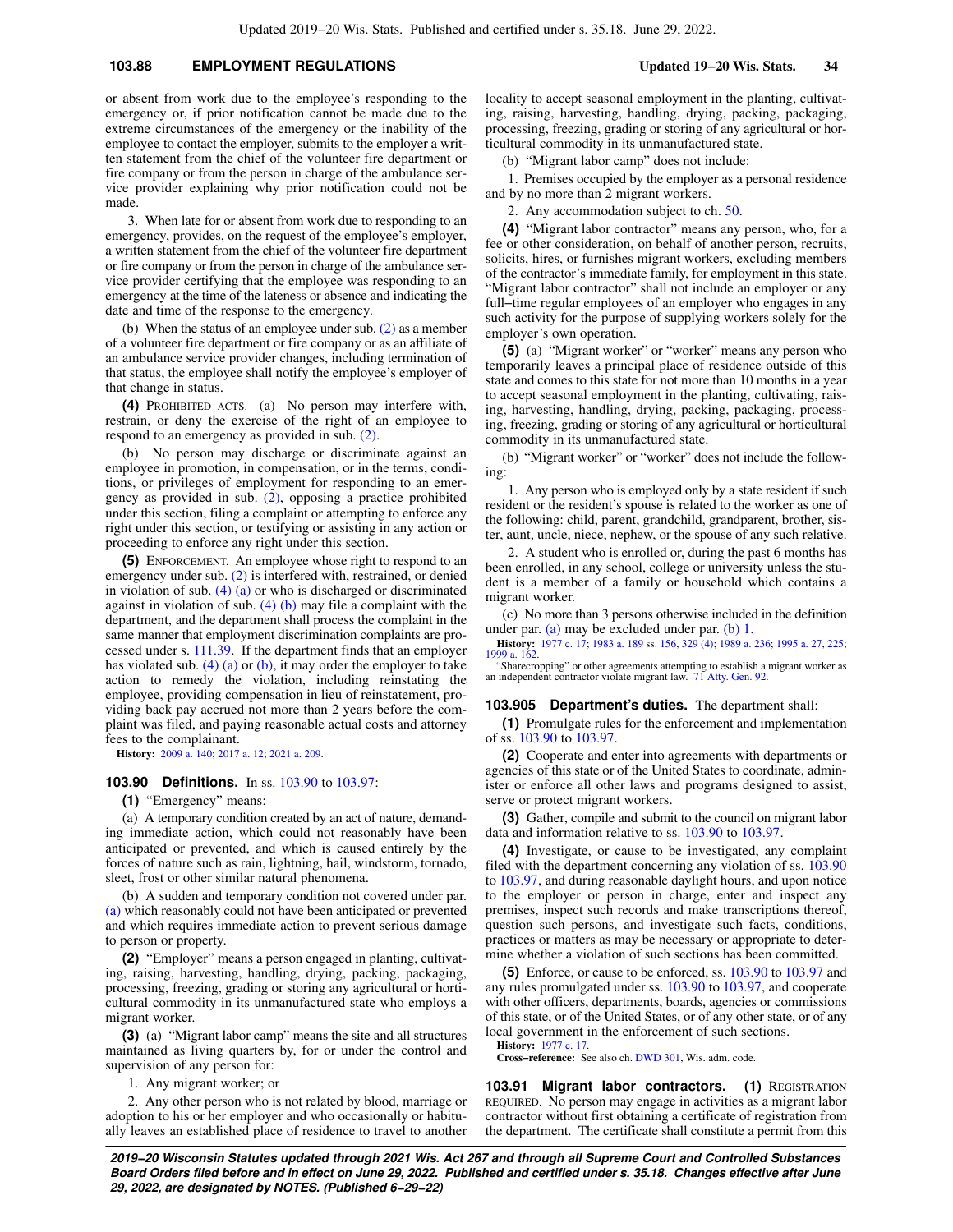## **103.88 EMPLOYMENT REGULATIONS Updated 19−20 Wis. Stats. 34**

or absent from work due to the employee's responding to the emergency or, if prior notification cannot be made due to the extreme circumstances of the emergency or the inability of the employee to contact the employer, submits to the employer a written statement from the chief of the volunteer fire department or fire company or from the person in charge of the ambulance service provider explaining why prior notification could not be made.

3. When late for or absent from work due to responding to an emergency, provides, on the request of the employee's employer, a written statement from the chief of the volunteer fire department or fire company or from the person in charge of the ambulance service provider certifying that the employee was responding to an emergency at the time of the lateness or absence and indicating the date and time of the response to the emergency.

(b) When the status of an employee under sub. [\(2\)](https://docs.legis.wisconsin.gov/document/statutes/103.88(2)) as a member of a volunteer fire department or fire company or as an affiliate of an ambulance service provider changes, including termination of that status, the employee shall notify the employee's employer of that change in status.

**(4)** PROHIBITED ACTS. (a) No person may interfere with, restrain, or deny the exercise of the right of an employee to respond to an emergency as provided in sub. [\(2\).](https://docs.legis.wisconsin.gov/document/statutes/103.88(2))

(b) No person may discharge or discriminate against an employee in promotion, in compensation, or in the terms, conditions, or privileges of employment for responding to an emergency as provided in sub. [\(2\)](https://docs.legis.wisconsin.gov/document/statutes/103.88(2)), opposing a practice prohibited under this section, filing a complaint or attempting to enforce any right under this section, or testifying or assisting in any action or proceeding to enforce any right under this section.

**(5)** ENFORCEMENT. An employee whose right to respond to an emergency under sub. [\(2\)](https://docs.legis.wisconsin.gov/document/statutes/103.88(2)) is interfered with, restrained, or denied in violation of sub.  $(4)$  (a) or who is discharged or discriminated against in violation of sub.  $(4)$  (b) may file a complaint with the department, and the department shall process the complaint in the same manner that employment discrimination complaints are processed under s. [111.39.](https://docs.legis.wisconsin.gov/document/statutes/111.39) If the department finds that an employer has violated sub. [\(4\) \(a\)](https://docs.legis.wisconsin.gov/document/statutes/103.88(4)(a)) or [\(b\)](https://docs.legis.wisconsin.gov/document/statutes/103.88(4)(b)), it may order the employer to take action to remedy the violation, including reinstating the employee, providing compensation in lieu of reinstatement, providing back pay accrued not more than 2 years before the complaint was filed, and paying reasonable actual costs and attorney fees to the complainant.

**History:** [2009 a. 140](https://docs.legis.wisconsin.gov/document/acts/2009/140); [2017 a. 12;](https://docs.legis.wisconsin.gov/document/acts/2017/12) [2021 a. 209](https://docs.legis.wisconsin.gov/document/acts/2021/209).

#### **103.90 Definitions.** In ss. [103.90](https://docs.legis.wisconsin.gov/document/statutes/103.90) to [103.97](https://docs.legis.wisconsin.gov/document/statutes/103.97):

**(1)** "Emergency" means:

(a) A temporary condition created by an act of nature, demanding immediate action, which could not reasonably have been anticipated or prevented, and which is caused entirely by the forces of nature such as rain, lightning, hail, windstorm, tornado, sleet, frost or other similar natural phenomena.

(b) A sudden and temporary condition not covered under par. [\(a\)](https://docs.legis.wisconsin.gov/document/statutes/103.90(1)(a)) which reasonably could not have been anticipated or prevented and which requires immediate action to prevent serious damage to person or property.

**(2)** "Employer" means a person engaged in planting, cultivating, raising, harvesting, handling, drying, packing, packaging, processing, freezing, grading or storing any agricultural or horticultural commodity in its unmanufactured state who employs a migrant worker.

**(3)** (a) "Migrant labor camp" means the site and all structures maintained as living quarters by, for or under the control and supervision of any person for:

1. Any migrant worker; or

2. Any other person who is not related by blood, marriage or adoption to his or her employer and who occasionally or habitually leaves an established place of residence to travel to another locality to accept seasonal employment in the planting, cultivating, raising, harvesting, handling, drying, packing, packaging, processing, freezing, grading or storing of any agricultural or horticultural commodity in its unmanufactured state.

(b) "Migrant labor camp" does not include:

1. Premises occupied by the employer as a personal residence and by no more than 2 migrant workers.

2. Any accommodation subject to ch. [50](https://docs.legis.wisconsin.gov/document/statutes/ch.%2050).

**(4)** "Migrant labor contractor" means any person, who, for a fee or other consideration, on behalf of another person, recruits, solicits, hires, or furnishes migrant workers, excluding members of the contractor's immediate family, for employment in this state. "Migrant labor contractor" shall not include an employer or any full−time regular employees of an employer who engages in any such activity for the purpose of supplying workers solely for the employer's own operation.

**(5)** (a) "Migrant worker" or "worker" means any person who temporarily leaves a principal place of residence outside of this state and comes to this state for not more than 10 months in a year to accept seasonal employment in the planting, cultivating, raising, harvesting, handling, drying, packing, packaging, processing, freezing, grading or storing of any agricultural or horticultural commodity in its unmanufactured state.

(b) "Migrant worker" or "worker" does not include the following:

1. Any person who is employed only by a state resident if such resident or the resident's spouse is related to the worker as one of the following: child, parent, grandchild, grandparent, brother, sister, aunt, uncle, niece, nephew, or the spouse of any such relative.

2. A student who is enrolled or, during the past 6 months has been enrolled, in any school, college or university unless the student is a member of a family or household which contains a migrant worker.

(c) No more than 3 persons otherwise included in the definition under par. [\(a\)](https://docs.legis.wisconsin.gov/document/statutes/103.90(5)(a)) may be excluded under par. [\(b\) 1.](https://docs.legis.wisconsin.gov/document/statutes/103.90(5)(b)1.)

**History:** [1977 c. 17;](https://docs.legis.wisconsin.gov/document/acts/1977/17) [1983 a. 189](https://docs.legis.wisconsin.gov/document/acts/1983/189) ss. [156,](https://docs.legis.wisconsin.gov/document/acts/1983/189,%20s.%20156) [329 \(4\);](https://docs.legis.wisconsin.gov/document/acts/1983/189,%20s.%20329) [1989 a. 236](https://docs.legis.wisconsin.gov/document/acts/1989/236); [1995 a. 27](https://docs.legis.wisconsin.gov/document/acts/1995/27), [225](https://docs.legis.wisconsin.gov/document/acts/1995/225); [1999 a. 162.](https://docs.legis.wisconsin.gov/document/acts/1999/162)

"Sharecropping" or other agreements attempting to establish a migrant worker as an independent contractor violate migrant law. [71 Atty. Gen. 92](https://docs.legis.wisconsin.gov/document/oag/vol71-92).

#### **103.905 Department's duties.** The department shall:

**(1)** Promulgate rules for the enforcement and implementation of ss. [103.90](https://docs.legis.wisconsin.gov/document/statutes/103.90) to [103.97.](https://docs.legis.wisconsin.gov/document/statutes/103.97)

**(2)** Cooperate and enter into agreements with departments or agencies of this state or of the United States to coordinate, administer or enforce all other laws and programs designed to assist, serve or protect migrant workers.

**(3)** Gather, compile and submit to the council on migrant labor data and information relative to ss. [103.90](https://docs.legis.wisconsin.gov/document/statutes/103.90) to [103.97](https://docs.legis.wisconsin.gov/document/statutes/103.97).

**(4)** Investigate, or cause to be investigated, any complaint filed with the department concerning any violation of ss. [103.90](https://docs.legis.wisconsin.gov/document/statutes/103.90) to [103.97,](https://docs.legis.wisconsin.gov/document/statutes/103.97) and during reasonable daylight hours, and upon notice to the employer or person in charge, enter and inspect any premises, inspect such records and make transcriptions thereof, question such persons, and investigate such facts, conditions, practices or matters as may be necessary or appropriate to determine whether a violation of such sections has been committed.

**(5)** Enforce, or cause to be enforced, ss. [103.90](https://docs.legis.wisconsin.gov/document/statutes/103.90) to [103.97](https://docs.legis.wisconsin.gov/document/statutes/103.97) and any rules promulgated under ss. [103.90](https://docs.legis.wisconsin.gov/document/statutes/103.90) to [103.97,](https://docs.legis.wisconsin.gov/document/statutes/103.97) and cooperate with other officers, departments, boards, agencies or commissions of this state, or of the United States, or of any other state, or of any local government in the enforcement of such sections.

**History:** [1977 c. 17](https://docs.legis.wisconsin.gov/document/acts/1977/17).

**Cross−reference:** See also ch. [DWD 301](https://docs.legis.wisconsin.gov/document/administrativecode/ch.%20DWD%20301), Wis. adm. code.

**103.91 Migrant labor contractors. (1)** REGISTRATION REQUIRED. No person may engage in activities as a migrant labor contractor without first obtaining a certificate of registration from the department. The certificate shall constitute a permit from this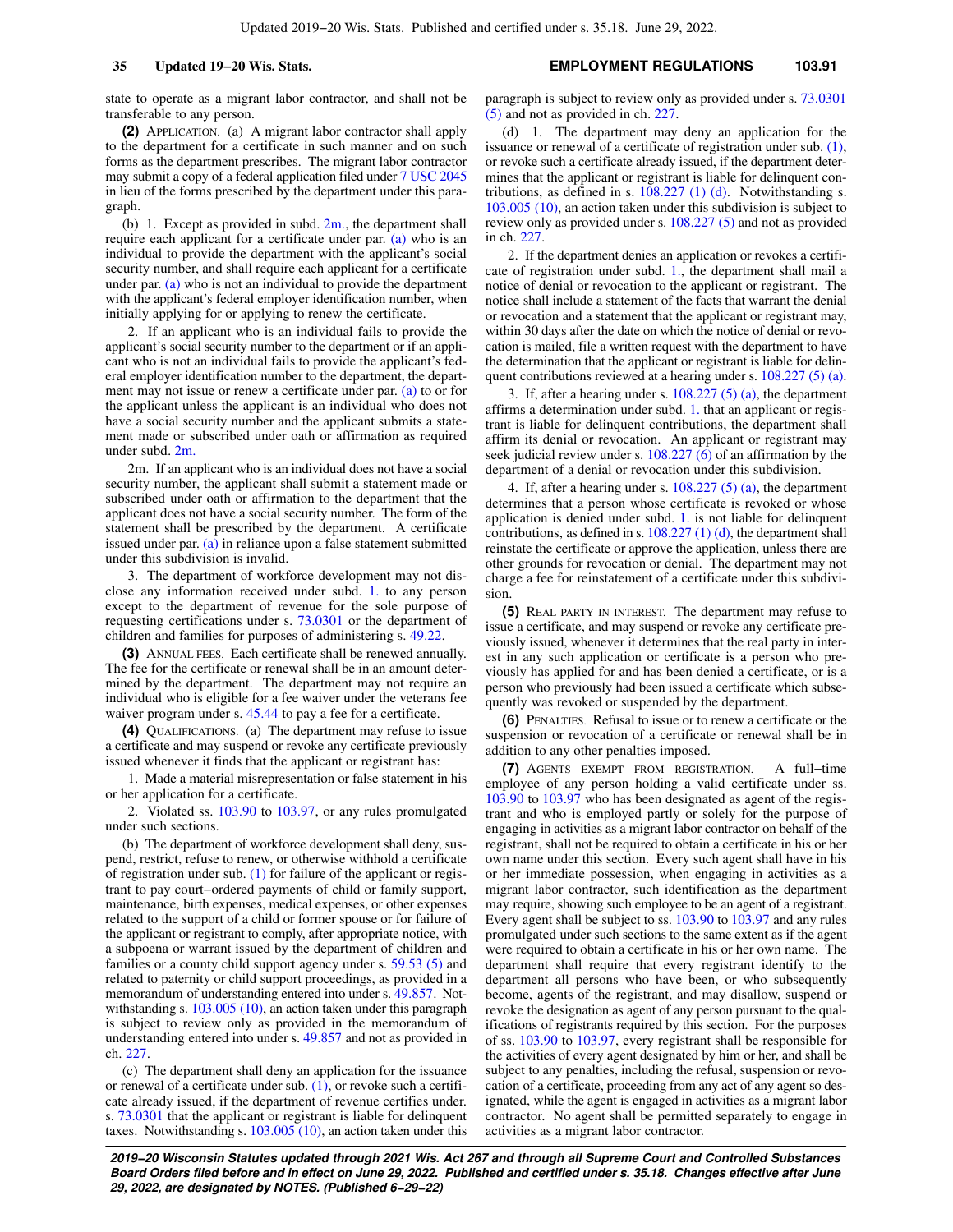state to operate as a migrant labor contractor, and shall not be transferable to any person.

**(2)** APPLICATION. (a) A migrant labor contractor shall apply to the department for a certificate in such manner and on such forms as the department prescribes. The migrant labor contractor may submit a copy of a federal application filed under [7 USC 2045](https://docs.legis.wisconsin.gov/document/usc/7%20USC%202045) in lieu of the forms prescribed by the department under this paragraph.

(b) 1. Except as provided in subd.  $2m$ , the department shall require each applicant for a certificate under par. [\(a\)](https://docs.legis.wisconsin.gov/document/statutes/103.91(2)(a)) who is an individual to provide the department with the applicant's social security number, and shall require each applicant for a certificate under par.  $(a)$  who is not an individual to provide the department with the applicant's federal employer identification number, when initially applying for or applying to renew the certificate.

2. If an applicant who is an individual fails to provide the applicant's social security number to the department or if an applicant who is not an individual fails to provide the applicant's federal employer identification number to the department, the department may not issue or renew a certificate under par. [\(a\)](https://docs.legis.wisconsin.gov/document/statutes/103.91(2)(a)) to or for the applicant unless the applicant is an individual who does not have a social security number and the applicant submits a statement made or subscribed under oath or affirmation as required under subd. [2m.](https://docs.legis.wisconsin.gov/document/statutes/103.91(2)(b)2m.)

2m. If an applicant who is an individual does not have a social security number, the applicant shall submit a statement made or subscribed under oath or affirmation to the department that the applicant does not have a social security number. The form of the statement shall be prescribed by the department. A certificate issued under par. [\(a\)](https://docs.legis.wisconsin.gov/document/statutes/103.91(2)(a)) in reliance upon a false statement submitted under this subdivision is invalid.

3. The department of workforce development may not disclose any information received under subd. [1.](https://docs.legis.wisconsin.gov/document/statutes/103.91(2)(b)1.) to any person except to the department of revenue for the sole purpose of requesting certifications under s. [73.0301](https://docs.legis.wisconsin.gov/document/statutes/73.0301) or the department of children and families for purposes of administering s. [49.22.](https://docs.legis.wisconsin.gov/document/statutes/49.22)

**(3)** ANNUAL FEES. Each certificate shall be renewed annually. The fee for the certificate or renewal shall be in an amount determined by the department. The department may not require an individual who is eligible for a fee waiver under the veterans fee waiver program under s. [45.44](https://docs.legis.wisconsin.gov/document/statutes/45.44) to pay a fee for a certificate.

**(4)** QUALIFICATIONS. (a) The department may refuse to issue a certificate and may suspend or revoke any certificate previously issued whenever it finds that the applicant or registrant has:

1. Made a material misrepresentation or false statement in his or her application for a certificate.

2. Violated ss. [103.90](https://docs.legis.wisconsin.gov/document/statutes/103.90) to [103.97,](https://docs.legis.wisconsin.gov/document/statutes/103.97) or any rules promulgated under such sections.

(b) The department of workforce development shall deny, suspend, restrict, refuse to renew, or otherwise withhold a certificate of registration under sub. [\(1\)](https://docs.legis.wisconsin.gov/document/statutes/103.91(1)) for failure of the applicant or registrant to pay court−ordered payments of child or family support, maintenance, birth expenses, medical expenses, or other expenses related to the support of a child or former spouse or for failure of the applicant or registrant to comply, after appropriate notice, with a subpoena or warrant issued by the department of children and families or a county child support agency under s. [59.53 \(5\)](https://docs.legis.wisconsin.gov/document/statutes/59.53(5)) and related to paternity or child support proceedings, as provided in a memorandum of understanding entered into under s. [49.857](https://docs.legis.wisconsin.gov/document/statutes/49.857). Not-withstanding s. [103.005 \(10\)](https://docs.legis.wisconsin.gov/document/statutes/103.005(10)), an action taken under this paragraph is subject to review only as provided in the memorandum of understanding entered into under s. [49.857](https://docs.legis.wisconsin.gov/document/statutes/49.857) and not as provided in ch. [227](https://docs.legis.wisconsin.gov/document/statutes/ch.%20227).

(c) The department shall deny an application for the issuance or renewal of a certificate under sub. [\(1\),](https://docs.legis.wisconsin.gov/document/statutes/103.91(1)) or revoke such a certificate already issued, if the department of revenue certifies under. s. [73.0301](https://docs.legis.wisconsin.gov/document/statutes/73.0301) that the applicant or registrant is liable for delinquent taxes. Notwithstanding s. [103.005 \(10\),](https://docs.legis.wisconsin.gov/document/statutes/103.005(10)) an action taken under this paragraph is subject to review only as provided under s. [73.0301](https://docs.legis.wisconsin.gov/document/statutes/73.0301(5)) [\(5\)](https://docs.legis.wisconsin.gov/document/statutes/73.0301(5)) and not as provided in ch. [227](https://docs.legis.wisconsin.gov/document/statutes/ch.%20227).

(d) 1. The department may deny an application for the issuance or renewal of a certificate of registration under sub. [\(1\),](https://docs.legis.wisconsin.gov/document/statutes/103.91(1)) or revoke such a certificate already issued, if the department determines that the applicant or registrant is liable for delinquent contributions, as defined in s.  $108.227$  (1) (d). Notwithstanding s. [103.005 \(10\),](https://docs.legis.wisconsin.gov/document/statutes/103.005(10)) an action taken under this subdivision is subject to review only as provided under s. [108.227 \(5\)](https://docs.legis.wisconsin.gov/document/statutes/108.227(5)) and not as provided in ch. [227.](https://docs.legis.wisconsin.gov/document/statutes/ch.%20227)

2. If the department denies an application or revokes a certificate of registration under subd. [1.,](https://docs.legis.wisconsin.gov/document/statutes/103.91(4)(d)1.) the department shall mail a notice of denial or revocation to the applicant or registrant. The notice shall include a statement of the facts that warrant the denial or revocation and a statement that the applicant or registrant may, within 30 days after the date on which the notice of denial or revocation is mailed, file a written request with the department to have the determination that the applicant or registrant is liable for delinquent contributions reviewed at a hearing under s. [108.227 \(5\) \(a\).](https://docs.legis.wisconsin.gov/document/statutes/108.227(5)(a))

3. If, after a hearing under s.  $108.227(5)(a)$ , the department affirms a determination under subd. [1.](https://docs.legis.wisconsin.gov/document/statutes/103.91(4)(d)1.) that an applicant or registrant is liable for delinquent contributions, the department shall affirm its denial or revocation. An applicant or registrant may seek judicial review under s. [108.227 \(6\)](https://docs.legis.wisconsin.gov/document/statutes/108.227(6)) of an affirmation by the department of a denial or revocation under this subdivision.

4. If, after a hearing under s.  $108.227(5)(a)$ , the department determines that a person whose certificate is revoked or whose application is denied under subd. [1.](https://docs.legis.wisconsin.gov/document/statutes/103.91(4)(d)1.) is not liable for delinquent contributions, as defined in s. [108.227 \(1\) \(d\)](https://docs.legis.wisconsin.gov/document/statutes/108.227(1)(d)), the department shall reinstate the certificate or approve the application, unless there are other grounds for revocation or denial. The department may not charge a fee for reinstatement of a certificate under this subdivision.

**(5)** REAL PARTY IN INTEREST. The department may refuse to issue a certificate, and may suspend or revoke any certificate previously issued, whenever it determines that the real party in interest in any such application or certificate is a person who previously has applied for and has been denied a certificate, or is a person who previously had been issued a certificate which subsequently was revoked or suspended by the department.

**(6)** PENALTIES. Refusal to issue or to renew a certificate or the suspension or revocation of a certificate or renewal shall be in addition to any other penalties imposed.

**(7)** AGENTS EXEMPT FROM REGISTRATION. A full−time employee of any person holding a valid certificate under ss. [103.90](https://docs.legis.wisconsin.gov/document/statutes/103.90) to [103.97](https://docs.legis.wisconsin.gov/document/statutes/103.97) who has been designated as agent of the registrant and who is employed partly or solely for the purpose of engaging in activities as a migrant labor contractor on behalf of the registrant, shall not be required to obtain a certificate in his or her own name under this section. Every such agent shall have in his or her immediate possession, when engaging in activities as a migrant labor contractor, such identification as the department may require, showing such employee to be an agent of a registrant. Every agent shall be subject to ss. [103.90](https://docs.legis.wisconsin.gov/document/statutes/103.90) to [103.97](https://docs.legis.wisconsin.gov/document/statutes/103.97) and any rules promulgated under such sections to the same extent as if the agent were required to obtain a certificate in his or her own name. The department shall require that every registrant identify to the department all persons who have been, or who subsequently become, agents of the registrant, and may disallow, suspend or revoke the designation as agent of any person pursuant to the qualifications of registrants required by this section. For the purposes of ss. [103.90](https://docs.legis.wisconsin.gov/document/statutes/103.90) to [103.97,](https://docs.legis.wisconsin.gov/document/statutes/103.97) every registrant shall be responsible for the activities of every agent designated by him or her, and shall be subject to any penalties, including the refusal, suspension or revocation of a certificate, proceeding from any act of any agent so designated, while the agent is engaged in activities as a migrant labor contractor. No agent shall be permitted separately to engage in activities as a migrant labor contractor.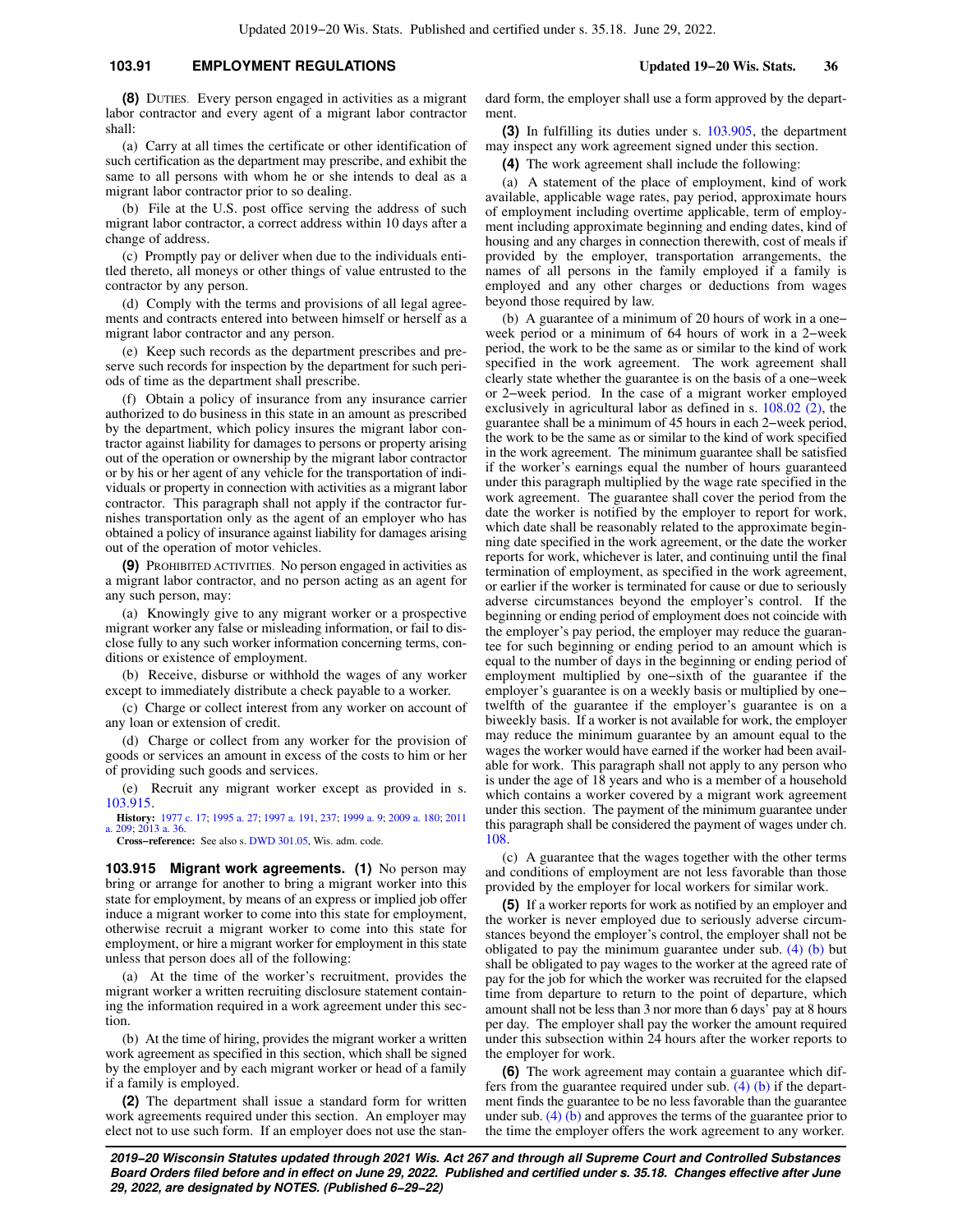## **103.91 EMPLOYMENT REGULATIONS Updated 19−20 Wis. Stats. 36**

**(8)** DUTIES. Every person engaged in activities as a migrant labor contractor and every agent of a migrant labor contractor shall:

(a) Carry at all times the certificate or other identification of such certification as the department may prescribe, and exhibit the same to all persons with whom he or she intends to deal as a migrant labor contractor prior to so dealing.

(b) File at the U.S. post office serving the address of such migrant labor contractor, a correct address within 10 days after a change of address.

(c) Promptly pay or deliver when due to the individuals entitled thereto, all moneys or other things of value entrusted to the contractor by any person.

(d) Comply with the terms and provisions of all legal agreements and contracts entered into between himself or herself as a migrant labor contractor and any person.

(e) Keep such records as the department prescribes and preserve such records for inspection by the department for such periods of time as the department shall prescribe.

(f) Obtain a policy of insurance from any insurance carrier authorized to do business in this state in an amount as prescribed by the department, which policy insures the migrant labor contractor against liability for damages to persons or property arising out of the operation or ownership by the migrant labor contractor or by his or her agent of any vehicle for the transportation of individuals or property in connection with activities as a migrant labor contractor. This paragraph shall not apply if the contractor furnishes transportation only as the agent of an employer who has obtained a policy of insurance against liability for damages arising out of the operation of motor vehicles.

**(9)** PROHIBITED ACTIVITIES. No person engaged in activities as a migrant labor contractor, and no person acting as an agent for any such person, may:

(a) Knowingly give to any migrant worker or a prospective migrant worker any false or misleading information, or fail to disclose fully to any such worker information concerning terms, conditions or existence of employment.

(b) Receive, disburse or withhold the wages of any worker except to immediately distribute a check payable to a worker.

(c) Charge or collect interest from any worker on account of any loan or extension of credit.

(d) Charge or collect from any worker for the provision of goods or services an amount in excess of the costs to him or her of providing such goods and services.

(e) Recruit any migrant worker except as provided in s. [103.915](https://docs.legis.wisconsin.gov/document/statutes/103.915).

**History:** [1977 c. 17;](https://docs.legis.wisconsin.gov/document/acts/1977/17) [1995 a. 27;](https://docs.legis.wisconsin.gov/document/acts/1995/27) [1997 a. 191](https://docs.legis.wisconsin.gov/document/acts/1997/191), [237](https://docs.legis.wisconsin.gov/document/acts/1997/237); [1999 a. 9;](https://docs.legis.wisconsin.gov/document/acts/1999/9) [2009 a. 180;](https://docs.legis.wisconsin.gov/document/acts/2009/180) [2011](https://docs.legis.wisconsin.gov/document/acts/2011/209) [a. 209;](https://docs.legis.wisconsin.gov/document/acts/2011/209) [2013 a. 36](https://docs.legis.wisconsin.gov/document/acts/2013/36).

**Cross−reference:** See also s. [DWD 301.05,](https://docs.legis.wisconsin.gov/document/administrativecode/DWD%20301.05) Wis. adm. code.

**103.915 Migrant work agreements. (1)** No person may bring or arrange for another to bring a migrant worker into this state for employment, by means of an express or implied job offer induce a migrant worker to come into this state for employment, otherwise recruit a migrant worker to come into this state for employment, or hire a migrant worker for employment in this state unless that person does all of the following:

(a) At the time of the worker's recruitment, provides the migrant worker a written recruiting disclosure statement containing the information required in a work agreement under this section.

(b) At the time of hiring, provides the migrant worker a written work agreement as specified in this section, which shall be signed by the employer and by each migrant worker or head of a family if a family is employed.

**(2)** The department shall issue a standard form for written work agreements required under this section. An employer may elect not to use such form. If an employer does not use the standard form, the employer shall use a form approved by the department.

**(3)** In fulfilling its duties under s. [103.905,](https://docs.legis.wisconsin.gov/document/statutes/103.905) the department may inspect any work agreement signed under this section.

**(4)** The work agreement shall include the following:

(a) A statement of the place of employment, kind of work available, applicable wage rates, pay period, approximate hours of employment including overtime applicable, term of employment including approximate beginning and ending dates, kind of housing and any charges in connection therewith, cost of meals if provided by the employer, transportation arrangements, the names of all persons in the family employed if a family is employed and any other charges or deductions from wages beyond those required by law.

(b) A guarantee of a minimum of 20 hours of work in a one− week period or a minimum of 64 hours of work in a 2−week period, the work to be the same as or similar to the kind of work specified in the work agreement. The work agreement shall clearly state whether the guarantee is on the basis of a one−week or 2−week period. In the case of a migrant worker employed exclusively in agricultural labor as defined in s. [108.02 \(2\)](https://docs.legis.wisconsin.gov/document/statutes/108.02(2)), the guarantee shall be a minimum of 45 hours in each 2−week period, the work to be the same as or similar to the kind of work specified in the work agreement. The minimum guarantee shall be satisfied if the worker's earnings equal the number of hours guaranteed under this paragraph multiplied by the wage rate specified in the work agreement. The guarantee shall cover the period from the date the worker is notified by the employer to report for work, which date shall be reasonably related to the approximate beginning date specified in the work agreement, or the date the worker reports for work, whichever is later, and continuing until the final termination of employment, as specified in the work agreement, or earlier if the worker is terminated for cause or due to seriously adverse circumstances beyond the employer's control. If the beginning or ending period of employment does not coincide with the employer's pay period, the employer may reduce the guarantee for such beginning or ending period to an amount which is equal to the number of days in the beginning or ending period of employment multiplied by one−sixth of the guarantee if the employer's guarantee is on a weekly basis or multiplied by one− twelfth of the guarantee if the employer's guarantee is on a biweekly basis. If a worker is not available for work, the employer may reduce the minimum guarantee by an amount equal to the wages the worker would have earned if the worker had been available for work. This paragraph shall not apply to any person who is under the age of 18 years and who is a member of a household which contains a worker covered by a migrant work agreement under this section. The payment of the minimum guarantee under this paragraph shall be considered the payment of wages under ch. [108.](https://docs.legis.wisconsin.gov/document/statutes/ch.%20108)

(c) A guarantee that the wages together with the other terms and conditions of employment are not less favorable than those provided by the employer for local workers for similar work.

**(5)** If a worker reports for work as notified by an employer and the worker is never employed due to seriously adverse circumstances beyond the employer's control, the employer shall not be obligated to pay the minimum guarantee under sub.  $(4)$  (b) but shall be obligated to pay wages to the worker at the agreed rate of pay for the job for which the worker was recruited for the elapsed time from departure to return to the point of departure, which amount shall not be less than 3 nor more than 6 days' pay at 8 hours per day. The employer shall pay the worker the amount required under this subsection within 24 hours after the worker reports to the employer for work.

**(6)** The work agreement may contain a guarantee which differs from the guarantee required under sub.  $(4)$  (b) if the department finds the guarantee to be no less favorable than the guarantee under sub.  $(4)$  (b) and approves the terms of the guarantee prior to the time the employer offers the work agreement to any worker.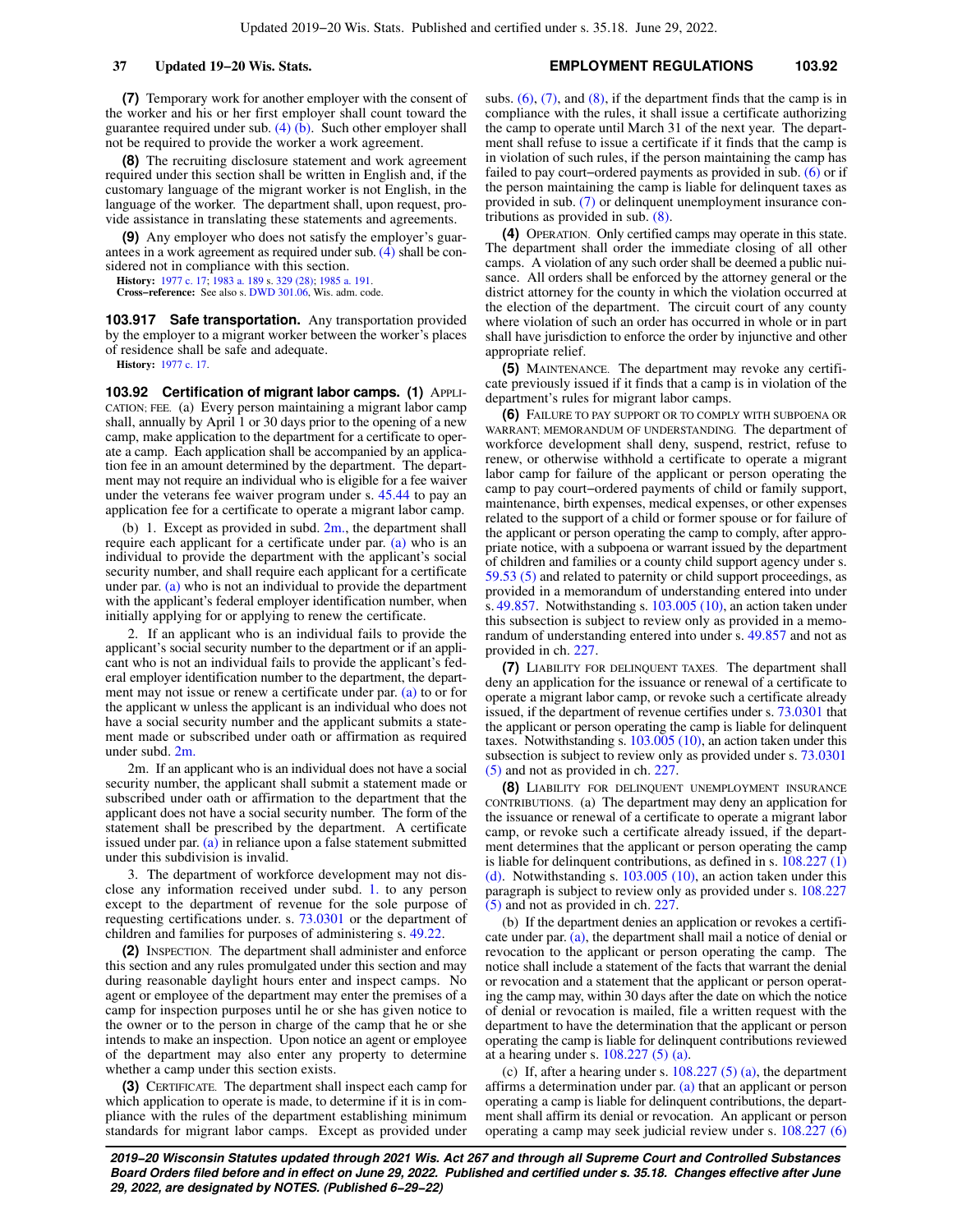**(7)** Temporary work for another employer with the consent of the worker and his or her first employer shall count toward the guarantee required under sub.  $(4)$  (b). Such other employer shall not be required to provide the worker a work agreement.

**(8)** The recruiting disclosure statement and work agreement required under this section shall be written in English and, if the customary language of the migrant worker is not English, in the language of the worker. The department shall, upon request, provide assistance in translating these statements and agreements.

**(9)** Any employer who does not satisfy the employer's guarantees in a work agreement as required under sub. [\(4\)](https://docs.legis.wisconsin.gov/document/statutes/103.915(4)) shall be considered not in compliance with this section.

**History:** [1977 c. 17;](https://docs.legis.wisconsin.gov/document/acts/1977/17) [1983 a. 189](https://docs.legis.wisconsin.gov/document/acts/1983/189) s. [329 \(28\)](https://docs.legis.wisconsin.gov/document/acts/1983/189,%20s.%20329); [1985 a. 191](https://docs.legis.wisconsin.gov/document/acts/1985/191). **Cross−reference:** See also s. [DWD 301.06,](https://docs.legis.wisconsin.gov/document/administrativecode/DWD%20301.06) Wis. adm. code.

**103.917 Safe transportation.** Any transportation provided by the employer to a migrant worker between the worker's places of residence shall be safe and adequate.

**History:** [1977 c. 17.](https://docs.legis.wisconsin.gov/document/acts/1977/17)

**103.92 Certification of migrant labor camps. (1)** APPLI-CATION; FEE. (a) Every person maintaining a migrant labor camp shall, annually by April 1 or 30 days prior to the opening of a new camp, make application to the department for a certificate to operate a camp. Each application shall be accompanied by an application fee in an amount determined by the department. The department may not require an individual who is eligible for a fee waiver under the veterans fee waiver program under s. [45.44](https://docs.legis.wisconsin.gov/document/statutes/45.44) to pay an application fee for a certificate to operate a migrant labor camp.

(b) 1. Except as provided in subd. [2m.,](https://docs.legis.wisconsin.gov/document/statutes/103.92(1)(b)2m.) the department shall require each applicant for a certificate under par. [\(a\)](https://docs.legis.wisconsin.gov/document/statutes/103.92(1)(a)) who is an individual to provide the department with the applicant's social security number, and shall require each applicant for a certificate under par. [\(a\)](https://docs.legis.wisconsin.gov/document/statutes/103.92(1)(a)) who is not an individual to provide the department with the applicant's federal employer identification number, when initially applying for or applying to renew the certificate.

2. If an applicant who is an individual fails to provide the applicant's social security number to the department or if an applicant who is not an individual fails to provide the applicant's federal employer identification number to the department, the department may not issue or renew a certificate under par. [\(a\)](https://docs.legis.wisconsin.gov/document/statutes/103.92(1)(a)) to or for the applicant w unless the applicant is an individual who does not have a social security number and the applicant submits a statement made or subscribed under oath or affirmation as required under subd. [2m.](https://docs.legis.wisconsin.gov/document/statutes/103.92(1)(b)2m.)

2m. If an applicant who is an individual does not have a social security number, the applicant shall submit a statement made or subscribed under oath or affirmation to the department that the applicant does not have a social security number. The form of the statement shall be prescribed by the department. A certificate issued under par. [\(a\)](https://docs.legis.wisconsin.gov/document/statutes/103.92(1)(a)) in reliance upon a false statement submitted under this subdivision is invalid.

3. The department of workforce development may not disclose any information received under subd. [1.](https://docs.legis.wisconsin.gov/document/statutes/103.92(1)(b)1.) to any person except to the department of revenue for the sole purpose of requesting certifications under. s. [73.0301](https://docs.legis.wisconsin.gov/document/statutes/73.0301) or the department of children and families for purposes of administering s. [49.22.](https://docs.legis.wisconsin.gov/document/statutes/49.22)

**(2)** INSPECTION. The department shall administer and enforce this section and any rules promulgated under this section and may during reasonable daylight hours enter and inspect camps. No agent or employee of the department may enter the premises of a camp for inspection purposes until he or she has given notice to the owner or to the person in charge of the camp that he or she intends to make an inspection. Upon notice an agent or employee of the department may also enter any property to determine whether a camp under this section exists.

**(3)** CERTIFICATE. The department shall inspect each camp for which application to operate is made, to determine if it is in compliance with the rules of the department establishing minimum standards for migrant labor camps. Except as provided under subs.  $(6)$ ,  $(7)$ , and  $(8)$ , if the department finds that the camp is in compliance with the rules, it shall issue a certificate authorizing the camp to operate until March 31 of the next year. The department shall refuse to issue a certificate if it finds that the camp is in violation of such rules, if the person maintaining the camp has failed to pay court−ordered payments as provided in sub. [\(6\)](https://docs.legis.wisconsin.gov/document/statutes/103.92(6)) or if the person maintaining the camp is liable for delinquent taxes as provided in sub. [\(7\)](https://docs.legis.wisconsin.gov/document/statutes/103.92(7)) or delinquent unemployment insurance contributions as provided in sub. [\(8\)](https://docs.legis.wisconsin.gov/document/statutes/103.92(8)).

**(4)** OPERATION. Only certified camps may operate in this state. The department shall order the immediate closing of all other camps. A violation of any such order shall be deemed a public nuisance. All orders shall be enforced by the attorney general or the district attorney for the county in which the violation occurred at the election of the department. The circuit court of any county where violation of such an order has occurred in whole or in part shall have jurisdiction to enforce the order by injunctive and other appropriate relief.

**(5)** MAINTENANCE. The department may revoke any certificate previously issued if it finds that a camp is in violation of the department's rules for migrant labor camps.

**(6)** FAILURE TO PAY SUPPORT OR TO COMPLY WITH SUBPOENA OR WARRANT; MEMORANDUM OF UNDERSTANDING. The department of workforce development shall deny, suspend, restrict, refuse to renew, or otherwise withhold a certificate to operate a migrant labor camp for failure of the applicant or person operating the camp to pay court−ordered payments of child or family support, maintenance, birth expenses, medical expenses, or other expenses related to the support of a child or former spouse or for failure of the applicant or person operating the camp to comply, after appropriate notice, with a subpoena or warrant issued by the department of children and families or a county child support agency under s. [59.53 \(5\)](https://docs.legis.wisconsin.gov/document/statutes/59.53(5)) and related to paternity or child support proceedings, as provided in a memorandum of understanding entered into under s. [49.857](https://docs.legis.wisconsin.gov/document/statutes/49.857). Notwithstanding s. [103.005 \(10\),](https://docs.legis.wisconsin.gov/document/statutes/103.005(10)) an action taken under this subsection is subject to review only as provided in a memorandum of understanding entered into under s. [49.857](https://docs.legis.wisconsin.gov/document/statutes/49.857) and not as provided in ch. [227](https://docs.legis.wisconsin.gov/document/statutes/ch.%20227).

**(7)** LIABILITY FOR DELINQUENT TAXES. The department shall deny an application for the issuance or renewal of a certificate to operate a migrant labor camp, or revoke such a certificate already issued, if the department of revenue certifies under s. [73.0301](https://docs.legis.wisconsin.gov/document/statutes/73.0301) that the applicant or person operating the camp is liable for delinquent taxes. Notwithstanding s. [103.005 \(10\),](https://docs.legis.wisconsin.gov/document/statutes/103.005(10)) an action taken under this subsection is subject to review only as provided under s. [73.0301](https://docs.legis.wisconsin.gov/document/statutes/73.0301(5)) [\(5\)](https://docs.legis.wisconsin.gov/document/statutes/73.0301(5)) and not as provided in ch. [227](https://docs.legis.wisconsin.gov/document/statutes/ch.%20227).

**(8)** LIABILITY FOR DELINQUENT UNEMPLOYMENT INSURANCE CONTRIBUTIONS. (a) The department may deny an application for the issuance or renewal of a certificate to operate a migrant labor camp, or revoke such a certificate already issued, if the department determines that the applicant or person operating the camp is liable for delinquent contributions, as defined in s.  $108.227(1)$ [\(d\).](https://docs.legis.wisconsin.gov/document/statutes/108.227(1)(d)) Notwithstanding s. [103.005 \(10\),](https://docs.legis.wisconsin.gov/document/statutes/103.005(10)) an action taken under this paragraph is subject to review only as provided under s. [108.227](https://docs.legis.wisconsin.gov/document/statutes/108.227(5)) [\(5\)](https://docs.legis.wisconsin.gov/document/statutes/108.227(5)) and not as provided in ch. [227](https://docs.legis.wisconsin.gov/document/statutes/ch.%20227).

(b) If the department denies an application or revokes a certificate under par. [\(a\)](https://docs.legis.wisconsin.gov/document/statutes/103.92(8)(a)), the department shall mail a notice of denial or revocation to the applicant or person operating the camp. The notice shall include a statement of the facts that warrant the denial or revocation and a statement that the applicant or person operating the camp may, within 30 days after the date on which the notice of denial or revocation is mailed, file a written request with the department to have the determination that the applicant or person operating the camp is liable for delinquent contributions reviewed at a hearing under s. [108.227 \(5\) \(a\)](https://docs.legis.wisconsin.gov/document/statutes/108.227(5)(a)).

(c) If, after a hearing under s.  $108.227(5)$  (a), the department affirms a determination under par. [\(a\)](https://docs.legis.wisconsin.gov/document/statutes/103.92(8)(a)) that an applicant or person operating a camp is liable for delinquent contributions, the department shall affirm its denial or revocation. An applicant or person operating a camp may seek judicial review under s. [108.227 \(6\)](https://docs.legis.wisconsin.gov/document/statutes/108.227(6))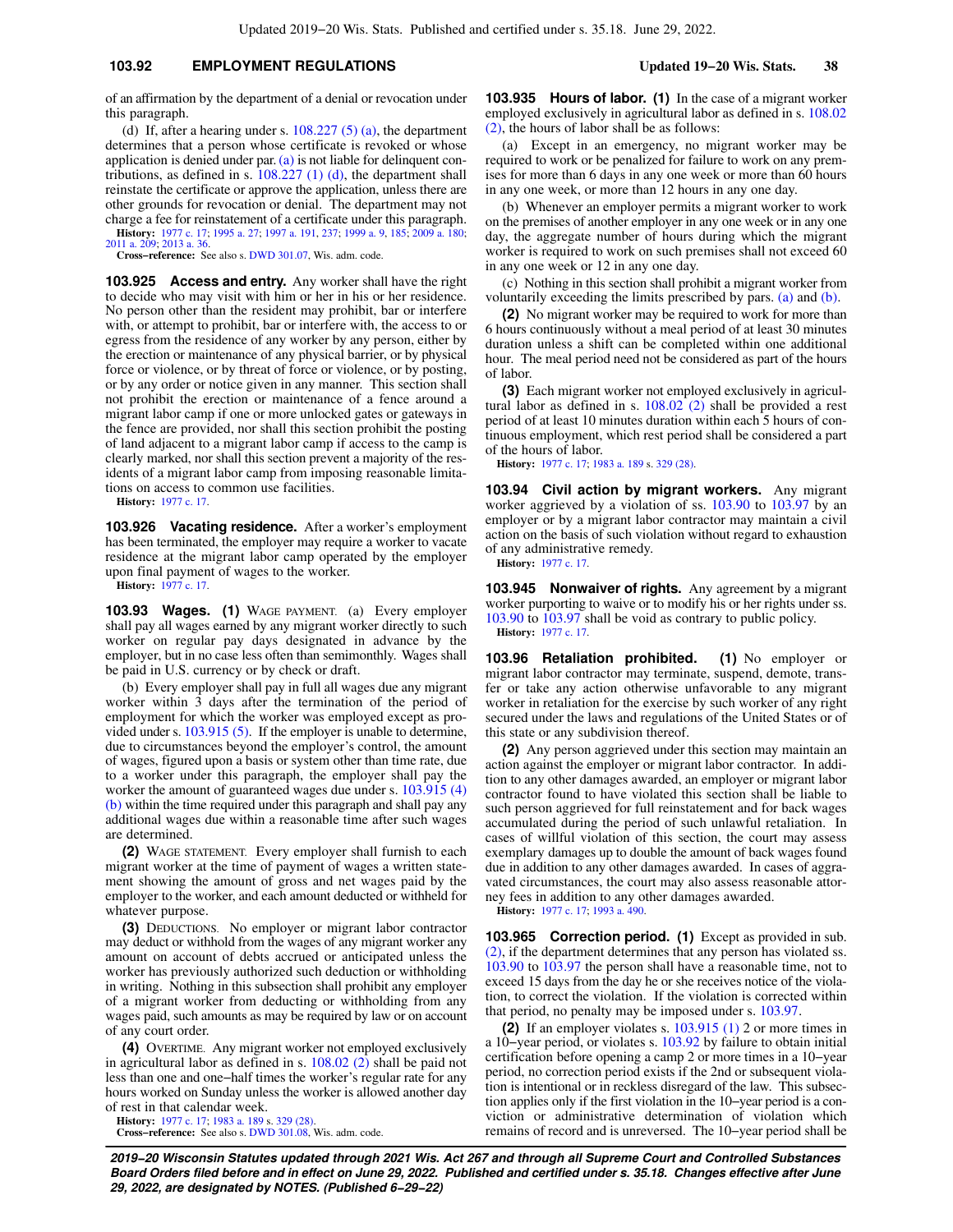## **103.92 EMPLOYMENT REGULATIONS Updated 19−20 Wis. Stats. 38**

of an affirmation by the department of a denial or revocation under this paragraph.

(d) If, after a hearing under s.  $108.227(5)$  (a), the department determines that a person whose certificate is revoked or whose application is denied under par. [\(a\)](https://docs.legis.wisconsin.gov/document/statutes/103.92(8)(a)) is not liable for delinquent contributions, as defined in s.  $108.227$  (1) (d), the department shall reinstate the certificate or approve the application, unless there are other grounds for revocation or denial. The department may not charge a fee for reinstatement of a certificate under this paragraph. **History:** [1977 c. 17](https://docs.legis.wisconsin.gov/document/acts/1977/17); [1995 a. 27](https://docs.legis.wisconsin.gov/document/acts/1995/27); [1997 a. 191](https://docs.legis.wisconsin.gov/document/acts/1997/191), [237](https://docs.legis.wisconsin.gov/document/acts/1997/237); [1999 a. 9](https://docs.legis.wisconsin.gov/document/acts/1999/9), [185](https://docs.legis.wisconsin.gov/document/acts/1999/185); [2009 a. 180](https://docs.legis.wisconsin.gov/document/acts/2009/180); [2011 a. 209](https://docs.legis.wisconsin.gov/document/acts/2011/209); [2013 a. 36.](https://docs.legis.wisconsin.gov/document/acts/2013/36)

**Cross−reference:** See also s. [DWD 301.07,](https://docs.legis.wisconsin.gov/document/administrativecode/DWD%20301.07) Wis. adm. code.

**103.925 Access and entry.** Any worker shall have the right to decide who may visit with him or her in his or her residence. No person other than the resident may prohibit, bar or interfere with, or attempt to prohibit, bar or interfere with, the access to or egress from the residence of any worker by any person, either by the erection or maintenance of any physical barrier, or by physical force or violence, or by threat of force or violence, or by posting, or by any order or notice given in any manner. This section shall not prohibit the erection or maintenance of a fence around a migrant labor camp if one or more unlocked gates or gateways in the fence are provided, nor shall this section prohibit the posting of land adjacent to a migrant labor camp if access to the camp is clearly marked, nor shall this section prevent a majority of the residents of a migrant labor camp from imposing reasonable limitations on access to common use facilities.

**History:** [1977 c. 17.](https://docs.legis.wisconsin.gov/document/acts/1977/17)

**103.926 Vacating residence.** After a worker's employment has been terminated, the employer may require a worker to vacate residence at the migrant labor camp operated by the employer upon final payment of wages to the worker.

**History:** [1977 c. 17.](https://docs.legis.wisconsin.gov/document/acts/1977/17)

**103.93 Wages. (1)** WAGE PAYMENT. (a) Every employer shall pay all wages earned by any migrant worker directly to such worker on regular pay days designated in advance by the employer, but in no case less often than semimonthly. Wages shall be paid in U.S. currency or by check or draft.

(b) Every employer shall pay in full all wages due any migrant worker within 3 days after the termination of the period of employment for which the worker was employed except as provided under s. [103.915 \(5\).](https://docs.legis.wisconsin.gov/document/statutes/103.915(5)) If the employer is unable to determine, due to circumstances beyond the employer's control, the amount of wages, figured upon a basis or system other than time rate, due to a worker under this paragraph, the employer shall pay the worker the amount of guaranteed wages due under s. [103.915 \(4\)](https://docs.legis.wisconsin.gov/document/statutes/103.915(4)(b)) [\(b\)](https://docs.legis.wisconsin.gov/document/statutes/103.915(4)(b)) within the time required under this paragraph and shall pay any additional wages due within a reasonable time after such wages are determined.

**(2)** WAGE STATEMENT. Every employer shall furnish to each migrant worker at the time of payment of wages a written statement showing the amount of gross and net wages paid by the employer to the worker, and each amount deducted or withheld for whatever purpose.

**(3)** DEDUCTIONS. No employer or migrant labor contractor may deduct or withhold from the wages of any migrant worker any amount on account of debts accrued or anticipated unless the worker has previously authorized such deduction or withholding in writing. Nothing in this subsection shall prohibit any employer of a migrant worker from deducting or withholding from any wages paid, such amounts as may be required by law or on account of any court order.

**(4)** OVERTIME. Any migrant worker not employed exclusively in agricultural labor as defined in s. [108.02 \(2\)](https://docs.legis.wisconsin.gov/document/statutes/108.02(2)) shall be paid not less than one and one−half times the worker's regular rate for any hours worked on Sunday unless the worker is allowed another day of rest in that calendar week.

**History:** [1977 c. 17;](https://docs.legis.wisconsin.gov/document/acts/1977/17) [1983 a. 189](https://docs.legis.wisconsin.gov/document/acts/1983/189) s. [329 \(28\)](https://docs.legis.wisconsin.gov/document/acts/1983/189,%20s.%20329). **Cross−reference:** See also s. [DWD 301.08,](https://docs.legis.wisconsin.gov/document/administrativecode/DWD%20301.08) Wis. adm. code. **103.935 Hours of labor. (1)** In the case of a migrant worker employed exclusively in agricultural labor as defined in s. [108.02](https://docs.legis.wisconsin.gov/document/statutes/108.02(2)) [\(2\),](https://docs.legis.wisconsin.gov/document/statutes/108.02(2)) the hours of labor shall be as follows:

(a) Except in an emergency, no migrant worker may be required to work or be penalized for failure to work on any premises for more than 6 days in any one week or more than 60 hours in any one week, or more than 12 hours in any one day.

(b) Whenever an employer permits a migrant worker to work on the premises of another employer in any one week or in any one day, the aggregate number of hours during which the migrant worker is required to work on such premises shall not exceed 60 in any one week or 12 in any one day.

(c) Nothing in this section shall prohibit a migrant worker from voluntarily exceeding the limits prescribed by pars. [\(a\)](https://docs.legis.wisconsin.gov/document/statutes/103.935(1)(a)) and [\(b\)](https://docs.legis.wisconsin.gov/document/statutes/103.935(1)(b)).

**(2)** No migrant worker may be required to work for more than 6 hours continuously without a meal period of at least 30 minutes duration unless a shift can be completed within one additional hour. The meal period need not be considered as part of the hours of labor.

**(3)** Each migrant worker not employed exclusively in agricultural labor as defined in s. [108.02 \(2\)](https://docs.legis.wisconsin.gov/document/statutes/108.02(2)) shall be provided a rest period of at least 10 minutes duration within each 5 hours of continuous employment, which rest period shall be considered a part of the hours of labor.

**History:** [1977 c. 17](https://docs.legis.wisconsin.gov/document/acts/1977/17); [1983 a. 189](https://docs.legis.wisconsin.gov/document/acts/1983/189) s. [329 \(28\).](https://docs.legis.wisconsin.gov/document/acts/1983/189,%20s.%20329)

**103.94 Civil action by migrant workers.** Any migrant worker aggrieved by a violation of ss. [103.90](https://docs.legis.wisconsin.gov/document/statutes/103.90) to [103.97](https://docs.legis.wisconsin.gov/document/statutes/103.97) by an employer or by a migrant labor contractor may maintain a civil action on the basis of such violation without regard to exhaustion of any administrative remedy.

**History:** [1977 c. 17](https://docs.legis.wisconsin.gov/document/acts/1977/17).

**103.945 Nonwaiver of rights.** Any agreement by a migrant worker purporting to waive or to modify his or her rights under ss. [103.90](https://docs.legis.wisconsin.gov/document/statutes/103.90) to [103.97](https://docs.legis.wisconsin.gov/document/statutes/103.97) shall be void as contrary to public policy. **History:** [1977 c. 17](https://docs.legis.wisconsin.gov/document/acts/1977/17).

**103.96 Retaliation prohibited. (1)** No employer or migrant labor contractor may terminate, suspend, demote, transfer or take any action otherwise unfavorable to any migrant worker in retaliation for the exercise by such worker of any right secured under the laws and regulations of the United States or of this state or any subdivision thereof.

**(2)** Any person aggrieved under this section may maintain an action against the employer or migrant labor contractor. In addition to any other damages awarded, an employer or migrant labor contractor found to have violated this section shall be liable to such person aggrieved for full reinstatement and for back wages accumulated during the period of such unlawful retaliation. In cases of willful violation of this section, the court may assess exemplary damages up to double the amount of back wages found due in addition to any other damages awarded. In cases of aggravated circumstances, the court may also assess reasonable attorney fees in addition to any other damages awarded.

**History:** [1977 c. 17](https://docs.legis.wisconsin.gov/document/acts/1977/17); [1993 a. 490.](https://docs.legis.wisconsin.gov/document/acts/1993/490)

**103.965 Correction period. (1)** Except as provided in sub.  $(2)$ , if the department determines that any person has violated ss. [103.90](https://docs.legis.wisconsin.gov/document/statutes/103.90) to [103.97](https://docs.legis.wisconsin.gov/document/statutes/103.97) the person shall have a reasonable time, not to exceed 15 days from the day he or she receives notice of the violation, to correct the violation. If the violation is corrected within that period, no penalty may be imposed under s. [103.97](https://docs.legis.wisconsin.gov/document/statutes/103.97).

**(2)** If an employer violates s. [103.915 \(1\)](https://docs.legis.wisconsin.gov/document/statutes/103.915(1)) 2 or more times in a 10−year period, or violates s. [103.92](https://docs.legis.wisconsin.gov/document/statutes/103.92) by failure to obtain initial certification before opening a camp 2 or more times in a 10−year period, no correction period exists if the 2nd or subsequent violation is intentional or in reckless disregard of the law. This subsection applies only if the first violation in the 10−year period is a conviction or administrative determination of violation which remains of record and is unreversed. The 10−year period shall be